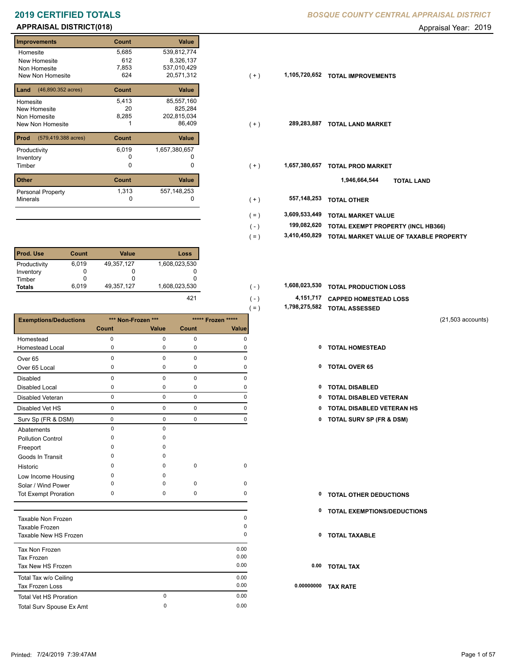### **APPRAISAL DISTRICT(018)** Appraisal Year: 2019

г

| <b>Improvements</b>                  | Count | <b>Value</b>  |
|--------------------------------------|-------|---------------|
| Homesite                             | 5,685 | 539,812,774   |
| New Homesite                         | 612   | 8,326,137     |
| Non Homesite                         | 7,853 | 537,010,429   |
| New Non Homesite                     | 624   | 20,571,312    |
| $(46,890.352 \text{ acres})$<br>Land | Count | Value         |
| Homesite                             | 5,413 | 85,557,160    |
| New Homesite                         | 20    | 825,284       |
| Non Homesite                         | 8,285 | 202,815,034   |
| New Non Homesite                     |       | 86,409        |
| Prod<br>(579,419.388 acres)          | Count | <b>Value</b>  |
| Productivity                         | 6,019 | 1,657,380,657 |
| Inventory                            | O     |               |
| Timber                               | 0     | 0             |
| <b>Other</b>                         | Count | <b>Value</b>  |
| <b>Personal Property</b>             | 1,313 | 557, 148, 253 |
| <b>Minerals</b>                      | 0     | 0             |

| <b>Prod. Use</b> | Count | <b>Value</b> | Loss          |
|------------------|-------|--------------|---------------|
| Productivity     | 6,019 | 49,357,127   | 1,608,023,530 |
| Inventory        |       |              |               |
| Timber           |       | O            |               |
| <b>Totals</b>    | 6.019 | 49,357,127   | 1,608,023,530 |
|                  |       |              | 421           |

|                               |              |                    |             |                    | $( = )$      | 1,790,279,902 TOTAL ASSESSED     |
|-------------------------------|--------------|--------------------|-------------|--------------------|--------------|----------------------------------|
| <b>Exemptions/Deductions</b>  |              | *** Non-Frozen *** |             | ***** Frozen ***** |              | $(21,503$ accounts)              |
|                               | <b>Count</b> | Value              | Count       | Value              |              |                                  |
| Homestead                     | $\mathbf 0$  | $\mathbf 0$        | $\mathbf 0$ | $\mathbf 0$        |              |                                  |
| <b>Homestead Local</b>        | 0            | $\mathbf 0$        | $\mathbf 0$ | 0                  | $\mathbf{0}$ | <b>TOTAL HOMESTEAD</b>           |
| Over <sub>65</sub>            | 0            | $\mathbf 0$        | $\mathbf 0$ | 0                  |              |                                  |
| Over 65 Local                 | 0            | 0                  | 0           | 0                  |              | 0 TOTAL OVER 65                  |
| <b>Disabled</b>               | 0            | $\mathbf 0$        | $\mathbf 0$ | 0                  |              |                                  |
| <b>Disabled Local</b>         | 0            | 0                  | 0           | 0                  | 0            | <b>TOTAL DISABLED</b>            |
| <b>Disabled Veteran</b>       | 0            | $\mathbf 0$        | $\mathbf 0$ | $\mathbf 0$        | 0            | <b>TOTAL DISABLED VETERAN</b>    |
| Disabled Vet HS               | 0            | $\mathbf 0$        | $\mathbf 0$ | $\pmb{0}$          | 0            | <b>TOTAL DISABLED VETERAN HS</b> |
| Surv Sp (FR & DSM)            | $\pmb{0}$    | $\mathbf 0$        | $\pmb{0}$   | 0                  |              | 0 TOTAL SURV SP (FR & DSM)       |
| Abatements                    | 0            | $\mathbf 0$        |             |                    |              |                                  |
| <b>Pollution Control</b>      | 0            | $\mathbf 0$        |             |                    |              |                                  |
| Freeport                      | 0            | $\Omega$           |             |                    |              |                                  |
| Goods In Transit              | 0            | 0                  |             |                    |              |                                  |
| Historic                      | $\Omega$     | $\Omega$           | $\mathbf 0$ | $\mathbf 0$        |              |                                  |
| Low Income Housing            | 0            | O                  |             |                    |              |                                  |
| Solar / Wind Power            | 0            | 0                  | 0           | 0                  |              |                                  |
| <b>Tot Exempt Proration</b>   | 0            | $\mathbf 0$        | 0           | 0                  | 0            | <b>TOTAL OTHER DEDUCTIONS</b>    |
|                               |              |                    |             |                    | 0            | TOTAL EXEMPTIONS/DEDUCTIONS      |
| Taxable Non Frozen            |              |                    |             | 0                  |              |                                  |
| Taxable Frozen                |              |                    |             | 0                  |              |                                  |
| Taxable New HS Frozen         |              |                    |             | 0                  | 0            | <b>TOTAL TAXABLE</b>             |
| Tax Non Frozen                |              |                    |             | 0.00               |              |                                  |
| <b>Tax Frozen</b>             |              |                    |             | 0.00               |              |                                  |
| Tax New HS Frozen             |              |                    |             | 0.00               |              | 0.00 TOTAL TAX                   |
| Total Tax w/o Ceiling         |              |                    |             | 0.00               |              |                                  |
| Tax Frozen Loss               |              |                    |             | 0.00               | 0.00000000   | <b>TAX RATE</b>                  |
| <b>Total Vet HS Proration</b> |              | $\mathbf 0$        |             | 0.00               |              |                                  |
| Total Surv Spouse Ex Amt      |              | $\mathbf 0$        |             | 0.00               |              |                                  |

### **2019 CERTIFIED TOTALS** *BOSQUE COUNTY CENTRAL APPRAISAL DISTRICT*

- New Non Homesite 624 20,571,312 ( + ) **1,105,720,652 TOTAL IMPROVEMENTS** New Non Homesite **TOTAL LAND MARKET** 1 86,409 **289,283,887**  $(+)$ Timber 0 **TOTAL PROD MARKET 1,657,380,657** ( + ) 0 0 **557,148,253 TOTAL OTHER**  $(+)$ ( + ) **TOTAL LAND 1,946,664,544**
	- **3,609,533,449 TOTAL MARKET VALUE** ( = )

 $( - )$ 

÷

 $( - )$ 

- **TOTAL EXEMPT PROPERTY (INCL HB366) 199,082,620**
- **3,410,450,829 TOTAL MARKET VALUE OF TAXABLE PROPERTY** ( = )
- **TOTAL PRODUCTION LOSS** 1,608,023,530 **1,608,023,530** ( )
	- **4,151,717 CAPPED HOMESTEAD LOSS**
	- **1,798,275,582 TOTAL ASSESSED** ( = )
		- (21,503 accounts)
		-
		-
		-
		-
		- 0 0 0 0 **0 TOTAL DISABLED VETERAN HS**
		- Surv Sp (FR & DSM) 0 0 0 0 **0 TOTAL SURV SP (FR & DSM)**

- **TOTAL OTHER DEDUCTIONS 0**
- **0 TOTAL EXEMPTIONS/DEDUCTIONS**
- **0 TOTAL TAXABLE**
- **0.00 TOTAL TAX**
- **0.00000000 TAX RATE**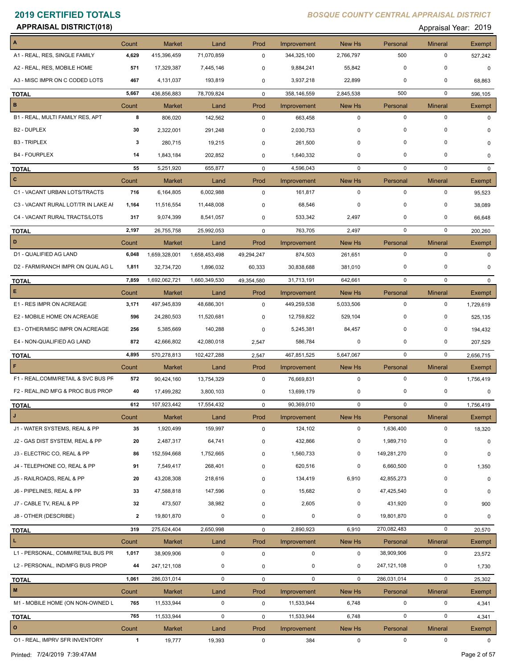**APPRAISAL DISTRICT(018)** Appraisal Year: 2019

| $\boldsymbol{\mathsf{A}}$           |                |                              |                    | Prod        |                            | New Hs                | Personal                | <b>Mineral</b>      | <b>Exempt</b> |
|-------------------------------------|----------------|------------------------------|--------------------|-------------|----------------------------|-----------------------|-------------------------|---------------------|---------------|
| A1 - REAL, RES, SINGLE FAMILY       | Count<br>4,629 | <b>Market</b><br>415,396,459 | Land<br>71,070,859 | $\mathbf 0$ | Improvement<br>344,325,100 | 2,766,797             | 500                     | $\mathbf 0$         | 527,242       |
| A2 - REAL, RES, MOBILE HOME         | 571            | 17,329,387                   | 7,445,146          | 0           | 9,884,241                  | 55,842                | $\mathbf 0$             | $\mathbf 0$         | $\mathbf 0$   |
| A3 - MISC IMPR ON C CODED LOTS      | 467            |                              |                    |             |                            | 22,899                | 0                       | $\mathbf 0$         |               |
|                                     |                | 4,131,037                    | 193,819            | 0           | 3,937,218                  |                       |                         | $\mathbf 0$         | 68,863        |
| <b>TOTAL</b><br>$\, {\bf B}$        | 5,667          | 436,856,883                  | 78,709,824         | $\mathbf 0$ | 358,146,559                | 2,845,538             | 500                     |                     | 596,105       |
|                                     | Count          | Market                       | Land               | Prod        | Improvement                | New Hs                | Personal                | <b>Mineral</b>      | Exempt        |
| B1 - REAL, MULTI FAMILY RES, APT    | 8              | 806,020                      | 142,562            | $\mathbf 0$ | 663,458                    | $\mathbf 0$           | $\mathbf 0$             | 0                   | 0             |
| <b>B2 - DUPLEX</b>                  | 30             | 2,322,001                    | 291,248            | 0           | 2,030,753                  | 0                     | $\mathbf 0$             | $\mathbf 0$         | U             |
| <b>B3 - TRIPLEX</b>                 | 3              | 280,715                      | 19,215             | 0           | 261,500                    | 0                     | $\mathbf 0$             | $\Omega$            | 0             |
| <b>B4 - FOURPLEX</b>                | 14             | 1,843,184                    | 202,852            | 0           | 1,640,332                  | $\mathbf 0$           | $\mathbf 0$             | 0                   | 0             |
| <b>TOTAL</b>                        | 55             | 5,251,920                    | 655,877            | $\mathbf 0$ | 4,596,043                  | $\mathbf 0$           | $\mathbf 0$             | $\mathbf 0$         | $\mathbf{0}$  |
| $\mathbf{C}$                        | Count          | <b>Market</b>                | Land               | Prod        | Improvement                | New Hs                | Personal                | <b>Mineral</b>      | Exempt        |
| C1 - VACANT URBAN LOTS/TRACTS       | 716            | 6,164,805                    | 6,002,988          | $\mathbf 0$ | 161,817                    | $\mathbf 0$           | $\mathbf 0$             | $\mathbf 0$         | 95,523        |
| C3 - VACANT RURAL LOT/TR IN LAKE AI | 1,164          | 11,516,554                   | 11,448,008         | 0           | 68,546                     | $\mathbf 0$           | $\mathbf 0$             | $\mathbf 0$         | 38,089        |
| C4 - VACANT RURAL TRACTS/LOTS       | 317            | 9,074,399                    | 8,541,057          | 0           | 533,342                    | 2,497                 | $\mathbf 0$             | $\Omega$            | 66,648        |
| <b>TOTAL</b>                        | 2,197          | 26,755,758                   | 25,992,053         | $\mathbf 0$ | 763,705                    | 2,497                 | $\mathbf 0$             | $\mathbf 0$         | 200,260       |
| D                                   | Count          | Market                       | Land               | Prod        | Improvement                | New Hs                | Personal                | <b>Mineral</b>      | Exempt        |
| D1 - QUALIFIED AG LAND              | 6,048          | 1,659,328,001                | 1,658,453,498      | 49,294,247  | 874,503                    | 261,651               | 0                       | $\mathbf 0$         | 0             |
| D2 - FARM/RANCH IMPR ON QUAL AG L   | 1,811          | 32,734,720                   | 1,896,032          | 60,333      | 30,838,688                 | 381,010               | 0                       | 0                   | $\mathbf 0$   |
| <b>TOTAL</b>                        | 7,859          | 1,692,062,721                | 1,660,349,530      | 49,354,580  | 31,713,191                 | 642,661               | $\mathbf 0$             | $\mathbf 0$         | $\mathbf{0}$  |
| E.                                  | Count          | <b>Market</b>                | Land               | Prod        | Improvement                | New Hs                | Personal                | <b>Mineral</b>      | Exempt        |
| E1 - RES IMPR ON ACREAGE            | 3,171          | 497,945,839                  | 48,686,301         | $\mathbf 0$ | 449,259,538                | 5,033,506             | $\mathbf 0$             | 0                   | 1,729,619     |
| E2 - MOBILE HOME ON ACREAGE         | 596            | 24,280,503                   | 11,520,681         | 0           | 12,759,822                 | 529,104               | $\mathbf 0$             | $\mathbf 0$         | 525,135       |
| E3 - OTHER/MISC IMPR ON ACREAGE     | 256            | 5,385,669                    | 140,288            | 0           | 5,245,381                  | 84,457                | 0                       | 0                   | 194,432       |
| E4 - NON-QUALIFIED AG LAND          | 872            | 42,666,802                   | 42,080,018         | 2,547       | 586,784                    | 0                     | $\mathbf 0$             | 0                   | 207,529       |
|                                     | 4,895          | 570,278,813                  |                    |             | 467,851,525                | 5,647,067             | $\mathbf 0$             | $\mathbf 0$         |               |
| <b>TOTAL</b><br>F                   |                |                              | 102,427,288        | 2,547       |                            |                       |                         |                     | 2,656,715     |
| F1 - REAL, COMM/RETAIL & SVC BUS PF | Count<br>572   | <b>Market</b>                | Land               | Prod        | Improvement                | New Hs<br>$\mathbf 0$ | Personal<br>$\mathbf 0$ | <b>Mineral</b><br>0 | Exempt        |
|                                     |                | 90,424,160                   | 13,754,329         | $\mathbf 0$ | 76,669,831                 |                       | 0                       | 0                   | 1,756,419     |
| F2 - REAL, IND MFG & PROC BUS PROP  | 40             | 17,499,282                   | 3,800,103          | 0           | 13,699,179                 | 0                     |                         |                     | 0             |
| <b>TOTAL</b>                        | 612            | 107,923,442                  | 17,554,432         | 0           | 90,369,010                 | $\mathbf 0$           | $\mathbf 0$             | 0                   | 1,756,419     |
| J                                   | Count          | <b>Market</b>                | Land               | Prod        | Improvement                | New Hs                | Personal                | <b>Mineral</b>      | Exempt        |
| J1 - WATER SYSTEMS, REAL & PP       | 35             | 1,920,499                    | 159,997            | $\pmb{0}$   | 124,102                    | $\mathbf 0$           | 1,636,400               | $\mathbf 0$         | 18,320        |
| J2 - GAS DIST SYSTEM, REAL & PP     | 20             | 2,487,317                    | 64,741             | 0           | 432,866                    | 0                     | 1,989,710               | 0                   | $\mathbf 0$   |
| J3 - ELECTRIC CO, REAL & PP         | 86             | 152,594,668                  | 1,752,665          | 0           | 1,560,733                  | 0                     | 149,281,270             | 0                   | 0             |
| J4 - TELEPHONE CO, REAL & PP        | 91             | 7,549,417                    | 268,401            | 0           | 620,516                    | 0                     | 6,660,500               | 0                   | 1,350         |
| J5 - RAILROADS, REAL & PP           | 20             | 43,208,308                   | 218,616            | 0           | 134,419                    | 6,910                 | 42,855,273              | 0                   | 0             |
| J6 - PIPELINES, REAL & PP           | 33             | 47,588,818                   | 147,596            | 0           | 15,682                     | $\mathbf 0$           | 47,425,540              | 0                   | 0             |
| J7 - CABLE TV, REAL & PP            | 32             | 473,507                      | 38,982             | 0           | 2,605                      | 0                     | 431,920                 | 0                   | 900           |
| J8 - OTHER (DESCRIBE)               | $\mathbf{2}$   | 19,801,870                   | 0                  | 0           | $\pmb{0}$                  | 0                     | 19,801,870              | 0                   | 0             |
| <b>TOTAL</b>                        | 319            | 275,624,404                  | 2,650,998          | 0           | 2,890,923                  | 6,910                 | 270,082,483             | 0                   | 20,570        |
| $\mathbf{L}$                        | Count          | <b>Market</b>                | Land               | Prod        | Improvement                | New Hs                | Personal                | <b>Mineral</b>      | Exempt        |
| L1 - PERSONAL, COMM/RETAIL BUS PR   | 1,017          | 38,909,906                   | $\mathbf 0$        | $\pmb{0}$   | 0                          | 0                     | 38,909,906              | 0                   | 23,572        |
| L2 - PERSONAL, IND/MFG BUS PROP     | 44             | 247,121,108                  | 0                  | 0           | 0                          | 0                     | 247, 121, 108           | 0                   | 1,730         |
| <b>TOTAL</b>                        | 1,061          | 286,031,014                  | $\mathbf 0$        | 0           | $\mathbf 0$                | $\mathbf 0$           | 286,031,014             | $\mathbf 0$         | 25,302        |
| $\mathsf{M}\xspace$                 | Count          | <b>Market</b>                | Land               | Prod        | Improvement                | New Hs                | Personal                | <b>Mineral</b>      | Exempt        |
| M1 - MOBILE HOME (ON NON-OWNED L    | 765            | 11,533,944                   | $\mathbf 0$        | 0           | 11,533,944                 | 6,748                 | $\mathbf 0$             | 0                   | 4,341         |
|                                     |                |                              |                    |             |                            |                       |                         |                     |               |
| <b>TOTAL</b><br>$\mathbf{o}$        | 765            | 11,533,944                   | $\mathbf 0$        | 0           | 11,533,944                 | 6,748                 | $\mathbf 0$             | 0                   | 4,341         |
|                                     | Count          | <b>Market</b>                | Land               | Prod        | Improvement                | New Hs                | Personal                | <b>Mineral</b>      | Exempt        |
| 01 - REAL, IMPRV SFR INVENTORY      | $\overline{1}$ | 19,777                       | 19,393             | $\mathbf 0$ | 384                        | $\mathbf 0$           | $\mathbf 0$             | $\mathbf 0$         | $\mathbf 0$   |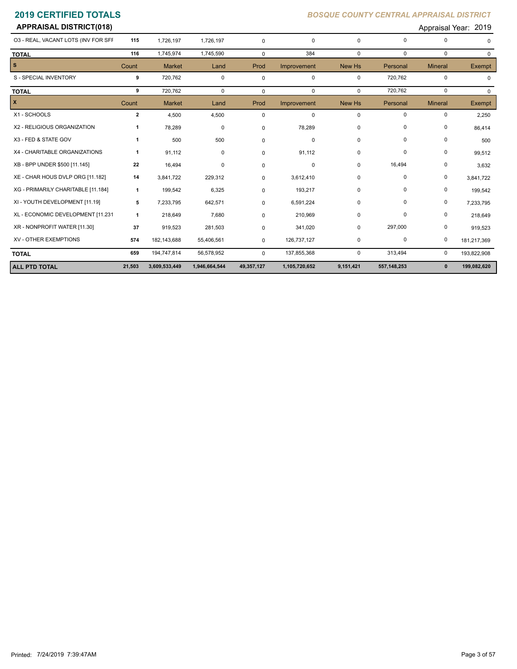| <b>2019 CERTIFIED TOTALS</b>        |                |               |             | <b>BOSQUE COUNTY CENTRAL APPRAISAL DISTRICT</b> |             |             |             |                      |               |  |
|-------------------------------------|----------------|---------------|-------------|-------------------------------------------------|-------------|-------------|-------------|----------------------|---------------|--|
| <b>APPRAISAL DISTRICT(018)</b>      |                |               |             |                                                 |             |             |             | Appraisal Year: 2019 |               |  |
| 03 - REAL, VACANT LOTS (INV FOR SFF | 115            | 1,726,197     | 1,726,197   | $\mathbf 0$                                     | 0           | $\mathbf 0$ | $\mathbf 0$ | 0                    | $\Omega$      |  |
| <b>TOTAL</b>                        | 116            | 1,745,974     | 1,745,590   | $\Omega$                                        | 384         | $\mathbf 0$ | $\mathbf 0$ | 0                    | 0             |  |
| s.                                  | Count          | <b>Market</b> | Land        | Prod                                            | Improvement | New Hs      | Personal    | <b>Mineral</b>       | <b>Exempt</b> |  |
| S - SPECIAL INVENTORY               | 9              | 720,762       | $\mathbf 0$ | 0                                               | 0           | 0           | 720,762     | 0                    | 0             |  |
| <b>TOTAL</b>                        | 9              | 720,762       | $\Omega$    | $\mathbf 0$                                     | 0           | $\Omega$    | 720,762     | 0                    | $\mathbf 0$   |  |
| X                                   | Count          | <b>Market</b> | Land        | Prod                                            | Improvement | New Hs      | Personal    | <b>Mineral</b>       | Exempt        |  |
| X1 - SCHOOLS                        | $\overline{2}$ | 4,500         | 4,500       | $\mathbf 0$                                     | 0           | 0           | $\mathbf 0$ | 0                    | 2,250         |  |
| X2 - RELIGIOUS ORGANIZATION         | 1              | 78,289        | $\mathbf 0$ | $\mathbf 0$                                     | 78,289      | 0           | 0           | 0                    | 86,414        |  |
| X3 - FED & STATE GOV                | 1              | 500           | 500         | $\mathbf 0$                                     | 0           | 0           | 0           | 0                    | 500           |  |
| X4 - CHARITABLE ORGANIZATIONS       | -1             | 91,112        | $\mathbf 0$ | $\mathbf 0$                                     | 91,112      | 0           | 0           | 0                    | 99,512        |  |
| XB - BPP UNDER \$500 [11.145]       | 22             | 16,494        | $\mathbf 0$ | $\mathbf 0$                                     | 0           | $\mathbf 0$ | 16,494      | 0                    | 3,632         |  |
| XE - CHAR HOUS DVLP ORG [11.182]    | 14             | 3,841,722     | 229,312     | $\mathbf 0$                                     | 3,612,410   | 0           | 0           | 0                    | 3,841,722     |  |
| XG - PRIMARILY CHARITABLE [11.184]  | $\mathbf{1}$   | 199,542       | 6,325       | 0                                               | 193,217     | 0           | 0           | 0                    | 199,542       |  |
| XI - YOUTH DEVELOPMENT [11.19]      | 5              | 7,233,795     | 642,571     | $\mathbf 0$                                     | 6,591,224   | 0           | $\mathbf 0$ | 0                    | 7,233,795     |  |
| XL - ECONOMIC DEVELOPMENT [11.231   | $\mathbf{1}$   | 218,649       | 7,680       | $\mathbf 0$                                     | 210,969     | $\pmb{0}$   | 0           | 0                    | 218,649       |  |
| XR - NONPROFIT WATER [11.30]        | 37             | 919,523       | 281,503     | 0                                               | 341,020     | 0           | 297,000     | 0                    | 919,523       |  |
|                                     |                |               |             |                                                 |             |             |             |                      |               |  |

| <b>ALL PTD TOTAL</b>            | 21,503 | 3,609,533,449 | 1,946,664,544 | 49,357,127 | 1,105,720,652 | 9,151,421 | 557,148,253 | 199,082,620 |
|---------------------------------|--------|---------------|---------------|------------|---------------|-----------|-------------|-------------|
| <b>TOTAL</b>                    | 659    | 194.747.814   | 56.578.952    |            | 137.855.368   |           | 313.494     | 193,822,908 |
| XV - OTHER EXEMPTIONS           | 574    | 182.143.688   | 55.406.561    |            | 126.737.127   |           |             | 181,217,369 |
| 1101111101111111111111111111001 |        | 0.0000        | $-0.000$      |            | $-1.02$       |           | $-0.000$    | U1U, U2U    |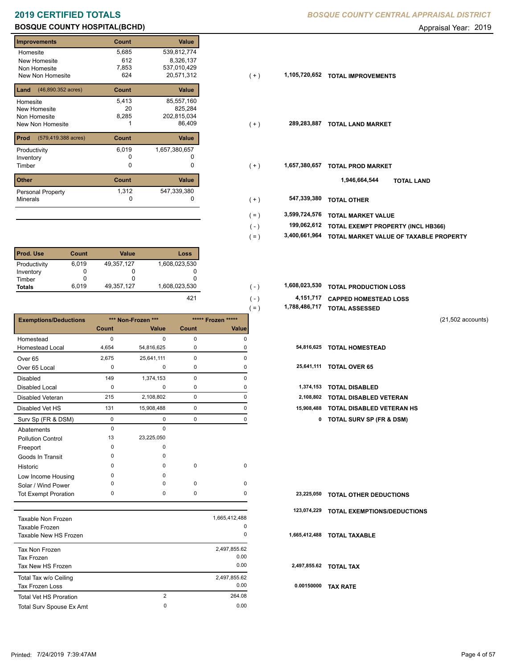$( - )$ 

 $( - )$ 

| Improvements                             | Count | Value         |       |               |                                    |
|------------------------------------------|-------|---------------|-------|---------------|------------------------------------|
| Homesite                                 | 5,685 | 539,812,774   |       |               |                                    |
| New Homesite                             | 612   | 8,326,137     |       |               |                                    |
| Non Homesite                             | 7,853 | 537,010,429   |       |               |                                    |
| New Non Homesite                         | 624   | 20,571,312    | $(+)$ | 1,105,720,652 | <b>TOTAL IMPROVEMENTS</b>          |
| <b>Land</b> $(46,890.352 \text{ acres})$ | Count | Value         |       |               |                                    |
| Homesite                                 | 5,413 | 85,557,160    |       |               |                                    |
| New Homesite                             | 20    | 825,284       |       |               |                                    |
| Non Homesite                             | 8,285 | 202,815,034   |       |               |                                    |
| New Non Homesite                         |       | 86,409        | $(+)$ | 289,283,887   | <b>TOTAL LAND MARKET</b>           |
| (579,419.388 acres)<br>Prod              | Count | Value         |       |               |                                    |
| Productivity                             | 6,019 | 1,657,380,657 |       |               |                                    |
| Inventory                                | 0     |               |       |               |                                    |
| Timber                                   | 0     | $\Omega$      | $(+)$ | 1,657,380,657 | <b>TOTAL PROD MARKET</b>           |
| <b>Other</b>                             | Count | Value         |       |               | 1,946,664,544<br><b>TOTAL LAND</b> |
| Personal Property                        | 1,312 | 547,339,380   |       |               |                                    |
| Minerals                                 | 0     | 0             | $(+)$ | 547,339,380   | <b>TOTAL OTHER</b>                 |
|                                          |       |               |       |               |                                    |

| <b>Prod. Use</b> | Count | <b>Value</b> | Loss          |
|------------------|-------|--------------|---------------|
| Productivity     | 6,019 | 49,357,127   | 1,608,023,530 |
| Inventory        |       | O            | 0             |
| Timber           |       | O            |               |
| <b>Totals</b>    | 6.019 | 49,357,127   | 1,608,023,530 |
|                  |       |              | 421           |

|                              |             |                    |             |                    | 1,788,486,717<br>$( = )$ | <b>TOTAL ASSESSED</b>               |                     |
|------------------------------|-------------|--------------------|-------------|--------------------|--------------------------|-------------------------------------|---------------------|
| <b>Exemptions/Deductions</b> |             | *** Non-Frozen *** |             | ***** Frozen ***** |                          |                                     | $(21,502$ accounts) |
|                              | Count       | Value              | Count       | Value              |                          |                                     |                     |
| Homestead                    | $\mathbf 0$ | $\Omega$           | 0           | 0                  |                          |                                     |                     |
| <b>Homestead Local</b>       | 4,654       | 54,816,625         | $\mathbf 0$ | $\Omega$           | 54,816,625               | <b>TOTAL HOMESTEAD</b>              |                     |
| Over <sub>65</sub>           | 2,675       | 25,641,111         | $\pmb{0}$   | $\Omega$           |                          |                                     |                     |
| Over 65 Local                | 0           | 0                  | 0           | 0                  |                          | 25,641,111 TOTAL OVER 65            |                     |
| <b>Disabled</b>              | 149         | 1,374,153          | $\mathbf 0$ | 0                  |                          |                                     |                     |
| <b>Disabled Local</b>        | 0           | $\Omega$           | 0           | $\Omega$           | 1,374,153                | <b>TOTAL DISABLED</b>               |                     |
| Disabled Veteran             | 215         | 2,108,802          | $\pmb{0}$   | 0                  | 2,108,802                | <b>TOTAL DISABLED VETERAN</b>       |                     |
| Disabled Vet HS              | 131         | 15,908,488         | 0           | $\mathbf 0$        | 15,908,488               | <b>TOTAL DISABLED VETERAN HS</b>    |                     |
| Surv Sp (FR & DSM)           | 0           | 0                  | $\pmb{0}$   | 0                  | 0                        | <b>TOTAL SURV SP (FR &amp; DSM)</b> |                     |
| Abatements                   | $\mathbf 0$ | $\mathbf 0$        |             |                    |                          |                                     |                     |
| <b>Pollution Control</b>     | 13          | 23,225,050         |             |                    |                          |                                     |                     |
| Freeport                     | 0           | 0                  |             |                    |                          |                                     |                     |
| Goods In Transit             | 0           | $\Omega$           |             |                    |                          |                                     |                     |
| Historic                     | $\Omega$    | $\Omega$           | $\mathbf 0$ | $\mathbf 0$        |                          |                                     |                     |
| Low Income Housing           | 0           | O                  |             |                    |                          |                                     |                     |
| Solar / Wind Power           | 0           | $\Omega$           | $\mathbf 0$ | $\mathbf 0$        |                          |                                     |                     |
| <b>Tot Exempt Proration</b>  | 0           | 0                  | 0           | 0                  | 23,225,050               | <b>TOTAL OTHER DEDUCTIONS</b>       |                     |
|                              |             |                    |             |                    | 123,074,229              | <b>TOTAL EXEMPTIONS/DEDUCTIONS</b>  |                     |
| Taxable Non Frozen           |             |                    |             | 1,665,412,488      |                          |                                     |                     |
| Taxable Frozen               |             |                    |             | 0                  |                          |                                     |                     |
| Taxable New HS Frozen        |             |                    |             | 0                  | 1,665,412,488            | <b>TOTAL TAXABLE</b>                |                     |
| Tax Non Frozen               |             |                    |             | 2,497,855.62       |                          |                                     |                     |
| <b>Tax Frozen</b>            |             |                    |             | 0.00               |                          |                                     |                     |
| Tax New HS Frozen            |             |                    |             | 0.00               |                          | 2,497,855.62 TOTAL TAX              |                     |
| Total Tax w/o Ceiling        |             |                    |             | 2,497,855.62       |                          |                                     |                     |
| <b>Tax Frozen Loss</b>       |             |                    |             | 0.00               | 0.00150000               | <b>TAX RATE</b>                     |                     |
| Total Vet HS Proration       |             | 2                  |             | 264.08             |                          |                                     |                     |

Total Surv Spouse Ex Amt 0.00

0

Total Vet HS Proration

- 
- $(+)$
- $(+)$

- 0 0 **547,339,380 TOTAL OTHER** ( + )
- **3,599,724,576 TOTAL MARKET VALUE** ( = )
	- **TOTAL EXEMPT PROPERTY (INCL HB366) 199,062,612**
- **3,400,661,964 TOTAL MARKET VALUE OF TAXABLE PROPERTY** ( = )
- **TOTAL PRODUCTION LOSS** 1,608,023,530 **1,608,023,530** ( )
	- **4,151,717 CAPPED HOMESTEAD LOSS**
	- **1,788,486,717 TOTAL ASSESSED** ( = )
		- (21,502 accounts)
		-
		-
		-
		-
		- 131 15,908,488 0 0 **15,908,488 TOTAL DISABLED VETERAN HS**
			- Surv Sp (FR & DSM) 0 0 0 0 **0 TOTAL SURV SP (FR & DSM)**

|  | 23,225,050 TOTAL OTHER DEDUCTIONS |  |
|--|-----------------------------------|--|
|--|-----------------------------------|--|

- **123,074,229 TOTAL EXEMPTIONS/DEDUCTIONS**
- **1,665,412,488 TOTAL TAXABLE**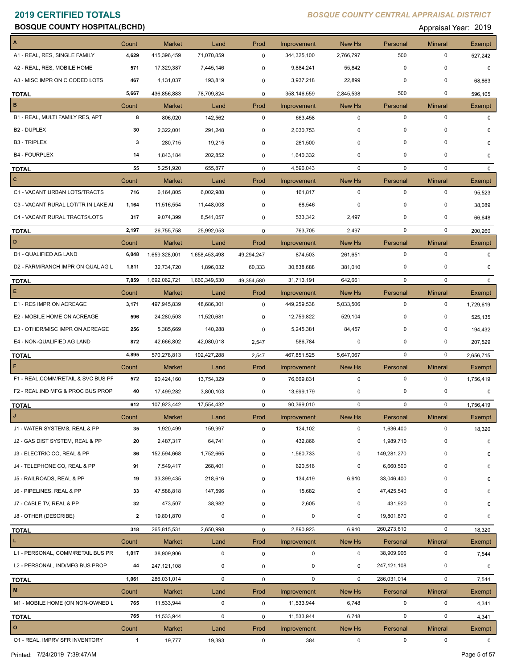| <b>2019 CERTIFIED TOTALS</b><br><b>BOSQUE COUNTY HOSPITAL(BCHD)</b> |                |                     |               |              |                      |             | <b>BOSQUE COUNTY CENTRAL APPRAISAL DISTRICT</b> | Appraisal Year: 2019 |               |
|---------------------------------------------------------------------|----------------|---------------------|---------------|--------------|----------------------|-------------|-------------------------------------------------|----------------------|---------------|
|                                                                     | Count          | Market              | Land          | Prod         | Improvement          | New Hs      | Personal                                        | <b>Mineral</b>       | Exempt        |
| A1 - REAL, RES, SINGLE FAMILY                                       | 4,629          | 415,396,459         | 71,070,859    | 0            | 344,325,100          | 2,766,797   | 500                                             | 0                    | 527,242       |
| A2 - REAL, RES, MOBILE HOME                                         | 571            | 17,329,387          | 7,445,146     | 0            | 9,884,241            | 55,842      | $\Omega$                                        | 0                    | $\mathbf 0$   |
| A3 - MISC IMPR ON C CODED LOTS                                      | 467            | 4,131,037           | 193,819       | 0            | 3,937,218            | 22,899      | $\mathbf 0$                                     | 0                    | 68,863        |
| TOTAL                                                               | 5,667          | 436,856,883         | 78,709,824    | $\mathbf 0$  | 358,146,559          | 2,845,538   | 500                                             | 0                    | 596,105       |
| в                                                                   | Count          | <b>Market</b>       | Land          | Prod         | Improvement          | New Hs      | Personal                                        | <b>Mineral</b>       | Exempt        |
| B1 - REAL, MULTI FAMILY RES, APT                                    | 8              | 806,020             | 142,562       | $\mathbf 0$  | 663,458              | 0           | 0                                               | 0                    | 0             |
| B <sub>2</sub> - DUPLEX                                             | 30             | 2,322,001           | 291,248       | 0            | 2,030,753            | 0           | 0                                               | 0                    | $\Omega$      |
| <b>B3 - TRIPLEX</b>                                                 | -3             | 280,715             | 19,215        | 0            | 261,500              | $\Omega$    | $\Omega$                                        | 0                    | $\mathbf 0$   |
| <b>B4 - FOURPLEX</b>                                                | 14             | 1,843,184           | 202,852       | 0            | 1,640,332            | 0           | 0                                               | 0                    | 0             |
| <b>TOTAL</b>                                                        | 55             | 5,251,920           | 655,877       | $\mathbf 0$  | 4,596,043            | 0           | 0                                               | $\mathbf 0$          | $\mathbf 0$   |
| $\mathbf{C}$                                                        | Count          | <b>Market</b>       | Land          | Prod         | Improvement          | New Hs      | Personal                                        | <b>Mineral</b>       | Exempt        |
| C1 - VACANT URBAN LOTS/TRACTS                                       | 716            | 6,164,805           | 6,002,988     | $\mathbf 0$  | 161,817              | 0           | 0                                               | 0                    | 95,523        |
| C3 - VACANT RURAL LOT/TR IN LAKE AI                                 | 1,164          | 11,516,554          | 11,448,008    | 0            | 68,546               | $\Omega$    | $\mathbf 0$                                     | 0                    | 38,089        |
| C4 - VACANT RURAL TRACTS/LOTS                                       | 317            | 9,074,399           | 8,541,057     | 0            | 533,342              | 2,497       | 0                                               | $\Omega$             | 66,648        |
| <b>TOTAL</b>                                                        | 2,197          | 26,755,758          | 25,992,053    | $\mathbf 0$  | 763,705              | 2,497       | $\mathbf 0$                                     | 0                    | 200,260       |
| D                                                                   | Count          | <b>Market</b>       | Land          | Prod         | Improvement          | New Hs      | Personal                                        | <b>Mineral</b>       | Exempt        |
| D1 - QUALIFIED AG LAND                                              | 6,048          | 1,659,328,001       | 1,658,453,498 | 49,294,247   | 874,503              | 261,651     | 0                                               | 0                    | 0             |
| D2 - FARM/RANCH IMPR ON QUAL AG L                                   | 1,811          | 32,734,720          | 1,896,032     | 60,333       | 30,838,688           | 381,010     | 0                                               | 0                    | 0             |
|                                                                     | 7,859          | 1,692,062,721       | 1,660,349,530 | 49,354,580   | 31,713,191           | 642,661     | 0                                               | 0                    | $\mathbf 0$   |
| <b>TOTAL</b><br>Е                                                   | Count          | <b>Market</b>       | Land          | Prod         | Improvement          | New Hs      | Personal                                        | <b>Mineral</b>       | <b>Exempt</b> |
| E1 - RES IMPR ON ACREAGE                                            | 3,171          | 497,945,839         | 48,686,301    | $\mathbf 0$  | 449,259,538          | 5,033,506   | 0                                               | 0                    | 1,729,619     |
| E2 - MOBILE HOME ON ACREAGE                                         | 596            | 24,280,503          | 11,520,681    | 0            | 12,759,822           | 529,104     | 0                                               | 0                    | 525,135       |
| E3 - OTHER/MISC IMPR ON ACREAGE                                     | 256            | 5,385,669           | 140,288       | 0            | 5,245,381            | 84,457      | 0                                               | 0                    | 194,432       |
| E4 - NON-QUALIFIED AG LAND                                          | 872            | 42,666,802          | 42,080,018    | 2,547        | 586,784              | 0           | 0                                               | 0                    | 207,529       |
|                                                                     | 4,895          |                     |               |              |                      |             | $\mathbf 0$                                     | $^{\circ}$           |               |
| <b>TOTAL</b><br>F.                                                  |                | 570,278,813         | 102,427,288   | 2,547        | 467,851,525          | 5,647,067   |                                                 |                      | 2,656,715     |
| F1 - REAL, COMM/RETAIL & SVC BUS PF                                 | Count<br>572   | <b>Market</b>       | Land          | Prod         | Improvement          | New Hs<br>0 | Personal<br>0                                   | <b>Mineral</b><br>0  | Exempt        |
| F2 - REAL, IND MFG & PROC BUS PROP                                  |                | 90,424,160          | 13,754,329    | $\mathbf 0$  | 76,669,831           | 0           | $\pmb{0}$                                       | 0                    | 1,756,419     |
|                                                                     | 40             | 17,499,282          | 3,800,103     | $\mathsf 0$  | 13,699,179           |             |                                                 |                      | $\mathbf 0$   |
| <b>TOTAL</b>                                                        | 612            | 107,923,442         | 17,554,432    | $\pmb{0}$    | 90,369,010           | 0           | $\mathbf 0$                                     | 0                    | 1,756,419     |
| J<br>J1 - WATER SYSTEMS, REAL & PP                                  | Count          | Market<br>1,920,499 | Land          | Prod         | Improvement          | New Hs      | Personal                                        | <b>Mineral</b>       | Exempt        |
|                                                                     | 35             |                     | 159,997       | $\mathbf 0$  | 124,102              | 0           | 1,636,400                                       | $\mathbf 0$          | 18,320        |
| J2 - GAS DIST SYSTEM, REAL & PP<br>J3 - ELECTRIC CO, REAL & PP      | 20             | 2,487,317           | 64,741        | 0            | 432,866<br>1,560,733 | 0           | 1,989,710                                       | 0                    | $\pmb{0}$     |
|                                                                     | 86             | 152,594,668         | 1,752,665     | $\mathbf 0$  |                      | 0           | 149,281,270                                     | 0                    | 0             |
| J4 - TELEPHONE CO, REAL & PP                                        | 91             | 7,549,417           | 268,401       | $\mathbf 0$  | 620,516              | 0           | 6,660,500                                       | 0                    | $\mathbf 0$   |
| J5 - RAILROADS, REAL & PP                                           | 19             | 33,399,435          | 218,616       | $\mathbf 0$  | 134,419              | 6,910       | 33,046,400                                      | 0                    | $\mathbf 0$   |
| J6 - PIPELINES, REAL & PP                                           | 33             | 47,588,818          | 147,596       | $\mathsf 0$  | 15,682               | 0           | 47,425,540                                      | 0                    | 0             |
| J7 - CABLE TV, REAL & PP                                            | 32             | 473,507             | 38,982        | $\mathbf 0$  | 2,605                | 0           | 431,920                                         | 0                    | 0             |
| J8 - OTHER (DESCRIBE)                                               | $\overline{2}$ | 19,801,870          | 0             | $\pmb{0}$    | $\mathbf 0$          | 0           | 19,801,870                                      | 0                    | 0             |
| <b>TOTAL</b>                                                        | 318            | 265,815,531         | 2,650,998     | $\mathsf{O}$ | 2,890,923            | 6,910       | 260,273,610                                     | 0                    | 18,320        |
| L.                                                                  | Count          | Market              | Land          | Prod         | Improvement          | New Hs      | Personal                                        | <b>Mineral</b>       | Exempt        |
| L1 - PERSONAL, COMM/RETAIL BUS PR                                   | 1,017          | 38,909,906          | 0             | 0            | 0                    | 0           | 38,909,906                                      | 0                    | 7,544         |
| L2 - PERSONAL, IND/MFG BUS PROP                                     | 44             | 247,121,108         | 0             | $\mathsf 0$  | 0                    | 0           | 247,121,108                                     | 0                    | $\pmb{0}$     |
| <b>TOTAL</b>                                                        | 1,061          | 286,031,014         | 0             | $\mathsf{O}$ | $\mathbf 0$          | $\mathbf 0$ | 286,031,014                                     | $\mathbf 0$          | 7,544         |
| $\mathbf M$                                                         | Count          | <b>Market</b>       | Land          | Prod         | Improvement          | New Hs      | Personal                                        | <b>Mineral</b>       | <b>Exempt</b> |
| M1 - MOBILE HOME (ON NON-OWNED L                                    | 765            | 11,533,944          | 0             | $\mathbf 0$  | 11,533,944           | 6,748       | 0                                               | 0                    | 4,341         |

**TOTAL 765** 11,533,944 0 0 11,533,944 6,748 0 0 4,341

O1 - REAL, IMPRV SFR INVENTORY **1** 19,777 19,393 0 384 0 0 0 0 0 0

**O** Count Market Land Prod Improvement New Hs Personal Mineral Exempt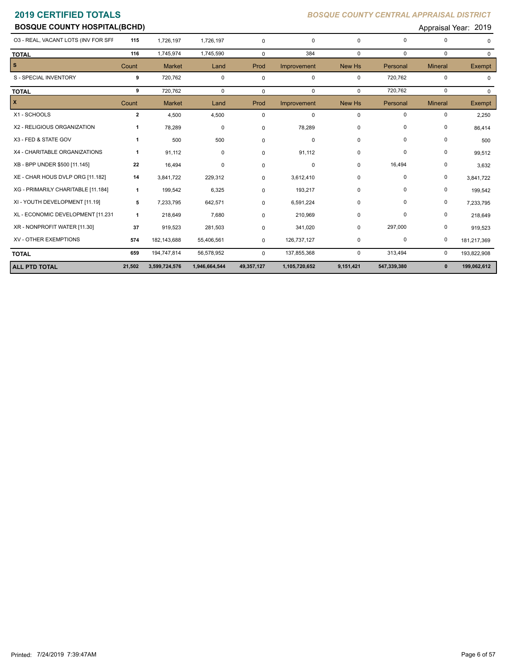| <b>BOSQUE COUNTY HOSPITAL(BCHD)</b> |                |               |            |             |             |          |             |                | Appraisal Year: 2019 |
|-------------------------------------|----------------|---------------|------------|-------------|-------------|----------|-------------|----------------|----------------------|
| 03 - REAL, VACANT LOTS (INV FOR SFF | 115            | 1,726,197     | 1,726,197  | 0           | $\mathbf 0$ | 0        | $\mathbf 0$ | 0              |                      |
| <b>TOTAL</b>                        | 116            | 1,745,974     | 1,745,590  | 0           | 384         | $\Omega$ | $\Omega$    | $\mathbf 0$    | $\Omega$             |
| $\mathbf{s}$                        | Count          | <b>Market</b> | Land       | Prod        | Improvement | New Hs   | Personal    | <b>Mineral</b> | Exempt               |
| S - SPECIAL INVENTORY               | 9              | 720,762       | 0          | 0           | 0           | 0        | 720,762     | 0              |                      |
| <b>TOTAL</b>                        | 9              | 720,762       | 0          | $\mathbf 0$ | $\mathbf 0$ | $\Omega$ | 720,762     | 0              | $\mathbf 0$          |
|                                     | Count          | <b>Market</b> | Land       | Prod        | Improvement | New Hs   | Personal    | <b>Mineral</b> | Exempt               |
| X1 - SCHOOLS                        | $\overline{2}$ | 4,500         | 4,500      | 0           | $\mathbf 0$ | 0        | $\mathbf 0$ | 0              | 2,250                |
| X2 - RELIGIOUS ORGANIZATION         | -1             | 78,289        | 0          | 0           | 78,289      | 0        | 0           | 0              | 86,414               |
| X3 - FED & STATE GOV                | $\mathbf{1}$   | 500           | 500        | 0           | 0           | 0        | 0           | $\pmb{0}$      | 500                  |
| X4 - CHARITABLE ORGANIZATIONS       | $\mathbf{1}$   | 91,112        | 0          | 0           | 91,112      | 0        | 0           | 0              | 99,512               |
| XB - BPP UNDER \$500 [11.145]       | 22             | 16,494        | 0          | 0           | $\pmb{0}$   | 0        | 16,494      | 0              | 3,632                |
| XE - CHAR HOUS DVLP ORG [11.182]    | 14             | 3,841,722     | 229,312    | 0           | 3,612,410   | 0        | 0           | 0              | 3,841,722            |
| XG - PRIMARILY CHARITABLE [11.184]  | $\mathbf{1}$   | 199,542       | 6,325      | 0           | 193,217     | 0        | 0           | 0              | 199,542              |
| XI - YOUTH DEVELOPMENT [11.19]      | 5              | 7,233,795     | 642,571    | 0           | 6,591,224   | 0        | 0           | 0              | 7,233,795            |
| XL - ECONOMIC DEVELOPMENT [11.231   | $\mathbf{1}$   | 218,649       | 7,680      | 0           | 210,969     | 0        | 0           | 0              | 218,649              |
| XR - NONPROFIT WATER [11.30]        | 37             | 919,523       | 281,503    | 0           | 341,020     | 0        | 297,000     | 0              | 919,523              |
| XV - OTHER EXEMPTIONS               | 574            | 182,143,688   | 55,406,561 | 0           | 126,737,127 | 0        | 0           | 0              | 181,217,369          |
| <b>TOTAL</b>                        | 659            | 194,747,814   | 56,578,952 | $\Omega$    | 137,855,368 | 0        | 313,494     | 0              | 193,822,908          |

**ALL PTD TOTAL 21,502 3,599,724,576 1,946,664,544 49,357,127 1,105,720,652 9,151,421 547,339,380 0 199,062,612**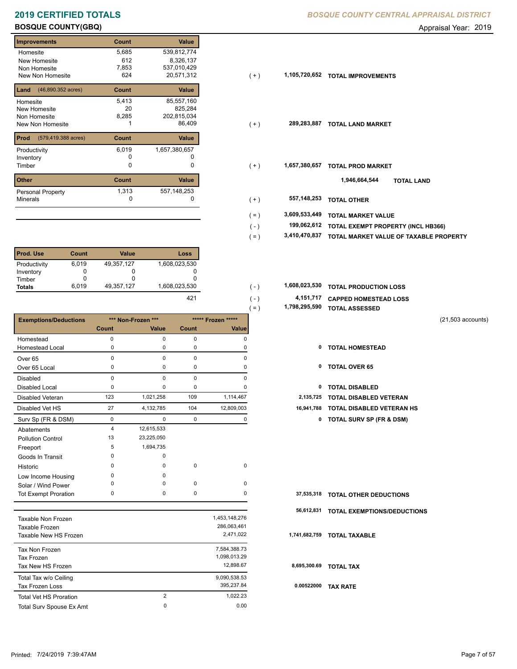## **BOSQUE COUNTY(GBQ) BOSQUE COUNTY(GBQ) Appraisal Year: 2019**

| <b>Improvements</b>         | Count | <b>Value</b>  |
|-----------------------------|-------|---------------|
| Homesite                    | 5,685 | 539,812,774   |
| New Homesite                | 612   | 8,326,137     |
| Non Homesite                | 7,853 | 537,010,429   |
| New Non Homesite            | 624   | 20,571,312    |
| (46,890.352 acres)<br>Land  | Count | <b>Value</b>  |
| Homesite                    | 5,413 | 85,557,160    |
| New Homesite                | 20    | 825,284       |
| Non Homesite                | 8,285 | 202,815,034   |
| New Non Homesite            |       | 86,409        |
| Prod<br>(579,419.388 acres) | Count | <b>Value</b>  |
| Productivity                | 6,019 | 1,657,380,657 |
| Inventory                   | O     | U             |
| Timber                      | 0     | 0             |
| <b>Other</b>                | Count | Value         |
| Personal Property           | 1,313 | 557, 148, 253 |
| <b>Minerals</b>             | 0     | 0             |

| <b>Prod. Use</b> | Count | Value      | Loss          |
|------------------|-------|------------|---------------|
| Productivity     | 6.019 | 49,357,127 | 1,608,023,530 |
| Inventory        |       |            |               |
| Timber           |       |            |               |
| <b>Totals</b>    | 6.019 | 49,357,127 | 1,608,023,530 |

|                               |                    |                |       |                    | 1,798,295,590<br>$( = )$ | <b>TOTAL ASSESSED</b>                    |                     |
|-------------------------------|--------------------|----------------|-------|--------------------|--------------------------|------------------------------------------|---------------------|
| <b>Exemptions/Deductions</b>  | *** Non-Frozen *** |                |       | ***** Frozen ***** |                          |                                          | $(21,503$ accounts) |
|                               | <b>Count</b>       | Value          | Count | Value              |                          |                                          |                     |
| Homestead                     | 0                  | $\pmb{0}$      | 0     | $\mathbf 0$        |                          |                                          |                     |
| <b>Homestead Local</b>        | 0                  | 0              | 0     | 0                  |                          | 0<br><b>TOTAL HOMESTEAD</b>              |                     |
| Over <sub>65</sub>            | 0                  | $\mathbf 0$    | 0     | $\mathbf 0$        |                          |                                          |                     |
| Over 65 Local                 | 0                  | 0              | 0     | 0                  |                          | 0<br><b>TOTAL OVER 65</b>                |                     |
| Disabled                      | $\mathbf 0$        | $\mathbf 0$    | 0     | $\mathbf 0$        |                          |                                          |                     |
| <b>Disabled Local</b>         | 0                  | 0              | 0     | 0                  |                          | <b>TOTAL DISABLED</b><br>0               |                     |
| <b>Disabled Veteran</b>       | 123                | 1,021,258      | 109   | 1,114,467          | 2,135,725                | <b>TOTAL DISABLED VETERAN</b>            |                     |
| Disabled Vet HS               | 27                 | 4,132,785      | 104   | 12,809,003         | 16,941,788               | <b>TOTAL DISABLED VETERAN HS</b>         |                     |
| Surv Sp (FR & DSM)            | 0                  | $\pmb{0}$      | 0     | 0                  |                          | <b>TOTAL SURV SP (FR &amp; DSM)</b><br>0 |                     |
| Abatements                    | 4                  | 12,615,533     |       |                    |                          |                                          |                     |
| <b>Pollution Control</b>      | 13                 | 23,225,050     |       |                    |                          |                                          |                     |
| Freeport                      | 5                  | 1,694,735      |       |                    |                          |                                          |                     |
| Goods In Transit              | 0                  | 0              |       |                    |                          |                                          |                     |
| Historic                      | 0                  | $\Omega$       | 0     | $\mathbf 0$        |                          |                                          |                     |
| Low Income Housing            | 0                  | $\Omega$       |       |                    |                          |                                          |                     |
| Solar / Wind Power            | 0                  | 0              | 0     | $\mathbf 0$        |                          |                                          |                     |
| <b>Tot Exempt Proration</b>   | 0                  | $\mathbf 0$    | 0     | 0                  | 37,535,318               | <b>TOTAL OTHER DEDUCTIONS</b>            |                     |
|                               |                    |                |       |                    | 56,612,831               | TOTAL EXEMPTIONS/DEDUCTIONS              |                     |
| <b>Taxable Non Frozen</b>     |                    |                |       | 1,453,148,276      |                          |                                          |                     |
| <b>Taxable Frozen</b>         |                    |                |       | 286,063,461        |                          |                                          |                     |
| Taxable New HS Frozen         |                    |                |       | 2,471,022          | 1,741,682,759            | <b>TOTAL TAXABLE</b>                     |                     |
| Tax Non Frozen                |                    |                |       | 7,584,388.73       |                          |                                          |                     |
| <b>Tax Frozen</b>             |                    |                |       | 1,098,013.29       |                          |                                          |                     |
| Tax New HS Frozen             |                    |                |       | 12,898.67          | 8,695,300.69             | <b>TOTAL TAX</b>                         |                     |
| Total Tax w/o Ceiling         |                    |                |       | 9,090,538.53       |                          |                                          |                     |
| <b>Tax Frozen Loss</b>        |                    |                |       | 395,237.84         | 0.00522000               | <b>TAX RATE</b>                          |                     |
| <b>Total Vet HS Proration</b> |                    | $\overline{2}$ |       | 1,022.23           |                          |                                          |                     |
| Total Surv Spouse Ex Amt      |                    | 0              |       | 0.00               |                          |                                          |                     |

| illiplovenients                          | <b>UUUIL</b> | value         |       |               |                                    |
|------------------------------------------|--------------|---------------|-------|---------------|------------------------------------|
| Homesite                                 | 5,685        | 539,812,774   |       |               |                                    |
| New Homesite                             | 612          | 8,326,137     |       |               |                                    |
| Non Homesite                             | 7,853        | 537,010,429   |       |               |                                    |
| New Non Homesite                         | 624          | 20,571,312    | $(+)$ | 1,105,720,652 | <b>TOTAL IMPROVEMENTS</b>          |
| <b>Land</b> $(46,890.352 \text{ acres})$ | Count        | Value         |       |               |                                    |
| Homesite                                 | 5,413        | 85,557,160    |       |               |                                    |
| New Homesite                             | 20           | 825,284       |       |               |                                    |
| Non Homesite                             | 8,285        | 202,815,034   |       |               |                                    |
| New Non Homesite                         |              | 86,409        | $(+)$ | 289,283,887   | <b>TOTAL LAND MARKET</b>           |
| <b>Prod</b> (579,419.388 acres)          | Count        | Value         |       |               |                                    |
| Productivity                             | 6,019        | 1,657,380,657 |       |               |                                    |
| Inventory                                | 0            |               |       |               |                                    |
| Timber                                   | 0            | 0             | $(+)$ | 1,657,380,657 | <b>TOTAL PROD MARKET</b>           |
| Other                                    | Count        | Value         |       |               | 1,946,664,544<br><b>TOTAL LAND</b> |
| Personal Property                        | 1,313        | 557, 148, 253 |       |               |                                    |
| Minerals                                 | 0            |               | $(+)$ | 557, 148, 253 | <b>TOTAL OTHER</b>                 |
|                                          |              |               | ( = ) | 3,609,533,449 | <b>TOTAL MARKET VALUE</b>          |
|                                          |              |               |       |               |                                    |

- **TOTAL EXEMPT PROPERTY (INCL HB366) 199,062,612**  $( - )$
- **3,410,470,837 TOTAL MARKET VALUE OF TAXABLE PROPERTY** ( = )

| 1,608,023,530 |  | 1,608,023,530 TOTAL PRODUCTION LOSS |  |
|---------------|--|-------------------------------------|--|
|---------------|--|-------------------------------------|--|

| 421 | $\sim$ $\sim$ $\sim$ | 4,151,717 CAPPED HOMESTEAD LOSS |
|-----|----------------------|---------------------------------|
|     | $\ell =$             | 1,798,295,590 TOTAL ASSESSED    |

- 
- 
- 
- 
- 27 4,132,785 104 12,809,003 **16,941,788 TOTAL DISABLED VETERAN HS**
	- Surv Sp (FR & DSM) 0 0 0 0 **0 TOTAL SURV SP (FR & DSM)**

|              | 37,535,318 TOTAL OTHER DEDUCTIONS      |
|--------------|----------------------------------------|
|              | 56,612,831 TOTAL EXEMPTIONS/DEDUCTIONS |
|              | 1,741,682,759 TOTAL TAXABLE            |
| 8,695,300.69 | <b>TOTAL TAX</b>                       |
| 0.00522000   | <b>TAX RATE</b>                        |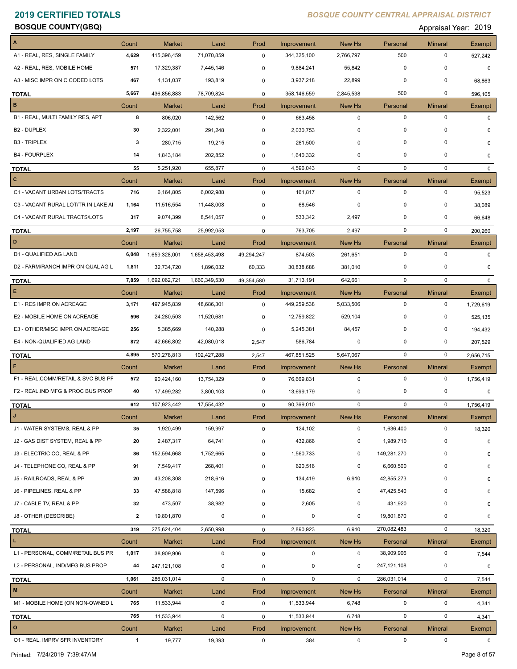**BOSQUE COUNTY(GBQ) Appraisal Year: 2019** 

| A                                   | Count        | Market        | Land          | Prod        | Improvement | New Hs      | Personal    | <b>Mineral</b> | Exempt        |
|-------------------------------------|--------------|---------------|---------------|-------------|-------------|-------------|-------------|----------------|---------------|
| A1 - REAL, RES, SINGLE FAMILY       | 4,629        | 415,396,459   | 71,070,859    | 0           | 344,325,100 | 2,766,797   | 500         | 0              | 527,242       |
| A2 - REAL, RES, MOBILE HOME         | 571          | 17,329,387    | 7,445,146     | 0           | 9,884,241   | 55,842      | 0           | 0              | $\mathbf 0$   |
| A3 - MISC IMPR ON C CODED LOTS      | 467          | 4,131,037     | 193,819       | 0           | 3,937,218   | 22,899      | 0           | 0              | 68,863        |
| <b>TOTAL</b>                        | 5,667        | 436,856,883   | 78,709,824    | $\mathbf 0$ | 358,146,559 | 2,845,538   | 500         | $\mathbf 0$    | 596,105       |
| $\, {\bf B}$                        | Count        | <b>Market</b> | Land          | Prod        | Improvement | New Hs      | Personal    | <b>Mineral</b> | <b>Exempt</b> |
| B1 - REAL, MULTI FAMILY RES, APT    | 8            | 806,020       | 142,562       | $\mathbf 0$ | 663,458     | $\mathbf 0$ | $\mathbf 0$ | $\mathbf 0$    | 0             |
| <b>B2 - DUPLEX</b>                  | 30           | 2,322,001     | 291,248       | 0           | 2,030,753   | $\mathbf 0$ | $\mathbf 0$ | 0              | 0             |
| <b>B3 - TRIPLEX</b>                 | 3            | 280,715       | 19,215        | 0           | 261,500     | 0           | $\mathbf 0$ | 0              | 0             |
| <b>B4 - FOURPLEX</b>                | 14           | 1,843,184     | 202,852       | 0           | 1,640,332   | 0           | 0           | $\Omega$       | $\Omega$      |
| <b>TOTAL</b>                        | 55           | 5,251,920     | 655,877       | 0           | 4,596,043   | 0           | 0           | $\mathbf 0$    | $\mathbf{0}$  |
| $\mathbf{C}$                        | Count        | Market        | Land          | Prod        | Improvement | New Hs      | Personal    | <b>Mineral</b> | Exempt        |
| C1 - VACANT URBAN LOTS/TRACTS       | 716          | 6,164,805     | 6,002,988     | $\mathbf 0$ | 161,817     | $\mathbf 0$ | $\mathbf 0$ | $\mathbf 0$    | 95,523        |
| C3 - VACANT RURAL LOT/TR IN LAKE AI | 1,164        | 11,516,554    | 11,448,008    | 0           | 68,546      | 0           | 0           | 0              | 38,089        |
| C4 - VACANT RURAL TRACTS/LOTS       | 317          | 9,074,399     | 8,541,057     | 0           | 533,342     | 2,497       | $\mathbf 0$ | 0              | 66,648        |
|                                     |              |               |               |             |             |             |             |                |               |
| <b>TOTAL</b><br>D                   | 2,197        | 26,755,758    | 25,992,053    | $\mathbf 0$ | 763,705     | 2,497       | $\mathbf 0$ | $\mathbf 0$    | 200,260       |
|                                     | Count        | <b>Market</b> | Land          | Prod        | Improvement | New Hs      | Personal    | <b>Mineral</b> | <b>Exempt</b> |
| D1 - QUALIFIED AG LAND              | 6,048        | 1,659,328,001 | 1,658,453,498 | 49,294,247  | 874,503     | 261,651     | $\mathbf 0$ | $\mathbf 0$    | 0             |
| D2 - FARM/RANCH IMPR ON QUAL AG L   | 1,811        | 32,734,720    | 1,896,032     | 60,333      | 30,838,688  | 381,010     | 0           | 0              | $\Omega$      |
| <b>TOTAL</b>                        | 7,859        | 1,692,062,721 | 1,660,349,530 | 49,354,580  | 31,713,191  | 642,661     | $\mathbf 0$ | $\mathbf 0$    | $\Omega$      |
| E                                   | Count        | Market        | Land          | Prod        | Improvement | New Hs      | Personal    | <b>Mineral</b> | Exempt        |
| E1 - RES IMPR ON ACREAGE            | 3,171        | 497,945,839   | 48,686,301    | 0           | 449,259,538 | 5,033,506   | $\mathbf 0$ | $\mathbf 0$    | 1,729,619     |
| E2 - MOBILE HOME ON ACREAGE         | 596          | 24,280,503    | 11,520,681    | 0           | 12,759,822  | 529,104     | 0           | 0              | 525,135       |
| E3 - OTHER/MISC IMPR ON ACREAGE     | 256          | 5,385,669     | 140,288       | 0           | 5,245,381   | 84,457      | $\mathbf 0$ | $\mathbf 0$    | 194,432       |
| E4 - NON-QUALIFIED AG LAND          | 872          | 42,666,802    | 42,080,018    | 2,547       | 586,784     | 0           | 0           | 0              | 207,529       |
| <b>TOTAL</b>                        | 4,895        | 570,278,813   | 102,427,288   | 2,547       | 467,851,525 | 5,647,067   | $\mathbf 0$ | $\mathbf 0$    | 2,656,715     |
| F                                   | Count        | Market        | Land          | Prod        | Improvement | New Hs      | Personal    | <b>Mineral</b> | Exempt        |
| F1 - REAL, COMM/RETAIL & SVC BUS PF | 572          | 90,424,160    | 13,754,329    | 0           | 76,669,831  | $\mathbf 0$ | $\mathbf 0$ | $\mathbf 0$    | 1,756,419     |
| F2 - REAL, IND MFG & PROC BUS PROP  | 40           | 17,499,282    | 3,800,103     | 0           | 13,699,179  | 0           | 0           | 0              | 0             |
| <b>TOTAL</b>                        | 612          | 107,923,442   | 17,554,432    | $\mathbf 0$ | 90,369,010  | $\mathbf 0$ | $\mathbf 0$ | $\mathbf 0$    | 1,756,419     |
|                                     | Count        | Market        | Land          | Prod        | Improvement | New Hs      | Personal    | <b>Mineral</b> | Exempt        |
| J1 - WATER SYSTEMS, REAL & PP       | 35           | 1,920,499     | 159,997       | 0           | 124,102     | $\mathbf 0$ | 1,636,400   | 0              | 18,320        |
| J2 - GAS DIST SYSTEM, REAL & PP     | 20           | 2,487,317     | 64,741        | 0           | 432,866     | $\mathbf 0$ | 1,989,710   | $\mathbf 0$    | $\mathbf 0$   |
| J3 - ELECTRIC CO, REAL & PP         | 86           | 152,594,668   | 1,752,665     | 0           | 1,560,733   | 0           | 149,281,270 | $\mathbf 0$    | 0             |
| J4 - TELEPHONE CO, REAL & PP        | 91           | 7,549,417     | 268,401       | 0           | 620,516     | 0           | 6,660,500   | 0              | 0             |
| J5 - RAILROADS, REAL & PP           | 20           | 43,208,308    | 218,616       | 0           | 134,419     | 6,910       | 42,855,273  | 0              | $\mathbf 0$   |
| J6 - PIPELINES, REAL & PP           | 33           | 47,588,818    | 147,596       | 0           | 15,682      | $\mathbf 0$ | 47,425,540  | 0              | 0             |
| J7 - CABLE TV, REAL & PP            | 32           | 473,507       | 38,982        | 0           | 2,605       | 0           | 431,920     | 0              | 0             |
| J8 - OTHER (DESCRIBE)               | 2            | 19,801,870    | 0             | 0           | 0           | 0           | 19,801,870  | 0              | 0             |
|                                     |              |               |               |             |             |             |             |                |               |
| <b>TOTAL</b><br>$\mathbf L$         | 319          | 275,624,404   | 2,650,998     | 0           | 2,890,923   | 6,910       | 270,082,483 | $\mathbf 0$    | 18,320        |
|                                     | Count        | <b>Market</b> | Land          | Prod        | Improvement | New Hs      | Personal    | <b>Mineral</b> | Exempt        |
| L1 - PERSONAL, COMM/RETAIL BUS PR   | 1,017        | 38,909,906    | $\mathbf 0$   | 0           | $\mathbf 0$ | $\mathbf 0$ | 38,909,906  | 0              | 7,544         |
| L2 - PERSONAL, IND/MFG BUS PROP     | 44           | 247,121,108   | 0             | 0           | 0           | 0           | 247,121,108 | 0              | 0             |
| <b>TOTAL</b>                        | 1,061        | 286,031,014   | 0             | 0           | $\mathbf 0$ | 0           | 286,031,014 | $\pmb{0}$      | 7,544         |
| M                                   | Count        | <b>Market</b> | Land          | Prod        | Improvement | New Hs      | Personal    | <b>Mineral</b> | Exempt        |
| M1 - MOBILE HOME (ON NON-OWNED L    | 765          | 11,533,944    | $\pmb{0}$     | 0           | 11,533,944  | 6,748       | $\pmb{0}$   | 0              | 4,341         |
| <b>TOTAL</b>                        | 765          | 11,533,944    | $\mathbf 0$   | 0           | 11,533,944  | 6,748       | $\mathbf 0$ | $\mathbf 0$    | 4,341         |
| $\mathbf{o}$                        | Count        | Market        | Land          | Prod        | Improvement | New Hs      | Personal    | <b>Mineral</b> | Exempt        |
| 01 - REAL, IMPRV SFR INVENTORY      | $\mathbf{1}$ | 19,777        | 19,393        | $\mathbf 0$ | 384         | $\mathbf 0$ | 0           | 0              | 0             |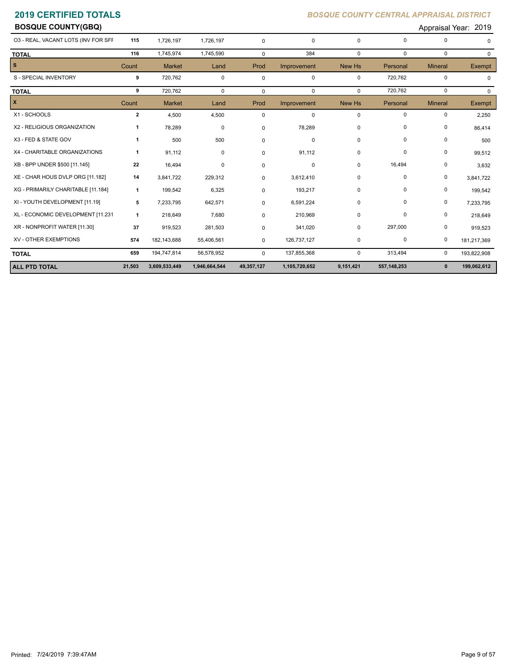**BOSQUE COUNTY(GBQ)** Appraisal Year: 2019

| 3,609,533,449 | 1,946,664,544 | 49,357,127  | 1,105,720,652 | 9,151,421   | 557, 148, 253 | $\mathbf{0}$   | 199,062,612                     |
|---------------|---------------|-------------|---------------|-------------|---------------|----------------|---------------------------------|
| 194,747,814   | 56,578,952    | $\Omega$    | 137,855,368   | 0           | 313,494       | $\mathbf 0$    | 193,822,908                     |
| 182,143,688   | 55,406,561    | 0           | 126,737,127   | 0           | 0             | 0              | 181,217,369                     |
| 919,523       | 281,503       | 0           | 341,020       | 0           | 297,000       | 0              | 919,523                         |
| 218,649       | 7,680         | $\Omega$    | 210,969       | 0           | $\Omega$      | 0              | 218,649                         |
| 7,233,795     | 642,571       | $\Omega$    | 6,591,224     | 0           | $\Omega$      | 0              | 7,233,795                       |
| 199,542       | 6,325         | 0           | 193,217       | 0           | 0             | 0              | 199,542                         |
| 3,841,722     | 229,312       | $\Omega$    | 3,612,410     | 0           | 0             | 0              | 3,841,722                       |
| 16,494        | $\mathbf 0$   | 0           | 0             | 0           | 16,494        | 0              | 3,632                           |
| 91,112        | $\mathbf 0$   | 0           | 91,112        | 0           | $\mathbf 0$   | 0              | 99,512                          |
| 500           | 500           | 0           | 0             | 0           | 0             | 0              | 500                             |
| 78,289        | 0             | $\Omega$    | 78,289        | 0           | 0             | 0              | 86,414                          |
| 4,500         | 4,500         | $\mathbf 0$ | 0             | 0           | 0             | 0              | 2,250                           |
| <b>Market</b> | Land          | Prod        | Improvement   | New Hs      | Personal      | <b>Mineral</b> | Exempt                          |
| 720,762       | $\mathbf 0$   | $\mathbf 0$ | $\mathbf 0$   | $\Omega$    | 720,762       | 0              | $\Omega$                        |
| 720,762       | $\mathbf 0$   | $\mathbf 0$ | $\mathbf 0$   | $\mathbf 0$ | 720,762       | 0              | $\Omega$                        |
| <b>Market</b> | Land          | Prod        | Improvement   | New Hs      | Personal      | <b>Mineral</b> | <b>Exempt</b>                   |
| 1,745,974     | 1,745,590     | $\mathbf 0$ | 384           | $\Omega$    | $\Omega$      | $\mathbf 0$    | $\Omega$                        |
| 1,726,197     | 1,726,197     | $\Omega$    | $\mathbf 0$   | $\Omega$    | 0             | 0              |                                 |
|               |               |             |               |             |               |                | יין יין י<br><u>aioai ivai:</u> |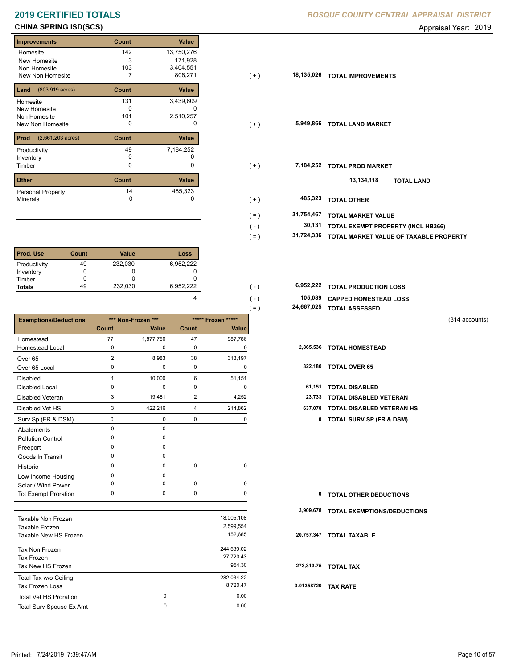# **2019 CERTIFIED TOTALS**

## **CHINA SPRING ISD(SCS) CHINA SPRING ISD(SCS) Appraisal Year: 2019**

### **Improvements Count Value** Homesite New Homesite Non Homesite New Non Homesite **T** 7 808,271 142 13,750,276 3 171,928 103 3,404,551 **Land Count Value** (803.919 acres) Homesite New Homesite Non Homesite 131 3,439,609  $\overline{0}$  c 101 2,510,257<br>0 0 **Prod Count Value** (2,661.203 acres) Productivity  $49$  7,184,252<br>Inventory 0 0 Inventory 0 0 **Other Count Value** Minerals Personal Property 7,184,252 14 485,323

| <b>Prod. Use</b> | Count | <b>Value</b> | Loss      |
|------------------|-------|--------------|-----------|
| Productivity     | 49    | 232,030      | 6,952,222 |
| Inventory        |       |              |           |
| Timber           |       |              |           |
| <b>Totals</b>    | 49    | 232,030      | 6,952,222 |

|                              |              |                    |             |                    | 24,667,025<br>$=$ ) | <b>TOTAL ASSESSED</b>               |                |
|------------------------------|--------------|--------------------|-------------|--------------------|---------------------|-------------------------------------|----------------|
| <b>Exemptions/Deductions</b> |              | *** Non-Frozen *** |             | ***** Frozen ***** |                     |                                     | (314 accounts) |
|                              | Count        | Value              | Count       | Value              |                     |                                     |                |
| Homestead                    | 77           | 1,877,750          | 47          | 987,786            |                     |                                     |                |
| <b>Homestead Local</b>       | 0            | 0                  | 0           | 0                  | 2,865,536           | <b>TOTAL HOMESTEAD</b>              |                |
| Over <sub>65</sub>           | 2            | 8,983              | 38          | 313,197            |                     |                                     |                |
| Over 65 Local                | 0            | 0                  | 0           | 0                  | 322,180             | <b>TOTAL OVER 65</b>                |                |
| <b>Disabled</b>              | $\mathbf{1}$ | 10,000             | 6           | 51,151             |                     |                                     |                |
| <b>Disabled Local</b>        | 0            | 0                  | 0           | 0                  | 61,151              | <b>TOTAL DISABLED</b>               |                |
| <b>Disabled Veteran</b>      | 3            | 19,481             | 2           | 4,252              | 23,733              | <b>TOTAL DISABLED VETERAN</b>       |                |
| Disabled Vet HS              | 3            | 422,216            | 4           | 214,862            | 637,078             | <b>TOTAL DISABLED VETERAN HS</b>    |                |
| Surv Sp (FR & DSM)           | 0            | 0                  | $\mathbf 0$ | 0                  | 0                   | <b>TOTAL SURV SP (FR &amp; DSM)</b> |                |
| Abatements                   | 0            | 0                  |             |                    |                     |                                     |                |
| <b>Pollution Control</b>     | $\Omega$     | <sup>0</sup>       |             |                    |                     |                                     |                |
| Freeport                     | $\Omega$     | $\Omega$           |             |                    |                     |                                     |                |
| Goods In Transit             | O            | <sup>0</sup>       |             |                    |                     |                                     |                |
| Historic                     | 0            | $\Omega$           | $\mathbf 0$ | $\mathbf 0$        |                     |                                     |                |
| Low Income Housing           | $\Omega$     | $\Omega$           |             |                    |                     |                                     |                |
| Solar / Wind Power           | O            | $\Omega$           | 0           | 0                  |                     |                                     |                |
| <b>Tot Exempt Proration</b>  | 0            | 0                  | $\pmb{0}$   | 0                  | 0                   | <b>TOTAL OTHER DEDUCTIONS</b>       |                |
|                              |              |                    |             |                    | 3,909,678           | TOTAL EXEMPTIONS/DEDUCTIONS         |                |
| Taxable Non Frozen           |              |                    |             | 18,005,108         |                     |                                     |                |
| Taxable Frozen               |              |                    |             | 2,599,554          |                     |                                     |                |
| Taxable New HS Frozen        |              |                    |             | 152,685            | 20,757,347          | <b>TOTAL TAXABLE</b>                |                |
| Tax Non Frozen               |              |                    |             | 244,639.02         |                     |                                     |                |
| <b>Tax Frozen</b>            |              |                    |             | 27,720.43          |                     |                                     |                |
| Tax New HS Frozen            |              |                    |             | 954.30             |                     | 273,313.75 TOTAL TAX                |                |

Total Tax w/o Ceiling 282,034.22<br>
Tax Frozen I oss 8,720.47

Total Surv Spouse Ex Amt 0.00

|  | BOSQUE COUNTY CENTRAL APPRAISAL DISTRICT |  |
|--|------------------------------------------|--|
|  |                                          |  |

| <b>Improvements</b>                     | Count | Value        |                       |                                        |
|-----------------------------------------|-------|--------------|-----------------------|----------------------------------------|
| Homesite                                | 142   | 13,750,276   |                       |                                        |
| New Homesite                            | 3     | 171,928      |                       |                                        |
| Non Homesite                            | 103   | 3,404,551    |                       |                                        |
| New Non Homesite                        |       | 808,271      | 18,135,026<br>$(+)$   | <b>TOTAL IMPROVEMENTS</b>              |
| <b>Land</b> $(803.919 \text{ acres})$   | Count | Value        |                       |                                        |
| Homesite                                | 131   | 3,439,609    |                       |                                        |
| New Homesite                            | 0     | 0            |                       |                                        |
| Non Homesite                            | 101   | 2,510,257    |                       |                                        |
| New Non Homesite                        | 0     | 0            | 5,949,866<br>$(+)$    | <b>TOTAL LAND MARKET</b>               |
| <b>Prod</b> $(2,661.203 \text{ acres})$ | Count | Value        |                       |                                        |
| Productivity                            | 49    | 7,184,252    |                       |                                        |
| Inventory                               | 0     | 0            |                       |                                        |
| Timber                                  | 0     | 0            | 7,184,252<br>$(+)$    | <b>TOTAL PROD MARKET</b>               |
| Other                                   | Count | Value        |                       | 13,134,118<br><b>TOTAL LAND</b>        |
|                                         | 14    |              |                       |                                        |
| Personal Property                       | 0     | 485,323<br>0 | 485,323               |                                        |
| Minerals                                |       |              | $(+)$                 | <b>TOTAL OTHER</b>                     |
|                                         |       |              | 31,754,467<br>$( = )$ | <b>TOTAL MARKET VALUE</b>              |
|                                         |       |              | 30,131<br>$(-)$       | TOTAL EXEMPT PROPERTY (INCL HB366)     |
|                                         |       |              | 31,724,336<br>$( = )$ | TOTAL MARKET VALUE OF TAXABLE PROPERTY |
|                                         |       |              |                       |                                        |

| 6.952.222 | ( – )   | 6,952,222 TOTAL PRODUCTION LOSS |
|-----------|---------|---------------------------------|
|           | $( - )$ | 105,089 CAPPED HOMESTEAD LOSS   |
|           | $=$     | 24,667,025 TOTAL ASSESSED       |

```
(314 accounts)
```

| 322,180 | <b>TOTAL OVER 65</b> |  |  |
|---------|----------------------|--|--|
|---------|----------------------|--|--|

|  | 61,151 TOTAL DISABLED |  |
|--|-----------------------|--|

- 
- 3 422,216 4 214,862 **637,078 TOTAL DISABLED VETERAN HS**
	- Surv Sp (FR & DSM) 0 0 0 0 **0 TOTAL SURV SP (FR & DSM)**

| <b>0 TOTAL OTHER DEDUCTIONS</b> |  |
|---------------------------------|--|
|---------------------------------|--|

### **20,757,347 TOTAL TAXABLE**

 **0.01358720 TAX RATE**

0 0.00

0

Tax Frozen Loss

Total Vet HS Proration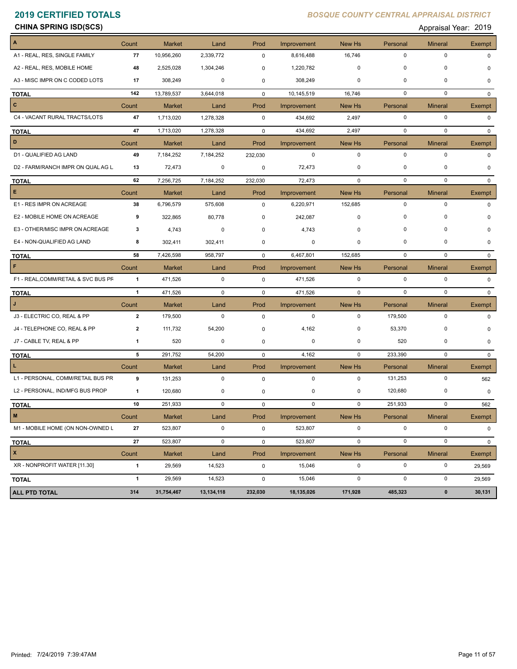| <b>CHINA SPRING ISD(SCS)</b><br>the contract of the contract of the contract of the contract of the contract of the contract of the contract of | Appraisal Year: 2019 |
|-------------------------------------------------------------------------------------------------------------------------------------------------|----------------------|
|-------------------------------------------------------------------------------------------------------------------------------------------------|----------------------|

| A                                   | Count                   | <b>Market</b> | Land        | Prod        | Improvement | New Hs        | Personal    | <b>Mineral</b> | Exempt        |
|-------------------------------------|-------------------------|---------------|-------------|-------------|-------------|---------------|-------------|----------------|---------------|
| A1 - REAL, RES, SINGLE FAMILY       | 77                      | 10,956,260    | 2,339,772   | 0           | 8,616,488   | 16,746        | $\pmb{0}$   | $\mathbf 0$    | <sup>n</sup>  |
| A2 - REAL, RES, MOBILE HOME         | 48                      | 2,525,028     | 1,304,246   | 0           | 1,220,782   | 0             | $\mathbf 0$ | 0              | <sup>0</sup>  |
| A3 - MISC IMPR ON C CODED LOTS      | 17                      | 308,249       | 0           | 0           | 308,249     | 0             | 0           | $\mathbf 0$    | $\Omega$      |
| <b>TOTAL</b>                        | 142                     | 13,789,537    | 3,644,018   | $\mathbf 0$ | 10,145,519  | 16,746        | 0           | $\mathbf 0$    | $\mathbf{0}$  |
| C                                   | Count                   | <b>Market</b> | Land        | Prod        | Improvement | New Hs        | Personal    | <b>Mineral</b> | <b>Exempt</b> |
| C4 - VACANT RURAL TRACTS/LOTS       | 47                      | 1,713,020     | 1,278,328   | $\mathbf 0$ | 434,692     | 2,497         | 0           | 0              | 0             |
| <b>TOTAL</b>                        | 47                      | 1,713,020     | 1,278,328   | 0           | 434,692     | 2,497         | 0           | 0              | $\mathbf{0}$  |
| D                                   | Count                   | <b>Market</b> | Land        | Prod        | Improvement | New Hs        | Personal    | <b>Mineral</b> | <b>Exempt</b> |
| D1 - QUALIFIED AG LAND              | 49                      | 7,184,252     | 7,184,252   | 232,030     | $\mathbf 0$ | $\pmb{0}$     | $\pmb{0}$   | $\mathbf 0$    | 0             |
| D2 - FARM/RANCH IMPR ON QUAL AG L   | 13                      | 72,473        | 0           | 0           | 72,473      | 0             | 0           | 0              | 0             |
| <b>TOTAL</b>                        | 62                      | 7,256,725     | 7,184,252   | 232,030     | 72,473      | $\mathbf 0$   | $\mathbf 0$ | $\mathbf 0$    | 0             |
| Е                                   | Count                   | <b>Market</b> | Land        | Prod        | Improvement | New Hs        | Personal    | <b>Mineral</b> | Exempt        |
| E1 - RES IMPR ON ACREAGE            | 38                      | 6,796,579     | 575,608     | 0           | 6,220,971   | 152,685       | $\pmb{0}$   | $\mathbf 0$    | U             |
| E2 - MOBILE HOME ON ACREAGE         | 9                       | 322,865       | 80,778      | 0           | 242,087     | 0             | $\mathbf 0$ | 0              |               |
| E3 - OTHER/MISC IMPR ON ACREAGE     | 3                       | 4,743         | 0           | 0           | 4,743       | 0             | $\mathbf 0$ | 0              |               |
| E4 - NON-QUALIFIED AG LAND          | 8                       | 302,411       | 302,411     | 0           | 0           | 0             | 0           | 0              |               |
| <b>TOTAL</b>                        | 58                      | 7,426,598     | 958,797     | $\mathbf 0$ | 6,467,801   | 152,685       | $\mathbf 0$ | $\mathbf 0$    | $\Omega$      |
| F                                   | Count                   | <b>Market</b> | Land        | Prod        | Improvement | <b>New Hs</b> | Personal    | <b>Mineral</b> | Exempt        |
| F1 - REAL, COMM/RETAIL & SVC BUS PF | $\mathbf{1}$            | 471,526       | $\mathbf 0$ | $\mathbf 0$ | 471,526     | $\mathbf 0$   | 0           | $\mathbf 0$    | $\Omega$      |
| <b>TOTAL</b>                        | $\mathbf{1}$            | 471,526       | $\mathbf 0$ | $\mathbf 0$ | 471,526     | $\mathbf 0$   | $\pmb{0}$   | $\mathbf 0$    | 0             |
|                                     | Count                   | <b>Market</b> | Land        | Prod        | Improvement | New Hs        | Personal    | <b>Mineral</b> | Exempt        |
| J3 - ELECTRIC CO, REAL & PP         | $\overline{2}$          | 179,500       | 0           | 0           | 0           | 0             | 179,500     | 0              | $\Omega$      |
| J4 - TELEPHONE CO, REAL & PP        | $\overline{\mathbf{2}}$ | 111,732       | 54,200      | 0           | 4,162       | 0             | 53,370      | 0              |               |
| J7 - CABLE TV, REAL & PP            | 1                       | 520           | 0           | 0           | 0           | 0             | 520         | 0              | O             |
| <b>TOTAL</b>                        | 5                       | 291,752       | 54,200      | 0           | 4,162       | 0             | 233,390     | $\mathbf 0$    | $\mathbf{0}$  |
| L.                                  | Count                   | <b>Market</b> | Land        | Prod        | Improvement | New Hs        | Personal    | <b>Mineral</b> | Exempt        |
| L1 - PERSONAL, COMM/RETAIL BUS PR   | 9                       | 131,253       | $\mathbf 0$ | 0           | $\mathbf 0$ | $\mathbf 0$   | 131,253     | 0              | 562           |
| L2 - PERSONAL, IND/MFG BUS PROP     | $\mathbf{1}$            | 120,680       | 0           | 0           | 0           | 0             | 120,680     | 0              | 0             |
| <b>TOTAL</b>                        | 10                      | 251,933       | $\mathbf 0$ | $\mathbf 0$ | $\mathbf 0$ | $\mathbf 0$   | 251,933     | 0              | 562           |
| $\mathbf M$                         | Count                   | <b>Market</b> | Land        | Prod        | Improvement | New Hs        | Personal    | <b>Mineral</b> | Exempt        |
| M1 - MOBILE HOME (ON NON-OWNED L    | 27                      | 523,807       | $\mathsf 0$ | 0           | 523,807     | $\mathbf 0$   | $\pmb{0}$   | $\pmb{0}$      | 0             |
| <b>TOTAL</b>                        | 27                      | 523,807       | $\mathbf 0$ | 0           | 523,807     | $\mathbf 0$   | $\pmb{0}$   | $\mathsf 0$    | 0             |
| $\pmb{\mathsf{x}}$                  | Count                   | <b>Market</b> | Land        | Prod        | Improvement | New Hs        | Personal    | <b>Mineral</b> | Exempt        |
| XR - NONPROFIT WATER [11.30]        | $\mathbf{1}$            | 29,569        | 14,523      | 0           | 15,046      | 0             | $\pmb{0}$   | 0              | 29,569        |
| <b>TOTAL</b>                        | $\mathbf{1}$            | 29,569        | 14,523      | 0           | 15,046      | 0             | $\pmb{0}$   | $\pmb{0}$      | 29,569        |
| <b>ALL PTD TOTAL</b>                | 314                     | 31,754,467    | 13,134,118  | 232,030     | 18,135,026  | 171,928       | 485,323     | $\pmb{0}$      | 30,131        |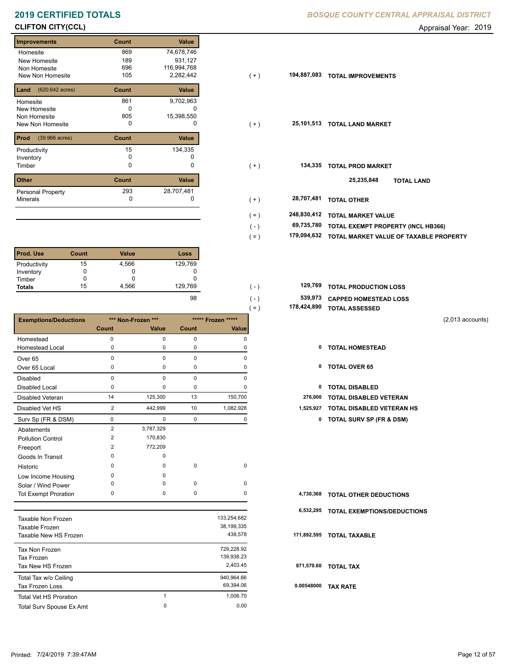# **CLIFTON CITY(CCL)** Appraisal Year: 2019

### **Improvements Count Value Homesite** New Homesite Non Homesite New Non Homesite **TODAL 105**  869 74,678,746 189 931,127 696 116,994,768  $2,282,442$ **Land Count Value** (620.642 acres) Homesite New Homesite Non Homesite New Non Homesite **TOTAL CONSUMING** O 861 9,702,963  $\overline{0}$  c 805 15,398,550 **Prod Count Value** (39.966 acres) Productivity 15 134,335<br>
Inventory 0 0 0 Inventory<br>Timber 0 0 **Other Count Value** Minerals Personal Property **Exercise 293** 134,335 293 28,707,481

| <b>Prod. Use</b> | Count | <b>Value</b> | Loss    |
|------------------|-------|--------------|---------|
| Productivity     | 15    | 4,566        | 129,769 |
| Inventory        |       | υ            | U       |
| Timber           |       |              |         |
| <b>Totals</b>    | 15    | 4,566        | 129,769 |

|                               |                |                    |             |                    | $( = )$ |             | 178,424,890 TOTAL ASSESSED       |                    |
|-------------------------------|----------------|--------------------|-------------|--------------------|---------|-------------|----------------------------------|--------------------|
| <b>Exemptions/Deductions</b>  |                | *** Non-Frozen *** |             | ***** Frozen ***** |         |             |                                  | $(2,013$ accounts) |
|                               | <b>Count</b>   | Value              | Count       | Value              |         |             |                                  |                    |
| Homestead                     | 0              | $\pmb{0}$          | $\pmb{0}$   | $\mathbf 0$        |         |             |                                  |                    |
| <b>Homestead Local</b>        | $\Omega$       | <sup>0</sup>       | $\mathbf 0$ | O                  |         | 0           | <b>TOTAL HOMESTEAD</b>           |                    |
| Over <sub>65</sub>            | $\mathbf 0$    | $\mathbf 0$        | $\mathbf 0$ | 0                  |         |             |                                  |                    |
| Over 65 Local                 | 0              | 0                  | 0           | 0                  |         | 0           | <b>TOTAL OVER 65</b>             |                    |
| Disabled                      | 0              | $\mathbf 0$        | $\pmb{0}$   | 0                  |         |             |                                  |                    |
| <b>Disabled Local</b>         | 0              | $\Omega$           | 0           | $\Omega$           |         | 0           | <b>TOTAL DISABLED</b>            |                    |
| Disabled Veteran              | 14             | 125,300            | 13          | 150,700            |         | 276,000     | <b>TOTAL DISABLED VETERAN</b>    |                    |
| Disabled Vet HS               | $\overline{2}$ | 442,999            | 10          | 1,082,928          |         | 1,525,927   | <b>TOTAL DISABLED VETERAN HS</b> |                    |
| Surv Sp (FR & DSM)            | 0              | 0                  | $\mathbf 0$ | 0                  |         |             | 0 TOTAL SURV SP (FR & DSM)       |                    |
| Abatements                    | 2              | 3,787,329          |             |                    |         |             |                                  |                    |
| <b>Pollution Control</b>      | $\overline{2}$ | 170,830            |             |                    |         |             |                                  |                    |
| Freeport                      | 2              | 772,209            |             |                    |         |             |                                  |                    |
| Goods In Transit              | 0              | 0                  |             |                    |         |             |                                  |                    |
| Historic                      | $\Omega$       | $\Omega$           | $\pmb{0}$   | $\mathbf 0$        |         |             |                                  |                    |
| Low Income Housing            | $\Omega$       | <sup>0</sup>       |             |                    |         |             |                                  |                    |
| Solar / Wind Power            | O              | $\Omega$           | 0           | 0                  |         |             |                                  |                    |
| <b>Tot Exempt Proration</b>   | 0              | 0                  | 0           | 0                  |         | 4,730,368   | <b>TOTAL OTHER DEDUCTIONS</b>    |                    |
|                               |                |                    |             |                    |         | 6,532,295   | TOTAL EXEMPTIONS/DEDUCTIONS      |                    |
| Taxable Non Frozen            |                |                    |             | 133,254,682        |         |             |                                  |                    |
| Taxable Frozen                |                |                    |             | 38,199,335         |         |             |                                  |                    |
| Taxable New HS Frozen         |                |                    |             | 438,578            |         | 171,892,595 | <b>TOTAL TAXABLE</b>             |                    |
| Tax Non Frozen                |                |                    |             | 729,228.92         |         |             |                                  |                    |
| Tax Frozen                    |                |                    |             | 139,938.23         |         |             |                                  |                    |
| Tax New HS Frozen             |                |                    |             | 2,403.45           |         |             | 871,570.60 TOTAL TAX             |                    |
| Total Tax w/o Ceiling         |                |                    |             | 940,964.66         |         |             |                                  |                    |
| <b>Tax Frozen Loss</b>        |                |                    |             | 69,394.06          |         | 0.00548000  | <b>TAX RATE</b>                  |                    |
| <b>Total Vet HS Proration</b> |                | $\mathbf{1}$       |             | 1,006.70           |         |             |                                  |                    |

Total Surv Spouse Ex Amt 0.00

0

### **2019 CERTIFIED TOTALS** *BOSQUE COUNTY CENTRAL APPRAISAL DISTRICT*

| Improvements                          | Count | Value       |         |             |                                        |
|---------------------------------------|-------|-------------|---------|-------------|----------------------------------------|
| Homesite                              | 869   | 74,678,746  |         |             |                                        |
| New Homesite                          | 189   | 931,127     |         |             |                                        |
| Non Homesite                          | 696   | 116,994,768 |         |             |                                        |
| New Non Homesite                      | 105   | 2,282,442   | $(+)$   | 194,887,083 | <b>TOTAL IMPROVEMENTS</b>              |
| <b>Land</b> $(620.642 \text{ acres})$ | Count | Value       |         |             |                                        |
| Homesite                              | 861   | 9,702,963   |         |             |                                        |
| New Homesite                          | 0     | 0           |         |             |                                        |
| Non Homesite                          | 805   | 15,398,550  |         |             |                                        |
| New Non Homesite                      | 0     | 0           | $(+)$   |             | 25,101,513 TOTAL LAND MARKET           |
| <b>Prod</b> (39.966 acres)            | Count | Value       |         |             |                                        |
| Productivity                          | 15    | 134,335     |         |             |                                        |
| Inventory                             | 0     | 0           |         |             |                                        |
| Timber                                | 0     | 0           | $(+)$   | 134,335     | <b>TOTAL PROD MARKET</b>               |
| Other                                 | Count | Value       |         |             | 25,235,848<br><b>TOTAL LAND</b>        |
| Personal Property                     | 293   | 28,707,481  |         |             |                                        |
| Minerals                              | 0     | 0           | $(+)$   | 28,707,481  | <b>TOTAL OTHER</b>                     |
|                                       |       |             | $( = )$ | 248,830,412 | <b>TOTAL MARKET VALUE</b>              |
|                                       |       |             | $(-)$   | 69,735,780  | TOTAL EXEMPT PROPERTY (INCL HB366)     |
|                                       |       |             | $( = )$ | 179,094,632 | TOTAL MARKET VALUE OF TAXABLE PROPERTY |
|                                       |       |             |         |             |                                        |

| 129.769 | 129,769 TOTAL PRODUCTION LOSS |
|---------|-------------------------------|
| 98      | 539,973 CAPPED HOMESTEAD LOSS |

| 178,424,890 TOTAL ASSESSED |  |
|----------------------------|--|
|                            |  |

- 
- 
- 
- 2 442,999 10 1,082,928 **1,525,927 TOTAL DISABLED VETERAN HS**
	- Surv Sp (FR & DSM) 0 0 0 0 **0 TOTAL SURV SP (FR & DSM)**

|            | 4,730,368 TOTAL OTHER DEDUCTIONS      |
|------------|---------------------------------------|
|            | 6,532,295 TOTAL EXEMPTIONS/DEDUCTIONS |
|            | 171,892,595 TOTAL TAXABLE             |
|            | 871,570.60 TOTAL TAX                  |
| 0.00548000 | <b>TAX RATE</b>                       |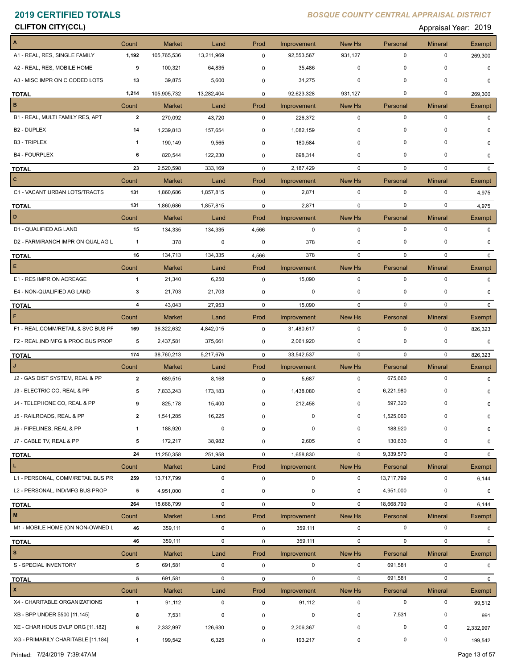**CLIFTON CITY(CCL)** Appraisal Year: 2019

| $\overline{A}$                      | Count                   | <b>Market</b>            | Land          | Prod        | Improvement          | New Hs                | Personal            | <b>Mineral</b>                | Exempt             |
|-------------------------------------|-------------------------|--------------------------|---------------|-------------|----------------------|-----------------------|---------------------|-------------------------------|--------------------|
| A1 - REAL, RES, SINGLE FAMILY       | 1,192                   | 105,765,536              | 13,211,969    | 0           | 92,553,567           | 931,127               | $\mathbf 0$         | 0                             | 269,300            |
| A2 - REAL, RES, MOBILE HOME         | 9                       | 100,321                  | 64,835        | 0           | 35,486               | $\mathbf 0$           | 0                   | 0                             | $\mathbf 0$        |
| A3 - MISC IMPR ON C CODED LOTS      | 13                      | 39,875                   | 5,600         | 0           | 34,275               | 0                     | $\mathbf 0$         | 0                             | 0                  |
| <b>TOTAL</b>                        | 1,214                   | 105,905,732              | 13,282,404    | 0           | 92,623,328           | 931,127               | $\mathbf 0$         | $\mathbf 0$                   | 269,300            |
| B                                   | Count                   | <b>Market</b>            | Land          | Prod        | Improvement          | New Hs                | Personal            | <b>Mineral</b>                | <b>Exempt</b>      |
| B1 - REAL, MULTI FAMILY RES, APT    | $\overline{2}$          | 270,092                  | 43,720        | 0           | 226,372              | $\mathbf 0$           | $\mathbf 0$         | $\mathbf 0$                   | $\Omega$           |
| <b>B2 - DUPLEX</b>                  | 14                      | 1,239,813                | 157,654       | 0           | 1,082,159            | $\mathbf 0$           | 0                   | 0                             |                    |
| <b>B3 - TRIPLEX</b>                 | 1                       | 190,149                  | 9,565         | 0           | 180,584              | 0                     | 0                   | 0                             | 0                  |
| <b>B4 - FOURPLEX</b>                | 6                       | 820,544                  | 122,230       | 0           | 698,314              | 0                     | $\mathbf 0$         | 0                             | $\Omega$           |
| <b>TOTAL</b>                        | 23                      | 2,520,598                | 333,169       | $\mathbf 0$ | 2,187,429            | $\mathbf 0$           | $\mathbf 0$         | $\mathbf 0$                   | $\Omega$           |
| $\overline{c}$                      | Count                   | <b>Market</b>            | Land          | Prod        | Improvement          | New Hs                | Personal            | <b>Mineral</b>                | Exempt             |
| C1 - VACANT URBAN LOTS/TRACTS       | 131                     | 1,860,686                | 1,857,815     | $\mathbf 0$ | 2,871                | $\mathbf 0$           | $\mathbf 0$         | $\mathbf 0$                   | 4,975              |
| <b>TOTAL</b>                        | 131                     | 1,860,686                | 1,857,815     | $\mathbf 0$ | 2,871                | $\mathbf 0$           | $\mathbf 0$         | $\mathbf 0$                   | 4,975              |
| D                                   | Count                   | <b>Market</b>            | Land          | Prod        | Improvement          | New Hs                | Personal            | <b>Mineral</b>                | Exempt             |
| D1 - QUALIFIED AG LAND              | 15                      | 134,335                  | 134,335       | 4,566       | $\mathbf 0$          | $\mathbf 0$           | $\mathbf 0$         | $\pmb{0}$                     | 0                  |
| D2 - FARM/RANCH IMPR ON QUAL AG L   | $\mathbf{1}$            | 378                      | 0             | 0           | 378                  | 0                     | 0                   | 0                             | $\Omega$           |
| <b>TOTAL</b>                        | 16                      | 134,713                  | 134,335       | 4,566       | 378                  | $\mathbf 0$           | 0                   | $\mathbf 0$                   | $\mathbf{0}$       |
| E                                   | Count                   | <b>Market</b>            | Land          | Prod        | Improvement          | New Hs                | Personal            | <b>Mineral</b>                | <b>Exempt</b>      |
| E1 - RES IMPR ON ACREAGE            | $\overline{1}$          | 21,340                   | 6,250         | 0           | 15,090               | $\mathbf 0$           | $\mathbf 0$         | $\pmb{0}$                     | 0                  |
| E4 - NON-QUALIFIED AG LAND          | 3                       | 21,703                   | 21,703        | 0           | 0                    | 0                     | 0                   | 0                             | $\Omega$           |
|                                     | 4                       | 43,043                   | 27,953        | $\mathbf 0$ | 15,090               | $\mathbf 0$           | $\mathbf 0$         | $\mathbf 0$                   | $\mathbf{0}$       |
| <b>TOTAL</b><br>F                   | Count                   | <b>Market</b>            | Land          | Prod        | Improvement          | New Hs                | Personal            | <b>Mineral</b>                |                    |
| F1 - REAL, COMM/RETAIL & SVC BUS PF | 169                     | 36,322,632               | 4,842,015     | 0           | 31,480,617           | $\mathbf 0$           | $\mathbf 0$         | $\pmb{0}$                     | Exempt<br>826,323  |
| F2 - REAL, IND MFG & PROC BUS PROP  | 5                       | 2,437,581                | 375,661       | 0           | 2,061,920            | 0                     | 0                   | 0                             | 0                  |
|                                     | 174                     |                          |               |             |                      | $\mathbf 0$           | $\mathbf 0$         | $\mathbf 0$                   |                    |
| <b>TOTAL</b><br>$\mathbf{J}$        |                         | 38,760,213               | 5,217,676     | $\mathbf 0$ | 33,542,537           |                       |                     |                               | 826,323            |
| J2 - GAS DIST SYSTEM, REAL & PP     | Count<br>$\overline{2}$ | <b>Market</b><br>689,515 | Land<br>8,168 | Prod<br>0   | Improvement<br>5,687 | New Hs<br>$\mathbf 0$ | Personal<br>675,660 | <b>Mineral</b><br>$\mathbf 0$ | Exempt<br>$\Omega$ |
| J3 - ELECTRIC CO, REAL & PP         | 5                       | 7,833,243                |               |             | 1,438,080            | 0                     | 6,221,980           | 0                             |                    |
| J4 - TELEPHONE CO, REAL & PP        |                         |                          | 173,183       | 0           |                      |                       |                     |                               |                    |
|                                     | 9                       | 825,178                  | 15,400        | 0           | 212,458              | 0                     | 597,320             | 0                             | 0                  |
| J5 - RAILROADS, REAL & PP           | $\mathbf{2}$            | 1,541,285                | 16,225        |             |                      | $\mathbf{0}$          | 1,525,060           |                               |                    |
| J6 - PIPELINES, REAL & PP           | $\mathbf{1}$            | 188,920                  | 0             | $\mathbf 0$ | 0                    | $\mathbf 0$           | 188,920             | 0                             | $\Omega$           |
| J7 - CABLE TV, REAL & PP            | 5                       | 172,217                  | 38,982        | 0           | 2,605                | $\mathbf 0$           | 130,630             | $\mathbf 0$                   | $\mathbf 0$        |
| <b>TOTAL</b>                        | 24                      | 11,250,358               | 251,958       | $\mathbf 0$ | 1,658,830            | $\mathbf 0$           | 9,339,570           | $\mathbf 0$                   | $\mathbf{0}$       |
| L.                                  | Count                   | Market                   | Land          | Prod        | Improvement          | New Hs                | Personal            | <b>Mineral</b>                | Exempt             |
| L1 - PERSONAL, COMM/RETAIL BUS PR   | 259                     | 13,717,799               | $\pmb{0}$     | 0           | 0                    | $\mathbf 0$           | 13,717,799          | $\pmb{0}$                     | 6,144              |
| L2 - PERSONAL, IND/MFG BUS PROP     | 5                       | 4,951,000                | $\mathbf 0$   | 0           | $\mathbf 0$          | $\mathbf 0$           | 4,951,000           | 0                             | 0                  |
| <b>TOTAL</b>                        | 264                     | 18,668,799               | $\mathbf 0$   | 0           | $\mathbf 0$          | $\mathbf 0$           | 18,668,799          | $\mathbf 0$                   | 6,144              |
| M                                   | Count                   | <b>Market</b>            | Land          | Prod        | Improvement          | New Hs                | Personal            | <b>Mineral</b>                | Exempt             |
| M1 - MOBILE HOME (ON NON-OWNED L    | 46                      | 359,111                  | 0             | 0           | 359,111              | $\mathbf 0$           | $\mathbf 0$         | $\pmb{0}$                     | 0                  |
| <b>TOTAL</b>                        | 46                      | 359,111                  | $\mathbf 0$   | 0           | 359,111              | 0                     | $\mathbf 0$         | $\pmb{0}$                     | 0                  |
| $\vert$ s                           | Count                   | Market                   | Land          | Prod        | Improvement          | New Hs                | Personal            | <b>Mineral</b>                | Exempt             |
| S - SPECIAL INVENTORY               | 5                       | 691,581                  | $\mathbf 0$   | 0           | $\mathbf 0$          | $\mathbf 0$           | 691,581             | $\pmb{0}$                     | 0                  |
| <b>TOTAL</b>                        | 5                       | 691,581                  | $\mathbf 0$   | 0           | $\mathbf 0$          | $\mathbf 0$           | 691,581             | $\pmb{0}$                     | $\mathbf{0}$       |
| $\mathbf{x}$                        | Count                   | Market                   | Land          | Prod        | Improvement          | New Hs                | Personal            | <b>Mineral</b>                | Exempt             |
| X4 - CHARITABLE ORGANIZATIONS       | $\mathbf{1}$            | 91,112                   | $\mathbf 0$   | 0           | 91,112               | $\mathbf 0$           | $\mathbf 0$         | $\pmb{0}$                     | 99,512             |
| XB - BPP UNDER \$500 [11.145]       | 8                       | 7,531                    | 0             | 0           | $\pmb{0}$            | 0                     | 7,531               | 0                             | 991                |
| XE - CHAR HOUS DVLP ORG [11.182]    | 6                       | 2,332,997                | 126,630       | 0           | 2,206,367            | 0                     | 0                   | 0                             | 2,332,997          |
| XG - PRIMARILY CHARITABLE [11.184]  | 1                       | 199,542                  | 6,325         | 0           | 193,217              | 0                     | 0                   | 0                             | 199,542            |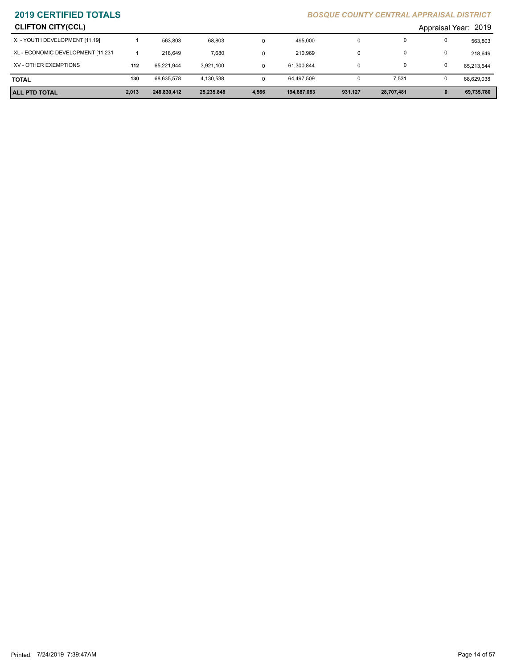| <b>CLIFTON CITY(CCL)</b>          |       |             |            |       |             |         |            |              | Appraisal Year: 2019 |
|-----------------------------------|-------|-------------|------------|-------|-------------|---------|------------|--------------|----------------------|
| XI - YOUTH DEVELOPMENT [11.19]    |       | 563.803     | 68,803     | 0     | 495.000     | 0       |            | $\Omega$     | 563,803              |
| XL - ECONOMIC DEVELOPMENT [11.231 |       | 218.649     | 7,680      | 0     | 210,969     | 0       |            | 0            | 218,649              |
| XV - OTHER EXEMPTIONS             | 112   | 65.221.944  | 3.921.100  | 0     | 61,300,844  | 0       |            |              | 65,213,544           |
| <b>TOTAL</b>                      | 130   | 68,635,578  | 4,130,538  | 0     | 64,497,509  | 0       | 7,531      | 0            | 68,629,038           |
| <b>ALL PTD TOTAL</b>              | 2,013 | 248,830,412 | 25,235,848 | 4,566 | 194,887,083 | 931,127 | 28,707,481 | $\mathbf{0}$ | 69,735,780           |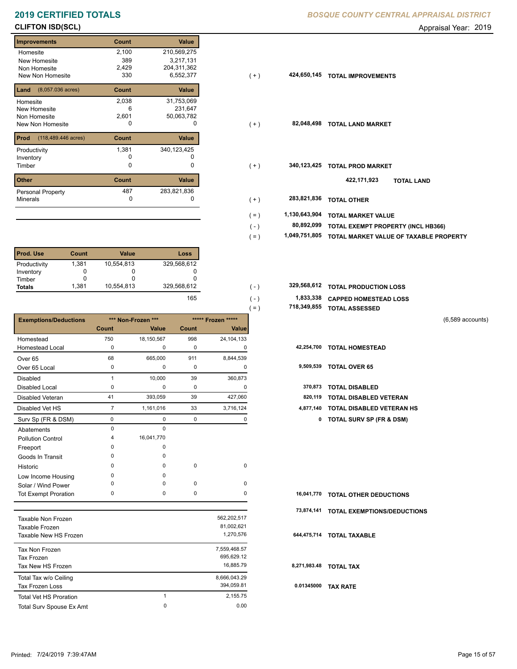### **Improvements Count Value Homesite** New Homesite Non Homesite New Non Homesite **TOTAL IMPROVEMENT** 330 2,100 210,569,275 389 3,217,131 231,647 6 2,429 204,311,362  $6,552,377$ **Land Count Value** (8,057.036 acres) Homesite New Homesite Non Homesite 2,038 31,753,069 2,601 50,063,782 **Prod Count Value** (118,489.446 acres) Productivity 340,123,425 1,381 Inventory 0 0 **Other Count Value** Minerals Personal Property **Exercise 287** 187 283,821,836<br>0 0

| <b>Prod. Use</b> | Count | <b>Value</b> | Loss        |
|------------------|-------|--------------|-------------|
| Productivity     | 1.381 | 10,554,813   | 329,568,612 |
| Inventory        |       |              |             |
| Timber           |       |              |             |
| <b>Totals</b>    | 1.381 | 10,554,813   | 329,568,612 |

|                              |                |                    |             |                    | $1 - 1$      | <b>UUIAL AJJLJJLU</b>               |                    |
|------------------------------|----------------|--------------------|-------------|--------------------|--------------|-------------------------------------|--------------------|
| <b>Exemptions/Deductions</b> |                | *** Non-Frozen *** |             | ***** Frozen ***** |              |                                     | $(6,589$ accounts) |
|                              | <b>Count</b>   | Value              | Count       | Value              |              |                                     |                    |
| Homestead                    | 750            | 18,150,567         | 998         | 24, 104, 133       |              |                                     |                    |
| <b>Homestead Local</b>       | 0              | 0                  | 0           | 0                  | 42,254,700   | <b>TOTAL HOMESTEAD</b>              |                    |
| Over <sub>65</sub>           | 68             | 665,000            | 911         | 8,844,539          |              |                                     |                    |
| Over 65 Local                | 0              | 0                  | $\mathbf 0$ | 0                  | 9,509,539    | <b>TOTAL OVER 65</b>                |                    |
| <b>Disabled</b>              | $\mathbf{1}$   | 10,000             | 39          | 360,873            |              |                                     |                    |
| <b>Disabled Local</b>        | 0              | 0                  | 0           | 0                  | 370,873      | <b>TOTAL DISABLED</b>               |                    |
| <b>Disabled Veteran</b>      | 41             | 393,059            | 39          | 427,060            | 820,119      | <b>TOTAL DISABLED VETERAN</b>       |                    |
| Disabled Vet HS              | $\overline{7}$ | 1,161,016          | 33          | 3,716,124          | 4,877,140    | TOTAL DISABLED VETERAN HS           |                    |
| Surv Sp (FR & DSM)           | 0              | 0                  | $\pmb{0}$   | 0                  | 0            | <b>TOTAL SURV SP (FR &amp; DSM)</b> |                    |
| Abatements                   | $\mathbf 0$    | 0                  |             |                    |              |                                     |                    |
| <b>Pollution Control</b>     | 4              | 16,041,770         |             |                    |              |                                     |                    |
| Freeport                     | $\Omega$       | 0                  |             |                    |              |                                     |                    |
| Goods In Transit             | <sup>0</sup>   | 0                  |             |                    |              |                                     |                    |
| Historic                     | $\Omega$       | 0                  | $\pmb{0}$   | 0                  |              |                                     |                    |
| Low Income Housing           | $\Omega$       | 0                  |             |                    |              |                                     |                    |
| Solar / Wind Power           | $\Omega$       | $\Omega$           | 0           | 0                  |              |                                     |                    |
| <b>Tot Exempt Proration</b>  | 0              | 0                  | $\pmb{0}$   | 0                  | 16,041,770   | <b>TOTAL OTHER DEDUCTIONS</b>       |                    |
|                              |                |                    |             |                    | 73,874,141   | <b>TOTAL EXEMPTIONS/DEDUCTIONS</b>  |                    |
| <b>Taxable Non Frozen</b>    |                |                    |             | 562,202,517        |              |                                     |                    |
| Taxable Frozen               |                |                    |             | 81,002,621         |              |                                     |                    |
| Taxable New HS Frozen        |                |                    |             | 1,270,576          |              | 644,475,714 TOTAL TAXABLE           |                    |
| Tax Non Frozen               |                |                    |             | 7,559,468.57       |              |                                     |                    |
| <b>Tax Frozen</b>            |                |                    |             | 695,629.12         |              |                                     |                    |
| Tax New HS Frozen            |                |                    |             | 16,885.79          | 8,271,983.48 | <b>TOTAL TAX</b>                    |                    |

Total Tax w/o Ceiling 8,666,043.29

Tax Frozen Loss 394,059.81

1 2,155.75

0

Total Surv Spouse Ex Amt 0.00

| ---------------------   |                      |
|-------------------------|----------------------|
| <b>CLIFTON ISD(SCL)</b> | Appraisal Year: 2019 |

| Homesite                                | 2,100 | 210,569,275   |                |               |                                    |
|-----------------------------------------|-------|---------------|----------------|---------------|------------------------------------|
| New Homesite                            | 389   | 3,217,131     |                |               |                                    |
| Non Homesite                            | 2,429 | 204,311,362   |                |               |                                    |
| New Non Homesite                        | 330   | 6,552,377     | $(+)$          | 424,650,145   | <b>TOTAL IMPROVEMENTS</b>          |
| <b>Land</b> $(8,057.036 \text{ acres})$ | Count | Value         |                |               |                                    |
| Homesite                                | 2,038 | 31,753,069    |                |               |                                    |
| New Homesite                            | 6     | 231,647       |                |               |                                    |
| Non Homesite                            | 2,601 | 50,063,782    |                |               |                                    |
| New Non Homesite                        | 0     | 0             | $(+)$          | 82,048,498    | <b>TOTAL LAND MARKET</b>           |
| <b>Prod</b> (118,489.446 acres)         | Count | Value         |                |               |                                    |
| Productivity                            | 1,381 | 340, 123, 425 |                |               |                                    |
| Inventory                               | o     |               |                |               |                                    |
| Timber                                  | 0     | 0             | $(+)$          | 340,123,425   | <b>TOTAL PROD MARKET</b>           |
| Other                                   | Count | Value         |                |               | 422,171,923<br><b>TOTAL LAND</b>   |
| Personal Property                       | 487   | 283,821,836   |                |               |                                    |
| Minerals                                | 0     | 0             | $(+)$          | 283,821,836   | <b>TOTAL OTHER</b>                 |
|                                         |       |               | ( = )          | 1,130,643,904 | <b>TOTAL MARKET VALUE</b>          |
|                                         |       |               |                | 80,892,099    |                                    |
|                                         |       |               | $(\mathsf{-})$ |               | TOTAL EXEMPT PROPERTY (INCL HB366) |

- **1,049,751,805 TOTAL MARKET VALUE OF TAXABLE PROPERTY** ( = )
- **1,833,338 CAPPED HOMESTEAD LOSS TOTAL PRODUCTION LOSS 329,568,612 329,568,612 TOTAL PRODUCTION LOSS** ( - ) 165
	- **718,349,855 TOTAL ASSESSED**
- (6,589 accounts)
- 
- 
- 
- 
- 7 1,161,016 33 3,716,124 **4,877,140 TOTAL DISABLED VETERAN HS**
	- Surv Sp (FR & DSM) 0 0 0 0 **0 TOTAL SURV SP (FR & DSM)**

|            | 16,041,770 TOTAL OTHER DEDUCTIONS      |
|------------|----------------------------------------|
|            | 73,874,141 TOTAL EXEMPTIONS/DEDUCTIONS |
|            | 644,475,714 TOTAL TAXABLE              |
|            | 8,271,983.48 TOTAL TAX                 |
| 0.01345000 | <b>TAX RATE</b>                        |

Total Vet HS Proration

 $( = )$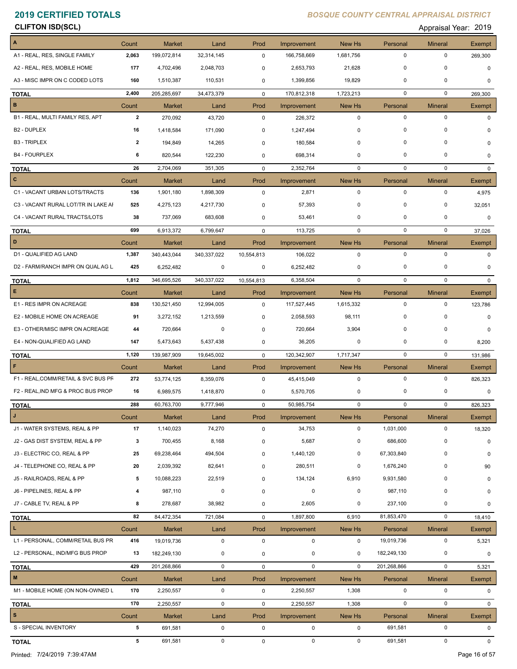# **CLIFTON ISD(SCL)** Appraisal Year: 2019

| A                                   | Count          | <b>Market</b> | Land        | Prod        | Improvement            | New Hs      | Personal    | <b>Mineral</b> | Exempt            |
|-------------------------------------|----------------|---------------|-------------|-------------|------------------------|-------------|-------------|----------------|-------------------|
| A1 - REAL, RES, SINGLE FAMILY       | 2,063          | 199,072,814   | 32,314,145  | 0           | 166,758,669            | 1,681,756   | $\mathbf 0$ | 0              | 269,300           |
| A2 - REAL, RES, MOBILE HOME         | 177            | 4,702,496     | 2,048,703   | 0           | 2,653,793              | 21,628      | $\mathbf 0$ | 0              | $\mathbf 0$       |
| A3 - MISC IMPR ON C CODED LOTS      | 160            | 1,510,387     | 110,531     | 0           | 1,399,856              | 19,829      | 0           | 0              | $\Omega$          |
|                                     | 2,400          | 205,285,697   | 34,473,379  | 0           | 170,812,318            | 1,723,213   | $\mathbf 0$ | $\mathbf 0$    |                   |
| <b>TOTAL</b><br>B                   | Count          | Market        | Land        | Prod        |                        | New Hs      | Personal    | <b>Mineral</b> | 269,300<br>Exempt |
| B1 - REAL, MULTI FAMILY RES, APT    | $\mathbf{2}$   | 270,092       | 43,720      | $\mathbf 0$ | Improvement<br>226,372 | $\mathbf 0$ | $\mathbf 0$ | $\pmb{0}$      | $\Omega$          |
| B <sub>2</sub> - DUPLEX             | 16             | 1,418,584     | 171,090     | 0           | 1,247,494              | $\mathbf 0$ | $\mathbf 0$ | 0              |                   |
| <b>B3 - TRIPLEX</b>                 | $\overline{2}$ | 194,849       | 14,265      | $\mathbf 0$ | 180,584                | 0           | $\mathbf 0$ | 0              |                   |
|                                     | 6              |               |             |             |                        |             | $\mathbf 0$ | 0              | 0                 |
| <b>B4 - FOURPLEX</b>                |                | 820,544       | 122,230     | 0           | 698,314                | $\mathbf 0$ |             |                | 0                 |
| <b>TOTAL</b>                        | 26             | 2,704,069     | 351,305     | 0           | 2,352,764              | 0           | 0           | 0              | $\Omega$          |
| $\overline{c}$                      | Count          | <b>Market</b> | Land        | Prod        | Improvement            | New Hs      | Personal    | <b>Mineral</b> | Exempt            |
| C1 - VACANT URBAN LOTS/TRACTS       | 136            | 1,901,180     | 1,898,309   | $\mathbf 0$ | 2,871                  | $\mathbf 0$ | $\mathbf 0$ | $\mathbf 0$    | 4,975             |
| C3 - VACANT RURAL LOT/TR IN LAKE AI | 525            | 4,275,123     | 4,217,730   | 0           | 57,393                 | $\mathbf 0$ | $\mathbf 0$ | 0              | 32,051            |
| C4 - VACANT RURAL TRACTS/LOTS       | 38             | 737,069       | 683,608     | 0           | 53,461                 | $\mathbf 0$ | $\mathbf 0$ | 0              | $\mathbf 0$       |
| <b>TOTAL</b>                        | 699            | 6,913,372     | 6,799,647   | $\mathbf 0$ | 113,725                | $\mathbf 0$ | $\mathbf 0$ | $\mathbf 0$    | 37,026            |
| D                                   | Count          | Market        | Land        | Prod        | Improvement            | New Hs      | Personal    | <b>Mineral</b> | Exempt            |
| D1 - QUALIFIED AG LAND              | 1,387          | 340,443,044   | 340,337,022 | 10,554,813  | 106,022                | $\mathbf 0$ | $\mathbf 0$ | $\mathbf 0$    | $\Omega$          |
| D2 - FARM/RANCH IMPR ON QUAL AG L   | 425            | 6,252,482     | 0           | 0           | 6,252,482              | 0           | 0           | 0              | $\Omega$          |
| <b>TOTAL</b>                        | 1,812          | 346,695,526   | 340,337,022 | 10,554,813  | 6,358,504              | $\mathbf 0$ | $\mathbf 0$ | $\mathbf 0$    | $\Omega$          |
| E                                   | Count          | <b>Market</b> | Land        | Prod        | Improvement            | New Hs      | Personal    | <b>Mineral</b> | Exempt            |
| E1 - RES IMPR ON ACREAGE            | 838            | 130,521,450   | 12,994,005  | 0           | 117,527,445            | 1,615,332   | $\mathbf 0$ | $\mathbf 0$    | 123,786           |
| E2 - MOBILE HOME ON ACREAGE         | 91             | 3,272,152     | 1,213,559   | 0           | 2,058,593              | 98,111      | 0           | 0              | $\Omega$          |
| E3 - OTHER/MISC IMPR ON ACREAGE     | 44             | 720,664       | 0           | 0           | 720,664                | 3,904       | 0           | 0              | 0                 |
| E4 - NON-QUALIFIED AG LAND          | 147            | 5,473,643     | 5,437,438   | 0           | 36,205                 | 0           | $\mathbf 0$ | 0              | 8,200             |
| <b>TOTAL</b>                        | 1,120          | 139,987,909   | 19,645,002  | 0           | 120,342,907            | 1,717,347   | 0           | $\mathbf 0$    | 131,986           |
| F                                   | Count          | Market        | Land        | Prod        | Improvement            | New Hs      | Personal    | <b>Mineral</b> | Exempt            |
| F1 - REAL, COMM/RETAIL & SVC BUS PF | 272            | 53,774,125    | 8,359,076   | $\mathbf 0$ | 45,415,049             | $\mathbf 0$ | $\mathbf 0$ | $\pmb{0}$      | 826,323           |
| F2 - REAL, IND MFG & PROC BUS PROP  | 16             | 6,989,575     | 1,418,870   | 0           | 5,570,705              | 0           | 0           | 0              | $\mathbf 0$       |
| <b>TOTAL</b>                        | 288            | 60,763,700    | 9,777,946   | $\mathbf 0$ | 50,985,754             | $\mathbf 0$ | $\mathbf 0$ | $\mathbf 0$    | 826,323           |
| J                                   | Count          | <b>Market</b> | Land        | Prod        | Improvement            | New Hs      | Personal    | <b>Mineral</b> | Exempt            |
| J1 - WATER SYSTEMS, REAL & PP       | 17             | 1,140,023     | 74,270      | 0           | 34,753                 | $\mathbf 0$ | 1,031,000   | $\pmb{0}$      | 18,320            |
| J2 - GAS DIST SYSTEM, REAL & PP     | 3              | 700,455       | 8,168       | 0           | 5,687                  | 0           | 686,600     | 0              | 0                 |
| J3 - ELECTRIC CO, REAL & PP         | 25             | 69,238,464    | 494,504     | 0           | 1,440,120              | 0           | 67,303,840  | $\pmb{0}$      | 0                 |
| J4 - TELEPHONE CO, REAL & PP        | 20             | 2,039,392     | 82,641      | 0           | 280,511                | 0           | 1,676,240   | 0              | 90                |
| J5 - RAILROADS, REAL & PP           | 5              | 10,088,223    | 22,519      | 0           | 134,124                | 6,910       | 9,931,580   | 0              |                   |
| J6 - PIPELINES, REAL & PP           | 4              |               | $\pmb{0}$   |             | $\pmb{0}$              | $\mathbf 0$ | 987,110     | 0              | 0                 |
| J7 - CABLE TV, REAL & PP            |                | 987,110       |             | 0           |                        |             |             |                | 0                 |
|                                     | 8              | 278,687       | 38,982      | 0           | 2,605                  | 0           | 237,100     | 0              | 0                 |
| <b>TOTAL</b>                        | 82             | 84,472,354    | 721,084     | 0           | 1,897,800              | 6,910       | 81,853,470  | $\pmb{0}$      | 18,410            |
| L.                                  | Count          | <b>Market</b> | Land        | Prod        | Improvement            | New Hs      | Personal    | <b>Mineral</b> | Exempt            |
| L1 - PERSONAL, COMM/RETAIL BUS PR   | 416            | 19,019,736    | $\pmb{0}$   | $\mathsf 0$ | $\mathbf 0$            | $\mathbf 0$ | 19,019,736  | 0              | 5,321             |
| L2 - PERSONAL, IND/MFG BUS PROP     | 13             | 182,249,130   | 0           | 0           | 0                      | 0           | 182,249,130 | 0              | 0                 |
| <b>TOTAL</b>                        | 429            | 201,268,866   | $\mathbf 0$ | 0           | $\mathbf 0$            | $\mathbf 0$ | 201,268,866 | $\pmb{0}$      | 5,321             |
| M                                   | Count          | <b>Market</b> | Land        | Prod        | Improvement            | New Hs      | Personal    | <b>Mineral</b> | Exempt            |
| M1 - MOBILE HOME (ON NON-OWNED L    | 170            | 2,250,557     | $\pmb{0}$   | 0           | 2,250,557              | 1,308       | $\mathbf 0$ | $\pmb{0}$      | 0                 |
| <b>TOTAL</b>                        | 170            | 2,250,557     | $\pmb{0}$   | 0           | 2,250,557              | 1,308       | $\mathbf 0$ | $\pmb{0}$      | 0                 |
| $\vert$ s                           | Count          | Market        | Land        | Prod        | Improvement            | New Hs      | Personal    | <b>Mineral</b> | <b>Exempt</b>     |
| S - SPECIAL INVENTORY               | 5              | 691,581       | $\mathbf 0$ | $\mathbf 0$ | $\mathbf 0$            | $\mathsf 0$ | 691,581     | 0              | 0                 |
| <b>TOTAL</b>                        | 5              | 691,581       | $\mathbf 0$ | 0           | $\mathbf 0$            | $\mathbf 0$ | 691,581     | $\pmb{0}$      | $\mathbf 0$       |

Printed: 7/24/2019 7:39:47AM Page 16 of 57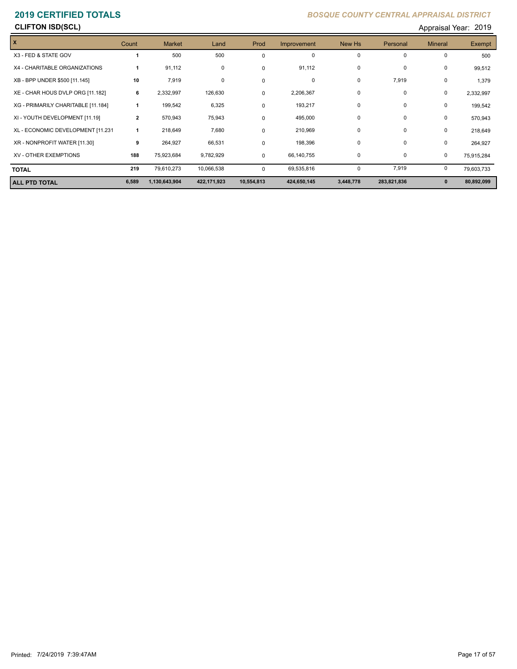## **CLIFTON ISD(SCL)** Appraisal Year: 2019

| X                                  | Count          | <b>Market</b> | Land        | Prod       | Improvement | New Hs      | Personal    | <b>Mineral</b> | <b>Exempt</b> |
|------------------------------------|----------------|---------------|-------------|------------|-------------|-------------|-------------|----------------|---------------|
| X3 - FED & STATE GOV               |                | 500           | 500         | 0          | 0           | $\mathbf 0$ | 0           | 0              | 500           |
| X4 - CHARITABLE ORGANIZATIONS      |                | 91,112        | 0           | 0          | 91,112      | $\mathbf 0$ | 0           | 0              | 99,512        |
| XB - BPP UNDER \$500 [11.145]      | 10             | 7,919         | 0           | 0          | 0           | $\mathbf 0$ | 7,919       | 0              | 1,379         |
| XE - CHAR HOUS DVLP ORG [11.182]   | 6              | 2,332,997     | 126,630     | $\Omega$   | 2,206,367   | 0           | 0           | 0              | 2,332,997     |
| XG - PRIMARILY CHARITABLE [11.184] | 1              | 199,542       | 6,325       | 0          | 193,217     | $\mathbf 0$ | 0           | 0              | 199,542       |
| XI - YOUTH DEVELOPMENT [11.19]     | $\overline{2}$ | 570,943       | 75,943      | $\Omega$   | 495,000     | $\mathbf 0$ | 0           | 0              | 570,943       |
| XL - ECONOMIC DEVELOPMENT [11.231  | 1              | 218,649       | 7,680       | 0          | 210,969     | $\mathbf 0$ | 0           | 0              | 218,649       |
| XR - NONPROFIT WATER [11.30]       | 9              | 264,927       | 66,531      | $\Omega$   | 198,396     | $\mathbf 0$ | 0           | 0              | 264,927       |
| <b>XV - OTHER EXEMPTIONS</b>       | 188            | 75,923,684    | 9,782,929   | $\Omega$   | 66,140,755  | $\mathbf 0$ | 0           | 0              | 75,915,284    |
| <b>TOTAL</b>                       | 219            | 79,610,273    | 10,066,538  | $\Omega$   | 69,535,816  | 0           | 7,919       | 0              | 79,603,733    |
| <b>ALL PTD TOTAL</b>               | 6,589          | 1,130,643,904 | 422,171,923 | 10,554,813 | 424,650,145 | 3,448,778   | 283,821,836 | $\mathbf 0$    | 80,892,099    |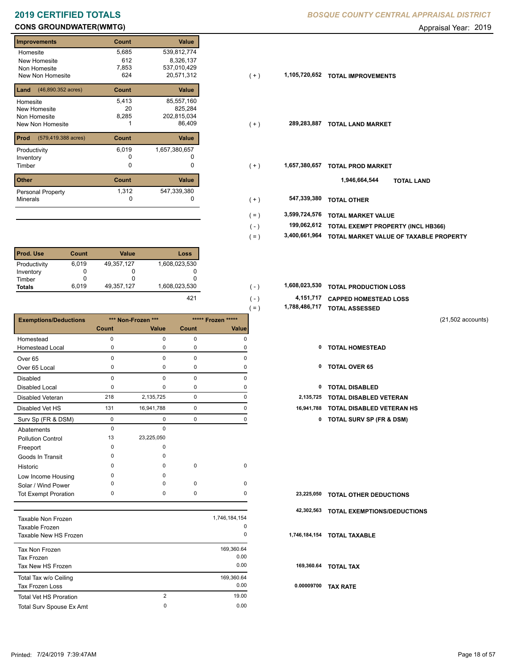# **2019 CERTIFIED TOTALS**

# **CONS GROUNDWATER(WMTG) CONS GROUNDWATER(WMTG) Appraisal Year: 2019**

| <b>Improvements</b>         | Count | <b>Value</b>  |
|-----------------------------|-------|---------------|
| Homesite                    | 5,685 | 539,812,774   |
| New Homesite                | 612   | 8,326,137     |
| Non Homesite                | 7,853 | 537,010,429   |
| New Non Homesite            | 624   | 20,571,312    |
| (46,890.352 acres)<br>Land  | Count | <b>Value</b>  |
| Homesite                    | 5,413 | 85,557,160    |
| <b>New Homesite</b>         | 20    | 825,284       |
| Non Homesite                | 8,285 | 202,815,034   |
| New Non Homesite            |       | 86,409        |
| Prod<br>(579,419.388 acres) | Count | Value         |
| Productivity                | 6,019 | 1,657,380,657 |
| Inventory                   | O     |               |
| Timber                      | 0     | 0             |
| <b>Other</b>                | Count | Value         |
| <b>Personal Property</b>    | 1,312 | 547,339,380   |
| <b>Minerals</b>             | 0     | 0             |

| <b>Prod. Use</b> | Count | Value      | Loss          |
|------------------|-------|------------|---------------|
| Productivity     | 6,019 | 49,357,127 | 1,608,023,530 |
| Inventory        |       |            |               |
| Timber           |       |            |               |
| <b>Totals</b>    | 6.019 | 49,357,127 | 1,608,023,530 |

|                                 |             |                    |             |                    | $( = )$    | 1,700,400,717 TUTAL ASSESSED        |                   |
|---------------------------------|-------------|--------------------|-------------|--------------------|------------|-------------------------------------|-------------------|
| <b>Exemptions/Deductions</b>    |             | *** Non-Frozen *** |             | ***** Frozen ***** |            |                                     | (21,502 accounts) |
|                                 | Count       | Value              | Count       | Value              |            |                                     |                   |
| Homestead                       | 0           | $\mathbf 0$        | $\mathbf 0$ | 0                  |            |                                     |                   |
| Homestead Local                 | 0           | $\mathbf 0$        | 0           | $\Omega$           | 0          | <b>TOTAL HOMESTEAD</b>              |                   |
| Over <sub>65</sub>              | 0           | $\Omega$           | $\mathbf 0$ | $\Omega$           |            |                                     |                   |
| Over 65 Local                   | 0           | $\mathbf 0$        | 0           | 0                  | 0          | <b>TOTAL OVER 65</b>                |                   |
| <b>Disabled</b>                 | 0           | $\mathbf 0$        | $\pmb{0}$   | $\Omega$           |            |                                     |                   |
| Disabled Local                  | 0           | $\mathbf 0$        | $\mathbf 0$ | 0                  | 0          | <b>TOTAL DISABLED</b>               |                   |
| Disabled Veteran                | 218         | 2,135,725          | $\mathbf 0$ | 0                  | 2,135,725  | <b>TOTAL DISABLED VETERAN</b>       |                   |
| Disabled Vet HS                 | 131         | 16,941,788         | $\mathbf 0$ | $\mathbf 0$        | 16,941,788 | <b>TOTAL DISABLED VETERAN HS</b>    |                   |
| Surv Sp (FR & DSM)              | $\mathbf 0$ | $\mathbf 0$        | $\mathbf 0$ | 0                  | 0          | <b>TOTAL SURV SP (FR &amp; DSM)</b> |                   |
| Abatements                      | 0           | $\mathbf 0$        |             |                    |            |                                     |                   |
| <b>Pollution Control</b>        | 13          | 23,225,050         |             |                    |            |                                     |                   |
| Freeport                        | 0           | 0                  |             |                    |            |                                     |                   |
| Goods In Transit                | 0           | $\Omega$           |             |                    |            |                                     |                   |
| Historic                        | $\Omega$    | $\Omega$           | $\mathbf 0$ | $\mathbf 0$        |            |                                     |                   |
| Low Income Housing              | 0           | $\Omega$           |             |                    |            |                                     |                   |
| Solar / Wind Power              | $\Omega$    | $\Omega$           | $\mathbf 0$ | 0                  |            |                                     |                   |
| <b>Tot Exempt Proration</b>     | 0           | $\mathbf 0$        | 0           | 0                  | 23,225,050 | <b>TOTAL OTHER DEDUCTIONS</b>       |                   |
|                                 |             |                    |             |                    | 42,302,563 | <b>TOTAL EXEMPTIONS/DEDUCTIONS</b>  |                   |
| <b>Taxable Non Frozen</b>       |             |                    |             | 1,746,184,154      |            |                                     |                   |
| Taxable Frozen                  |             |                    |             | 0                  |            |                                     |                   |
| Taxable New HS Frozen           |             |                    |             | 0                  |            | 1,746,184,154 TOTAL TAXABLE         |                   |
| Tax Non Frozen                  |             |                    |             | 169,360.64         |            |                                     |                   |
| <b>Tax Frozen</b>               |             |                    |             | 0.00               |            |                                     |                   |
| Tax New HS Frozen               |             |                    |             | 0.00               |            | 169,360.64 TOTAL TAX                |                   |
| Total Tax w/o Ceiling           |             |                    |             | 169,360.64         |            |                                     |                   |
| <b>Tax Frozen Loss</b>          |             |                    |             | 0.00               |            | 0.00009700 TAX RATE                 |                   |
| <b>Total Vet HS Proration</b>   |             | $\overline{2}$     |             | 19.00              |            |                                     |                   |
| <b>Total Sury Spouse Ex Amt</b> |             | $\mathbf 0$        |             | 0.00               |            |                                     |                   |

| BOSQUE COUNTY CENTRAL APPRAISAL DISTRICT |  |  |
|------------------------------------------|--|--|
|                                          |  |  |

| Homesite                                 | 5,685 | 539,812,774   |
|------------------------------------------|-------|---------------|
| New Homesite                             | 612   | 8,326,137     |
| Non Homesite                             | 7,853 | 537,010,429   |
| New Non Homesite                         | 624   | 20,571,312    |
| <b>Land</b> $(46,890.352 \text{ acres})$ | Count | Value         |
| Homesite                                 | 5,413 | 85,557,160    |
| New Homesite                             | 20    | 825,284       |
| Non Homesite                             | 8,285 | 202,815,034   |
| New Non Homesite                         |       | 86,409        |
|                                          |       |               |
| <b>Prod</b> (579,419.388 acres)          | Count | Value         |
| Productivity                             | 6,019 | 1,657,380,657 |
| Inventory                                | 0     |               |
| Timber                                   | 0     | $\Omega$      |
|                                          |       |               |
| <b>Other</b>                             | Count | Value         |
| Personal Property                        | 1,312 | 547,339,380   |
| Minerals                                 | 0     |               |
|                                          |       |               |
|                                          |       |               |
|                                          |       |               |

- **TOTAL EXEMPT PROPERTY (INCL HB366) 199,062,612**  $( - )$
- **3,400,661,964 TOTAL MARKET VALUE OF TAXABLE PROPERTY** ( = )
- **TOTAL PRODUCTION LOSS** 1,608,023,530 **1,608,023,530** ( )
	- **4,151,717 CAPPED HOMESTEAD LOSS 1,788,486,717 TOTAL ASSESSED** ( = ) ( - ) 421
		- (21,502 accounts)
		-
		-
		-
		-
		- 131 16,941,788 0 0 **16,941,788 TOTAL DISABLED VETERAN HS**
			- Surv Sp (FR & DSM) 0 0 0 0 **0 TOTAL SURV SP (FR & DSM)**

|            | 23,225,050 TOTAL OTHER DEDUCTIONS      |
|------------|----------------------------------------|
|            | 42,302,563 TOTAL EXEMPTIONS/DEDUCTIONS |
|            | 1,746,184,154 TOTAL TAXABLE            |
|            | 169,360.64 TOTAL TAX                   |
| 0.00009700 | <b>TAX RATE</b>                        |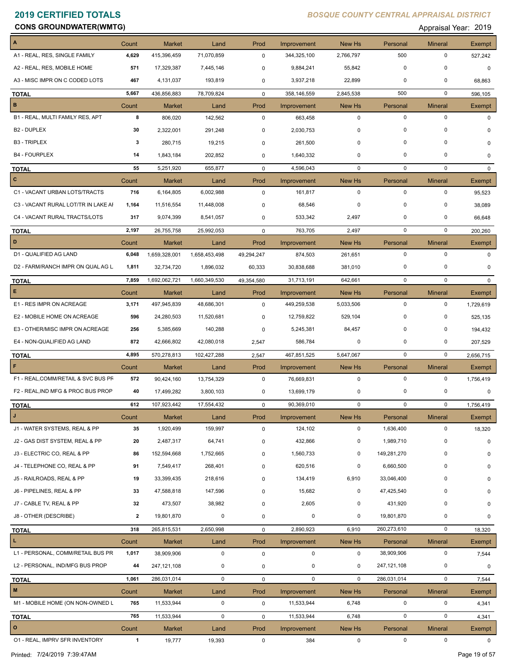**Constitution Constitution Constitution Constitution Constitution Constitution Constitution Constitution Constitution Constitution Constitution Constitution Constitution Constitution Constitution Constitution Constitution** 

| A                                   | Count        | <b>Market</b> | Land          | Prod        | <b>Improvement</b> | New Hs        | Personal    | <b>Mineral</b> | Exempt        |
|-------------------------------------|--------------|---------------|---------------|-------------|--------------------|---------------|-------------|----------------|---------------|
| A1 - REAL, RES, SINGLE FAMILY       | 4,629        | 415,396,459   | 71,070,859    | $\mathbf 0$ | 344,325,100        | 2,766,797     | 500         | $\mathbf 0$    | 527,242       |
| A2 - REAL, RES, MOBILE HOME         | 571          | 17,329,387    | 7,445,146     | 0           | 9,884,241          | 55,842        | $\mathbf 0$ | $\mathbf 0$    | $\mathbf 0$   |
| A3 - MISC IMPR ON C CODED LOTS      | 467          | 4,131,037     | 193,819       | 0           | 3,937,218          | 22,899        | 0           | 0              | 68,863        |
| <b>TOTAL</b>                        | 5,667        | 436,856,883   | 78,709,824    | $\mathbf 0$ | 358,146,559        | 2,845,538     | 500         | $\mathbf 0$    | 596,105       |
| в                                   | Count        | <b>Market</b> | Land          | Prod        | Improvement        | New Hs        | Personal    | <b>Mineral</b> | Exempt        |
| B1 - REAL, MULTI FAMILY RES, APT    | 8            | 806,020       | 142,562       | 0           | 663,458            | $\mathbf 0$   | $\mathbf 0$ | $\mathbf 0$    | $\Omega$      |
| B <sub>2</sub> - DUPLEX             | 30           | 2,322,001     | 291,248       | 0           | 2,030,753          | 0             | $\pmb{0}$   | $\Omega$       | $\Omega$      |
| <b>B3 - TRIPLEX</b>                 | 3            | 280,715       | 19,215        | $\mathbf 0$ | 261,500            | 0             | $\mathbf 0$ | $\mathbf 0$    | $\Omega$      |
| <b>B4 - FOURPLEX</b>                | 14           | 1,843,184     | 202,852       | 0           | 1,640,332          | 0             | 0           | 0              | 0             |
| <b>TOTAL</b>                        | 55           | 5,251,920     | 655,877       | $\mathbf 0$ | 4,596,043          | $\mathbf 0$   | $\mathbf 0$ | $\mathbf 0$    | $\mathbf{0}$  |
| $\mathbf{C}$                        | Count        | <b>Market</b> | Land          | Prod        | Improvement        | New Hs        | Personal    | Mineral        | Exempt        |
| C1 - VACANT URBAN LOTS/TRACTS       | 716          | 6,164,805     | 6,002,988     | $\mathbf 0$ | 161,817            | $\mathbf 0$   | $\mathbf 0$ | $\mathbf 0$    | 95,523        |
| C3 - VACANT RURAL LOT/TR IN LAKE AI | 1,164        | 11,516,554    | 11,448,008    | 0           | 68,546             | $\mathbf 0$   | $\mathbf 0$ | 0              | 38,089        |
| C4 - VACANT RURAL TRACTS/LOTS       | 317          | 9,074,399     | 8,541,057     | 0           | 533,342            | 2,497         | 0           | 0              | 66,648        |
| <b>TOTAL</b>                        | 2,197        | 26,755,758    | 25,992,053    | $\mathbf 0$ | 763,705            | 2,497         | $\mathbf 0$ | $\mathbf 0$    | 200,260       |
| D                                   | Count        | <b>Market</b> | Land          | Prod        | Improvement        | <b>New Hs</b> | Personal    | <b>Mineral</b> | Exempt        |
| D1 - QUALIFIED AG LAND              | 6,048        | 1,659,328,001 | 1,658,453,498 | 49,294,247  | 874,503            | 261,651       | $\mathbf 0$ | $\mathbf 0$    | $\Omega$      |
| D2 - FARM/RANCH IMPR ON QUAL AG L   | 1,811        | 32,734,720    | 1,896,032     | 60,333      | 30,838,688         | 381,010       | $\mathbf 0$ | $\mathbf 0$    | $\Omega$      |
| <b>TOTAL</b>                        | 7,859        | 1,692,062,721 | 1,660,349,530 | 49,354,580  | 31,713,191         | 642,661       | $\mathbf 0$ | $\mathbf 0$    | $\mathbf{0}$  |
| E                                   | Count        | Market        | Land          | Prod        | Improvement        | New Hs        | Personal    | <b>Mineral</b> | Exempt        |
| E1 - RES IMPR ON ACREAGE            | 3,171        | 497,945,839   | 48,686,301    | $\mathbf 0$ | 449,259,538        | 5,033,506     | 0           | 0              | 1,729,619     |
| E2 - MOBILE HOME ON ACREAGE         | 596          | 24,280,503    | 11,520,681    | 0           | 12,759,822         | 529,104       | $\mathbf 0$ | 0              | 525,135       |
| E3 - OTHER/MISC IMPR ON ACREAGE     | 256          | 5,385,669     | 140,288       | 0           | 5,245,381          | 84,457        | 0           | 0              | 194,432       |
| E4 - NON-QUALIFIED AG LAND          | 872          | 42,666,802    | 42,080,018    | 2,547       | 586,784            | 0             | 0           | 0              | 207,529       |
| <b>TOTAL</b>                        | 4,895        | 570,278,813   | 102,427,288   | 2,547       | 467,851,525        | 5,647,067     | $\mathbf 0$ | $\mathbf 0$    | 2,656,715     |
| F                                   | Count        | <b>Market</b> | Land          | Prod        | Improvement        | New Hs        | Personal    | <b>Mineral</b> | <b>Exempt</b> |
| F1 - REAL, COMM/RETAIL & SVC BUS PF | 572          | 90,424,160    | 13,754,329    | 0           | 76,669,831         | $\mathbf 0$   | $\mathbf 0$ | 0              | 1,756,419     |
| F2 - REAL, IND MFG & PROC BUS PROP  | 40           | 17,499,282    | 3,800,103     | 0           | 13,699,179         | 0             | 0           | 0              | $\mathbf 0$   |
| <b>TOTAL</b>                        | 612          | 107,923,442   | 17,554,432    | $\mathbf 0$ | 90,369,010         | $\mathbf 0$   | $\mathbf 0$ | $\mathbf 0$    | 1,756,419     |
| J                                   | Count        | <b>Market</b> | Land          | Prod        | Improvement        | New Hs        | Personal    | <b>Mineral</b> | Exempt        |
| J1 - WATER SYSTEMS, REAL & PP       | 35           | 1,920,499     | 159,997       | $\mathsf 0$ | 124,102            | 0             | 1,636,400   | $\mathbf 0$    | 18,320        |
| J2 - GAS DIST SYSTEM, REAL & PP     | 20           | 2,487,317     | 64,741        | $\mathbf 0$ | 432,866            | 0             | 1,989,710   | 0              | $\mathbf 0$   |
| J3 - ELECTRIC CO, REAL & PP         | 86           | 152,594,668   | 1,752,665     | $\mathbf 0$ | 1,560,733          | 0             | 149,281,270 | 0              | 0             |
| J4 - TELEPHONE CO, REAL & PP        | 91           | 7,549,417     | 268,401       | $\mathbf 0$ | 620,516            | 0             | 6,660,500   | 0              | 0             |
| J5 - RAILROADS, REAL & PP           | 19           | 33,399,435    | 218,616       | $\mathbf 0$ | 134,419            | 6,910         | 33,046,400  | $\Omega$       | 0             |
| J6 - PIPELINES, REAL & PP           | 33           | 47,588,818    | 147,596       | 0           | 15,682             | 0             | 47,425,540  | 0              | 0             |
| J7 - CABLE TV, REAL & PP            | 32           | 473,507       | 38,982        | 0           | 2,605              | 0             | 431,920     | $\mathbf 0$    | 0             |
| J8 - OTHER (DESCRIBE)               | $\mathbf{2}$ | 19,801,870    | $\mathbf 0$   | 0           | $\pmb{0}$          | 0             | 19,801,870  | 0              | 0             |
| <b>TOTAL</b>                        | 318          | 265,815,531   | 2,650,998     | 0           | 2,890,923          | 6,910         | 260,273,610 | $\mathbf 0$    | 18,320        |
| L                                   | Count        | <b>Market</b> | Land          | Prod        | Improvement        | New Hs        | Personal    | <b>Mineral</b> | Exempt        |
| L1 - PERSONAL, COMM/RETAIL BUS PR   | 1,017        | 38,909,906    | $\mathsf 0$   | $\mathsf 0$ | $\mathbf 0$        | $\mathbf 0$   | 38,909,906  | $\mathbf 0$    | 7,544         |
| L2 - PERSONAL, IND/MFG BUS PROP     | 44           | 247, 121, 108 | $\mathbf 0$   | $\pmb{0}$   | $\pmb{0}$          | 0             | 247,121,108 | $\mathbf 0$    | 0             |
| <b>TOTAL</b>                        | 1,061        | 286,031,014   | $\mathbf 0$   | 0           | $\mathbf 0$        | $\mathbf 0$   | 286,031,014 | 0              | 7,544         |
| $\mathbf M$                         | Count        | <b>Market</b> | Land          | Prod        | Improvement        | New Hs        | Personal    | <b>Mineral</b> | Exempt        |
| M1 - MOBILE HOME (ON NON-OWNED L    | 765          | 11,533,944    | $\mathbf 0$   | 0           | 11,533,944         | 6,748         | 0           | 0              | 4,341         |
| <b>TOTAL</b>                        | 765          | 11,533,944    | $\mathbf 0$   | 0           | 11,533,944         | 6,748         | $\mathbf 0$ | $\mathbf 0$    | 4,341         |
| $\circ$                             | Count        | Market        | Land          | Prod        | Improvement        | New Hs        | Personal    | <b>Mineral</b> | Exempt        |
| 01 - REAL, IMPRV SFR INVENTORY      | $\mathbf{1}$ | 19,777        | 19,393        | $\mathbf 0$ | 384                | $\mathbf 0$   | $\mathbf 0$ | $\mathbf 0$    | 0             |
|                                     |              |               |               |             |                    |               |             |                |               |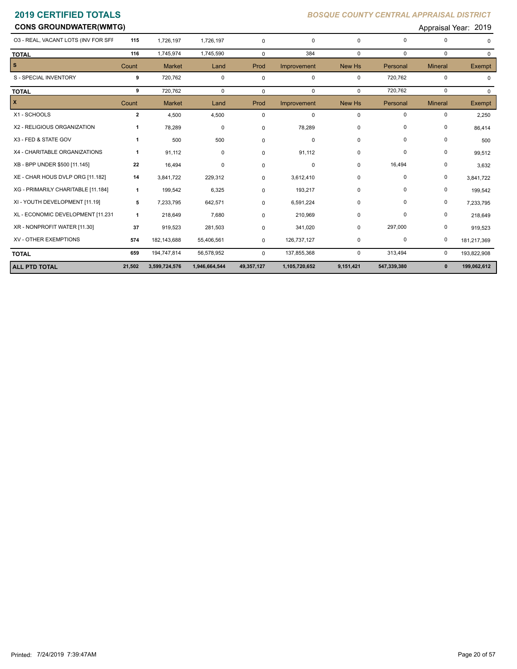**CONS GROUNDWATER(WMTG) CONS GROUNDWATER(WMTG) Approximately approximately approximately approximately approximately approximately approximately approximately approximately approximately approximately approximately app** 

| <b>ALL PTD TOTAL</b>                | 21,502         | 3,599,724,576 | 1,946,664,544 | 49,357,127  | 1,105,720,652 | 9,151,421    | 547,339,380 | $\mathbf{0}$   | 199,062,612   |
|-------------------------------------|----------------|---------------|---------------|-------------|---------------|--------------|-------------|----------------|---------------|
| <b>TOTAL</b>                        | 659            | 194,747,814   | 56,578,952    | $\Omega$    | 137,855,368   | 0            | 313,494     | 0              | 193,822,908   |
| XV - OTHER EXEMPTIONS               | 574            | 182,143,688   | 55,406,561    | 0           | 126,737,127   | 0            | 0           | 0              | 181,217,369   |
| XR - NONPROFIT WATER [11.30]        | 37             | 919,523       | 281,503       | 0           | 341,020       | 0            | 297,000     | 0              | 919,523       |
| XL - ECONOMIC DEVELOPMENT [11.231   | 1              | 218,649       | 7,680         | 0           | 210,969       | 0            | 0           | 0              | 218,649       |
| XI - YOUTH DEVELOPMENT [11.19]      | 5              | 7,233,795     | 642,571       | $\mathbf 0$ | 6,591,224     | $\mathbf 0$  | 0           | 0              | 7,233,795     |
| XG - PRIMARILY CHARITABLE [11.184]  | $\mathbf{1}$   | 199,542       | 6,325         | 0           | 193,217       | 0            | 0           | $\pmb{0}$      | 199,542       |
| XE - CHAR HOUS DVLP ORG [11.182]    | 14             | 3,841,722     | 229,312       | 0           | 3,612,410     | 0            | $\mathbf 0$ | 0              | 3,841,722     |
| XB - BPP UNDER \$500 [11.145]       | 22             | 16,494        | 0             | 0           | 0             | 0            | 16,494      | 0              | 3,632         |
| X4 - CHARITABLE ORGANIZATIONS       | $\mathbf{1}$   | 91,112        | 0             | $\mathbf 0$ | 91,112        | 0            | 0           | 0              | 99,512        |
| X3 - FED & STATE GOV                | $\mathbf{1}$   | 500           | 500           | 0           | 0             | 0            | 0           | 0              | 500           |
| X2 - RELIGIOUS ORGANIZATION         | 1              | 78,289        | $\mathbf 0$   | 0           | 78,289        | 0            | 0           | 0              | 86,414        |
| X1 - SCHOOLS                        | $\overline{2}$ | 4,500         | 4,500         | $\mathbf 0$ | $\mathbf 0$   | $\mathbf 0$  | 0           | 0              | 2,250         |
| X                                   | Count          | <b>Market</b> | Land          | Prod        | Improvement   | New Hs       | Personal    | <b>Mineral</b> | Exempt        |
| <b>TOTAL</b>                        | 9              | 720,762       | $\mathbf{0}$  | $\mathbf 0$ | $\mathbf 0$   | $\mathbf 0$  | 720,762     | $\mathbf 0$    | 0             |
| S - SPECIAL INVENTORY               | 9              | 720,762       | $\mathbf 0$   | $\mathbf 0$ | $\mathbf 0$   | $\mathbf 0$  | 720,762     | $\mathbf 0$    |               |
| s                                   | Count          | <b>Market</b> | Land          | Prod        | Improvement   | New Hs       | Personal    | <b>Mineral</b> | <b>Exempt</b> |
| <b>TOTAL</b>                        | 116            | 1,745,974     | 1,745,590     | $\mathbf 0$ | 384           | $\mathbf{0}$ | $\mathbf 0$ | $\mathbf 0$    | $\Omega$      |
| 03 - REAL, VACANT LOTS (INV FOR SFF | 115            | 1,726,197     | 1,726,197     | 0           | $\mathbf 0$   | $\Omega$     | $\Omega$    | 0              | $\Omega$      |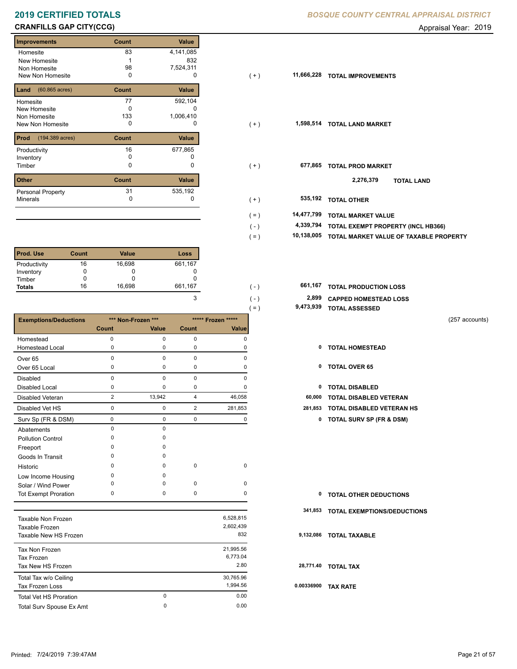# **CRANFILLS GAP CITY(CCG) CRANFILLS GAP CITY(CCG) Appraisal Year: 2019**

| <b>Improvements</b>              | Count        | Value        |
|----------------------------------|--------------|--------------|
| Homesite                         | 83           | 4,141,085    |
| New Homesite                     |              | 832          |
| Non Homesite                     | 98           | 7,524,311    |
| New Non Homesite                 | 0            | O            |
| $(60.865 \text{ acres})$<br>Land | Count        | <b>Value</b> |
| Homesite                         | 77           | 592,104      |
| New Homesite                     | O            |              |
| Non Homesite                     | 133          | 1,006,410    |
| New Non Homesite                 | 0            | O            |
| Prod<br>(194.389 acres)          | Count        | <b>Value</b> |
| Productivity                     | 16           | 677,865      |
| Inventory                        | <sup>0</sup> |              |
| Timber                           | 0            | 0            |
| <b>Other</b>                     | Count        | Value        |
| <b>Personal Property</b>         | 31           | 535,192      |
| <b>Minerals</b>                  | 0            | 0            |
|                                  |              |              |

| <b>Prod. Use</b> | Count | <b>Value</b> | Loss    |
|------------------|-------|--------------|---------|
| Productivity     | 16    | 16,698       | 661,167 |
| Inventory        |       |              |         |
| Timber           |       |              |         |
| <b>Totals</b>    | 16    | 16,698       | 661,167 |

|                               |                |                    |                |                    | 9,473,939<br>$( = )$ | <b>TOTAL ASSESSED</b>               |                |
|-------------------------------|----------------|--------------------|----------------|--------------------|----------------------|-------------------------------------|----------------|
| <b>Exemptions/Deductions</b>  |                | *** Non-Frozen *** |                | ***** Frozen ***** |                      |                                     | (257 accounts) |
|                               | <b>Count</b>   | Value              | Count          | Value              |                      |                                     |                |
| Homestead                     | 0              | $\mathbf 0$        | $\mathbf 0$    | 0                  |                      |                                     |                |
| <b>Homestead Local</b>        | 0              | 0                  | $\mathbf 0$    | 0                  | 0                    | <b>TOTAL HOMESTEAD</b>              |                |
| Over <sub>65</sub>            | 0              | $\mathbf 0$        | $\mathbf 0$    | 0                  |                      |                                     |                |
| Over 65 Local                 | 0              | 0                  | 0              | $\Omega$           | 0                    | <b>TOTAL OVER 65</b>                |                |
| <b>Disabled</b>               | 0              | $\mathbf 0$        | $\mathbf 0$    | 0                  |                      |                                     |                |
| <b>Disabled Local</b>         | 0              | $\mathbf 0$        | 0              | 0                  | 0                    | <b>TOTAL DISABLED</b>               |                |
| Disabled Veteran              | $\overline{2}$ | 13,942             | $\overline{4}$ | 46,058             | 60,000               | <b>TOTAL DISABLED VETERAN</b>       |                |
| Disabled Vet HS               | 0              | 0                  | $\overline{2}$ | 281,853            | 281,853              | <b>TOTAL DISABLED VETERAN HS</b>    |                |
| Surv Sp (FR & DSM)            | $\pmb{0}$      | $\mathbf 0$        | $\mathbf 0$    | 0                  | 0                    | <b>TOTAL SURV SP (FR &amp; DSM)</b> |                |
| Abatements                    | 0              | $\mathbf 0$        |                |                    |                      |                                     |                |
| <b>Pollution Control</b>      | 0              | 0                  |                |                    |                      |                                     |                |
| Freeport                      | O              | $\Omega$           |                |                    |                      |                                     |                |
| Goods In Transit              | O              | $\Omega$           |                |                    |                      |                                     |                |
| Historic                      | $\Omega$       | $\Omega$           | $\mathbf 0$    | $\mathbf 0$        |                      |                                     |                |
| Low Income Housing            | 0              | $\mathbf 0$        |                |                    |                      |                                     |                |
| Solar / Wind Power            | $\Omega$       | 0                  | $\mathbf 0$    | 0                  |                      |                                     |                |
| <b>Tot Exempt Proration</b>   | 0              | $\mathbf 0$        | $\mathbf 0$    | 0                  | $\mathbf 0$          | <b>TOTAL OTHER DEDUCTIONS</b>       |                |
|                               |                |                    |                |                    | 341,853              | TOTAL EXEMPTIONS/DEDUCTIONS         |                |
| Taxable Non Frozen            |                |                    |                | 6,528,815          |                      |                                     |                |
| Taxable Frozen                |                |                    |                | 2,602,439          |                      |                                     |                |
| Taxable New HS Frozen         |                |                    |                | 832                |                      | 9,132,086 TOTAL TAXABLE             |                |
| Tax Non Frozen                |                |                    |                | 21,995.56          |                      |                                     |                |
| <b>Tax Frozen</b>             |                |                    |                | 6,773.04           |                      |                                     |                |
| Tax New HS Frozen             |                |                    |                | 2.80               |                      | 28,771.40 TOTAL TAX                 |                |
| Total Tax w/o Ceiling         |                |                    |                | 30,765.96          |                      |                                     |                |
| Tax Frozen Loss               |                |                    |                | 1,994.56           |                      | 0.00336900 TAX RATE                 |                |
| <b>Total Vet HS Proration</b> |                | $\mathbf 0$        |                | 0.00               |                      |                                     |                |
| Total Surv Spouse Ex Amt      |                | $\Omega$           |                | 0.00               |                      |                                     |                |

### **2019 CERTIFIED TOTALS** *BOSQUE COUNTY CENTRAL APPRAISAL DISTRICT*

| <b>Improvements</b>                  | Count | Value     |                       |                                        |
|--------------------------------------|-------|-----------|-----------------------|----------------------------------------|
| Homesite                             | 83    | 4,141,085 |                       |                                        |
| New Homesite                         |       | 832       |                       |                                        |
| Non Homesite                         | 98    | 7,524,311 |                       |                                        |
| New Non Homesite                     | 0     | 0         | 11,666,228<br>$(+)$   | <b>TOTAL IMPROVEMENTS</b>              |
| <b>Land</b> $(60.865 \text{ acres})$ | Count | Value     |                       |                                        |
| Homesite                             | 77    | 592,104   |                       |                                        |
| New Homesite                         | 0     | 0         |                       |                                        |
| Non Homesite                         | 133   | 1,006,410 |                       |                                        |
| New Non Homesite                     | 0     | 0         | $(+)$                 | 1,598,514 TOTAL LAND MARKET            |
| <b>Prod</b> (194.389 acres)          | Count | Value     |                       |                                        |
| Productivity                         | 16    | 677,865   |                       |                                        |
| Inventory                            | 0     |           |                       |                                        |
| Timber                               | 0     | 0         | $(+)$                 | 677,865<br><b>TOTAL PROD MARKET</b>    |
| Other                                | Count | Value     |                       | 2,276,379<br><b>TOTAL LAND</b>         |
| Personal Property                    | 31    | 535,192   |                       |                                        |
| Minerals                             | 0     | 0         | $(+)$                 | 535,192<br><b>TOTAL OTHER</b>          |
|                                      |       |           | 14,477,799<br>$( = )$ | <b>TOTAL MARKET VALUE</b>              |
|                                      |       |           | 4,339,794<br>$(-)$    | TOTAL EXEMPT PROPERTY (INCL HB366)     |
|                                      |       |           |                       |                                        |
|                                      |       |           | 10,138,005<br>$( = )$ | TOTAL MARKET VALUE OF TAXABLE PROPERTY |

| 661.167 | ۰.۱           | 661,167 TOTAL PRODUCTION LOSS |
|---------|---------------|-------------------------------|
|         | ۱ ـ ۱         | 2,899 CAPPED HOMESTEAD LOSS   |
|         | $=$ $\lambda$ | 9,473,939 TOTAL ASSESSED      |

- 
- 
- 
- 0 0 2 281,853 **281,853 TOTAL DISABLED VETERAN HS**
	- Surv Sp (FR & DSM) 0 0 0 0 **0 TOTAL SURV SP (FR & DSM)**

| <b>0 TOTAL OTHER DEDUCTIONS</b> |  |
|---------------------------------|--|
|---------------------------------|--|

- **341,853 TOTAL EXEMPTIONS/DEDUCTIONS**
- **9,132,086 TOTAL TAXABLE**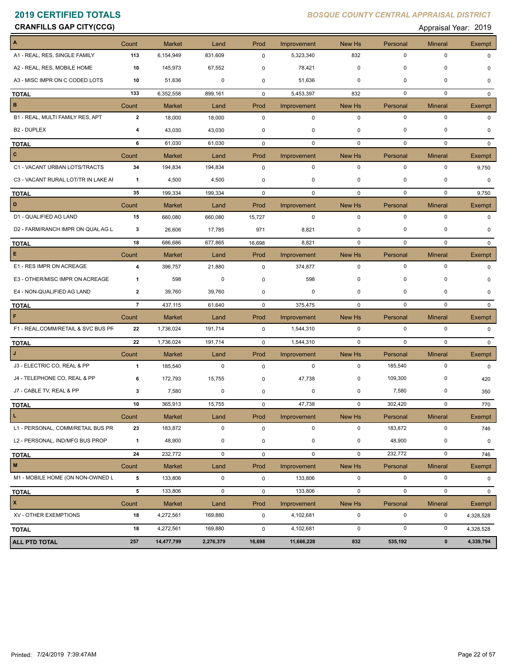| <b>CRANFILLS GAP CITY(CCG)</b>      |                |               |             |             |             |             |             | Appraisal Year: 2019 |               |
|-------------------------------------|----------------|---------------|-------------|-------------|-------------|-------------|-------------|----------------------|---------------|
|                                     | Count          | <b>Market</b> | Land        | Prod        | Improvement | New Hs      | Personal    | <b>Mineral</b>       | Exempt        |
| A1 - REAL, RES, SINGLE FAMILY       | 113            | 6,154,949     | 831,609     | $\mathbf 0$ | 5,323,340   | 832         | $\pmb{0}$   | $\mathbf 0$          | 0             |
| A2 - REAL, RES, MOBILE HOME         | 10             | 145,973       | 67,552      | 0           | 78,421      | $\mathbf 0$ | 0           | 0                    | 0             |
| A3 - MISC IMPR ON C CODED LOTS      | 10             | 51,636        | 0           | 0           | 51,636      | 0           | 0           | 0                    | 0             |
| <b>TOTAL</b>                        | 133            | 6,352,558     | 899,161     | $\mathbf 0$ | 5,453,397   | 832         | 0           | 0                    | $\mathbf 0$   |
| в                                   | Count          | <b>Market</b> | Land        | Prod        | Improvement | New Hs      | Personal    | <b>Mineral</b>       | <b>Exempt</b> |
| B1 - REAL, MULTI FAMILY RES, APT    | $\mathbf{2}$   | 18,000        | 18,000      | $\mathbf 0$ | $\mathbf 0$ | $\mathbf 0$ | $\mathbf 0$ | $\mathsf 0$          | $\mathbf{0}$  |
| B <sub>2</sub> - DUPLEX             | 4              | 43,030        | 43,030      | 0           | 0           | $\mathbf 0$ | 0           | 0                    | $\Omega$      |
| <b>TOTAL</b>                        | 6              | 61,030        | 61,030      | $\mathbf 0$ | $\mathbf 0$ | $\mathbf 0$ | $\pmb{0}$   | 0                    | $\mathbf{0}$  |
| c                                   | Count          | <b>Market</b> | Land        | Prod        | Improvement | New Hs      | Personal    | Mineral              | Exempt        |
| C1 - VACANT URBAN LOTS/TRACTS       | 34             | 194,834       | 194,834     | $\mathbf 0$ | 0           | 0           | 0           | 0                    | 9,750         |
| C3 - VACANT RURAL LOT/TR IN LAKE AI | $\overline{1}$ | 4,500         | 4,500       | 0           | 0           | 0           | 0           | 0                    | 0             |
| <b>TOTAL</b>                        | 35             | 199,334       | 199,334     | $\mathbf 0$ | $\mathbf 0$ | $\mathbf 0$ | 0           | $\mathbf 0$          | 9,750         |
| D                                   | Count          | <b>Market</b> | Land        | Prod        | Improvement | New Hs      | Personal    | <b>Mineral</b>       | Exempt        |
| D1 - QUALIFIED AG LAND              | 15             | 660,080       | 660,080     | 15,727      | $\mathbf 0$ | $\mathbf 0$ | $\mathbf 0$ | $\mathbf 0$          | 0             |
| D2 - FARM/RANCH IMPR ON QUAL AG L   | 3              | 26,606        | 17,785      | 971         | 8,821       | $\mathbf 0$ | 0           | 0                    | 0             |
| <b>TOTAL</b>                        | 18             | 686,686       | 677,865     | 16,698      | 8,821       | $\mathbf 0$ | $\mathbf 0$ | 0                    | $\mathbf{0}$  |
| E.                                  | Count          | <b>Market</b> | Land        | Prod        | Improvement | New Hs      | Personal    | <b>Mineral</b>       | Exempt        |
| E1 - RES IMPR ON ACREAGE            | 4              | 396,757       | 21,880      | $\mathbf 0$ | 374,877     | $\mathbf 0$ | $\pmb{0}$   | $\mathsf 0$          | $\mathbf 0$   |
| E3 - OTHER/MISC IMPR ON ACREAGE     | 1              | 598           | 0           | $\mathbf 0$ | 598         | 0           | 0           | 0                    | 0             |
| E4 - NON-QUALIFIED AG LAND          | $\overline{2}$ | 39,760        | 39,760      | $\mathbf 0$ | 0           | 0           | 0           | 0                    | 0             |
| <b>TOTAL</b>                        | $\overline{7}$ | 437,115       | 61,640      | $\mathbf 0$ | 375,475     | $\mathbf 0$ | $\pmb{0}$   | $\mathbf 0$          | $\Omega$      |
| F                                   | Count          | <b>Market</b> | Land        | Prod        | Improvement | New Hs      | Personal    | <b>Mineral</b>       | Exempt        |
| F1 - REAL, COMM/RETAIL & SVC BUS PF | 22             | 1,736,024     | 191,714     | 0           | 1,544,310   | 0           | $\mathbf 0$ | $\mathbf 0$          | 0             |
| <b>TOTAL</b>                        | 22             | 1,736,024     | 191,714     | $\mathbf 0$ | 1,544,310   | $\mathbf 0$ | 0           | 0                    | $\mathbf 0$   |
| J                                   | Count          | <b>Market</b> | Land        | Prod        | Improvement | New Hs      | Personal    | Mineral              | Exempt        |
| J3 - ELECTRIC CO, REAL & PP         | 1              | 185,540       | 0           | $\mathbf 0$ | 0           | 0           | 185,540     | 0                    | $\Omega$      |
| J4 - TELEPHONE CO, REAL & PP        | 6              | 172,793       | 15,755      | 0           | 47,738      | 0           | 109,300     | 0                    | 420           |
| J7 - CABLE TV, REAL & PP            | 3              | 7,580         | 0           | 0           | 0           | 0           | 7,580       | 0                    | 350           |
| <u>TOTAL</u>                        | 10             | 365,913       | 15,755      | 0           | 47,738      | 0           | 302,420     | $\pmb{0}$            | 770           |
| L.                                  | Count          | Market        | Land        | Prod        | Improvement | New Hs      | Personal    | Mineral              | Exempt        |
| L1 - PERSONAL, COMM/RETAIL BUS PR   | 23             | 183,872       | $\mathbf 0$ | $\mathbf 0$ | $\mathbf 0$ | $\mathbf 0$ | 183,872     | $\mathbf 0$          | 746           |
| L2 - PERSONAL, IND/MFG BUS PROP     | $\overline{1}$ | 48,900        | 0           | 0           | 0           | 0           | 48,900      | 0                    | 0             |
| <b>TOTAL</b>                        | 24             | 232,772       | $\mathbf 0$ | $\mathbf 0$ | $\mathbf 0$ | $\mathbf 0$ | 232,772     | $\mathbf 0$          | 746           |
| M                                   | Count          | Market        | Land        | Prod        | Improvement | New Hs      | Personal    | <b>Mineral</b>       | Exempt        |
| M1 - MOBILE HOME (ON NON-OWNED L    | 5              | 133,806       | 0           | $\mathbf 0$ | 133,806     | $\mathbf 0$ | $\mathbf 0$ | $\mathbf 0$          | $\mathbf{0}$  |
| <b>TOTAL</b>                        | 5              | 133,806       | $\mathbf 0$ | $\mathbf 0$ | 133,806     | $\mathbf 0$ | $\mathbf 0$ | $\mathsf 0$          | 0             |
| $\mathbf{x}$                        | Count          | Market        | Land        | Prod        | Improvement | New Hs      | Personal    | <b>Mineral</b>       | Exempt        |
| XV - OTHER EXEMPTIONS               | 18             | 4,272,561     | 169,880     | $\mathbf 0$ | 4,102,681   | $\mathbf 0$ | $\pmb{0}$   | $\mathbf 0$          | 4,328,528     |
| TOTAL                               | 18             | 4,272,561     | 169,880     | $\mathsf 0$ | 4,102,681   | $\mathbf 0$ | $\pmb{0}$   | $\mathbf 0$          | 4,328,528     |
| <b>ALL PTD TOTAL</b>                | 257            | 14,477,799    | 2,276,379   | 16,698      | 11,666,228  | 832         | 535,192     | $\pmb{0}$            | 4,339,794     |
|                                     |                |               |             |             |             |             |             |                      |               |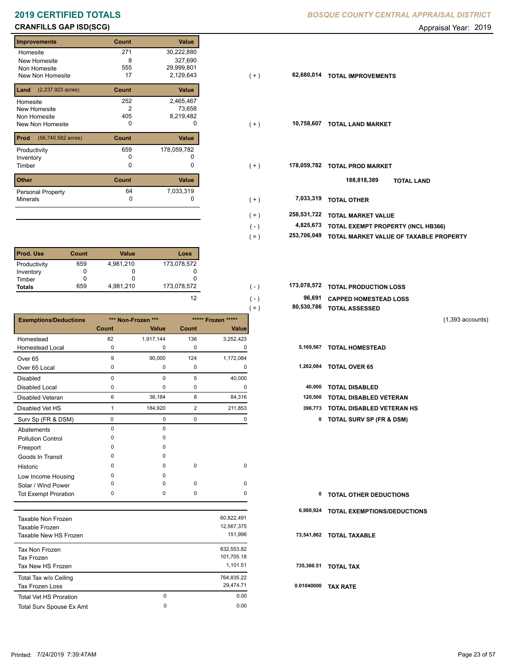# **CRANFILLS GAP ISD(SCG) CRANFILLS GAP ISD(SCG) Appraisal Year: 2019**

| <b>Improvements</b>                  | Count | Value       |
|--------------------------------------|-------|-------------|
| Homesite                             | 271   | 30,222,880  |
| New Homesite                         | 8     | 327,690     |
| Non Homesite                         | 555   | 29,999,801  |
| New Non Homesite                     | 17    | 2,129,643   |
| $(2,237.923 \text{ acres})$<br>Land  | Count | Value       |
| Homesite                             | 252   | 2,465,467   |
| <b>New Homesite</b>                  | 2     | 73,658      |
| Non Homesite                         | 405   | 8,219,482   |
| New Non Homesite                     | 0     | 0           |
| $(56,740.582 \text{ acres})$<br>Prod | Count | Value       |
| Productivity                         | 659   | 178,059,782 |
| Inventory                            | n     |             |
| Timber                               | 0     | 0           |
| <b>Other</b>                         | Count | Value       |
| <b>Personal Property</b>             | 64    | 7,033,319   |
| <b>Minerals</b>                      | 0     | 0           |

| <b>Prod. Use</b> | Count | Value     | Loss        |
|------------------|-------|-----------|-------------|
| Productivity     | 659   | 4,981,210 | 173,078,572 |
| Inventory        |       |           |             |
| Timber           |       |           |             |
| <b>Totals</b>    | 659   | 4,981,210 | 173,078,572 |

|                              |                |                    |                |                    | $( = )$ | 80,530,786 | <b>TOTAL ASSESSED</b>               |                    |
|------------------------------|----------------|--------------------|----------------|--------------------|---------|------------|-------------------------------------|--------------------|
| <b>Exemptions/Deductions</b> |                | *** Non-Frozen *** |                | ***** Frozen ***** |         |            |                                     | $(1,393$ accounts) |
|                              | Count          | Value              | Count          | Value              |         |            |                                     |                    |
| Homestead                    | 82             | 1,917,144          | 136            | 3,252,423          |         |            |                                     |                    |
| <b>Homestead Local</b>       | $\mathbf 0$    | $\Omega$           | $\mathbf 0$    | 0                  |         | 5,169,567  | <b>TOTAL HOMESTEAD</b>              |                    |
| Over <sub>65</sub>           | 9              | 90,000             | 124            | 1,172,084          |         |            |                                     |                    |
| Over 65 Local                | $\pmb{0}$      | 0                  | $\mathbf 0$    | 0                  |         | 1,262,084  | <b>TOTAL OVER 65</b>                |                    |
| <b>Disabled</b>              | 0              | 0                  | 5              | 40,000             |         |            |                                     |                    |
| Disabled Local               | 0              | 0                  | $\pmb{0}$      | 0                  |         | 40,000     | <b>TOTAL DISABLED</b>               |                    |
| <b>Disabled Veteran</b>      | 6              | 36,184             | 8              | 84,316             |         | 120,500    | <b>TOTAL DISABLED VETERAN</b>       |                    |
| Disabled Vet HS              | $\overline{1}$ | 184,920            | $\overline{2}$ | 211,853            |         | 396,773    | TOTAL DISABLED VETERAN HS           |                    |
| Surv Sp (FR & DSM)           | $\mathbf 0$    | 0                  | $\mathbf 0$    | 0                  |         | 0          | <b>TOTAL SURV SP (FR &amp; DSM)</b> |                    |
| Abatements                   | $\mathbf 0$    | $\mathbf 0$        |                |                    |         |            |                                     |                    |
| <b>Pollution Control</b>     | $\mathbf 0$    | 0                  |                |                    |         |            |                                     |                    |
| Freeport                     | $\mathbf 0$    | 0                  |                |                    |         |            |                                     |                    |
| Goods In Transit             | $\Omega$       | $\Omega$           |                |                    |         |            |                                     |                    |
| Historic                     | $\Omega$       | $\Omega$           | $\mathbf 0$    | 0                  |         |            |                                     |                    |
| Low Income Housing           | $\Omega$       | $\Omega$           |                |                    |         |            |                                     |                    |
| Solar / Wind Power           | 0              | $\Omega$           | $\mathbf 0$    | 0                  |         |            |                                     |                    |
| <b>Tot Exempt Proration</b>  | 0              | 0                  | 0              | 0                  |         | 0          | <b>TOTAL OTHER DEDUCTIONS</b>       |                    |
|                              |                |                    |                |                    |         | 6,988,924  | <b>TOTAL EXEMPTIONS/DEDUCTIONS</b>  |                    |
| Taxable Non Frozen           |                |                    |                | 60,822,491         |         |            |                                     |                    |
| Taxable Frozen               |                |                    |                | 12,567,375         |         |            |                                     |                    |
| Taxable New HS Frozen        |                |                    |                | 151,996            |         |            | 73,541,862 TOTAL TAXABLE            |                    |
| Tax Non Frozen               |                |                    |                | 632,553.82         |         |            |                                     |                    |
| <b>Tax Frozen</b>            |                |                    |                | 101,705.18         |         |            |                                     |                    |
| Tax New HS Frozen            |                |                    |                | 1,101.51           |         |            | 735,360.51 TOTAL TAX                |                    |
| Total Tax w/o Ceiling        |                |                    |                | 764,835.22         |         |            |                                     |                    |
| <b>Tax Frozen Loss</b>       |                |                    |                | 29,474.71          |         |            | 0.01040000 TAX RATE                 |                    |

Total Surv Spouse Ex Amt 0.00

Total Vet HS Proration

## **2019 CERTIFIED TOTALS** *BOSQUE COUNTY CENTRAL APPRAISAL DISTRICT*

| <b>Improvements</b>                     | Count | Value       |                        |                                        |
|-----------------------------------------|-------|-------------|------------------------|----------------------------------------|
| Homesite                                | 271   | 30,222,880  |                        |                                        |
| New Homesite                            | 8     | 327,690     |                        |                                        |
| Non Homesite                            | 555   | 29,999,801  |                        |                                        |
| New Non Homesite                        | 17    | 2,129,643   | 62,680,014<br>$(+)$    | <b>TOTAL IMPROVEMENTS</b>              |
| <b>Land</b> $(2,237.923 \text{ acres})$ | Count | Value       |                        |                                        |
| Homesite                                | 252   | 2,465,467   |                        |                                        |
| New Homesite                            |       | 73,658      |                        |                                        |
| Non Homesite                            | 405   | 8,219,482   |                        |                                        |
| New Non Homesite                        | 0     | 0           | 10,758,607<br>$(+)$    | <b>TOTAL LAND MARKET</b>               |
| <b>Prod</b> (56,740.582 acres)          | Count | Value       |                        |                                        |
| Productivity                            | 659   | 178,059,782 |                        |                                        |
| Inventory                               | 0     |             |                        |                                        |
| Timber                                  | 0     | 0           | 178,059,782<br>$(+)$   | <b>TOTAL PROD MARKET</b>               |
| Other                                   | Count | Value       |                        | 188,818,389<br><b>TOTAL LAND</b>       |
| Personal Property                       | 64    | 7,033,319   |                        |                                        |
| Minerals                                | 0     | 0           | 7,033,319<br>$(+)$     | <b>TOTAL OTHER</b>                     |
|                                         |       |             | 258,531,722<br>$( = )$ | <b>TOTAL MARKET VALUE</b>              |
|                                         |       |             | 4,825,673<br>$(-)$     | TOTAL EXEMPT PROPERTY (INCL HB366)     |
|                                         |       |             | 253,706,049<br>$( = )$ | TOTAL MARKET VALUE OF TAXABLE PROPERTY |
|                                         |       |             |                        |                                        |

| 173.078.572 | $( - )$       | 173,078,572 TOTAL PRODUCTION LOSS |
|-------------|---------------|-----------------------------------|
| 12          | $($ - $)$     | 96,691 CAPPED HOMESTEAD LOSS      |
|             | $=$ $\lambda$ | 80,530,786 TOTAL ASSESSED         |

|  | 5,169,567 TOTAL HOMESTEAD |  |
|--|---------------------------|--|
|--|---------------------------|--|

| 1,262,084 | <b>TOTAL OVER 65</b> |  |  |
|-----------|----------------------|--|--|
|-----------|----------------------|--|--|

| <b>0 TOTAL OTHER DEDUCTIONS</b> |  |
|---------------------------------|--|
|---------------------------------|--|

0 0.00

0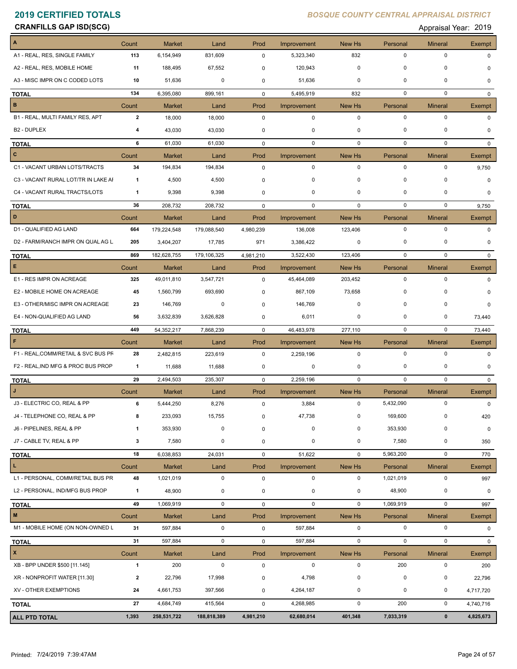**CRANFILLS GAP ISD(SCG) CRANFILLS GAP ISD(SCG) Appraisal Year: 2019** 

| A                                   | Count        | <b>Market</b>              | Land            | Prod        | Improvement              | New Hs        | Personal                | <b>Mineral</b>              | Exempt             |
|-------------------------------------|--------------|----------------------------|-----------------|-------------|--------------------------|---------------|-------------------------|-----------------------------|--------------------|
| A1 - REAL, RES, SINGLE FAMILY       | 113          | 6,154,949                  | 831,609         | $\mathbf 0$ | 5,323,340                | 832           | $\pmb{0}$               | $\pmb{0}$                   | <sup>n</sup>       |
| A2 - REAL, RES, MOBILE HOME         | 11           | 188,495                    | 67,552          | $\mathbf 0$ | 120,943                  | $\Omega$      | $\Omega$                | $\mathbf 0$                 |                    |
| A3 - MISC IMPR ON C CODED LOTS      | 10           | 51,636                     | 0               | $\mathbf 0$ | 51,636                   | 0             | 0                       | 0                           | 0                  |
| <b>TOTAL</b>                        | 134          | 6,395,080                  | 899,161         | $\mathbf 0$ | 5,495,919                | 832           | 0                       | $\mathbf 0$                 | $\Omega$           |
| в                                   | Count        | <b>Market</b>              | Land            | Prod        | Improvement              | New Hs        | Personal                | <b>Mineral</b>              | Exempt             |
| B1 - REAL, MULTI FAMILY RES, APT    | $\mathbf{2}$ | 18,000                     | 18,000          | 0           | $\mathbf 0$              | $\mathbf 0$   | $\pmb{0}$               | $\pmb{0}$                   | 0                  |
| B <sub>2</sub> - DUPLEX             | 4            | 43,030                     | 43,030          | 0           | 0                        | 0             | 0                       | $\mathbf 0$                 | $\Omega$           |
|                                     |              |                            |                 |             |                          |               |                         | $\mathbf 0$                 |                    |
| <b>TOTAL</b>                        | 6            | 61,030                     | 61,030          | 0           | $\mathbf 0$              | $\mathbf 0$   | 0                       |                             | $\mathbf 0$        |
| c                                   | Count        | <b>Market</b>              | Land            | Prod        | Improvement              | New Hs        | Personal                | <b>Mineral</b>              | Exempt             |
| C1 - VACANT URBAN LOTS/TRACTS       | 34           | 194,834                    | 194,834         | 0           | 0                        | $\pmb{0}$     | 0                       | 0                           | 9,750              |
| C3 - VACANT RURAL LOT/TR IN LAKE AI | $\mathbf{1}$ | 4,500                      | 4,500           | 0           | 0                        | 0             | $\Omega$                | $\mathbf 0$                 | $\Omega$           |
| C4 - VACANT RURAL TRACTS/LOTS       | 1            | 9,398                      | 9,398           | $\mathbf 0$ | 0                        | 0             | 0                       | $\mathbf 0$                 | $\Omega$           |
| <b>TOTAL</b>                        | 36           | 208,732                    | 208,732         | $\mathbf 0$ | 0                        | $\mathbf 0$   | 0                       | 0                           | 9,750              |
| D                                   | Count        | <b>Market</b>              | Land            | Prod        | Improvement              | New Hs        | Personal                | <b>Mineral</b>              | Exempt             |
| D1 - QUALIFIED AG LAND              | 664          | 179,224,548                | 179,088,540     | 4,980,239   | 136,008                  | 123,406       | 0                       | 0                           | 0                  |
| D2 - FARM/RANCH IMPR ON QUAL AG L   | 205          | 3,404,207                  | 17,785          | 971         | 3,386,422                | 0             | 0                       | 0                           | 0                  |
| <b>TOTAL</b>                        | 869          | 182,628,755                | 179,106,325     | 4,981,210   | 3,522,430                | 123,406       | 0                       | 0                           | $\Omega$           |
| Е                                   | Count        | <b>Market</b>              | Land            | Prod        | Improvement              | New Hs        | Personal                | <b>Mineral</b>              | <b>Exempt</b>      |
| E1 - RES IMPR ON ACREAGE            | 325          | 49,011,810                 | 3,547,721       | $\mathbf 0$ | 45,464,089               | 203,452       | 0                       | $\pmb{0}$                   | $\Omega$           |
| E2 - MOBILE HOME ON ACREAGE         | 45           | 1,560,799                  | 693,690         | 0           | 867,109                  | 73,658        | 0                       | 0                           | <sup>0</sup>       |
| E3 - OTHER/MISC IMPR ON ACREAGE     | 23           | 146,769                    | $\mathbf 0$     | $\mathbf 0$ | 146,769                  | 0             | 0                       | 0                           | $\Omega$           |
| E4 - NON-QUALIFIED AG LAND          | 56           | 3,632,839                  | 3,626,828       | 0           | 6,011                    | $\mathbf 0$   | $\Omega$                | 0                           | 73,440             |
|                                     | 449          | 54,352,217                 | 7,868,239       | $\mathbf 0$ | 46,483,978               | 277,110       | 0                       | $\mathbf 0$                 | 73,440             |
| <b>TOTAL</b><br>F                   |              |                            |                 | Prod        |                          | New Hs        |                         |                             |                    |
| F1 - REAL, COMM/RETAIL & SVC BUS PF | Count<br>28  | <b>Market</b><br>2,482,815 | Land<br>223,619 | $\mathbf 0$ | Improvement<br>2,259,196 | $\mathbf 0$   | Personal<br>$\mathbf 0$ | <b>Mineral</b><br>$\pmb{0}$ | Exempt<br>$\Omega$ |
| F2 - REAL, IND MFG & PROC BUS PROP  | 1            | 11,688                     | 11,688          | 0           | 0                        | 0             | 0                       | 0                           |                    |
|                                     |              |                            |                 |             |                          |               |                         |                             |                    |
| <b>TOTAL</b><br>л                   | 29           | 2,494,503                  | 235,307         | $\mathbf 0$ | 2,259,196                | $\mathbf 0$   | $\mathbf 0$             | $\mathbf 0$                 | $\Omega$           |
|                                     | Count        | <b>Market</b>              | Land            | Prod        | Improvement              | <b>New Hs</b> | Personal                | <b>Mineral</b>              | <b>Exempt</b>      |
| J3 - ELECTRIC CO, REAL & PP         | 6            | 5,444,250                  | 8,276           | 0           | 3,884                    | 0             | 5,432,090               | $\pmb{0}$                   | 0                  |
| J4 - TELEPHONE CO, REAL & PP        | 8            | 233,093                    | 15,755          | $\mathsf 0$ | 47,738                   | $\pmb{0}$     | 169,600                 | 0                           | 420                |
| J6 - PIPELINES, REAL & PP           | 1            | 353,930                    | 0               | $\mathbf 0$ | 0                        | 0             | 353,930                 | 0                           | 0                  |
| J7 - CABLE TV, REAL & PP            | 3            | 7,580                      | 0               | 0           | 0                        | 0             | 7,580                   | $\pmb{0}$                   | 350                |
| <b>TOTAL</b>                        | 18           | 6,038,853                  | 24,031          | 0           | 51,622                   | $\mathbf 0$   | 5,963,200               | $\pmb{0}$                   | 770                |
| L.                                  | Count        | <b>Market</b>              | Land            | Prod        | Improvement              | New Hs        | Personal                | <b>Mineral</b>              | Exempt             |
| L1 - PERSONAL, COMM/RETAIL BUS PR   | 48           | 1,021,019                  | $\mathbf 0$     | $\mathsf 0$ | $\mathbf 0$              | 0             | 1,021,019               | $\pmb{0}$                   | 997                |
| L2 - PERSONAL, IND/MFG BUS PROP     | $\mathbf{1}$ | 48,900                     | 0               | $\mathbf 0$ | 0                        | $\mathbf 0$   | 48,900                  | 0                           | 0                  |
| <b>TOTAL</b>                        | 49           | 1,069,919                  | $\mathbf 0$     | $\mathbf 0$ | $\mathbf 0$              | $\mathbf 0$   | 1,069,919               | $\pmb{0}$                   | 997                |
| M                                   | Count        | <b>Market</b>              | Land            | Prod        | Improvement              | New Hs        | Personal                | <b>Mineral</b>              | Exempt             |
| M1 - MOBILE HOME (ON NON-OWNED L    | 31           | 597,884                    | 0               | $\mathbf 0$ | 597,884                  | 0             | $\pmb{0}$               | $\pmb{0}$                   | $\mathbf 0$        |
| <b>TOTAL</b>                        | 31           | 597,884                    | 0               | 0           | 597,884                  | $\mathbf 0$   | $\mathbf 0$             | $\pmb{0}$                   | 0                  |
| X                                   | Count        | <b>Market</b>              | Land            | Prod        | Improvement              | New Hs        | Personal                | <b>Mineral</b>              | Exempt             |
| XB - BPP UNDER \$500 [11.145]       | $\mathbf{1}$ | 200                        | $\mathbf 0$     | $\mathbf 0$ | $\mathbf 0$              | 0             | 200                     | $\pmb{0}$                   | 200                |
| XR - NONPROFIT WATER [11.30]        | $\mathbf{2}$ | 22,796                     | 17,998          | 0           | 4,798                    | 0             | 0                       | 0                           | 22,796             |
| XV - OTHER EXEMPTIONS               | 24           |                            |                 |             |                          |               | 0                       | 0                           |                    |
|                                     |              | 4,661,753                  | 397,566         | 0           | 4,264,187                | 0             |                         |                             | 4,717,720          |
| <b>TOTAL</b>                        | 27           | 4,684,749                  | 415,564         | $\mathbf 0$ | 4,268,985                | $\mathbf 0$   | 200                     | $\pmb{0}$                   | 4,740,716          |
| ALL PTD TOTAL                       | 1,393        | 258,531,722                | 188,818,389     | 4,981,210   | 62,680,014               | 401,348       | 7,033,319               | $\pmb{0}$                   | 4,825,673          |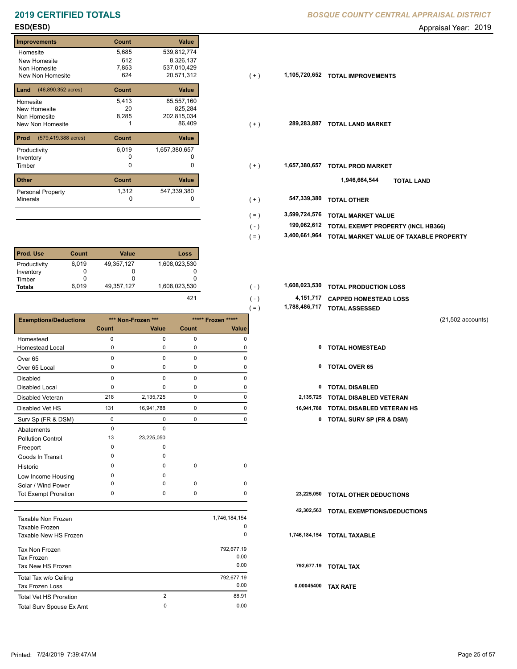| <b>Improvements</b>                  | Count | <b>Value</b>  |
|--------------------------------------|-------|---------------|
| Homesite                             | 5,685 | 539,812,774   |
| New Homesite                         | 612   | 8,326,137     |
| Non Homesite                         | 7,853 | 537,010,429   |
| New Non Homesite                     | 624   | 20,571,312    |
| $(46,890.352 \text{ acres})$<br>Land | Count | <b>Value</b>  |
| Homesite                             | 5,413 | 85,557,160    |
| New Homesite                         | 20    | 825,284       |
| Non Homesite                         | 8,285 | 202,815,034   |
| New Non Homesite                     |       | 86,409        |
| Prod<br>(579,419.388 acres)          | Count | <b>Value</b>  |
| Productivity                         | 6,019 | 1,657,380,657 |
| Inventory                            | O     |               |
| Timber                               | 0     | 0             |
| <b>Other</b>                         | Count | <b>Value</b>  |
| Personal Property                    | 1,312 | 547,339,380   |
| <b>Minerals</b>                      | 0     | 0             |

| l Prod. Use   | Count | Value      | Loss          |
|---------------|-------|------------|---------------|
| Productivity  | 6,019 | 49,357,127 | 1,608,023,530 |
| Inventory     |       |            |               |
| Timber        |       |            |               |
| <b>Totals</b> | 6.019 | 49,357,127 | 1,608,023,530 |

|                               |              |                    |             |                    | $( = )$ |            | 1,788,486,717 TOTAL ASSESSED        |                     |
|-------------------------------|--------------|--------------------|-------------|--------------------|---------|------------|-------------------------------------|---------------------|
| <b>Exemptions/Deductions</b>  |              | *** Non-Frozen *** |             | ***** Frozen ***** |         |            |                                     | $(21,502$ accounts) |
|                               | <b>Count</b> | Value              | Count       | Value              |         |            |                                     |                     |
| Homestead                     | 0            | $\mathbf 0$        | $\mathbf 0$ | 0                  |         |            |                                     |                     |
| <b>Homestead Local</b>        | 0            | 0                  | $\mathbf 0$ | 0                  |         | 0          | <b>TOTAL HOMESTEAD</b>              |                     |
| Over <sub>65</sub>            | 0            | $\mathbf 0$        | $\mathbf 0$ | 0                  |         |            |                                     |                     |
| Over 65 Local                 | 0            | $\mathbf 0$        | 0           | 0                  |         | 0          | <b>TOTAL OVER 65</b>                |                     |
| <b>Disabled</b>               | 0            | $\Omega$           | $\mathbf 0$ | 0                  |         |            |                                     |                     |
| <b>Disabled Local</b>         | 0            | $\mathbf 0$        | 0           | 0                  |         | 0          | <b>TOTAL DISABLED</b>               |                     |
| Disabled Veteran              | 218          | 2,135,725          | $\mathbf 0$ | 0                  |         | 2,135,725  | <b>TOTAL DISABLED VETERAN</b>       |                     |
| Disabled Vet HS               | 131          | 16,941,788         | $\mathbf 0$ | 0                  |         | 16,941,788 | <b>TOTAL DISABLED VETERAN HS</b>    |                     |
| Surv Sp (FR & DSM)            | $\mathbf 0$  | $\mathbf 0$        | $\mathbf 0$ | 0                  |         | 0          | <b>TOTAL SURV SP (FR &amp; DSM)</b> |                     |
| Abatements                    | $\mathbf 0$  | $\mathbf 0$        |             |                    |         |            |                                     |                     |
| <b>Pollution Control</b>      | 13           | 23,225,050         |             |                    |         |            |                                     |                     |
| Freeport                      | 0            | 0                  |             |                    |         |            |                                     |                     |
| Goods In Transit              | 0            | $\mathbf 0$        |             |                    |         |            |                                     |                     |
| Historic                      | 0            | 0                  | $\mathbf 0$ | $\mathbf 0$        |         |            |                                     |                     |
| Low Income Housing            | 0            | $\mathbf 0$        |             |                    |         |            |                                     |                     |
| Solar / Wind Power            | $\Omega$     | 0                  | $\mathbf 0$ | 0                  |         |            |                                     |                     |
| <b>Tot Exempt Proration</b>   | 0            | $\mathbf 0$        | $\mathbf 0$ | 0                  |         | 23,225,050 | <b>TOTAL OTHER DEDUCTIONS</b>       |                     |
|                               |              |                    |             |                    |         | 42,302,563 | TOTAL EXEMPTIONS/DEDUCTIONS         |                     |
| Taxable Non Frozen            |              |                    |             | 1,746,184,154      |         |            |                                     |                     |
| Taxable Frozen                |              |                    |             | 0                  |         |            |                                     |                     |
| Taxable New HS Frozen         |              |                    |             | 0                  |         |            | 1,746,184,154 TOTAL TAXABLE         |                     |
| Tax Non Frozen                |              |                    |             | 792,677.19         |         |            |                                     |                     |
| <b>Tax Frozen</b>             |              |                    |             | 0.00               |         |            |                                     |                     |
| Tax New HS Frozen             |              |                    |             | 0.00               |         |            | 792,677.19 TOTAL TAX                |                     |
| Total Tax w/o Ceiling         |              |                    |             | 792,677.19         |         |            |                                     |                     |
| Tax Frozen Loss               |              |                    |             | 0.00               |         |            | 0.00045400 TAX RATE                 |                     |
| <b>Total Vet HS Proration</b> |              | $\overline{2}$     |             | 88.91              |         |            |                                     |                     |
| Total Surv Spouse Ex Amt      |              | $\mathbf 0$        |             | 0.00               |         |            |                                     |                     |

**ESD(ESD)** Appraisal Year: 2019

| <b>Improvements</b>                      |       | Count        | Value         |         |               |                                        |
|------------------------------------------|-------|--------------|---------------|---------|---------------|----------------------------------------|
| Homesite                                 |       | 5,685        | 539,812,774   |         |               |                                        |
| New Homesite                             |       | 612          | 8,326,137     |         |               |                                        |
| Non Homesite                             |       | 7,853        | 537,010,429   |         |               |                                        |
| New Non Homesite                         |       | 624          | 20,571,312    | $(+)$   | 1,105,720,652 | <b>TOTAL IMPROVEMENTS</b>              |
| <b>Land</b> $(46,890.352 \text{ acres})$ |       | Count        | Value         |         |               |                                        |
| Homesite                                 |       | 5,413        | 85,557,160    |         |               |                                        |
| New Homesite                             |       | 20           | 825,284       |         |               |                                        |
| Non Homesite                             |       | 8,285        | 202,815,034   |         |               |                                        |
| New Non Homesite                         |       |              | 86,409        | $(+)$   |               | 289,283,887 TOTAL LAND MARKET          |
| <b>Prod</b> (579,419.388 acres)          |       | Count        | Value         |         |               |                                        |
| Productivity                             |       | 6,019        | 1,657,380,657 |         |               |                                        |
| Inventory                                |       | 0            |               |         |               |                                        |
| Timber                                   |       | 0            | 0             | $(+)$   | 1,657,380,657 | <b>TOTAL PROD MARKET</b>               |
| Other                                    |       | Count        | Value         |         |               | 1,946,664,544<br><b>TOTAL LAND</b>     |
| Personal Property                        |       | 1,312        | 547,339,380   |         |               |                                        |
| Minerals                                 |       | $\Omega$     | O             | $(+)$   | 547,339,380   | <b>TOTAL OTHER</b>                     |
|                                          |       |              |               | $( = )$ | 3,599,724,576 | <b>TOTAL MARKET VALUE</b>              |
|                                          |       |              |               | $(-)$   | 199,062,612   | TOTAL EXEMPT PROPERTY (INCL HB366)     |
|                                          |       |              |               |         | 3,400,661,964 |                                        |
|                                          |       |              |               | $( = )$ |               | TOTAL MARKET VALUE OF TAXABLE PROPERTY |
| Prod. Use                                | Count | <b>Value</b> | <b>Loss</b>   |         |               |                                        |
| Productivity                             | 6.019 | 49.357.127   | .608.023.530  |         |               |                                        |

| 1,608,023,530 |  | 1,608,023,530 TOTAL PRODUCTION LOSS |
|---------------|--|-------------------------------------|
|---------------|--|-------------------------------------|

| 421 | $(-)$    | 4,151,717 CAPPED HOMESTEAD LOSS |
|-----|----------|---------------------------------|
|     | $\ell =$ | 1,788,486,717 TOTAL ASSESSED    |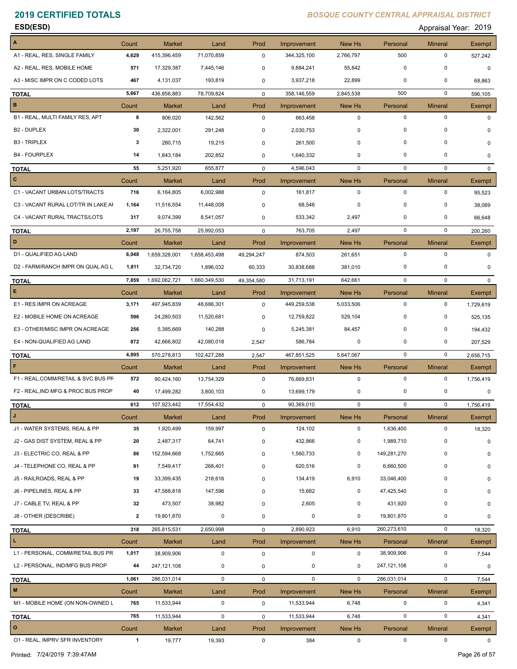**ESD(ESD)** Appraisal Year: 2019

| $\overline{A}$                      | Count                   | <b>Market</b>              | Land            | Prod         | Improvement            | New Hs                | Personal              | <b>Mineral</b>              | Exempt           |
|-------------------------------------|-------------------------|----------------------------|-----------------|--------------|------------------------|-----------------------|-----------------------|-----------------------------|------------------|
| A1 - REAL, RES, SINGLE FAMILY       | 4,629                   | 415,396,459                | 71,070,859      | $\mathbf 0$  | 344,325,100            | 2,766,797             | 500                   | 0                           | 527,242          |
| A2 - REAL, RES, MOBILE HOME         | 571                     | 17,329,387                 | 7,445,146       | 0            | 9,884,241              | 55,842                | $\mathbf 0$           | 0                           | 0                |
| A3 - MISC IMPR ON C CODED LOTS      | 467                     | 4,131,037                  | 193,819         | 0            | 3,937,218              | 22,899                | $\mathbf 0$           | $\Omega$                    | 68,863           |
| <b>TOTAL</b>                        | 5,667                   | 436,856,883                | 78,709,824      | $\mathbf 0$  | 358,146,559            | 2,845,538             | 500                   | $\mathbf 0$                 | 596,105          |
| B                                   | Count                   | Market                     | Land            | Prod         | Improvement            | New Hs                | Personal              | <b>Mineral</b>              | Exempt           |
| B1 - REAL, MULTI FAMILY RES, APT    | 8                       | 806,020                    | 142,562         | $\mathbf 0$  | 663,458                | $\mathbf 0$           | $\mathbf 0$           | $\pmb{0}$                   | 0                |
| B <sub>2</sub> - DUPLEX             | 30                      | 2,322,001                  | 291,248         | 0            | 2,030,753              | $\mathbf 0$           | $\mathbf 0$           | 0                           |                  |
| <b>B3 - TRIPLEX</b>                 | 3                       | 280,715                    | 19,215          | 0            | 261,500                | 0                     | $\mathbf 0$           | 0                           | 0                |
| <b>B4 - FOURPLEX</b>                | 14                      | 1,843,184                  | 202,852         | 0            | 1,640,332              | $\mathbf 0$           | $\mathbf 0$           | 0                           | 0                |
| <b>TOTAL</b>                        | 55                      | 5,251,920                  | 655,877         | 0            | 4,596,043              | 0                     | 0                     | $\mathbf 0$                 | 0                |
| $\mathbf{c}$                        | Count                   | <b>Market</b>              | Land            | Prod         | Improvement            | New Hs                | Personal              | <b>Mineral</b>              | Exempt           |
| C1 - VACANT URBAN LOTS/TRACTS       | 716                     | 6,164,805                  | 6,002,988       | $\mathbf 0$  | 161,817                | $\mathbf 0$           | $\mathbf 0$           | $\pmb{0}$                   | 95,523           |
| C3 - VACANT RURAL LOT/TR IN LAKE AI | 1,164                   | 11,516,554                 | 11,448,008      | 0            | 68,546                 | $\mathbf 0$           | $\mathbf 0$           | 0                           | 38,089           |
| C4 - VACANT RURAL TRACTS/LOTS       | 317                     | 9,074,399                  | 8,541,057       | 0            | 533,342                | 2,497                 | 0                     | $\Omega$                    | 66,648           |
| <b>TOTAL</b>                        | 2,197                   | 26,755,758                 | 25,992,053      | $\mathbf{0}$ | 763,705                | 2,497                 | $\mathbf 0$           | $\mathbf 0$                 | 200,260          |
| D                                   | Count                   | <b>Market</b>              | Land            | Prod         | Improvement            | New Hs                | Personal              | <b>Mineral</b>              | Exempt           |
| D1 - QUALIFIED AG LAND              | 6,048                   | 1,659,328,001              | 1,658,453,498   | 49,294,247   | 874,503                | 261,651               | $\mathbf 0$           | $\pmb{0}$                   | 0                |
| D2 - FARM/RANCH IMPR ON QUAL AG L   | 1,811                   | 32,734,720                 | 1,896,032       | 60,333       | 30,838,688             | 381,010               | 0                     | 0                           | 0                |
| <b>TOTAL</b>                        | 7,859                   | 1,692,062,721              | 1,660,349,530   | 49,354,580   | 31,713,191             | 642,661               | $\mathbf 0$           | $\mathbf 0$                 | $\Omega$         |
| $\mathsf E$                         | Count                   | <b>Market</b>              | Land            | Prod         | Improvement            | New Hs                | Personal              | <b>Mineral</b>              | Exempt           |
| E1 - RES IMPR ON ACREAGE            | 3,171                   | 497,945,839                | 48,686,301      | 0            | 449,259,538            | 5,033,506             | $\mathbf 0$           | $\pmb{0}$                   | 1,729,619        |
| E2 - MOBILE HOME ON ACREAGE         | 596                     | 24,280,503                 | 11,520,681      | 0            | 12,759,822             | 529,104               | $\mathbf 0$           | 0                           | 525,135          |
| E3 - OTHER/MISC IMPR ON ACREAGE     | 256                     | 5,385,669                  | 140,288         | 0            | 5,245,381              | 84,457                | 0                     | 0                           | 194,432          |
| E4 - NON-QUALIFIED AG LAND          | 872                     | 42,666,802                 | 42,080,018      | 2,547        | 586,784                | 0                     | 0                     | 0                           | 207,529          |
|                                     | 4,895                   | 570,278,813                | 102,427,288     | 2,547        | 467,851,525            | 5,647,067             | $\mathbf 0$           | $\mathbf 0$                 | 2,656,715        |
| <b>TOTAL</b><br>$\mathsf F$         | Count                   | <b>Market</b>              | Land            | Prod         | Improvement            | New Hs                | Personal              | <b>Mineral</b>              | Exempt           |
| F1 - REAL, COMM/RETAIL & SVC BUS PF | 572                     | 90,424,160                 | 13,754,329      | $\mathbf 0$  | 76,669,831             | $\mathbf 0$           | $\mathbf 0$           | $\pmb{0}$                   | 1,756,419        |
| F2 - REAL, IND MFG & PROC BUS PROP  | 40                      | 17,499,282                 | 3,800,103       | 0            | 13,699,179             | 0                     | 0                     | 0                           | 0                |
|                                     | 612                     | 107,923,442                | 17,554,432      | $\mathbf 0$  | 90,369,010             | $\mathbf 0$           | $\mathbf 0$           | $\pmb{0}$                   | 1,756,419        |
| <b>TOTAL</b><br>IJ                  |                         |                            |                 | Prod         |                        |                       |                       |                             |                  |
| J1 - WATER SYSTEMS, REAL & PP       | Count<br>35             | <b>Market</b><br>1,920,499 | Land<br>159,997 | 0            | Improvement<br>124,102 | New Hs<br>$\mathbf 0$ | Personal<br>1,636,400 | <b>Mineral</b><br>$\pmb{0}$ | Exempt<br>18,320 |
| J2 - GAS DIST SYSTEM, REAL & PP     | 20                      | 2,487,317                  | 64,741          | 0            | 432,866                | 0                     | 1,989,710             | 0                           | 0                |
| J3 - ELECTRIC CO, REAL & PP         | 86                      | 152,594,668                | 1,752,665       |              | 1,560,733              | 0                     | 149,281,270           | 0                           |                  |
| J4 - TELEPHONE CO, REAL & PP        | 91                      |                            |                 | 0            |                        | 0                     | 6,660,500             | 0                           | 0                |
|                                     |                         | 7,549,417                  | 268,401         | 0            | 620,516                |                       | 33,046,400            | 0                           | 0                |
| J5 - RAILROADS, REAL & PP           | 19                      | 33,399,435                 | 218,616         | 0            | 134,419                | 6,910                 |                       | 0                           | 0                |
| J6 - PIPELINES, REAL & PP           | 33                      | 47,588,818                 | 147,596         | 0            | 15,682                 | 0                     | 47,425,540            |                             | 0                |
| J7 - CABLE TV, REAL & PP            | 32                      | 473,507                    | 38,982          | 0            | 2,605                  | 0                     | 431,920               | $\Omega$                    | 0                |
| J8 - OTHER (DESCRIBE)               | $\overline{\mathbf{2}}$ | 19,801,870                 | 0               | 0            | 0                      | 0                     | 19,801,870            | $\mathbf 0$                 | 0                |
| <b>TOTAL</b>                        | 318                     | 265,815,531                | 2,650,998       | $\mathbf 0$  | 2,890,923              | 6,910                 | 260,273,610           | 0                           | 18,320           |
| $\mathbf{L}$                        | Count                   | <b>Market</b>              | Land            | Prod         | Improvement            | New Hs                | Personal              | <b>Mineral</b>              | Exempt           |
| L1 - PERSONAL, COMM/RETAIL BUS PR   | 1,017                   | 38,909,906                 | $\mathbf 0$     | $\mathbf 0$  | $\mathbf 0$            | $\mathbf 0$           | 38,909,906            | 0                           | 7,544            |
| L2 - PERSONAL, IND/MFG BUS PROP     | 44                      | 247, 121, 108              | 0               | 0            | 0                      | 0                     | 247,121,108           | 0                           | 0                |
| <b>TOTAL</b>                        | 1,061                   | 286,031,014                | 0               | $\mathbf 0$  | $\mathbf 0$            | $\mathbf 0$           | 286,031,014           | $\pmb{0}$                   | 7,544            |
| M                                   | Count                   | <b>Market</b>              | Land            | Prod         | Improvement            | New Hs                | Personal              | <b>Mineral</b>              | Exempt           |
| M1 - MOBILE HOME (ON NON-OWNED L    | 765                     | 11,533,944                 | 0               | $\mathbf 0$  | 11,533,944             | 6,748                 | $\mathbf 0$           | 0                           | 4,341            |
| <b>TOTAL</b>                        | 765                     | 11,533,944                 | 0               | 0            | 11,533,944             | 6,748                 | $\mathbf 0$           | $\pmb{0}$                   | 4,341            |
| $\circ$                             | Count                   | <b>Market</b>              | Land            | Prod         | Improvement            | New Hs                | Personal              | <b>Mineral</b>              | Exempt           |
| 01 - REAL, IMPRV SFR INVENTORY      | 1                       | 19,777                     | 19,393          | 0            | 384                    | 0                     | 0                     | 0                           | 0                |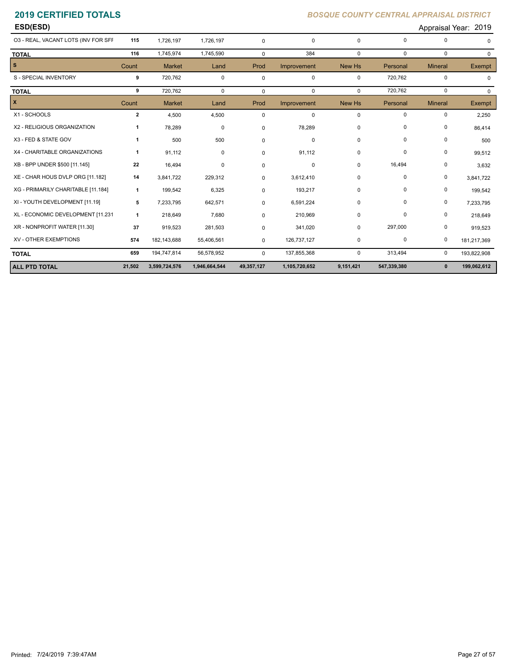| ESD(ESD)                            |              |               |               |             |               |              |             |                | Appraisal Year: 2019 |
|-------------------------------------|--------------|---------------|---------------|-------------|---------------|--------------|-------------|----------------|----------------------|
| 03 - REAL, VACANT LOTS (INV FOR SFF | 115          | 1,726,197     | 1,726,197     | $\Omega$    | $\mathbf 0$   | $\Omega$     | 0           | 0              | 0                    |
| <b>TOTAL</b>                        | 116          | 1,745,974     | 1,745,590     | $\mathbf 0$ | 384           | $\Omega$     | $\mathbf 0$ | $\mathbf 0$    | $\Omega$             |
| s                                   | Count        | <b>Market</b> | Land          | Prod        | Improvement   | New Hs       | Personal    | <b>Mineral</b> | Exempt               |
| S - SPECIAL INVENTORY               | 9            | 720,762       | 0             | $\mathbf 0$ | $\mathbf 0$   | $\mathbf{0}$ | 720,762     | 0              | $\Omega$             |
| <b>TOTAL</b>                        | 9            | 720,762       | $\Omega$      | $\Omega$    | $\Omega$      | $\Omega$     | 720,762     | $\Omega$       | $\Omega$             |
| x                                   | Count        | <b>Market</b> | Land          | Prod        | Improvement   | New Hs       | Personal    | <b>Mineral</b> | Exempt               |
| X1 - SCHOOLS                        | $\mathbf{2}$ | 4,500         | 4,500         | $\mathbf 0$ | $\mathbf 0$   | $\mathbf 0$  | 0           | 0              | 2,250                |
| X2 - RELIGIOUS ORGANIZATION         | 1            | 78,289        | 0             | 0           | 78,289        | 0            | 0           | 0              | 86,414               |
| X3 - FED & STATE GOV                | $\mathbf{1}$ | 500           | 500           | $\Omega$    | $\mathbf 0$   | $\Omega$     | 0           | $\mathbf 0$    | 500                  |
| X4 - CHARITABLE ORGANIZATIONS       | $\mathbf{1}$ | 91,112        | 0             | $\Omega$    | 91,112        | 0            | $\mathbf 0$ | 0              | 99,512               |
| XB - BPP UNDER \$500 [11.145]       | 22           | 16,494        | 0             | 0           | $\mathbf 0$   | 0            | 16,494      | 0              | 3,632                |
| XE - CHAR HOUS DVLP ORG [11.182]    | 14           | 3,841,722     | 229,312       | $\Omega$    | 3,612,410     | 0            | 0           | 0              | 3,841,722            |
| XG - PRIMARILY CHARITABLE [11.184]  | 1            | 199,542       | 6,325         | 0           | 193,217       | 0            | 0           | 0              | 199,542              |
| XI - YOUTH DEVELOPMENT [11.19]      | 5            | 7,233,795     | 642,571       | 0           | 6,591,224     | 0            | 0           | 0              | 7,233,795            |
| XL - ECONOMIC DEVELOPMENT [11.231   | 1            | 218,649       | 7,680         | $\Omega$    | 210,969       | 0            | 0           | 0              | 218,649              |
| XR - NONPROFIT WATER [11.30]        | 37           | 919,523       | 281,503       | 0           | 341,020       | $\Omega$     | 297,000     | 0              | 919,523              |
| XV - OTHER EXEMPTIONS               | 574          | 182, 143, 688 | 55,406,561    | 0           | 126,737,127   | 0            | 0           | 0              | 181,217,369          |
| <b>TOTAL</b>                        | 659          | 194,747,814   | 56,578,952    | $\mathbf 0$ | 137,855,368   | 0            | 313,494     | $\mathbf 0$    | 193,822,908          |
| <b>ALL PTD TOTAL</b>                | 21,502       | 3,599,724,576 | 1,946,664,544 | 49,357,127  | 1,105,720,652 | 9,151,421    | 547,339,380 | $\mathbf{0}$   | 199,062,612          |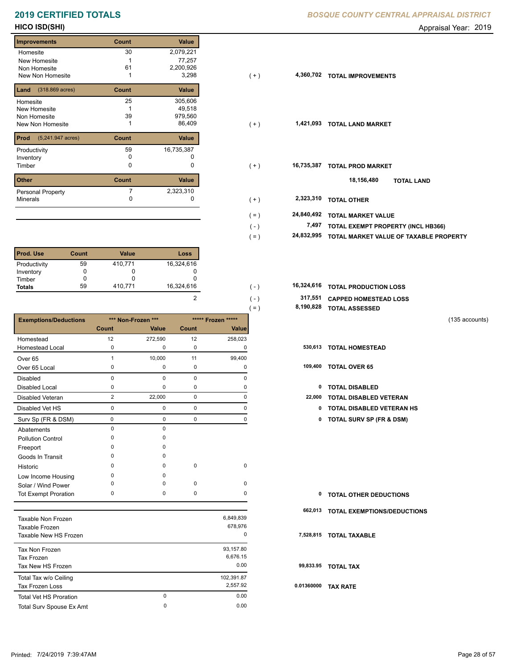### **Improvements Count Value** Homesite New Homesite Non Homesite New Non Homesite **TOTAL IMPROVEMENTS** 1 3,298 30 2,079,221 1 77,257 49,518 1 61 2,200,926 **Land Count Value** (318.869 acres) Homesite New Homesite Non Homesite New Non Homesite **TOTAL 1** 1 and 1 and 1 and 1 and 1 and 1 and 1 and 1 and 1 and 1 and 1 and 1 and 1 and 1 and 1 and 1 and 1 and 1 and 1 and 1 and 1 and 1 and 1 and 1 and 1 and 1 and 1 and 1 and 1 and 1 and 1 and 1 and 1 a 25 305,606 39 979,560 **Prod Count Value** (5,241.947 acres) Productivity 59 16,735,387<br>
Inventory 0 0 0 Inventory 0 0 **Other Count Value** Minerals Personal Property 16,735,387 7 2,323,310

| <b>Prod. Use</b> | Count | <b>Value</b> | Loss       |
|------------------|-------|--------------|------------|
| Productivity     | 59    | 410,771      | 16,324,616 |
| Inventory        |       |              |            |
| Timber           |       |              |            |
| <b>Totals</b>    | 59    | 410,771      | 16,324,616 |

|                              |                |                    |             |                    | $=$ ) | 8,190,828 | <b>TOTAL ASSESSED</b>               |                |
|------------------------------|----------------|--------------------|-------------|--------------------|-------|-----------|-------------------------------------|----------------|
| <b>Exemptions/Deductions</b> |                | *** Non-Frozen *** |             | ***** Frozen ***** |       |           |                                     | (135 accounts) |
|                              | Count          | Value              | Count       | Value              |       |           |                                     |                |
| Homestead                    | 12             | 272,590            | 12          | 258,023            |       |           |                                     |                |
| <b>Homestead Local</b>       | 0              | 0                  | $\mathbf 0$ | 0                  |       |           | 530,613 TOTAL HOMESTEAD             |                |
| Over <sub>65</sub>           | $\mathbf 1$    | 10,000             | 11          | 99,400             |       |           |                                     |                |
| Over 65 Local                | 0              | 0                  | 0           | 0                  |       |           | 109,400 TOTAL OVER 65               |                |
| <b>Disabled</b>              | $\mathbf 0$    | $\mathbf 0$        | $\pmb{0}$   | 0                  |       |           |                                     |                |
| <b>Disabled Local</b>        | 0              | 0                  | 0           | 0                  |       | 0         | <b>TOTAL DISABLED</b>               |                |
| <b>Disabled Veteran</b>      | $\overline{2}$ | 22,000             | $\mathbf 0$ | 0                  |       | 22,000    | <b>TOTAL DISABLED VETERAN</b>       |                |
| Disabled Vet HS              | 0              | 0                  | $\mathbf 0$ | 0                  |       | 0         | <b>TOTAL DISABLED VETERAN HS</b>    |                |
| Surv Sp (FR & DSM)           | 0              | 0                  | $\mathbf 0$ | 0                  |       | 0         | <b>TOTAL SURV SP (FR &amp; DSM)</b> |                |
| Abatements                   | $\mathbf 0$    | 0                  |             |                    |       |           |                                     |                |
| <b>Pollution Control</b>     | $\Omega$       | <sup>0</sup>       |             |                    |       |           |                                     |                |
| Freeport                     | O              | <sup>0</sup>       |             |                    |       |           |                                     |                |
| Goods In Transit             | O              | <sup>0</sup>       |             |                    |       |           |                                     |                |
| Historic                     | $\Omega$       | $\Omega$           | $\pmb{0}$   | 0                  |       |           |                                     |                |
| Low Income Housing           | O              | <sup>0</sup>       |             |                    |       |           |                                     |                |
| Solar / Wind Power           | O              | <sup>0</sup>       | 0           | 0                  |       |           |                                     |                |
| <b>Tot Exempt Proration</b>  | 0              | 0                  | 0           | 0                  |       | 0         | <b>TOTAL OTHER DEDUCTIONS</b>       |                |
|                              |                |                    |             |                    |       | 662,013   | <b>TOTAL EXEMPTIONS/DEDUCTIONS</b>  |                |
| Taxable Non Frozen           |                |                    |             | 6,849,839          |       |           |                                     |                |
| Taxable Frozen               |                |                    |             | 678,976            |       |           |                                     |                |
| Taxable New HS Frozen        |                |                    |             | 0                  |       |           | 7,528,815 TOTAL TAXABLE             |                |
| Tax Non Frozen               |                |                    |             | 93,157.80          |       |           |                                     |                |
| <b>Tax Frozen</b>            |                |                    |             | 6,676.15           |       |           |                                     |                |
| Toy Now HR Erozon            |                |                    |             | 0.00               |       |           | 99 833 95 TOTAL TAY                 |                |

| Tax Non Frozen                |          | 93,157.80  |     |
|-------------------------------|----------|------------|-----|
| Tax Frozen                    |          | 6,676.15   |     |
| Tax New HS Frozen             |          | 0.00       | 9   |
| Total Tax w/o Ceiling         |          | 102,391.87 |     |
| Tax Frozen Loss               |          | 2.557.92   | 0.0 |
| <b>Total Vet HS Proration</b> | $\Omega$ | 0.00       |     |
| Total Surv Spouse Ex Amt      | $\Omega$ | 0.00       |     |

### **2019 CERTIFIED TOTALS** *BOSQUE COUNTY CENTRAL APPRAISAL DISTRICT*

**HICO ISD(SHI)** Appraisal Year: 2019

| <b>Improvements</b>                   | Count | Value      |                       |                                        |
|---------------------------------------|-------|------------|-----------------------|----------------------------------------|
| Homesite                              | 30    | 2,079,221  |                       |                                        |
| New Homesite                          |       | 77,257     |                       |                                        |
| Non Homesite                          | 61    | 2,200,926  |                       |                                        |
| New Non Homesite                      |       | 3,298      | 4,360,702<br>$(+)$    | <b>TOTAL IMPROVEMENTS</b>              |
| <b>Land</b> $(318.869 \text{ acres})$ | Count | Value      |                       |                                        |
| Homesite                              | 25    | 305,606    |                       |                                        |
| New Homesite                          |       | 49,518     |                       |                                        |
| Non Homesite                          | 39    | 979,560    |                       |                                        |
| New Non Homesite                      |       | 86,409     | 1,421,093<br>$(+)$    | <b>TOTAL LAND MARKET</b>               |
| <b>Prod</b> (5,241.947 acres)         | Count | Value      |                       |                                        |
| Productivity                          | 59    | 16,735,387 |                       |                                        |
| Inventory                             |       |            |                       |                                        |
| Timber                                | 0     | 0          | 16,735,387<br>$(+)$   | <b>TOTAL PROD MARKET</b>               |
| Other                                 | Count | Value      |                       | 18,156,480<br><b>TOTAL LAND</b>        |
| Personal Property                     |       | 2,323,310  |                       |                                        |
| Minerals                              |       | 0          | 2,323,310<br>$(+)$    | <b>TOTAL OTHER</b>                     |
|                                       |       |            | 24,840,492<br>$( = )$ | <b>TOTAL MARKET VALUE</b>              |
|                                       |       |            | 7,497<br>$(-)$        | TOTAL EXEMPT PROPERTY (INCL HB366)     |
|                                       |       |            | 24,832,995<br>$( = )$ | TOTAL MARKET VALUE OF TAXABLE PROPERTY |
|                                       |       |            |                       |                                        |

| 16,324,616 | $( - )$       | <b>16,324,616 TOTAL PRODUCTION LOSS</b> |
|------------|---------------|-----------------------------------------|
|            | $( - )$       | 317,551 CAPPED HOMESTEAD LOSS           |
|            | $=$ $\lambda$ | 8,190,828 TOTAL ASSESSED                |

 **99,833.95 TOTAL TAX**

 **0.01360000 TAX RATE**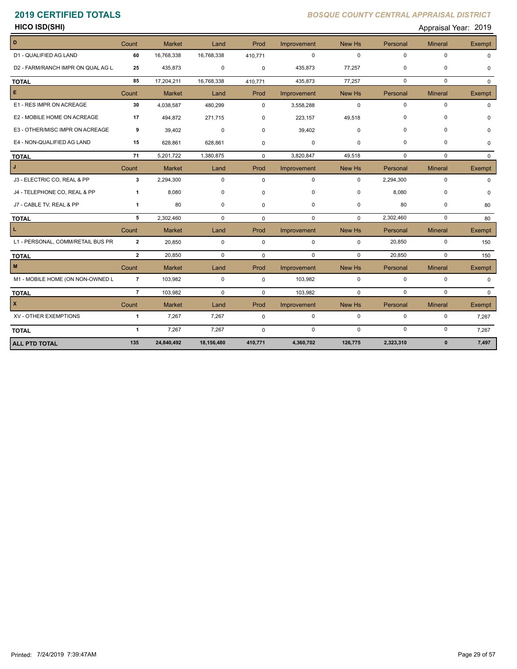**HICO ISD(SHI)** Appraisal Year: 2019

| D                                 | Count          | <b>Market</b> | Land        | Prod        | Improvement | New Hs      | Personal    | <b>Mineral</b> | <b>Exempt</b> |
|-----------------------------------|----------------|---------------|-------------|-------------|-------------|-------------|-------------|----------------|---------------|
| D1 - QUALIFIED AG LAND            | 60             | 16,768,338    | 16,768,338  | 410,771     | $\mathbf 0$ | $\Omega$    | $\mathbf 0$ | 0              | <sup>0</sup>  |
| D2 - FARM/RANCH IMPR ON QUAL AG L | 25             | 435,873       | 0           | $\mathbf 0$ | 435,873     | 77,257      | 0           | 0              | $\Omega$      |
| <b>TOTAL</b>                      | 85             | 17,204,211    | 16,768,338  | 410,771     | 435,873     | 77,257      | $\Omega$    | $\Omega$       | $\Omega$      |
| E.                                | Count          | <b>Market</b> | Land        | Prod        | Improvement | New Hs      | Personal    | <b>Mineral</b> | Exempt        |
| E1 - RES IMPR ON ACREAGE          | 30             | 4,038,587     | 480,299     | $\Omega$    | 3,558,288   | $\Omega$    | $\mathbf 0$ | $\mathbf 0$    |               |
| E2 - MOBILE HOME ON ACREAGE       | 17             | 494,872       | 271,715     | 0           | 223,157     | 49,518      | 0           | 0              |               |
| E3 - OTHER/MISC IMPR ON ACREAGE   | 9              | 39,402        | 0           | $\Omega$    | 39,402      | 0           | $\Omega$    | 0              | O             |
| E4 - NON-QUALIFIED AG LAND        | 15             | 628,861       | 628,861     | 0           | 0           | 0           | 0           | 0              | $\Omega$      |
| <b>TOTAL</b>                      | 71             | 5,201,722     | 1,380,875   | $\Omega$    | 3,820,847   | 49,518      | $\Omega$    | $\mathbf 0$    | $\Omega$      |
| J.                                | Count          | <b>Market</b> | Land        | Prod        | Improvement | New Hs      | Personal    | <b>Mineral</b> | Exempt        |
| J3 - ELECTRIC CO, REAL & PP       | 3              | 2,294,300     | $\mathbf 0$ | $\Omega$    | $\mathbf 0$ | $\Omega$    | 2,294,300   | $\mathbf 0$    |               |
| J4 - TELEPHONE CO, REAL & PP      | 1              | 8,080         | $\mathbf 0$ | 0           | 0           | $\mathbf 0$ | 8,080       | 0              | n             |
| J7 - CABLE TV, REAL & PP          | $\mathbf{1}$   | 80            | 0           | 0           | 0           | 0           | 80          | 0              | 80            |
| <b>TOTAL</b>                      | 5              | 2,302,460     | $\mathbf 0$ | $\Omega$    | $\mathbf 0$ | $\mathbf 0$ | 2,302,460   | $\mathbf 0$    | 80            |
|                                   | Count          | <b>Market</b> | Land        | Prod        | Improvement | New Hs      | Personal    | <b>Mineral</b> | Exempt        |
| L1 - PERSONAL, COMM/RETAIL BUS PR | $\overline{2}$ | 20,850        | $\mathbf 0$ | $\mathbf 0$ | $\mathbf 0$ | $\mathbf 0$ | 20,850      | $\mathbf 0$    | 150           |
| <b>TOTAL</b>                      | $\overline{2}$ | 20.850        | $\mathbf 0$ | $\Omega$    | $\mathbf 0$ | $\Omega$    | 20,850      | $\Omega$       | 150           |
| M                                 | Count          | <b>Market</b> | Land        | Prod        | Improvement | New Hs      | Personal    | <b>Mineral</b> | Exempt        |
| M1 - MOBILE HOME (ON NON-OWNED L  | $\overline{7}$ | 103,982       | $\mathbf 0$ | $\mathbf 0$ | 103,982     | $\mathbf 0$ | $\mathbf 0$ | $\mathbf 0$    | $\Omega$      |
| <b>TOTAL</b>                      | $\overline{7}$ | 103,982       | $\mathbf 0$ | $\Omega$    | 103,982     | $\mathbf 0$ | $\mathbf 0$ | $\Omega$       | $\Omega$      |
| $\mathbf{x}$                      | Count          | <b>Market</b> | Land        | Prod        | Improvement | New Hs      | Personal    | <b>Mineral</b> | Exempt        |
| XV - OTHER EXEMPTIONS             | $\mathbf{1}$   | 7,267         | 7,267       | 0           | 0           | $\mathbf 0$ | $\pmb{0}$   | $\mathbf 0$    | 7,267         |
| <b>TOTAL</b>                      | $\mathbf{1}$   | 7,267         | 7,267       | $\Omega$    | $\mathbf 0$ | $\Omega$    | $\mathbf 0$ | 0              | 7,267         |
| <b>ALL PTD TOTAL</b>              | 135            | 24,840,492    | 18,156,480  | 410,771     | 4,360,702   | 126,775     | 2,323,310   | $\mathbf{0}$   | 7,497         |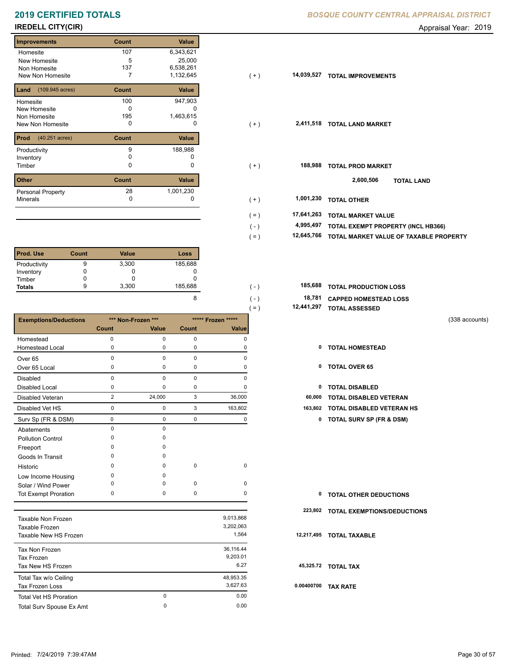# **2019 CERTIFIED TOTALS BOSQUE COUNTY CENTRAL APPRAISAL DISTRICTION CONTRACT CONTRACT CONTRACT CONTRACT CONTRACT CONTRACT CONTRACT CONTRACT CONTRACT CONTRACT CONTRACT CONTRACT CONTRACT CONTRACT CONTRACT CONTRACT CONTRACT**

### **Improvements Count Value** Homesite New Homesite Non Homesite New Non Homesite **T**<sub>7</sub> 107 6,343,621 5 25,000 137 6,538,261 7 1,132,645 **14,039,527 Land Count Value** (109.945 acres) Homesite New Homesite Non Homesite New Non Homesite **TOTAL CONSUMING** O 100 947,903  $\overline{0}$  c 195 1,463,615 **Prod Count Value** (40.251 acres) Productivity 188,988 Inventory 0 0 **Other Count Value** Minerals Personal Property 188,988 28 1,001,230

| <b>Prod. Use</b> | Count | <b>Value</b> | Loss    |
|------------------|-------|--------------|---------|
| Productivity     | 9     | 3,300        | 185,688 |
| Inventory        |       | O            |         |
| Timber           |       |              |         |
| <b>Totals</b>    | 9     | 3,300        | 185,688 |

|                                 |                |                    |       |                    | $( = )$    | 12,441,297 TOTAL ASSESSED           |                |
|---------------------------------|----------------|--------------------|-------|--------------------|------------|-------------------------------------|----------------|
| <b>Exemptions/Deductions</b>    |                | *** Non-Frozen *** |       | ***** Frozen ***** |            |                                     | (338 accounts) |
|                                 | <b>Count</b>   | Value              | Count | Value              |            |                                     |                |
| Homestead                       | 0              | $\pmb{0}$          | 0     | 0                  |            |                                     |                |
| <b>Homestead Local</b>          | 0              | 0                  | 0     | 0                  | 0          | <b>TOTAL HOMESTEAD</b>              |                |
| Over <sub>65</sub>              | $\mathbf 0$    | $\pmb{0}$          | 0     | $\mathbf 0$        |            |                                     |                |
| Over 65 Local                   | 0              | $\mathbf 0$        | 0     | 0                  | 0          | <b>TOTAL OVER 65</b>                |                |
| <b>Disabled</b>                 | 0              | $\pmb{0}$          | 0     | 0                  |            |                                     |                |
| <b>Disabled Local</b>           | 0              | 0                  | 0     | 0                  | 0          | <b>TOTAL DISABLED</b>               |                |
| <b>Disabled Veteran</b>         | $\overline{2}$ | 24,000             | 3     | 36,000             | 60,000     | <b>TOTAL DISABLED VETERAN</b>       |                |
| Disabled Vet HS                 | 0              | 0                  | 3     | 163,802            | 163,802    | TOTAL DISABLED VETERAN HS           |                |
| Surv Sp (FR & DSM)              | 0              | $\pmb{0}$          | 0     | 0                  | 0          | <b>TOTAL SURV SP (FR &amp; DSM)</b> |                |
| Abatements                      | $\pmb{0}$      | $\pmb{0}$          |       |                    |            |                                     |                |
| <b>Pollution Control</b>        | 0              | 0                  |       |                    |            |                                     |                |
| Freeport                        | U              | $\Omega$           |       |                    |            |                                     |                |
| Goods In Transit                | 0              | 0                  |       |                    |            |                                     |                |
| Historic                        | 0              | $\Omega$           | 0     | $\mathbf 0$        |            |                                     |                |
| Low Income Housing              | 0              | 0                  |       |                    |            |                                     |                |
| Solar / Wind Power              | 0              | 0                  | 0     | $\mathbf 0$        |            |                                     |                |
| <b>Tot Exempt Proration</b>     | 0              | 0                  | 0     | 0                  | 0          | <b>TOTAL OTHER DEDUCTIONS</b>       |                |
|                                 |                |                    |       |                    | 223,802    | <b>TOTAL EXEMPTIONS/DEDUCTIONS</b>  |                |
| <b>Taxable Non Frozen</b>       |                |                    |       | 9,013,868          |            |                                     |                |
| Taxable Frozen                  |                |                    |       | 3,202,063          |            |                                     |                |
| Taxable New HS Frozen           |                |                    |       | 1,564              | 12,217,495 | <b>TOTAL TAXABLE</b>                |                |
| Tax Non Frozen                  |                |                    |       | 36,116.44          |            |                                     |                |
| <b>Tax Frozen</b>               |                |                    |       | 9,203.01           |            |                                     |                |
| Tax New HS Frozen               |                |                    |       | 6.27               |            | 45,325.72 TOTAL TAX                 |                |
| Total Tax w/o Ceiling           |                |                    |       | 48,953.35          |            |                                     |                |
| <b>Tax Frozen Loss</b>          |                |                    |       | 3,627.63           | 0.00400700 | <b>TAX RATE</b>                     |                |
| <b>Total Vet HS Proration</b>   |                | 0                  |       | 0.00               |            |                                     |                |
| <b>Total Sury Spouse Ex Amt</b> |                | 0                  |       | 0.00               |            |                                     |                |

|  | BOSQUE COUNTY CENTRAL APPRAISAL DISTRICT |  |
|--|------------------------------------------|--|

**IREDELL CITY(CIR)** Appraisal Year: 2019

| <b>Improvements</b>                      | Count           | Value                            |         |            |                                        |
|------------------------------------------|-----------------|----------------------------------|---------|------------|----------------------------------------|
| Homesite<br>New Homesite<br>Non Homesite | 107<br>5<br>137 | 6,343,621<br>25,000<br>6,538,261 |         |            |                                        |
| New Non Homesite                         |                 | 1,132,645                        | $(+)$   | 14,039,527 | <b>TOTAL IMPROVEMENTS</b>              |
| <b>Land</b> $(109.945 \text{ acres})$    | Count           | Value                            |         |            |                                        |
| Homesite                                 | 100             | 947,903                          |         |            |                                        |
| New Homesite                             | 0               | 0                                |         |            |                                        |
| Non Homesite<br>New Non Homesite         | 195<br>0        | 1,463,615<br>0                   | $(+)$   |            | 2,411,518 TOTAL LAND MARKET            |
|                                          |                 |                                  |         |            |                                        |
| <b>Prod</b> $(40.251 \text{ acres})$     | Count           | Value                            |         |            |                                        |
| Productivity                             | 9               | 188,988                          |         |            |                                        |
| Inventory                                | 0               | 0                                |         |            |                                        |
| Timber                                   | 0               | 0                                | $(+)$   | 188,988    | <b>TOTAL PROD MARKET</b>               |
| Other                                    | Count           | Value                            |         |            | 2,600,506<br><b>TOTAL LAND</b>         |
| Personal Property                        | 28              | 1,001,230                        |         |            |                                        |
| Minerals                                 | 0               | 0                                | $(+)$   | 1,001,230  | <b>TOTAL OTHER</b>                     |
|                                          |                 |                                  | $( = )$ | 17,641,263 | <b>TOTAL MARKET VALUE</b>              |
|                                          |                 |                                  | $(-)$   | 4,995,497  | TOTAL EXEMPT PROPERTY (INCL HB366)     |
|                                          |                 |                                  | $( = )$ | 12,645,766 | TOTAL MARKET VALUE OF TAXABLE PROPERTY |
|                                          |                 |                                  |         |            |                                        |

| 185.688 | . ـ ۱         | <b>185,688 TOTAL PRODUCTION LOSS</b> |
|---------|---------------|--------------------------------------|
|         | ( – )         | 18,781 CAPPED HOMESTEAD LOSS         |
|         | $=$ $\lambda$ | 12,441,297 TOTAL ASSESSED            |

- 
- 
- 

| <b>0 TOTAL OTHER DEDUCTIONS</b> |  |
|---------------------------------|--|
|---------------------------------|--|

- **223,802 TOTAL EXEMPTIONS/DEDUCTIONS**
- **12,217,495 TOTAL TAXABLE**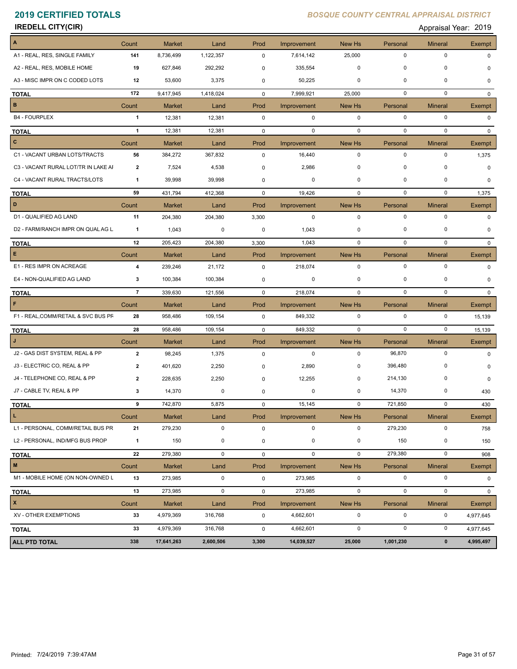| <b>IREDELL CITY(CIR)</b>            |                |               |             |             |             |             |             | Appraisal Year: 2019 |               |
|-------------------------------------|----------------|---------------|-------------|-------------|-------------|-------------|-------------|----------------------|---------------|
| A                                   | Count          | <b>Market</b> | Land        | Prod        | Improvement | New Hs      | Personal    | <b>Mineral</b>       | Exempt        |
| A1 - REAL, RES, SINGLE FAMILY       | 141            | 8,736,499     | 1,122,357   | 0           | 7,614,142   | 25,000      | $\pmb{0}$   | $\pmb{0}$            | $\Omega$      |
| A2 - REAL, RES, MOBILE HOME         | 19             | 627,846       | 292,292     | 0           | 335,554     | 0           | 0           | 0                    | 0             |
| A3 - MISC IMPR ON C CODED LOTS      | 12             | 53,600        | 3,375       | 0           | 50,225      | 0           | 0           | 0                    | 0             |
| <b>TOTAL</b>                        | 172            | 9,417,945     | 1,418,024   | 0           | 7,999,921   | 25,000      | $\pmb{0}$   | $\pmb{0}$            | $\mathbf{0}$  |
| B                                   | Count          | <b>Market</b> | Land        | Prod        | Improvement | New Hs      | Personal    | <b>Mineral</b>       | <b>Exempt</b> |
| <b>B4 - FOURPLEX</b>                | $\mathbf{1}$   | 12,381        | 12,381      | $\mathbf 0$ | $\mathbf 0$ | $\mathbf 0$ | $\pmb{0}$   | $\pmb{0}$            | $\Omega$      |
| <b>TOTAL</b>                        | $\mathbf{1}$   | 12,381        | 12,381      | $\mathbf 0$ | $\mathbf 0$ | $\mathbf 0$ | $\pmb{0}$   | $\mathbf 0$          | $\Omega$      |
| C                                   | Count          | <b>Market</b> | Land        | Prod        | Improvement | New Hs      | Personal    | <b>Mineral</b>       | Exempt        |
| C1 - VACANT URBAN LOTS/TRACTS       | 56             | 384,272       | 367,832     | $\mathsf 0$ | 16,440      | $\mathbf 0$ | $\pmb{0}$   | $\pmb{0}$            | 1,375         |
| C3 - VACANT RURAL LOT/TR IN LAKE AI | 2              | 7,524         | 4,538       | 0           | 2,986       | 0           | 0           | $\mathbf 0$          | $\Omega$      |
| C4 - VACANT RURAL TRACTS/LOTS       | 1              | 39,998        | 39,998      | 0           | 0           | 0           | 0           | $\pmb{0}$            | 0             |
| <b>TOTAL</b>                        | 59             | 431,794       | 412,368     | 0           | 19,426      | $\mathbf 0$ | $\pmb{0}$   | $\mathbf 0$          | 1,375         |
| D                                   | Count          | <b>Market</b> | Land        | Prod        | Improvement | New Hs      | Personal    | <b>Mineral</b>       | Exempt        |
| D1 - QUALIFIED AG LAND              | 11             | 204,380       | 204,380     | 3,300       | 0           | $\mathbf 0$ | $\pmb{0}$   | $\pmb{0}$            | 0             |
| D2 - FARM/RANCH IMPR ON QUAL AG L   | 1              | 1,043         | 0           | 0           | 1,043       | 0           | 0           | $\mathbf 0$          | $\Omega$      |
| <b>TOTAL</b>                        | 12             | 205,423       | 204,380     | 3,300       | 1,043       | $\mathbf 0$ | $\mathbf 0$ | $\mathbf 0$          | $\mathbf{0}$  |
| E                                   | Count          | <b>Market</b> | Land        | Prod        | Improvement | New Hs      | Personal    | <b>Mineral</b>       | Exempt        |
| E1 - RES IMPR ON ACREAGE            | 4              | 239,246       | 21,172      | 0           | 218,074     | $\mathbf 0$ | $\pmb{0}$   | $\pmb{0}$            | 0             |
| E4 - NON-QUALIFIED AG LAND          | 3              | 100,384       | 100,384     | 0           | 0           | 0           | 0           | 0                    | O             |
| <b>TOTAL</b>                        | $\overline{7}$ | 339,630       | 121,556     | $\mathbf 0$ | 218,074     | $\mathbf 0$ | $\mathbf 0$ | $\mathbf 0$          | $\Omega$      |
| F                                   | Count          | <b>Market</b> | Land        | Prod        | Improvement | New Hs      | Personal    | <b>Mineral</b>       | Exempt        |
| F1 - REAL, COMM/RETAIL & SVC BUS PF | 28             | 958,486       | 109,154     | $\mathbf 0$ | 849,332     | $\mathbf 0$ | $\pmb{0}$   | $\pmb{0}$            | 15,139        |
| <b>TOTAL</b>                        | 28             | 958,486       | 109,154     | $\mathbf 0$ | 849,332     | $\mathbf 0$ | $\pmb{0}$   | $\pmb{0}$            | 15,139        |
|                                     | Count          | <b>Market</b> | Land        | Prod        | Improvement | New Hs      | Personal    | <b>Mineral</b>       | Exempt        |
| J2 - GAS DIST SYSTEM, REAL & PP     | $\mathbf{2}$   | 98,245        | 1,375       | 0           | 0           | $\mathbf 0$ | 96,870      | $\pmb{0}$            | $\Omega$      |
| J3 - ELECTRIC CO, REAL & PP         | 2              | 401,620       | 2,250       | 0           | 2,890       | 0           | 396,480     | $\mathbf 0$          | <sup>0</sup>  |
| J4 - TELEPHONE CO, REAL & PP        | 2              | 228,635       | 2,250       | $\mathbf 0$ | 12,255      | 0           | 214,130     | 0                    | $\Omega$      |
| J7 - CABLE TV, REAL & PP            | 3              | 14,370        | 0           | 0           | $\mathbf 0$ | 0           | 14,370      | $\pmb{0}$            | 430           |
| <b>TOTAL</b>                        | 9              | 742,870       | 5,875       | 0           | 15,145      | $\pmb{0}$   | 721,850     | $\pmb{0}$            | 430           |
| Ц.                                  | Count          | <b>Market</b> | Land        | Prod        | Improvement | New Hs      | Personal    | <b>Mineral</b>       | <b>Exempt</b> |
| L1 - PERSONAL, COMM/RETAIL BUS PR   | 21             | 279,230       | 0           | 0           | 0           | 0           | 279,230     | 0                    | 758           |
| L2 - PERSONAL, IND/MFG BUS PROP     | $\mathbf{1}$   | 150           | 0           | 0           | 0           | 0           | 150         | 0                    | 150           |
| <b>TOTAL</b>                        | 22             | 279,380       | 0           | $\mathbf 0$ | $\mathbf 0$ | $\mathbf 0$ | 279,380     | $\pmb{0}$            | 908           |
| $\mathsf{M}\xspace$                 | Count          | <b>Market</b> | Land        | Prod        | Improvement | New Hs      | Personal    | <b>Mineral</b>       | Exempt        |
| M1 - MOBILE HOME (ON NON-OWNED L    | 13             | 273,985       | $\mathbf 0$ | $\mathbf 0$ | 273,985     | 0           | 0           | $\pmb{0}$            | 0             |
| <b>TOTAL</b>                        | 13             | 273,985       | $\mathbf 0$ | $\mathbf 0$ | 273,985     | $\mathbf 0$ | $\pmb{0}$   | $\pmb{0}$            | $\mathbf 0$   |
| $\pmb{\mathsf{x}}$                  | Count          | <b>Market</b> | Land        | Prod        | Improvement | New Hs      | Personal    | <b>Mineral</b>       | Exempt        |
| XV - OTHER EXEMPTIONS               | 33             | 4,979,369     | 316,768     | $\mathbf 0$ | 4,662,601   | 0           | 0           | 0                    | 4,977,645     |
| <b>TOTAL</b>                        | 33             | 4,979,369     | 316,768     | $\mathbf 0$ | 4,662,601   | 0           | $\pmb{0}$   | $\pmb{0}$            | 4,977,645     |
| <b>ALL PTD TOTAL</b>                | 338            | 17,641,263    | 2,600,506   | 3,300       | 14,039,527  | 25,000      | 1,001,230   | $\pmb{0}$            | 4,995,497     |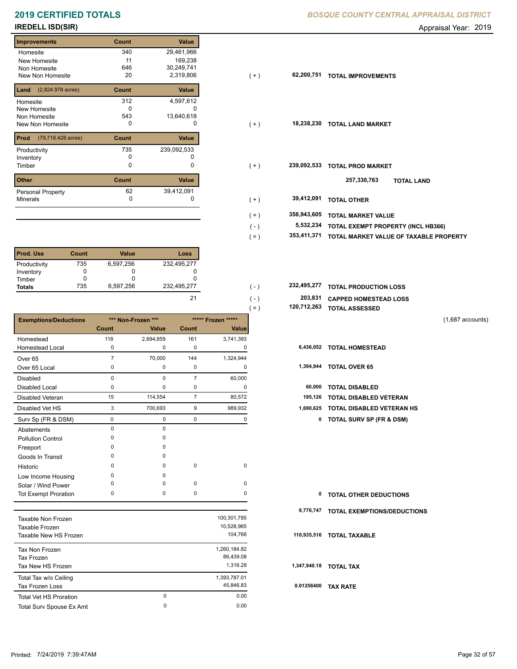# **2019 CERTIFIED TOTALS** *BOSQUE CENTRAL**BOSQUE CENTRAL CENTRAL APPROX*

## **IREDELL ISD(SIR)** Appraisal Year: 2019

| <b>Improvements</b>                 | Count | Value       |
|-------------------------------------|-------|-------------|
| Homesite                            | 340   | 29,461,966  |
| New Homesite                        | 11    | 169,238     |
| Non Homesite                        | 646   | 30,249,741  |
| New Non Homesite                    | 20    | 2,319,806   |
| $(2,824.978 \text{ acres})$<br>Land | Count | Value       |
| Homesite                            | 312   | 4,597,612   |
| <b>New Homesite</b>                 | O     |             |
| Non Homesite                        | 543   | 13,640,618  |
| New Non Homesite                    | 0     | $\Omega$    |
| Prod<br>(79,718.428 acres)          | Count | Value       |
| Productivity                        | 735   | 239,092,533 |
| Inventory                           | O     |             |
| Timber                              | 0     | 0           |
| <b>Other</b>                        | Count | Value       |
| Personal Property                   | 62    | 39,412,091  |
| <b>Minerals</b>                     | 0     | 0           |

| <b>Prod. Use</b> | <b>Count</b> | Value     | Loss        |
|------------------|--------------|-----------|-------------|
| Productivity     | 735          | 6,597,256 | 232,495,277 |
| Inventory        |              |           |             |
| Timber           |              |           |             |
| <b>Totals</b>    | 735          | 6,597,256 | 232,495,277 |

|                              |                |                    |                |                    | $( = )$ | 120,712,263 | <b>TOTAL ASSESSED</b>               |                    |
|------------------------------|----------------|--------------------|----------------|--------------------|---------|-------------|-------------------------------------|--------------------|
| <b>Exemptions/Deductions</b> |                | *** Non-Frozen *** |                | ***** Frozen ***** |         |             |                                     | $(1,687$ accounts) |
|                              | <b>Count</b>   | Value              | Count          | Value              |         |             |                                     |                    |
| Homestead                    | 118            | 2,694,659          | 161            | 3,741,393          |         |             |                                     |                    |
| <b>Homestead Local</b>       | 0              | 0                  | 0              | 0                  |         |             | 6,436,052 TOTAL HOMESTEAD           |                    |
| Over <sub>65</sub>           | $\overline{7}$ | 70,000             | 144            | 1,324,944          |         |             |                                     |                    |
| Over 65 Local                | 0              | 0                  | 0              | 0                  |         | 1,394,944   | <b>TOTAL OVER 65</b>                |                    |
| <b>Disabled</b>              | $\Omega$       | $\Omega$           | $\overline{7}$ | 60,000             |         |             |                                     |                    |
| <b>Disabled Local</b>        | 0              | 0                  | 0              | 0                  |         | 60,000      | <b>TOTAL DISABLED</b>               |                    |
| <b>Disabled Veteran</b>      | 15             | 114,554            | $\overline{7}$ | 80,572             |         | 195,126     | <b>TOTAL DISABLED VETERAN</b>       |                    |
| Disabled Vet HS              | 3              | 700,693            | 9              | 989,932            |         | 1,690,625   | <b>TOTAL DISABLED VETERAN HS</b>    |                    |
| Surv Sp (FR & DSM)           | 0              | 0                  | 0              | 0                  |         | 0           | <b>TOTAL SURV SP (FR &amp; DSM)</b> |                    |
| Abatements                   | $\mathbf 0$    | 0                  |                |                    |         |             |                                     |                    |
| <b>Pollution Control</b>     | 0              | 0                  |                |                    |         |             |                                     |                    |
| Freeport                     | O              | 0                  |                |                    |         |             |                                     |                    |
| Goods In Transit             | O              | 0                  |                |                    |         |             |                                     |                    |
| Historic                     | $\Omega$       | $\Omega$           | $\mathbf 0$    | 0                  |         |             |                                     |                    |
| Low Income Housing           | $\Omega$       | $\Omega$           |                |                    |         |             |                                     |                    |
| Solar / Wind Power           | O              | 0                  | $\mathbf 0$    | 0                  |         |             |                                     |                    |
| <b>Tot Exempt Proration</b>  | 0              | 0                  | $\mathbf 0$    | 0                  |         | 0           | <b>TOTAL OTHER DEDUCTIONS</b>       |                    |
|                              |                |                    |                |                    |         | 9,776,747   | <b>TOTAL EXEMPTIONS/DEDUCTIONS</b>  |                    |
| Taxable Non Frozen           |                |                    |                | 100,301,785        |         |             |                                     |                    |
| Taxable Frozen               |                |                    |                | 10,528,965         |         |             |                                     |                    |
| Taxable New HS Frozen        |                |                    |                | 104,766            |         | 110,935,516 | <b>TOTAL TAXABLE</b>                |                    |

| Tax Non Frozen                |          | 1,260,184.82 |      |
|-------------------------------|----------|--------------|------|
| Tax Frozen                    |          | 86,439.08    |      |
| Tax New HS Frozen             |          | 1.316.28     | 1.34 |
| Total Tax w/o Ceiling         |          | 1,393,787.01 |      |
| <b>Tax Frozen Loss</b>        |          | 45.846.83    | 0.0  |
| <b>Total Vet HS Proration</b> | $\Omega$ | 0.00         |      |
| Total Surv Spouse Ex Amt      | 0        | 0.00         |      |

|  | BOSQUE COUNTY CENTRAL APPRAISAL DISTRICT |  |
|--|------------------------------------------|--|
|  |                                          |  |

| <b>Improvements</b>                     | Count | Value       |         |             |                                        |
|-----------------------------------------|-------|-------------|---------|-------------|----------------------------------------|
| Homesite                                | 340   | 29,461,966  |         |             |                                        |
| New Homesite                            | 11    | 169,238     |         |             |                                        |
| Non Homesite                            | 646   | 30,249,741  |         |             |                                        |
| New Non Homesite                        | 20    | 2,319,806   | $(+)$   | 62,200,751  | <b>TOTAL IMPROVEMENTS</b>              |
| <b>Land</b> $(2,824.978 \text{ acres})$ | Count | Value       |         |             |                                        |
| Homesite                                | 312   | 4,597,612   |         |             |                                        |
| New Homesite                            | 0     |             |         |             |                                        |
| Non Homesite                            | 543   | 13,640,618  |         |             |                                        |
| New Non Homesite                        | 0     | 0           | $(+)$   |             | 18,238,230 TOTAL LAND MARKET           |
| <b>Prod</b> (79,718.428 acres)          | Count | Value       |         |             |                                        |
| Productivity                            | 735   | 239,092,533 |         |             |                                        |
| Inventory                               | 0     |             |         |             |                                        |
| Timber                                  | 0     | 0           | $(+)$   | 239,092,533 | <b>TOTAL PROD MARKET</b>               |
| Other                                   | Count | Value       |         |             | 257,330,763<br><b>TOTAL LAND</b>       |
| Personal Property                       | 62    | 39,412,091  |         |             |                                        |
| Minerals                                | 0     | 0           | $(+)$   | 39,412,091  | <b>TOTAL OTHER</b>                     |
|                                         |       |             | $( = )$ | 358,943,605 | <b>TOTAL MARKET VALUE</b>              |
|                                         |       |             | $(-)$   | 5,532,234   | TOTAL EXEMPT PROPERTY (INCL HB366)     |
|                                         |       |             |         | 353,411,371 |                                        |
|                                         |       |             | $( = )$ |             | TOTAL MARKET VALUE OF TAXABLE PROPERTY |
|                                         |       |             |         |             |                                        |

| 232.495.277 | $( - )$       | 232,495,277 TOTAL PRODUCTION LOSS |
|-------------|---------------|-----------------------------------|
|             | $( - )$       | 203,831 CAPPED HOMESTEAD LOSS     |
|             | $=$ $\lambda$ | 120,712,263 TOTAL ASSESSED        |

|  | 6,436,052 TOTAL HOMESTEAD |  |
|--|---------------------------|--|
|--|---------------------------|--|

| 1,394,944 | <b>TOTAL OVER 65</b> |  |  |
|-----------|----------------------|--|--|
|-----------|----------------------|--|--|

|  | 60,000 TOTAL DISABLED |  |
|--|-----------------------|--|

- 
- 3 700,693 9 989,932 **1,690,625 TOTAL DISABLED VETERAN HS**
	- Surv Sp (FR & DSM) 0 0 0 0 **0 TOTAL SURV SP (FR & DSM)**

| <b>0 TOTAL OTHER DEDUCTIONS</b> |  |
|---------------------------------|--|
|---------------------------------|--|

### **110,935,516 TOTAL TAXABLE**

 **1,347,940.18 TOTAL TAX**

 **0.01256400 TAX RATE**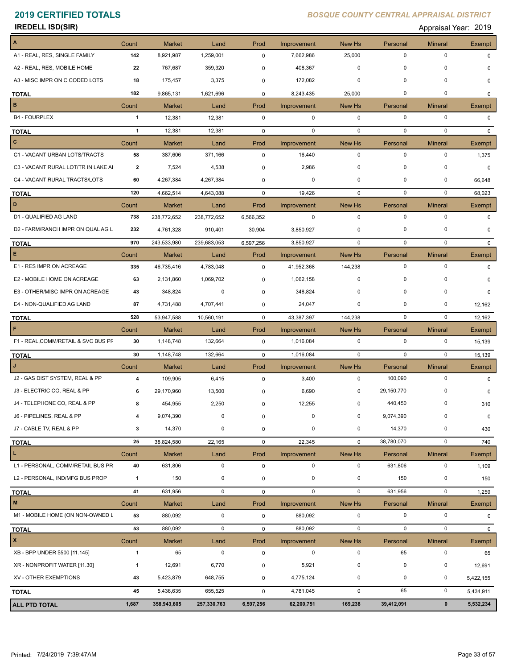**IREDELL ISD(SIR)** Appraisal Year: 2019

| $\vert$ A                           | Count        | <b>Market</b>          | Land               | Prod             | Improvement            | New Hs      | Personal        | <b>Mineral</b>         | Exempt                 |
|-------------------------------------|--------------|------------------------|--------------------|------------------|------------------------|-------------|-----------------|------------------------|------------------------|
| A1 - REAL, RES, SINGLE FAMILY       | 142          | 8,921,987              | 1,259,001          | $\mathbf 0$      | 7,662,986              | 25,000      | $\mathbf 0$     | 0                      | $\Omega$               |
| A2 - REAL, RES, MOBILE HOME         | 22           | 767,687                | 359,320            | 0                | 408,367                | 0           | $\mathbf 0$     | 0                      | O                      |
| A3 - MISC IMPR ON C CODED LOTS      | 18           | 175,457                | 3,375              | 0                | 172,082                | 0           | $\mathbf 0$     | 0                      | $\Omega$               |
| <b>TOTAL</b>                        | 182          | 9,865,131              | 1,621,696          | $\mathbf{0}$     | 8,243,435              | 25,000      | $\mathbf 0$     | 0                      | $\Omega$               |
| B                                   | Count        | <b>Market</b>          | Land               | Prod             | Improvement            | New Hs      | Personal        | <b>Mineral</b>         | Exempt                 |
| <b>B4 - FOURPLEX</b>                | 1            | 12,381                 | 12,381             | $\mathbf 0$      | 0                      | $\mathbf 0$ | $\mathbf 0$     | $\pmb{0}$              | $\mathbf 0$            |
| <b>TOTAL</b>                        | $\mathbf{1}$ | 12,381                 | 12,381             | $\mathbf 0$      | $\mathbf 0$            | $\mathbf 0$ | $\mathbf 0$     | $\mathbf 0$            | $\Omega$               |
| $\overline{c}$                      | Count        | <b>Market</b>          | Land               | Prod             | Improvement            | New Hs      | Personal        | <b>Mineral</b>         | Exempt                 |
| C1 - VACANT URBAN LOTS/TRACTS       | 58           | 387,606                | 371,166            | $\mathbf 0$      | 16,440                 | $\mathbf 0$ | $\mathbf 0$     | $\pmb{0}$              | 1,375                  |
| C3 - VACANT RURAL LOT/TR IN LAKE AI | 2            | 7,524                  | 4,538              | 0                | 2,986                  | $\mathbf 0$ | $\mathbf 0$     | $\mathbf 0$            | $\Omega$               |
| C4 - VACANT RURAL TRACTS/LOTS       | 60           | 4,267,384              | 4,267,384          | 0                | 0                      | 0           | 0               | 0                      | 66,648                 |
| <b>TOTAL</b>                        | 120          | 4,662,514              | 4,643,088          | $\mathbf 0$      | 19,426                 | $\mathbf 0$ | $\mathbf 0$     | $\mathbf 0$            | 68,023                 |
| D                                   | Count        | <b>Market</b>          | Land               | Prod             | Improvement            | New Hs      | Personal        | <b>Mineral</b>         | <b>Exempt</b>          |
| D1 - QUALIFIED AG LAND              | 738          | 238,772,652            | 238,772,652        | 6,566,352        | $\mathbf 0$            | $\mathbf 0$ | $\mathbf 0$     | $\mathbf 0$            | $\Omega$               |
| D2 - FARM/RANCH IMPR ON QUAL AG L   | 232          | 4,761,328              | 910,401            | 30,904           | 3,850,927              | 0           | 0               | $\mathbf 0$            | $\Omega$               |
| <b>TOTAL</b>                        | 970          | 243,533,980            | 239,683,053        | 6,597,256        | 3,850,927              | $\mathbf 0$ | $\mathbf 0$     | $\mathbf 0$            | 0                      |
| $\mathbf{E}$                        | Count        | Market                 | Land               | Prod             | Improvement            | New Hs      | Personal        | <b>Mineral</b>         | Exempt                 |
| E1 - RES IMPR ON ACREAGE            | 335          | 46,735,416             | 4,783,048          | 0                | 41,952,368             | 144,238     | 0               | 0                      | $\Omega$               |
| E2 - MOBILE HOME ON ACREAGE         | 63           | 2,131,860              | 1,069,702          | 0                | 1,062,158              | $\mathbf 0$ | $\mathbf 0$     | 0                      | O                      |
| E3 - OTHER/MISC IMPR ON ACREAGE     | 43           | 348,824                | 0                  | 0                | 348,824                | 0           | $\mathbf 0$     | 0                      | $\Omega$               |
| E4 - NON-QUALIFIED AG LAND          | 87           | 4,731,488              | 4,707,441          | 0                | 24,047                 | 0           | $\mathbf 0$     | 0                      | 12,162                 |
| <b>TOTAL</b>                        | 528          | 53,947,588             | 10,560,191         | $\mathbf 0$      | 43,387,397             | 144,238     | $\mathbf 0$     | 0                      | 12,162                 |
| $\mathsf F$                         | Count        | <b>Market</b>          | Land               | Prod             | Improvement            | New Hs      | Personal        | <b>Mineral</b>         | Exempt                 |
| F1 - REAL, COMM/RETAIL & SVC BUS PF | 30           | 1,148,748              | 132,664            | $\mathbf 0$      | 1,016,084              | $\mathbf 0$ | $\mathbf 0$     | $\mathbf 0$            | 15,139                 |
| <b>TOTAL</b>                        | 30           | 1,148,748              | 132,664            | $\mathbf 0$      | 1,016,084              | $\mathbf 0$ | $\mathbf 0$     | $\mathbf 0$            | 15,139                 |
| IJ                                  | Count        | <b>Market</b>          | Land               | Prod             | Improvement            | New Hs      | Personal        | <b>Mineral</b>         | Exempt                 |
| J2 - GAS DIST SYSTEM, REAL & PP     | 4            | 109,905                | 6,415              | $\mathbf 0$      | 3,400                  | $\mathbf 0$ | 100,090         | 0                      | 0                      |
| J3 - ELECTRIC CO, REAL & PP         | 6            | 29,170,960             | 13,500             | 0                | 6,690                  | 0           | 29,150,770      | 0                      | 0                      |
| J4 - TELEPHONE CO, REAL & PP        | 8            | 454,955                | 2,250              | 0                | 12,255                 | $\mathbf 0$ | 440,450         | 0                      | 310                    |
| J6 - PIPELINES, REAL & PP           | 4            | 9,074,390              | 0                  | 0                | 0                      | 0           | 9,074,390       | $\pmb{0}$              | 0                      |
| J7 - CABLE TV, REAL & PP            | 3            | 14,370                 | 0                  | 0                | 0                      | 0           | 14,370          | 0                      | 430                    |
| <b>TOTAL</b>                        | 25           | 38,824,580             | 22,165             | 0                | 22,345                 | $\mathbf 0$ | 38,780,070      | $\pmb{0}$              | 740                    |
| L                                   | Count        | <b>Market</b>          | Land               | Prod             | Improvement            | New Hs      | Personal        | <b>Mineral</b>         | Exempt                 |
| L1 - PERSONAL, COMM/RETAIL BUS PR   | 40           | 631,806                | $\mathbf 0$        | $\mathbf 0$      | $\mathbf 0$            | $\mathbf 0$ | 631,806         | 0                      | 1,109                  |
| L2 - PERSONAL, IND/MFG BUS PROP     | $\mathbf{1}$ | 150                    | 0                  | 0                | 0                      | $\mathbf 0$ | 150             | 0                      | 150                    |
| <b>TOTAL</b>                        | 41           | 631,956                | 0                  | 0                | $\mathbf 0$            | $\mathbf 0$ | 631,956         | $\pmb{0}$              | 1,259                  |
| M                                   | Count        | <b>Market</b>          | Land               | Prod             | Improvement            | New Hs      | Personal        | <b>Mineral</b>         | Exempt                 |
| M1 - MOBILE HOME (ON NON-OWNED L    | 53           | 880,092                | $\mathbf 0$        | $\mathbf 0$      | 880,092                | 0           | $\pmb{0}$       | $\pmb{0}$              | 0                      |
| <b>TOTAL</b>                        | 53           | 880,092                | 0                  | 0                | 880,092                | $\mathbf 0$ | $\mathbf 0$     | $\mathbf 0$            | 0                      |
| $\mathbf{x}$                        | Count        | <b>Market</b>          | Land               | Prod             | Improvement            | New Hs      | Personal        | <b>Mineral</b>         | Exempt                 |
| XB - BPP UNDER \$500 [11.145]       | 1            | 65                     | 0                  | 0                | $\pmb{0}$              | $\mathbf 0$ | 65              | $\pmb{0}$              | 65                     |
| XR - NONPROFIT WATER [11.30]        | 1            | 12,691                 | 6,770              | 0                | 5,921                  | 0           | $\pmb{0}$       | 0                      | 12,691                 |
|                                     |              |                        |                    |                  |                        |             |                 |                        |                        |
| XV - OTHER EXEMPTIONS               |              |                        |                    |                  |                        | $\mathbf 0$ |                 |                        |                        |
| <b>TOTAL</b>                        | 43<br>45     | 5,423,879<br>5,436,635 | 648,755<br>655,525 | 0<br>$\mathbf 0$ | 4,775,124<br>4,781,045 | $\mathbf 0$ | $\pmb{0}$<br>65 | $\pmb{0}$<br>$\pmb{0}$ | 5,422,155<br>5,434,911 |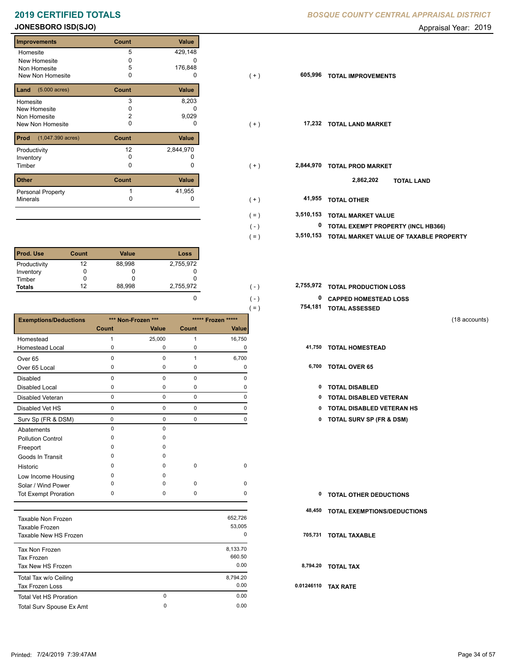## **JONESBORO ISD(SJO) Appraisal Year: 2019 Appraisal Year: 2019**

Е

| <b>Improvements</b>                 | Count        | Value        |
|-------------------------------------|--------------|--------------|
| Homesite                            | 5            | 429,148      |
| New Homesite                        | O            |              |
| Non Homesite                        | 5            | 176,848      |
| New Non Homesite                    | 0            | 0            |
| $(5.000 \text{ acres})$<br>Land     | Count        | Value        |
| Homesite                            | 3            | 8,203        |
| New Homesite                        | O            |              |
| Non Homesite                        | 2            | 9,029        |
| New Non Homesite                    | 0            | O            |
| Prod<br>$(1,047.390 \text{ acres})$ | Count        | <b>Value</b> |
| Productivity                        | 12           | 2,844,970    |
| Inventory                           | <sup>0</sup> |              |
| Timber                              | 0            | 0            |
| <b>Other</b>                        | Count        | <b>Value</b> |
| <b>Personal Property</b>            |              | 41,955       |
| <b>Minerals</b>                     |              | 0            |
|                                     |              |              |

| <b>Prod. Use</b> | Count | <b>Value</b> | Loss      |
|------------------|-------|--------------|-----------|
| Productivity     | 12    | 88,998       | 2,755,972 |
| Inventory        |       |              |           |
| Timber           |       |              |           |
| <b>Totals</b>    | 12    | 88,998       | 2,755,972 |

|                               |              |                    |              |                    | $( = )$ |        | 754,181 TOTAL ASSESSED              |               |
|-------------------------------|--------------|--------------------|--------------|--------------------|---------|--------|-------------------------------------|---------------|
| <b>Exemptions/Deductions</b>  |              | *** Non-Frozen *** |              | ***** Frozen ***** |         |        |                                     | (18 accounts) |
|                               | Count        | Value              | Count        | Value              |         |        |                                     |               |
| Homestead                     | $\mathbf{1}$ | 25,000             | $\mathbf{1}$ | 16,750             |         |        |                                     |               |
| <b>Homestead Local</b>        | 0            | 0                  | 0            | 0                  |         |        | 41,750 TOTAL HOMESTEAD              |               |
| Over <sub>65</sub>            | $\mathbf 0$  | $\mathbf 0$        | $\mathbf{1}$ | 6,700              |         |        |                                     |               |
| Over 65 Local                 | 0            | $\mathbf 0$        | 0            | 0                  |         |        | 6,700 TOTAL OVER 65                 |               |
| <b>Disabled</b>               | $\mathbf 0$  | $\mathbf 0$        | $\mathbf 0$  | 0                  |         |        |                                     |               |
| <b>Disabled Local</b>         | 0            | 0                  | $\pmb{0}$    | 0                  |         | 0      | <b>TOTAL DISABLED</b>               |               |
| <b>Disabled Veteran</b>       | 0            | $\mathbf 0$        | $\mathsf 0$  | 0                  |         | 0      | <b>TOTAL DISABLED VETERAN</b>       |               |
| Disabled Vet HS               | 0            | $\mathbf 0$        | $\pmb{0}$    | $\mathbf 0$        |         | 0      | <b>TOTAL DISABLED VETERAN HS</b>    |               |
| Surv Sp (FR & DSM)            | 0            | $\mathbf 0$        | $\mathbf 0$  | 0                  |         | 0      | <b>TOTAL SURV SP (FR &amp; DSM)</b> |               |
| Abatements                    | $\mathbf 0$  | $\Omega$           |              |                    |         |        |                                     |               |
| <b>Pollution Control</b>      | $\Omega$     | $\Omega$           |              |                    |         |        |                                     |               |
| Freeport                      | $\Omega$     | $\Omega$           |              |                    |         |        |                                     |               |
| Goods In Transit              | O            | $\Omega$           |              |                    |         |        |                                     |               |
| Historic                      | n            | $\Omega$           | $\mathbf 0$  | 0                  |         |        |                                     |               |
| Low Income Housing            | O            | O                  |              |                    |         |        |                                     |               |
| Solar / Wind Power            | O            | $\Omega$           | 0            | 0                  |         |        |                                     |               |
| <b>Tot Exempt Proration</b>   | 0            | 0                  | $\mathbf 0$  | 0                  |         | 0      | <b>TOTAL OTHER DEDUCTIONS</b>       |               |
|                               |              |                    |              |                    |         | 48,450 | TOTAL EXEMPTIONS/DEDUCTIONS         |               |
| Taxable Non Frozen            |              |                    |              | 652,726            |         |        |                                     |               |
| Taxable Frozen                |              |                    |              | 53,005             |         |        |                                     |               |
| Taxable New HS Frozen         |              |                    |              | 0                  |         |        | 705,731 TOTAL TAXABLE               |               |
| Tax Non Frozen                |              |                    |              | 8,133.70           |         |        |                                     |               |
| Tax Frozen                    |              |                    |              | 660.50             |         |        |                                     |               |
| Tax New HS Frozen             |              |                    |              | 0.00               |         |        | 8,794.20 TOTAL TAX                  |               |
| Total Tax w/o Ceiling         |              |                    |              | 8,794.20           |         |        |                                     |               |
| Tax Frozen Loss               |              |                    |              | 0.00               |         |        | 0.01246110 TAX RATE                 |               |
| <b>Total Vet HS Proration</b> |              | $\mathbf 0$        |              | 0.00               |         |        |                                     |               |

Total Surv Spouse Ex Amt 0.00

0

| <b>Improvements</b>                 | Count | Value     |                      |                                         |
|-------------------------------------|-------|-----------|----------------------|-----------------------------------------|
| Homesite                            | 5     | 429,148   |                      |                                         |
| New Homesite                        |       | 0         |                      |                                         |
| Non Homesite                        |       | 176,848   |                      |                                         |
| New Non Homesite                    | 0     | 0         | 605,996<br>$(+)$     | <b>TOTAL IMPROVEMENTS</b>               |
| <b>Land</b> $(5.000 \text{ acres})$ | Count | Value     |                      |                                         |
| Homesite                            | 3     | 8,203     |                      |                                         |
| New Homesite                        |       | 0         |                      |                                         |
| Non Homesite                        |       | 9,029     |                      |                                         |
| New Non Homesite                    | U     | 0         | 17,232<br>$(+)$      | <b>TOTAL LAND MARKET</b>                |
| <b>Prod</b> (1,047.390 acres)       | Count | Value     |                      |                                         |
| Productivity                        | 12    | 2,844,970 |                      |                                         |
| Inventory                           | 0     |           |                      |                                         |
| Timber                              | 0     | 0         | 2,844,970<br>$(+)$   | <b>TOTAL PROD MARKET</b>                |
| <b>Other</b>                        | Count | Value     |                      | 2,862,202<br><b>TOTAL LAND</b>          |
| Personal Property                   |       | 41,955    |                      |                                         |
| Minerals                            |       | 0         | 41,955<br>$(+)$      | <b>TOTAL OTHER</b>                      |
|                                     |       |           | 3,510,153<br>$( = )$ | <b>TOTAL MARKET VALUE</b>               |
|                                     |       |           | $(-)$                | 0<br>TOTAL EXEMPT PROPERTY (INCL HB366) |
|                                     |       |           | 3,510,153            | TOTAL MARKET VALUE OF TAXABLE PROPERTY  |
|                                     |       |           | $( = )$              |                                         |

**TOTAL PRODUCTION LOSS** 2,755,972 **2,755,972**

 $( - )$ 

| $\Omega$ | ( – )      | <sup>0</sup> CAPPED HOMESTEAD LOSS |
|----------|------------|------------------------------------|
|          | $\ell = 1$ | 754,181 TOTAL ASSESSED             |

- -
	-
	- 0 0 0 0 **0 TOTAL DISABLED VETERAN HS**
	- Surv Sp (FR & DSM) 0 0 0 0 **0 TOTAL SURV SP (FR & DSM)**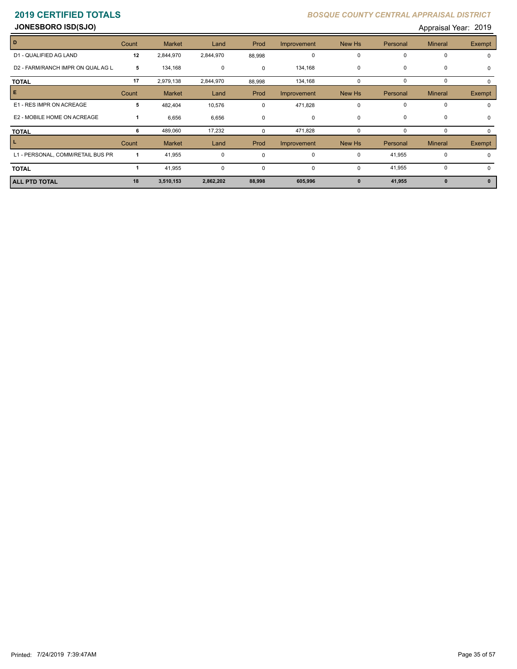**JONESBORO ISD(SJO)** Appraisal Year: 2019

|                                   |       |               |             |             |             |              |             | . .            |               |
|-----------------------------------|-------|---------------|-------------|-------------|-------------|--------------|-------------|----------------|---------------|
| D                                 | Count | <b>Market</b> | Land        | Prod        | Improvement | New Hs       | Personal    | <b>Mineral</b> | <b>Exempt</b> |
| D1 - QUALIFIED AG LAND            | 12    | 2,844,970     | 2,844,970   | 88,998      | 0           | $\mathbf 0$  | $\mathbf 0$ | 0              |               |
| D2 - FARM/RANCH IMPR ON QUAL AG L | 5     | 134,168       | 0           | $\mathbf 0$ | 134,168     | 0            | $\mathbf 0$ | 0              | $\Omega$      |
| <b>TOTAL</b>                      | 17    | 2,979,138     | 2,844,970   | 88,998      | 134,168     | 0            | $\mathbf 0$ | 0              |               |
| Е                                 | Count | <b>Market</b> | Land        | Prod        | Improvement | New Hs       | Personal    | <b>Mineral</b> | Exempt        |
| E1 - RES IMPR ON ACREAGE          | 5     | 482,404       | 10,576      | 0           | 471,828     | $\Omega$     | $\mathbf 0$ | 0              |               |
| E2 - MOBILE HOME ON ACREAGE       |       | 6,656         | 6,656       | $\Omega$    | 0           | 0            | 0           | $\mathbf 0$    | $\Omega$      |
| <b>TOTAL</b>                      | 6     | 489,060       | 17,232      | $\Omega$    | 471,828     | 0            | $\Omega$    | 0              |               |
| L.                                | Count | <b>Market</b> | Land        | Prod        | Improvement | New Hs       | Personal    | <b>Mineral</b> | <b>Exempt</b> |
| L1 - PERSONAL, COMM/RETAIL BUS PR |       | 41,955        | $\mathbf 0$ | 0           | 0           | $\Omega$     | 41,955      | 0              |               |
| <b>TOTAL</b>                      |       | 41,955        | 0           | 0           | 0           | 0            | 41,955      | $\mathbf 0$    |               |
| <b>ALL PTD TOTAL</b>              | 18    | 3,510,153     | 2,862,202   | 88,998      | 605,996     | $\mathbf{0}$ | 41,955      | $\mathbf{0}$   |               |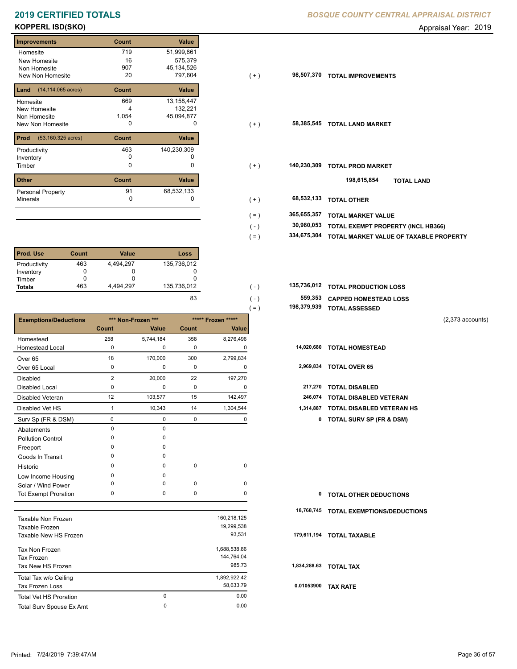# **KOPPERL ISD(SKO)** Appraisal Year: 2019

### **Improvements Count Value Homesite** New Homesite Non Homesite New Non Homesite **TOTAL IMPROVEMENTS** 20 797,604 719 51,999,861 16 575,379 132,221 4 907 45,134,526 **Land** (14,114.065 acres) **Count Value** Homesite New Homesite Non Homesite New Non Homesite **TOTAL CONSUMING MARKET**  669 13,158,447 1,054 45,094,877 **Prod Count Value** (53,160.325 acres) Productivity 140,230,309 463 Inventory 0 0 **Other Count Value** Minerals Personal Property 91 68,532,133

| l Prod. Use   | Count | <b>Value</b> | Loss        |
|---------------|-------|--------------|-------------|
| Productivity  | 463   | 4.494.297    | 135,736,012 |
| Inventory     |       |              |             |
| Timber        |       |              |             |
| <b>Totals</b> | 463   | 4.494.297    | 135,736,012 |

|                              |                |                    |             |                    | ( = )<br>190,379,939 | <b>TOTAL ASSESSED</b>               |                    |
|------------------------------|----------------|--------------------|-------------|--------------------|----------------------|-------------------------------------|--------------------|
| <b>Exemptions/Deductions</b> |                | *** Non-Frozen *** |             | ***** Frozen ***** |                      |                                     | $(2,373$ accounts) |
|                              | Count          | Value              | Count       | Value              |                      |                                     |                    |
| Homestead                    | 258            | 5,744,184          | 358         | 8,276,496          |                      |                                     |                    |
| <b>Homestead Local</b>       | $\mathbf 0$    | 0                  | 0           | 0                  | 14,020,680           | <b>TOTAL HOMESTEAD</b>              |                    |
| Over <sub>65</sub>           | 18             | 170,000            | 300         | 2,799,834          |                      |                                     |                    |
| Over 65 Local                | 0              | 0                  | 0           | 0                  | 2,969,834            | <b>TOTAL OVER 65</b>                |                    |
| <b>Disabled</b>              | $\overline{2}$ | 20,000             | 22          | 197,270            |                      |                                     |                    |
| Disabled Local               | 0              | 0                  | 0           | 0                  | 217,270              | <b>TOTAL DISABLED</b>               |                    |
| <b>Disabled Veteran</b>      | 12             | 103,577            | 15          | 142,497            | 246,074              | TOTAL DISABLED VETERAN              |                    |
| Disabled Vet HS              | $\overline{1}$ | 10,343             | 14          | 1,304,544          | 1,314,887            | <b>TOTAL DISABLED VETERAN HS</b>    |                    |
| Surv Sp (FR & DSM)           | 0              | 0                  | 0           | 0                  | 0                    | <b>TOTAL SURV SP (FR &amp; DSM)</b> |                    |
| Abatements                   | $\mathbf 0$    | 0                  |             |                    |                      |                                     |                    |
| <b>Pollution Control</b>     | $\Omega$       | 0                  |             |                    |                      |                                     |                    |
| Freeport                     | ŋ              | 0                  |             |                    |                      |                                     |                    |
| Goods In Transit             | <sup>0</sup>   | 0                  |             |                    |                      |                                     |                    |
| Historic                     | <sup>0</sup>   | 0                  | $\mathbf 0$ | 0                  |                      |                                     |                    |
| Low Income Housing           | $\Omega$       | 0                  |             |                    |                      |                                     |                    |
| Solar / Wind Power           | $\Omega$       | 0                  | 0           | 0                  |                      |                                     |                    |
| <b>Tot Exempt Proration</b>  | 0              | 0                  | 0           | 0                  | 0                    | <b>TOTAL OTHER DEDUCTIONS</b>       |                    |
|                              |                |                    |             |                    | 18,768,745           | <b>TOTAL EXEMPTIONS/DEDUCTIONS</b>  |                    |
| <b>Taxable Non Frozen</b>    |                |                    |             | 160,218,125        |                      |                                     |                    |
| Taxable Frozen               |                |                    |             | 19,299,538         |                      |                                     |                    |
| Taxable New HS Frozen        |                |                    |             | 93,531             | 179,611,194          | <b>TOTAL TAXABLE</b>                |                    |
| Tax Non Frozen               |                |                    |             | 1,688,538.86       |                      |                                     |                    |

| TAX INUIT FIUZEIT             |   | 1,000,000.00 |      |  |
|-------------------------------|---|--------------|------|--|
| Tax Frozen                    |   | 144.764.04   |      |  |
| Tax New HS Frozen             |   | 985.73       | 1.83 |  |
| Total Tax w/o Ceiling         |   | 1.892.922.42 |      |  |
| <b>Tax Frozen Loss</b>        |   | 58.633.79    | 0.0  |  |
| <b>Total Vet HS Proration</b> | 0 | 0.00         |      |  |
| Total Surv Spouse Ex Amt      | 0 | 0.00         |      |  |

| <b>Improvements</b>                       | Count | Value       |         |             |                                        |
|-------------------------------------------|-------|-------------|---------|-------------|----------------------------------------|
| Homesite                                  | 719   | 51,999,861  |         |             |                                        |
| New Homesite                              | 16    | 575,379     |         |             |                                        |
| Non Homesite                              | 907   | 45,134,526  |         |             |                                        |
| New Non Homesite                          | 20    | 797,604     | $(+)$   | 98,507,370  | <b>TOTAL IMPROVEMENTS</b>              |
| <b>Land</b> $(14, 114.065 \text{ acres})$ | Count | Value       |         |             |                                        |
| Homesite                                  | 669   | 13,158,447  |         |             |                                        |
| New Homesite                              |       | 132,221     |         |             |                                        |
| Non Homesite                              | 1,054 | 45,094,877  |         |             |                                        |
| New Non Homesite                          | 0     | 0           | $(+)$   | 58,385,545  | <b>TOTAL LAND MARKET</b>               |
| <b>Prod</b> $(53, 160.325 \text{ acres})$ | Count | Value       |         |             |                                        |
| Productivity                              | 463   | 140,230,309 |         |             |                                        |
| Inventory                                 | 0     | 0           |         |             |                                        |
| Timber                                    | 0     | 0           | $(+)$   | 140,230,309 | <b>TOTAL PROD MARKET</b>               |
| Other                                     | Count | Value       |         |             | 198,615,854<br><b>TOTAL LAND</b>       |
| Personal Property                         | 91    | 68,532,133  |         |             |                                        |
| Minerals                                  | 0     |             | $(+)$   | 68,532,133  | <b>TOTAL OTHER</b>                     |
|                                           |       |             | $( = )$ | 365,655,357 | <b>TOTAL MARKET VALUE</b>              |
|                                           |       |             | $(-)$   | 30,980,053  | TOTAL EXEMPT PROPERTY (INCL HB366)     |
|                                           |       |             |         |             |                                        |
|                                           |       |             | $( = )$ | 334,675,304 | TOTAL MARKET VALUE OF TAXABLE PROPERTY |

| 135.736.012 | $( - )$       | 135,736,012 TOTAL PRODUCTION LOSS |
|-------------|---------------|-----------------------------------|
| 83          | $($ - $)$     | 559,353 CAPPED HOMESTEAD LOSS     |
|             | $=$ $\lambda$ | 198,379,939 TOTAL ASSESSED        |

| 198,379,939 TOTAL ASSESSED |  |
|----------------------------|--|
|                            |  |

| 217,270 TOTAL DISABLED |  |
|------------------------|--|

| <b>0 TOTAL OTHER DEDUCTIONS</b> |  |
|---------------------------------|--|
|---------------------------------|--|

 **1,834,288.63 TOTAL TAX**

 **0.01053900 TAX RATE**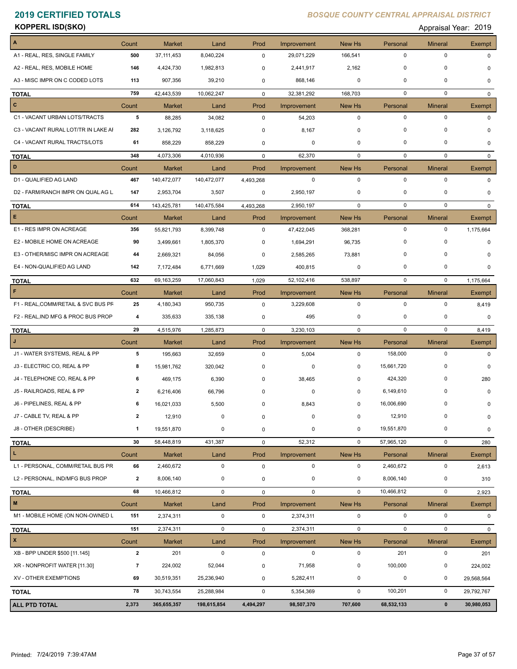**KOPPERL ISD(SKO)** Appraisal Year: 2019

| A                                   | Count          | <b>Market</b>        | Land              | Prod        | Improvement               | New Hs            | Personal    | <b>Mineral</b>                | Exempt        |
|-------------------------------------|----------------|----------------------|-------------------|-------------|---------------------------|-------------------|-------------|-------------------------------|---------------|
| A1 - REAL, RES, SINGLE FAMILY       | 500            | 37, 111, 453         | 8,040,224         | 0           | 29,071,229                | 166,541           | $\pmb{0}$   | $\pmb{0}$                     | 0             |
| A2 - REAL, RES, MOBILE HOME         | 146            | 4,424,730            | 1,982,813         | 0           | 2,441,917                 | 2,162             | 0           | 0                             | 0             |
| A3 - MISC IMPR ON C CODED LOTS      | 113            | 907,356              | 39,210            | 0           | 868,146                   | 0                 | 0           | 0                             | 0             |
| <b>TOTAL</b>                        | 759            | 42,443,539           | 10,062,247        | 0           | 32,381,292                | 168,703           | $\pmb{0}$   | $\mathbf 0$                   | 0             |
| c                                   | Count          | <b>Market</b>        | Land              | Prod        | Improvement               | New Hs            | Personal    | <b>Mineral</b>                | Exempt        |
| C1 - VACANT URBAN LOTS/TRACTS       | 5              | 88,285               | 34,082            | $\mathbf 0$ | 54,203                    | $\mathbf 0$       | $\pmb{0}$   | $\pmb{0}$                     | $\Omega$      |
| C3 - VACANT RURAL LOT/TR IN LAKE AI | 282            | 3,126,792            | 3,118,625         | $\mathbf 0$ | 8,167                     | 0                 | 0           | 0                             | <sup>0</sup>  |
| C4 - VACANT RURAL TRACTS/LOTS       | 61             | 858,229              | 858,229           | $\mathbf 0$ | 0                         | 0                 | 0           | 0                             | 0             |
| <b>TOTAL</b>                        | 348            | 4,073,306            | 4,010,936         | $\mathbf 0$ | 62,370                    | 0                 | $\mathbf 0$ | $\mathbf 0$                   | $\Omega$      |
| D                                   | Count          | <b>Market</b>        | Land              | Prod        | Improvement               | New Hs            | Personal    | <b>Mineral</b>                | <b>Exempt</b> |
| D1 - QUALIFIED AG LAND              | 467            | 140,472,077          | 140,472,077       | 4,493,268   | 0                         | $\mathbf 0$       | $\mathbf 0$ | $\pmb{0}$                     | $\Omega$      |
| D2 - FARM/RANCH IMPR ON QUAL AG L   | 147            | 2,953,704            | 3,507             | 0           | 2,950,197                 | 0                 | 0           | 0                             | 0             |
|                                     | 614            | 143,425,781          |                   |             | 2,950,197                 | 0                 | 0           | $\mathbf 0$                   | 0             |
| <b>TOTAL</b><br>E                   |                |                      | 140,475,584       | 4,493,268   |                           |                   | Personal    |                               |               |
| E1 - RES IMPR ON ACREAGE            | Count<br>356   | Market<br>55,821,793 | Land<br>8,399,748 | Prod<br>0   | Improvement<br>47,422,045 | New Hs<br>368,281 | $\mathbf 0$ | <b>Mineral</b><br>$\mathbf 0$ | Exempt        |
|                                     |                |                      |                   |             |                           |                   | 0           |                               | 1,175,664     |
| E2 - MOBILE HOME ON ACREAGE         | 90             | 3,499,661            | 1,805,370         | 0           | 1,694,291                 | 96,735            |             | 0                             | $\Omega$      |
| E3 - OTHER/MISC IMPR ON ACREAGE     | 44             | 2,669,321            | 84,056            | 0           | 2,585,265                 | 73,881            | $\Omega$    | $\mathbf 0$                   | $\Omega$      |
| E4 - NON-QUALIFIED AG LAND          | 142            | 7,172,484            | 6,771,669         | 1,029       | 400,815                   | 0                 | 0           | $\mathbf 0$                   | 0             |
| <b>TOTAL</b>                        | 632            | 69,163,259           | 17,060,843        | 1,029       | 52,102,416                | 538,897           | 0           | $\mathbf 0$                   | 1,175,664     |
| F                                   | Count          | <b>Market</b>        | Land              | Prod        | Improvement               | New Hs            | Personal    | <b>Mineral</b>                | Exempt        |
| F1 - REAL, COMM/RETAIL & SVC BUS PF | 25             | 4,180,343            | 950,735           | 0           | 3,229,608                 | 0                 | 0           | 0                             | 8,419         |
| F2 - REAL, IND MFG & PROC BUS PROP  | 4              | 335,633              | 335,138           | 0           | 495                       | 0                 | 0           | $\mathbf 0$                   | 0             |
| <b>TOTAL</b>                        | 29             | 4,515,976            | 1,285,873         | $\mathbf 0$ | 3,230,103                 | $\mathbf 0$       | $\mathbf 0$ | $\pmb{0}$                     | 8,419         |
|                                     | Count          | <b>Market</b>        | Land              | Prod        | Improvement               | New Hs            | Personal    | <b>Mineral</b>                | Exempt        |
| J1 - WATER SYSTEMS, REAL & PP       | 5              | 195,663              | 32,659            | 0           | 5,004                     | 0                 | 158,000     | $\pmb{0}$                     | 0             |
| J3 - ELECTRIC CO, REAL & PP         | 8              | 15,981,762           | 320,042           | 0           | 0                         | 0                 | 15,661,720  | 0                             | 0             |
| J4 - TELEPHONE CO, REAL & PP        | 6              | 469,175              | 6,390             | $\mathbf 0$ | 38,465                    | 0                 | 424,320     | 0                             | 280           |
| J5 - RAILROADS, REAL & PP           | $\mathbf{2}$   | 6,216,406            | 66,796            | 0           | 0                         | 0                 | 6,149,610   | $\mathbf 0$                   | 0             |
| J6 - PIPELINES, REAL & PP           | 6              | 16,021,033           | 5,500             | $\mathbf 0$ | 8,843                     | 0                 | 16,006,690  | $\mathbf 0$                   | 0             |
| J7 - CABLE TV, REAL & PP            | $\mathbf{2}$   | 12,910               | 0                 | $\mathsf 0$ | $\pmb{0}$                 | 0                 | 12,910      | $\pmb{0}$                     | 0             |
| J8 - OTHER (DESCRIBE)               | $\mathbf{1}$   | 19,551,870           | 0                 | $\mathbf 0$ | 0                         | 0                 | 19,551,870  | $\pmb{0}$                     | 0             |
| <b>TOTAL</b>                        | 30             | 58,448,819           | 431,387           | $\mathsf 0$ | 52,312                    | $\mathbf 0$       | 57,965,120  | $\mathbf 0$                   | 280           |
| L.                                  | Count          | <b>Market</b>        | Land              | Prod        | Improvement               | New Hs            | Personal    | <b>Mineral</b>                | Exempt        |
| L1 - PERSONAL, COMM/RETAIL BUS PR   | 66             | 2,460,672            | $\mathbf 0$       | $\mathsf 0$ | 0                         | 0                 | 2,460,672   | $\pmb{0}$                     | 2,613         |
| L2 - PERSONAL, IND/MFG BUS PROP     | $\mathbf{2}$   | 8,006,140            | 0                 | $\mathsf 0$ | 0                         | 0                 | 8,006,140   | $\pmb{0}$                     | 310           |
| <b>TOTAL</b>                        | 68             | 10,466,812           | $\mathbf 0$       | $\mathsf 0$ | $\mathsf 0$               | $\mathbf 0$       | 10,466,812  | $\pmb{0}$                     | 2,923         |
| M                                   | Count          | <b>Market</b>        | Land              | Prod        | Improvement               | New Hs            | Personal    | <b>Mineral</b>                | Exempt        |
| M1 - MOBILE HOME (ON NON-OWNED L    | 151            | 2,374,311            | $\mathbf 0$       | $\mathbf 0$ | 2,374,311                 | 0                 | $\pmb{0}$   | $\pmb{0}$                     | 0             |
|                                     | 151            | 2,374,311            | $\mathbf 0$       |             |                           | $\mathbf 0$       | $\mathbf 0$ | $\pmb{0}$                     |               |
| <b>TOTAL</b><br>$\pmb{\mathsf{x}}$  |                |                      |                   | 0           | 2,374,311                 |                   |             |                               | 0             |
|                                     | Count          | <b>Market</b>        | Land              | Prod        | Improvement               | New Hs            | Personal    | <b>Mineral</b>                | Exempt        |
| XB - BPP UNDER \$500 [11.145]       | $\mathbf{2}$   | 201                  | $\mathbf 0$       | $\mathbf 0$ | $\mathbf 0$               | 0                 | 201         | $\pmb{0}$                     | 201           |
| XR - NONPROFIT WATER [11.30]        | $\overline{7}$ | 224,002              | 52,044            | 0           | 71,958                    | 0                 | 100,000     | 0                             | 224,002       |
| XV - OTHER EXEMPTIONS               | 69             | 30,519,351           | 25,236,940        | 0           | 5,282,411                 | 0                 | 0           | 0                             | 29,568,564    |
| <b>TOTAL</b>                        | 78             | 30,743,554           | 25,288,984        | 0           | 5,354,369                 | $\mathbf 0$       | 100,201     | $\pmb{0}$                     | 29,792,767    |
| ALL PTD TOTAL                       | 2,373          | 365,655,357          | 198,615,854       | 4,494,297   | 98,507,370                | 707,600           | 68,532,133  | $\pmb{0}$                     | 30,980,053    |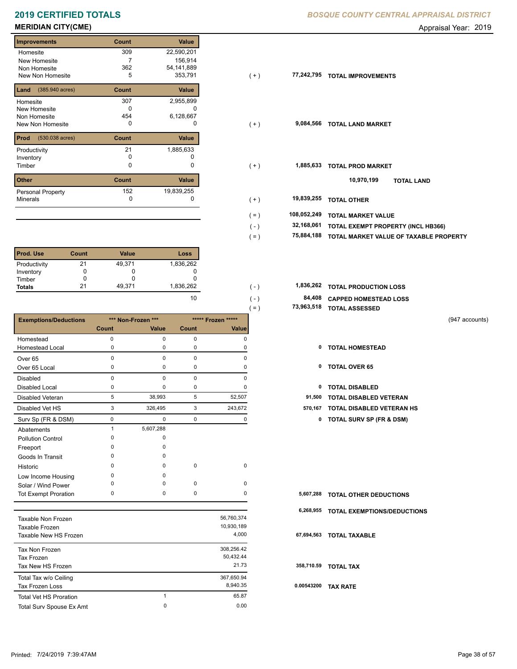# **2019 CERTIFIED TOTALS**

## **MERIDIAN CITY(CME)** Appraisal Year: 2019

### **Improvements Count Value** Homesite New Homesite Non Homesite New Non Homesite **TOTAL IMPROVEMENTS** 5 353,791 309 22,590,201 7 156,914 362 54,141,889 **Land Count Value** (385.940 acres) Homesite New Homesite Non Homesite New Non Homesite **TOTAL CONSUMING MARKET**  307 2,955,899  $\overline{0}$  c 454 6,128,667 **Prod Count Value** (530.038 acres) Productivity 21 1,885,633<br>
Inventory 0 0 0 Inventory<br>Timber 0 0 **Other Count Value** Minerals Personal Property **Exercise 152** 1,885,633 152 19,839,255

| <b>Prod. Use</b> | Count | <b>Value</b> | Loss      |
|------------------|-------|--------------|-----------|
| Productivity     | 21    | 49,371       | 1,836,262 |
| Inventory        |       |              |           |
| Timber           |       |              |           |
| <b>Totals</b>    | 21    | 49,371       | 1,836,262 |

|                               |              |                    |             |                    | $( = )$   | 73,963,518 TOTAL ASSESSED           |                |
|-------------------------------|--------------|--------------------|-------------|--------------------|-----------|-------------------------------------|----------------|
| <b>Exemptions/Deductions</b>  |              | *** Non-Frozen *** |             | ***** Frozen ***** |           |                                     | (947 accounts) |
|                               | <b>Count</b> | Value              | Count       | Value              |           |                                     |                |
| Homestead                     | 0            | $\mathbf 0$        | $\mathbf 0$ | $\mathbf 0$        |           |                                     |                |
| <b>Homestead Local</b>        | $\Omega$     | $\Omega$           | 0           | 0                  | 0         | <b>TOTAL HOMESTEAD</b>              |                |
| Over <sub>65</sub>            | $\mathbf 0$  | $\Omega$           | $\pmb{0}$   | $\Omega$           |           |                                     |                |
| Over 65 Local                 | 0            | 0                  | 0           | 0                  | 0         | <b>TOTAL OVER 65</b>                |                |
| Disabled                      | $\mathbf 0$  | $\Omega$           | $\mathbf 0$ | $\Omega$           |           |                                     |                |
| <b>Disabled Local</b>         | $\mathbf 0$  | 0                  | 0           | 0                  | 0         | <b>TOTAL DISABLED</b>               |                |
| <b>Disabled Veteran</b>       | 5            | 38,993             | 5           | 52,507             | 91,500    | <b>TOTAL DISABLED VETERAN</b>       |                |
| Disabled Vet HS               | 3            | 326,495            | 3           | 243,672            | 570,167   | <b>TOTAL DISABLED VETERAN HS</b>    |                |
| Surv Sp (FR & DSM)            | 0            | $\mathbf 0$        | $\mathbf 0$ | 0                  | 0         | <b>TOTAL SURV SP (FR &amp; DSM)</b> |                |
| Abatements                    | $\mathbf{1}$ | 5,607,288          |             |                    |           |                                     |                |
| <b>Pollution Control</b>      | $\Omega$     | 0                  |             |                    |           |                                     |                |
| Freeport                      | $\Omega$     | $\Omega$           |             |                    |           |                                     |                |
| Goods In Transit              | $\Omega$     | $\Omega$           |             |                    |           |                                     |                |
| Historic                      | O            | $\Omega$           | $\pmb{0}$   | $\pmb{0}$          |           |                                     |                |
| Low Income Housing            | 0            | <sup>0</sup>       |             |                    |           |                                     |                |
| Solar / Wind Power            | O            | $\Omega$           | 0           | 0                  |           |                                     |                |
| <b>Tot Exempt Proration</b>   | 0            | 0                  | 0           | 0                  | 5,607,288 | <b>TOTAL OTHER DEDUCTIONS</b>       |                |
|                               |              |                    |             |                    | 6,268,955 | TOTAL EXEMPTIONS/DEDUCTIONS         |                |
| <b>Taxable Non Frozen</b>     |              |                    |             | 56,760,374         |           |                                     |                |
| Taxable Frozen                |              |                    |             | 10,930,189         |           |                                     |                |
| Taxable New HS Frozen         |              |                    |             | 4,000              |           | 67,694,563 TOTAL TAXABLE            |                |
| Tax Non Frozen                |              |                    |             | 308,256.42         |           |                                     |                |
| <b>Tax Frozen</b>             |              |                    |             | 50,432.44          |           |                                     |                |
| Tax New HS Frozen             |              |                    |             | 21.73              |           | 358,710.59 TOTAL TAX                |                |
| Total Tax w/o Ceiling         |              |                    |             | 367,650.94         |           |                                     |                |
| Tax Frozen Loss               |              |                    |             | 8,940.35           |           | 0.00543200 TAX RATE                 |                |
| <b>Total Vet HS Proration</b> |              | $\mathbf{1}$       |             | 65.87              |           |                                     |                |

Total Surv Spouse Ex Amt 0.00

0

|  | BOSQUE COUNTY CENTRAL APPRAISAL DISTRICT |  |
|--|------------------------------------------|--|

| <b>Improvements</b>                   | Count | Value      |                        |                                         |
|---------------------------------------|-------|------------|------------------------|-----------------------------------------|
| Homesite                              | 309   | 22,590,201 |                        |                                         |
| New Homesite                          |       | 156,914    |                        |                                         |
| Non Homesite                          | 362   | 54,141,889 |                        |                                         |
| New Non Homesite                      | 5     | 353,791    | $(+)$                  | 77,242,795<br><b>TOTAL IMPROVEMENTS</b> |
| <b>Land</b> $(385.940 \text{ acres})$ | Count | Value      |                        |                                         |
| Homesite                              | 307   | 2,955,899  |                        |                                         |
| New Homesite                          | 0     | 0          |                        |                                         |
| Non Homesite                          | 454   | 6,128,667  |                        |                                         |
| New Non Homesite                      | 0     | 0          | $(+)$                  | 9,084,566<br><b>TOTAL LAND MARKET</b>   |
| <b>Prod</b> (530.038 acres)           | Count | Value      |                        |                                         |
| Productivity                          | 21    | 1,885,633  |                        |                                         |
| Inventory                             |       |            |                        |                                         |
| Timber                                | 0     | 0          | $(+)$                  | 1,885,633<br><b>TOTAL PROD MARKET</b>   |
| Other                                 | Count | Value      |                        | 10,970,199<br><b>TOTAL LAND</b>         |
| Personal Property                     | 152   | 19,839,255 |                        |                                         |
| Minerals                              | 0     | 0          | 19,839,255<br>$(+)$    | <b>TOTAL OTHER</b>                      |
|                                       |       |            | 108,052,249<br>$( = )$ | <b>TOTAL MARKET VALUE</b>               |
|                                       |       |            | 32,168,061<br>$(-)$    | TOTAL EXEMPT PROPERTY (INCL HB366)      |
|                                       |       |            | 75,884,188<br>$( = )$  | TOTAL MARKET VALUE OF TAXABLE PROPERTY  |
|                                       |       |            |                        |                                         |

| 1.836.262 | $\sim$                   |          | 1,836,262 TOTAL PRODUCTION LOSS |  |
|-----------|--------------------------|----------|---------------------------------|--|
| 10        | $\overline{\phantom{a}}$ |          | 84,408 CAPPED HOMESTEAD LOSS    |  |
|           |                          | -------- |                                 |  |

| 73,963,518 TOTAL ASSESSED |
|---------------------------|
|                           |

- 
- 
- 
- 3 326,495 3 243,672 **570,167 TOTAL DISABLED VETERAN HS**
	- Surv Sp (FR & DSM) 0 0 0 0 **0 TOTAL SURV SP (FR & DSM)**

|            | 5,607,288 TOTAL OTHER DEDUCTIONS      |
|------------|---------------------------------------|
|            | 6,268,955 TOTAL EXEMPTIONS/DEDUCTIONS |
|            | 67,694,563 TOTAL TAXABLE              |
|            | 358,710.59 TOTAL TAX                  |
| 0.00543200 | <b>TAX RATE</b>                       |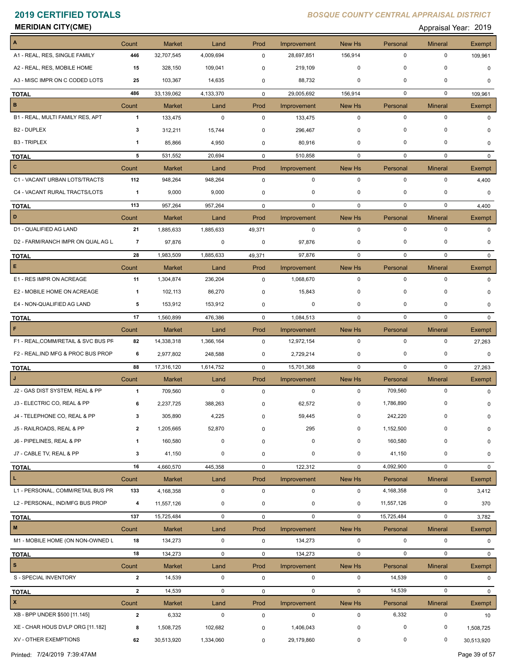**MERIDIAN CITY(CME)** Appraisal Year: 2019

| $\overline{\mathbf{A}}$             | Count          | <b>Market</b> | Land        | Prod        | Improvement | New Hs      | Personal    | <b>Mineral</b> | Exempt        |
|-------------------------------------|----------------|---------------|-------------|-------------|-------------|-------------|-------------|----------------|---------------|
| A1 - REAL, RES, SINGLE FAMILY       | 446            | 32,707,545    | 4,009,694   | 0           | 28,697,851  | 156,914     | $\mathbf 0$ | $\mathbf 0$    | 109,961       |
| A2 - REAL, RES, MOBILE HOME         | 15             | 328,150       | 109,041     | 0           | 219,109     | $\mathbf 0$ | $\pmb{0}$   | $\mathbf 0$    | $\Omega$      |
| A3 - MISC IMPR ON C CODED LOTS      | 25             | 103,367       | 14,635      | 0           | 88,732      | 0           | 0           | 0              | 0             |
| <b>TOTAL</b>                        | 486            | 33,139,062    | 4,133,370   | $\mathbf 0$ | 29,005,692  | 156,914     | $\mathbf 0$ | $\mathbf 0$    | 109,961       |
| $\mathbf B$                         | Count          | <b>Market</b> | Land        | Prod        | Improvement | New Hs      | Personal    | <b>Mineral</b> | Exempt        |
| B1 - REAL, MULTI FAMILY RES, APT    | $\mathbf{1}$   | 133,475       | $\pmb{0}$   | 0           | 133,475     | $\mathbf 0$ | $\mathbf 0$ | $\mathbf 0$    | $\Omega$      |
| B <sub>2</sub> - DUPLEX             | 3              | 312,211       | 15,744      | 0           | 296,467     | 0           | $\mathbf 0$ | $\Omega$       |               |
| <b>B3 - TRIPLEX</b>                 | $\mathbf 1$    | 85,866        | 4,950       | 0           | 80,916      | 0           | $\mathbf 0$ | $\mathbf 0$    | 0             |
| <b>TOTAL</b>                        | 5              | 531,552       | 20,694      | 0           | 510,858     | 0           | 0           | $\mathbf 0$    | $\Omega$      |
| $\mathbf{C}$                        | Count          | Market        | Land        | Prod        | Improvement | New Hs      | Personal    | <b>Mineral</b> | Exempt        |
| C1 - VACANT URBAN LOTS/TRACTS       | 112            | 948,264       | 948,264     | 0           | $\mathbf 0$ | $\mathbf 0$ | $\mathbf 0$ | $\mathbf 0$    | 4,400         |
| C4 - VACANT RURAL TRACTS/LOTS       | $\mathbf{1}$   | 9,000         | 9,000       | 0           | 0           | 0           | 0           | 0              | $\mathbf 0$   |
| <b>TOTAL</b>                        | 113            | 957,264       | 957,264     | $\mathbf 0$ | $\mathbf 0$ | $\mathbf 0$ | $\mathbf 0$ | $\mathbf 0$    | 4,400         |
| D                                   | Count          | <b>Market</b> | Land        | Prod        | Improvement | New Hs      | Personal    | <b>Mineral</b> | Exempt        |
| D1 - QUALIFIED AG LAND              | 21             | 1,885,633     | 1,885,633   | 49,371      | $\mathbf 0$ | $\mathbf 0$ | $\mathbf 0$ | $\mathbf 0$    | $\Omega$      |
| D2 - FARM/RANCH IMPR ON QUAL AG L   | 7              | 97,876        | 0           | 0           | 97,876      | 0           | $\mathbf 0$ | $\Omega$       | 0             |
| <b>TOTAL</b>                        | 28             | 1,983,509     | 1,885,633   | 49,371      | 97,876      | $\mathbf 0$ | $\mathbf 0$ | $\mathbf 0$    | $\mathbf{0}$  |
| E                                   | Count          | Market        | Land        | Prod        | Improvement | New Hs      | Personal    | <b>Mineral</b> | <b>Exempt</b> |
| E1 - RES IMPR ON ACREAGE            | 11             | 1,304,874     | 236,204     | $\mathbf 0$ | 1,068,670   | $\mathbf 0$ | $\mathbf 0$ | $\mathbf 0$    | 0             |
| E2 - MOBILE HOME ON ACREAGE         | $\mathbf{1}$   | 102,113       | 86,270      | 0           | 15,843      | 0           | $\mathbf 0$ | 0              | O             |
| E4 - NON-QUALIFIED AG LAND          | 5              | 153,912       | 153,912     | 0           | 0           | 0           | $\mathbf 0$ | 0              | 0             |
| <b>TOTAL</b>                        | 17             | 1,560,899     | 476,386     | $\mathbf 0$ | 1,084,513   | $\mathbf 0$ | $\mathbf 0$ | $\mathbf 0$    | $\Omega$      |
| F                                   | Count          | <b>Market</b> | Land        | Prod        | Improvement | New Hs      | Personal    | <b>Mineral</b> | Exempt        |
| F1 - REAL, COMM/RETAIL & SVC BUS PF | 82             | 14,338,318    | 1,366,164   | 0           | 12,972,154  | $\mathbf 0$ | $\mathbf 0$ | 0              | 27,263        |
| F2 - REAL, IND MFG & PROC BUS PROP  | 6              | 2,977,802     | 248,588     | 0           | 2,729,214   | 0           | 0           | 0              | 0             |
| <b>TOTAL</b>                        | 88             | 17,316,120    | 1,614,752   | $\mathbf 0$ | 15,701,368  | $\mathbf 0$ | $\mathbf 0$ | $\mathbf 0$    | 27,263        |
|                                     | Count          | <b>Market</b> | Land        | Prod        | Improvement | New Hs      | Personal    | <b>Mineral</b> | Exempt        |
| J2 - GAS DIST SYSTEM, REAL & PP     | $\mathbf{1}$   | 709,560       | $\mathbf 0$ | 0           | $\mathbf 0$ | $\mathbf 0$ | 709,560     | $\mathbf 0$    |               |
| J3 - ELECTRIC CO, REAL & PP         | 6              | 2,237,725     | 388,263     | 0           | 62,572      | 0           | 1,786,890   | $\mathbf 0$    | O             |
| J4 - TELEPHONE CO, REAL & PP        | 3              | 305,890       | 4,225       | $\pmb{0}$   | 59,445      | 0           | 242,220     | 0              | 0             |
| J5 - RAILROADS, REAL & PP           | $\overline{2}$ | 1,205,665     | 52,870      | $\mathbf 0$ | 295         | 0           | 1,152,500   | $\Omega$       | $\mathbf 0$   |
| J6 - PIPELINES, REAL & PP           | $\mathbf{1}$   | 160,580       | $\pmb{0}$   | 0           | $\mathbf 0$ | $\mathbf 0$ | 160,580     | 0              | 0             |
| J7 - CABLE TV, REAL & PP            | 3              | 41,150        | 0           | 0           | 0           | 0           | 41,150      | 0              | 0             |
| <b>TOTAL</b>                        | 16             | 4,660,570     | 445,358     | $\mathbf 0$ | 122,312     | $\mathbf 0$ | 4,092,900   | $\mathbf 0$    | $\mathbf{0}$  |
| $\mathbf L$                         | Count          | <b>Market</b> | Land        | Prod        | Improvement | New Hs      | Personal    | <b>Mineral</b> | Exempt        |
| L1 - PERSONAL, COMM/RETAIL BUS PR   | 133            | 4,168,358     | 0           | 0           | 0           | $\mathbf 0$ | 4,168,358   | $\mathbf 0$    | 3,412         |
| L2 - PERSONAL, IND/MFG BUS PROP     | 4              | 11,557,126    | 0           | 0           | 0           | 0           | 11,557,126  | 0              | 370           |
| <b>TOTAL</b>                        | 137            | 15,725,484    | $\mathsf 0$ | 0           | $\mathbf 0$ | $\mathbf 0$ | 15,725,484  | $\mathbf 0$    | 3,782         |
| $\mathbf M$                         | Count          | <b>Market</b> | Land        | Prod        | Improvement | New Hs      | Personal    | <b>Mineral</b> | Exempt        |
| M1 - MOBILE HOME (ON NON-OWNED L    | 18             | 134,273       | $\mathsf 0$ | 0           | 134,273     | $\mathbf 0$ | $\mathbf 0$ | $\mathbf 0$    | $\mathbf{0}$  |
| <b>TOTAL</b>                        | 18             | 134,273       | $\mathbf 0$ | 0           | 134,273     | $\mathbf 0$ | $\pmb{0}$   | $\mathbf 0$    | $\mathbf{0}$  |
| $\mathbf{s}$                        | Count          | Market        | Land        | Prod        | Improvement | New Hs      | Personal    | <b>Mineral</b> | Exempt        |
| S - SPECIAL INVENTORY               | $\mathbf{2}$   | 14,539        | $\pmb{0}$   | $\mathbf 0$ | 0           | $\mathbf 0$ | 14,539      | 0              | 0             |
| <b>TOTAL</b>                        | $\mathbf{2}$   | 14,539        | $\mathbf 0$ | $\mathbf 0$ | $\mathbf 0$ | $\mathbf 0$ | 14,539      | $\mathbf 0$    | $\mathbf{0}$  |
| $\mathbf{x}$                        | Count          | Market        | Land        | Prod        | Improvement | New Hs      | Personal    | <b>Mineral</b> | Exempt        |
| XB - BPP UNDER \$500 [11.145]       | $\overline{2}$ | 6,332         | $\mathbf 0$ | $\mathsf 0$ | 0           | $\mathbf 0$ | 6,332       | $\mathsf 0$    | 10            |
| XE - CHAR HOUS DVLP ORG [11.182]    | 8              | 1,508,725     | 102,682     | 0           | 1,406,043   | 0           | 0           | 0              | 1,508,725     |
| XV - OTHER EXEMPTIONS               | 62             | 30,513,920    | 1,334,060   | $\mathbf 0$ | 29,179,860  | $\mathbf 0$ | 0           | 0              | 30,513,920    |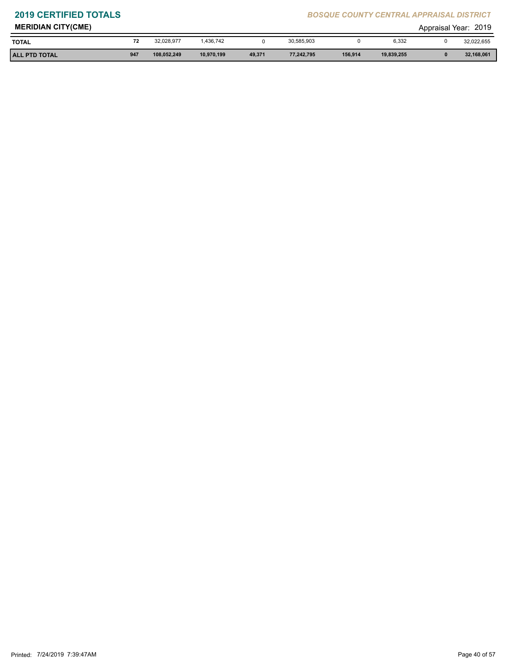| <b>MERIDIAN CITY(CME)</b> |     |             |            |        |            |         |            | Appraisal Year: | 2019       |
|---------------------------|-----|-------------|------------|--------|------------|---------|------------|-----------------|------------|
| <b>TOTAL</b>              | 72  | 32.028.977  | .436.742   |        | 30,585,903 |         | 6,332      |                 | 32,022,655 |
| <b>ALL PTD TOTAL</b>      | 947 | 108,052,249 | 10,970,199 | 49,371 | 77.242.795 | 156,914 | 19,839,255 |                 | 32,168,061 |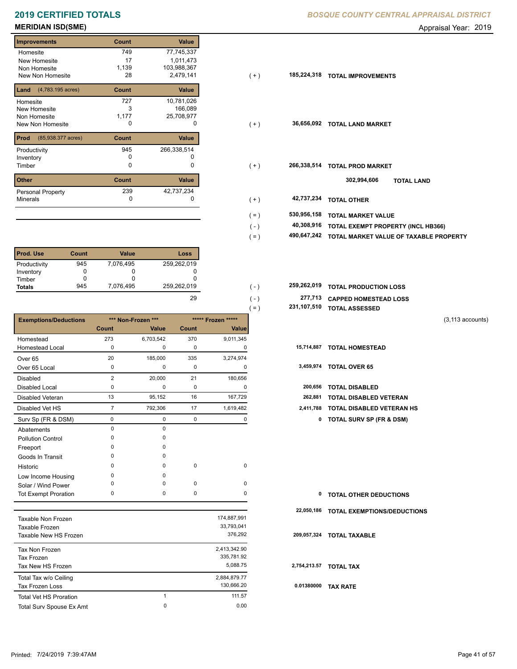# **MERIDIAN ISD(SME)** Appraisal Year: 2019

| <b>Improvements</b>        | Count | <b>Value</b> |
|----------------------------|-------|--------------|
| Homesite                   | 749   | 77,745,337   |
| New Homesite               | 17    | 1,011,473    |
| Non Homesite               | 1,139 | 103,988,367  |
| New Non Homesite           | 28    | 2,479,141    |
| (4,783.195 acres)<br>Land  | Count | Value        |
| Homesite                   | 727   | 10,781,026   |
| <b>New Homesite</b>        | 3     | 166,089      |
| Non Homesite               | 1,177 | 25,708,977   |
| <b>New Non Homesite</b>    | 0     | 0            |
| Prod<br>(85,938.377 acres) | Count | Value        |
| Productivity               | 945   | 266,338,514  |
| Inventory                  |       |              |
| Timber                     | 0     | 0            |
| <b>Other</b>               | Count | Value        |
| Personal Property          | 239   | 42,737,234   |
| <b>Minerals</b>            | 0     | O            |

| l Prod. Use   | Count | Value     | Loss        |
|---------------|-------|-----------|-------------|
| Productivity  | 945   | 7,076,495 | 259,262,019 |
| Inventory     |       |           |             |
| Timber        |       |           |             |
| <b>Totals</b> | 945   | 7,076,495 | 259,262,019 |

|                              |                |                    |             |                    | $( = )$ | 231,107,510 | <b>TOTAL ASSESSED</b>               |                     |
|------------------------------|----------------|--------------------|-------------|--------------------|---------|-------------|-------------------------------------|---------------------|
| <b>Exemptions/Deductions</b> |                | *** Non-Frozen *** |             | ***** Frozen ***** |         |             |                                     | $(3, 113$ accounts) |
|                              | Count          | Value              | Count       | Value              |         |             |                                     |                     |
| Homestead                    | 273            | 6,703,542          | 370         | 9,011,345          |         |             |                                     |                     |
| <b>Homestead Local</b>       | $\mathbf 0$    | 0                  | 0           | 0                  |         |             | 15,714,887 TOTAL HOMESTEAD          |                     |
| Over <sub>65</sub>           | 20             | 185,000            | 335         | 3,274,974          |         |             |                                     |                     |
| Over 65 Local                | 0              | 0                  | 0           | 0                  |         |             | 3,459,974 TOTAL OVER 65             |                     |
| <b>Disabled</b>              | $\overline{2}$ | 20,000             | 21          | 180,656            |         |             |                                     |                     |
| <b>Disabled Local</b>        | 0              | 0                  | 0           | 0                  |         | 200,656     | <b>TOTAL DISABLED</b>               |                     |
| <b>Disabled Veteran</b>      | 13             | 95,152             | 16          | 167,729            |         | 262,881     | <b>TOTAL DISABLED VETERAN</b>       |                     |
| Disabled Vet HS              | $\overline{7}$ | 792,306            | 17          | 1,619,482          |         | 2,411,788   | <b>TOTAL DISABLED VETERAN HS</b>    |                     |
| Surv Sp (FR & DSM)           | 0              | 0                  | 0           | 0                  |         | 0           | <b>TOTAL SURV SP (FR &amp; DSM)</b> |                     |
| Abatements                   | $\mathbf 0$    | $\Omega$           |             |                    |         |             |                                     |                     |
| <b>Pollution Control</b>     | $\Omega$       | 0                  |             |                    |         |             |                                     |                     |
| Freeport                     | $\Omega$       | 0                  |             |                    |         |             |                                     |                     |
| Goods In Transit             | $\Omega$       | 0                  |             |                    |         |             |                                     |                     |
| Historic                     | $\Omega$       | 0                  | $\mathbf 0$ | $\mathbf 0$        |         |             |                                     |                     |
| Low Income Housing           | $\Omega$       | 0                  |             |                    |         |             |                                     |                     |
| Solar / Wind Power           | 0              | 0                  | $\mathbf 0$ | 0                  |         |             |                                     |                     |
| <b>Tot Exempt Proration</b>  | 0              | 0                  | $\mathbf 0$ | 0                  |         | 0           | <b>TOTAL OTHER DEDUCTIONS</b>       |                     |
|                              |                |                    |             |                    |         | 22,050,186  | <b>TOTAL EXEMPTIONS/DEDUCTIONS</b>  |                     |
| <b>Taxable Non Frozen</b>    |                |                    |             | 174,887,991        |         |             |                                     |                     |
| Taxable Frozen               |                |                    |             | 33,793,041         |         |             |                                     |                     |
| Taxable New HS Frozen        |                |                    |             | 376,292            |         | 209,057,324 | <b>TOTAL TAXABLE</b>                |                     |
| Tax Non Frozen               |                |                    |             | 2,413,342.90       |         |             |                                     |                     |
| <b>Tax Frozen</b>            |                |                    |             | 335,781.92         |         |             |                                     |                     |
| Tax New HS Frozen            |                |                    |             | 5,088.75           |         |             | 2,754,213.57 TOTAL TAX              |                     |
| Total Tax w/o Ceiling        |                |                    |             | 2,884,879.77       |         |             |                                     |                     |
| <b>Tax Frozen Loss</b>       |                |                    |             | 130,666.20         |         |             | 0.01380000 TAX RATE                 |                     |

Total Surv Spouse Ex Amt 0.00

1 111.57 0

| <b>Improvements</b>                     | Count | Value       |         |             |                                        |
|-----------------------------------------|-------|-------------|---------|-------------|----------------------------------------|
| Homesite                                | 749   | 77,745,337  |         |             |                                        |
| New Homesite                            | 17    | 1,011,473   |         |             |                                        |
| Non Homesite                            | 1,139 | 103,988,367 |         |             |                                        |
| New Non Homesite                        | 28    | 2,479,141   | $(+)$   | 185,224,318 | <b>TOTAL IMPROVEMENTS</b>              |
| <b>Land</b> $(4,783.195 \text{ acres})$ | Count | Value       |         |             |                                        |
| Homesite                                | 727   | 10,781,026  |         |             |                                        |
| New Homesite                            | 3     | 166,089     |         |             |                                        |
| Non Homesite                            | 1,177 | 25,708,977  |         |             |                                        |
| New Non Homesite                        | 0     | 0           | $(+)$   | 36,656,092  | <b>TOTAL LAND MARKET</b>               |
| <b>Prod</b> (85,938.377 acres)          | Count | Value       |         |             |                                        |
| Productivity                            | 945   | 266,338,514 |         |             |                                        |
| Inventory                               | 0     | 0           |         |             |                                        |
| Timber                                  | 0     | 0           | $(+)$   | 266,338,514 | <b>TOTAL PROD MARKET</b>               |
| Other                                   | Count | Value       |         |             | 302,994,606<br><b>TOTAL LAND</b>       |
| Personal Property                       | 239   | 42,737,234  |         |             |                                        |
| Minerals                                | 0     |             | $(+)$   | 42,737,234  | <b>TOTAL OTHER</b>                     |
|                                         |       |             | $( = )$ | 530,956,158 | <b>TOTAL MARKET VALUE</b>              |
|                                         |       |             | $(-)$   | 40,308,916  | TOTAL EXEMPT PROPERTY (INCL HB366)     |
|                                         |       |             |         | 490,647,242 | TOTAL MARKET VALUE OF TAXABLE PROPERTY |
|                                         |       |             | $( = )$ |             |                                        |

| 259.262.019 | $( - )$       | 259,262,019 TOTAL PRODUCTION LOSS |
|-------------|---------------|-----------------------------------|
| 29          | ( – )         | 277,713 CAPPED HOMESTEAD LOSS     |
|             | $=$ $\lambda$ | 231,107,510 TOTAL ASSESSED        |

```
(3,113 accounts)
```

| 15,714,887 TOTAL HOMESTEAD |  |
|----------------------------|--|
|                            |  |

| 3,459,974 | <b>TOTAL OVER 65</b> |  |
|-----------|----------------------|--|
|-----------|----------------------|--|

| 200,656 TOTAL DISABLED |  |
|------------------------|--|

| 262,881 | <b>TOTAL DISABLED VETERAN</b> |
|---------|-------------------------------|
|---------|-------------------------------|

- 7 792,306 17 1,619,482 **2,411,788 TOTAL DISABLED VETERAN HS**
	- Surv Sp (FR & DSM) 0 0 0 0 **0 TOTAL SURV SP (FR & DSM)**

|  | <b>0 TOTAL OTHER DEDUCTIONS</b> |  |
|--|---------------------------------|--|
|--|---------------------------------|--|

```
 0.01380000 TAX RATE
```
Total Vet HS Proration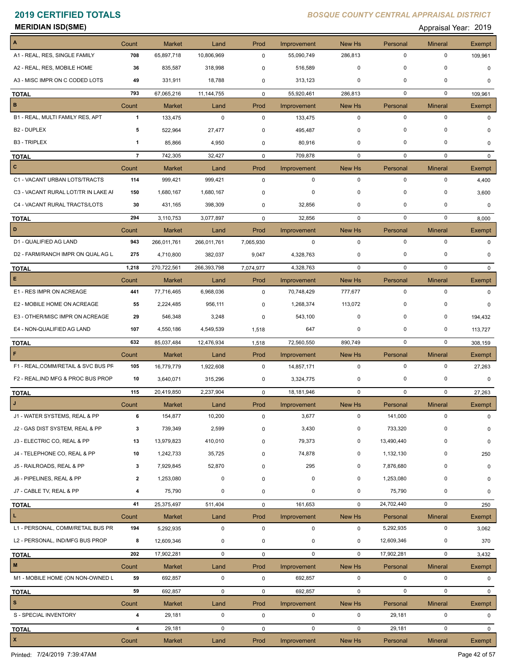**MERIDIAN ISD(SME)** Appraisal Year: 2019

| A                                                                                                                                                                      | Count          | <b>Market</b>           | Land         | Prod                | Improvement      | <b>New Hs</b>         | Personal           | <b>Mineral</b>      | Exempt             |
|------------------------------------------------------------------------------------------------------------------------------------------------------------------------|----------------|-------------------------|--------------|---------------------|------------------|-----------------------|--------------------|---------------------|--------------------|
| A1 - REAL, RES, SINGLE FAMILY                                                                                                                                          | 708            | 65,897,718              | 10,806,969   | $\mathbf 0$         | 55,090,749       | 286,813               | 0                  | 0                   | 109,961            |
| A2 - REAL, RES, MOBILE HOME                                                                                                                                            | 36             | 835,587                 | 318,998      | 0                   | 516,589          | 0                     | 0                  | 0                   | 0                  |
| A3 - MISC IMPR ON C CODED LOTS                                                                                                                                         | 49             | 331,911                 | 18,788       | 0                   | 313,123          | 0                     | $\Omega$           | 0                   | 0                  |
| <b>TOTAL</b>                                                                                                                                                           | 793            | 67,065,216              | 11, 144, 755 | 0                   | 55,920,461       | 286,813               | 0                  | 0                   | 109,961            |
| в                                                                                                                                                                      | Count          | Market                  | Land         | Prod                | Improvement      | New Hs                | Personal           | <b>Mineral</b>      | <b>Exempt</b>      |
| B1 - REAL, MULTI FAMILY RES, APT                                                                                                                                       | $\mathbf{1}$   | 133,475                 | 0            | 0                   | 133,475          | 0                     | 0                  | $\mathbf 0$         | 0                  |
| B <sub>2</sub> - DUPLEX                                                                                                                                                | 5              | 522,964                 | 27,477       | 0                   | 495,487          | 0                     | 0                  | 0                   | 0                  |
| <b>B3 - TRIPLEX</b>                                                                                                                                                    | 1              | 85,866                  | 4,950        | 0                   | 80,916           | $\mathbf 0$           | 0                  | 0                   | 0                  |
| <b>TOTAL</b>                                                                                                                                                           | $\overline{7}$ | 742,305                 | 32,427       | $\mathbf 0$         | 709,878          | 0                     | 0                  | $\mathbf 0$         | $\mathbf{0}$       |
| $\mathbf{C}$                                                                                                                                                           | Count          | Market                  | Land         | Prod                | Improvement      | New Hs                | Personal           | <b>Mineral</b>      | Exempt             |
| C1 - VACANT URBAN LOTS/TRACTS                                                                                                                                          | 114            | 999,421                 | 999,421      | $\mathbf 0$         | 0                | 0                     | 0                  | 0                   | 4,400              |
| C3 - VACANT RURAL LOT/TR IN LAKE AI                                                                                                                                    | 150            | 1,680,167               | 1,680,167    | 0                   | 0                | $\mathbf 0$           | 0                  | 0                   | 3,600              |
| C4 - VACANT RURAL TRACTS/LOTS                                                                                                                                          | 30             | 431,165                 | 398,309      | 0                   | 32,856           | 0                     | 0                  | 0                   | 0                  |
| <b>TOTAL</b>                                                                                                                                                           | 294            | 3,110,753               | 3,077,897    | $\mathbf 0$         | 32,856           | $\mathbf 0$           | $\mathbf 0$        | 0                   | 8,000              |
| D                                                                                                                                                                      | Count          | Market                  | Land         | Prod                | Improvement      | <b>New Hs</b>         | Personal           | <b>Mineral</b>      | Exempt             |
| D1 - QUALIFIED AG LAND                                                                                                                                                 | 943            | 266,011,761             | 266,011,761  | 7,065,930           | 0                | $\mathbf 0$           | $\pmb{0}$          | $\mathbf 0$         | 0                  |
| D2 - FARM/RANCH IMPR ON QUAL AG L                                                                                                                                      | 275            | 4,710,800               | 382,037      | 9,047               | 4,328,763        | 0                     | 0                  | 0                   | 0                  |
| <b>TOTAL</b>                                                                                                                                                           | 1,218          | 270,722,561             | 266,393,798  | 7,074,977           | 4,328,763        | $\mathbf 0$           | $\pmb{0}$          | $\mathbf 0$         | 0                  |
| Е                                                                                                                                                                      | Count          | Market                  | Land         | Prod                | Improvement      | New Hs                | Personal           | <b>Mineral</b>      | Exempt             |
| E1 - RES IMPR ON ACREAGE                                                                                                                                               | 441            | 77,716,465              | 6,968,036    | $\mathbf 0$         | 70,748,429       | 777,677               | 0                  | $\mathbf 0$         | 0                  |
| E2 - MOBILE HOME ON ACREAGE                                                                                                                                            | 55             | 2,224,485               | 956,111      | 0                   | 1,268,374        | 113,072               | 0                  | 0                   | 0                  |
| E3 - OTHER/MISC IMPR ON ACREAGE                                                                                                                                        | 29             | 546,348                 | 3,248        | 0                   | 543,100          | 0                     | 0                  | 0                   | 194,432            |
| E4 - NON-QUALIFIED AG LAND                                                                                                                                             | 107            | 4,550,186               | 4,549,539    | 1,518               | 647              | 0                     | 0                  | 0                   | 113,727            |
| <b>TOTAL</b>                                                                                                                                                           | 632            | 85,037,484              | 12,476,934   | 1,518               | 72,560,550       | 890,749               | 0                  | $\mathbf 0$         | 308,159            |
| F                                                                                                                                                                      | Count          | Market                  | Land         | Prod                | Improvement      | New Hs                | Personal           | <b>Mineral</b>      | Exempt             |
| F1 - REAL, COMM/RETAIL & SVC BUS PF                                                                                                                                    | 105            | 16,779,779              | 1,922,608    | 0                   | 14,857,171       | $\mathbf 0$           | $\pmb{0}$          | $\mathbf 0$         | 27,263             |
| F2 - REAL, IND MFG & PROC BUS PROP                                                                                                                                     | 10             | 3,640,071               | 315,296      | 0                   | 3,324,775        | 0                     | 0                  | 0                   | 0                  |
| TOTAL                                                                                                                                                                  | 115            | 20,419,850              | 2,237,904    | 0                   | 18,181,946       | 0                     | 0                  | $\mathbf 0$         | 27,263             |
| J                                                                                                                                                                      | Count          | Market                  | Land         | Prod                | Improvement      | New Hs                | Personal           | <b>Mineral</b>      | Exempt             |
| J1 - WATER SYSTEMS, REAL & PP                                                                                                                                          | 6              |                         |              |                     |                  |                       |                    |                     |                    |
| J2 - GAS DIST SYSTEM, REAL & PP                                                                                                                                        |                | 154,877                 | 10,200       | 0                   | 3,677            | 0                     | 141,000            | 0                   | 0                  |
|                                                                                                                                                                        | 3              | 739,349                 | 2,599        | 0                   | 3,430            | 0                     | 733,320            | 0                   | 0                  |
|                                                                                                                                                                        | 13             | 13,979,823              | 410,010      | 0                   | 79,373           | 0                     | 13,490,440         | 0                   | 0                  |
|                                                                                                                                                                        | 10             | 1,242,733               | 35,725       | 0                   | 74,878           | 0                     | 1,132,130          | 0                   | 250                |
|                                                                                                                                                                        | 3              | 7,929,845               | 52,870       | 0                   | 295              | 0                     | 7,876,680          | 0                   | 0                  |
|                                                                                                                                                                        | $\mathbf{2}$   | 1,253,080               | 0            | 0                   | 0                | 0                     | 1,253,080          | 0                   | 0                  |
|                                                                                                                                                                        | 4              | 75,790                  | 0            | 0                   | 0                | 0                     | 75,790             | 0                   | 0                  |
|                                                                                                                                                                        | 41             | 25,375,497              | 511,404      | 0                   | 161,653          | 0                     | 24,702,440         | $\mathbf 0$         | 250                |
| J3 - ELECTRIC CO, REAL & PP<br>J4 - TELEPHONE CO, REAL & PP<br>J5 - RAILROADS, REAL & PP<br>J6 - PIPELINES, REAL & PP<br>J7 - CABLE TV, REAL & PP<br><b>TOTAL</b><br>L | Count          | Market                  | Land         | Prod                | Improvement      | New Hs                | Personal           | <b>Mineral</b>      | Exempt             |
|                                                                                                                                                                        | 194            | 5,292,935               | 0            | $\pmb{0}$           | 0                | $\mathbf 0$           | 5,292,935          | 0                   | 3,062              |
|                                                                                                                                                                        | 8              | 12,609,346              | 0            | 0                   | 0                | 0                     | 12,609,346         | 0                   | 370                |
|                                                                                                                                                                        | 202            | 17,902,281              | $\mathbf 0$  | 0                   | $\mathbf 0$      | 0                     | 17,902,281         | $\mathbf 0$         | 3,432              |
| L1 - PERSONAL, COMM/RETAIL BUS PR<br>L2 - PERSONAL, IND/MFG BUS PROP<br><b>TOTAL</b><br>M                                                                              | Count          | <b>Market</b>           | Land         | Prod                | Improvement      | New Hs                | Personal           | <b>Mineral</b>      | Exempt             |
| M1 - MOBILE HOME (ON NON-OWNED L                                                                                                                                       | 59             | 692,857                 | 0            | $\mathbf 0$         | 692,857          | 0                     | 0                  | $\mathsf 0$         | 0                  |
|                                                                                                                                                                        | 59             | 692,857                 | $\mathbf 0$  | 0                   | 692,857          | $\mathbf 0$           | 0                  | $\mathbf 0$         | 0                  |
| <b>TOTAL</b><br>s                                                                                                                                                      |                |                         |              |                     |                  |                       |                    |                     |                    |
| S - SPECIAL INVENTORY                                                                                                                                                  | Count<br>4     | <b>Market</b><br>29,181 | Land<br>0    | Prod<br>$\mathbf 0$ | Improvement<br>0 | New Hs<br>$\mathbf 0$ | Personal<br>29,181 | <b>Mineral</b><br>0 | <b>Exempt</b><br>0 |
| <b>TOTAL</b>                                                                                                                                                           | 4              | 29,181                  | 0            | $\mathbf 0$         | 0                | $\mathbf 0$           | 29,181             | 0                   | 0                  |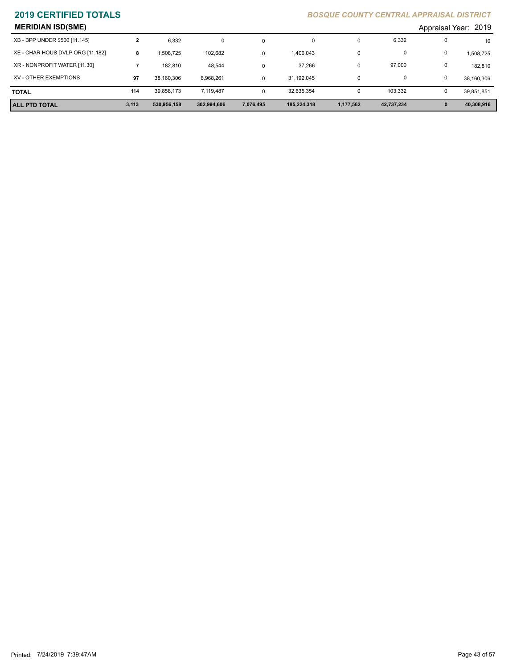| <b>MERIDIAN ISD(SME)</b>         |       |             |             |           |             |           |            |   | Appraisal Year: 2019 |
|----------------------------------|-------|-------------|-------------|-----------|-------------|-----------|------------|---|----------------------|
| XB - BPP UNDER \$500 [11.145]    |       | 6,332       | 0           | 0         | 0           | U         | 6,332      |   | 10                   |
| XE - CHAR HOUS DVLP ORG [11.182] | 8     | 1,508,725   | 102,682     | $\Omega$  | 1,406,043   | 0         | 0          | 0 | 1,508,725            |
| XR - NONPROFIT WATER [11.30]     |       | 182.810     | 48,544      | 0         | 37,266      | υ         | 97,000     | 0 | 182,810              |
| XV - OTHER EXEMPTIONS            | 97    | 38,160,306  | 6,968,261   | $\Omega$  | 31.192.045  | 0         | 0          |   | 38,160,306           |
| <b>TOTAL</b>                     | 114   | 39,858,173  | 7.119.487   | $\Omega$  | 32,635,354  | υ         | 103.332    |   | 39,851,851           |
| ALL PTD TOTAL                    | 3,113 | 530,956,158 | 302,994,606 | 7,076,495 | 185,224,318 | 1,177,562 | 42,737,234 |   | 40,308,916           |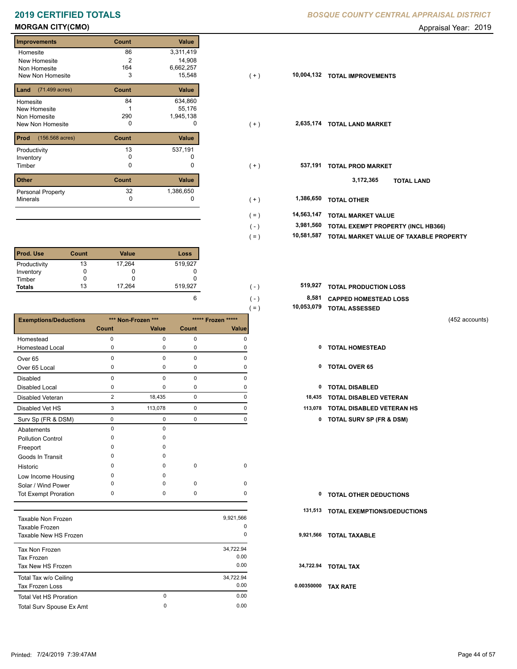### **MORGAN CITY(CMO)** Appraisal Year: 2019

### **Improvements Count Value Homesite** New Homesite Non Homesite New Non Homesite **TOTAL IMPROVEMENTS** 3 15,548 86 3,311,419 2 14,908 55,176 1 164 6,662,257 **Land Count Value** (71.499 acres) Homesite New Homesite Non Homesite New Non Homesite **TOTAL CONSUMING MARKET**  84 634,860 290 1,945,138 **Prod Count Value** (156.568 acres) Productivity 13 537,191<br>
Inventory 0 0 Inventory 0 0 **Other Count Value** Minerals Personal Property 537,191 32 1,386,650

| <b>Prod. Use</b> | Count | <b>Value</b> | Loss    |
|------------------|-------|--------------|---------|
| Productivity     | 13    | 17,264       | 519,927 |
| Inventory        |       | U            |         |
| Timber           |       |              |         |
| <b>Totals</b>    | 13    | 17.264       | 519,927 |

|                                 |                |                    |             |                    | 10,053,079<br>$( = )$ | <b>TOTAL ASSESSED</b>               |                |
|---------------------------------|----------------|--------------------|-------------|--------------------|-----------------------|-------------------------------------|----------------|
| <b>Exemptions/Deductions</b>    |                | *** Non-Frozen *** |             | ***** Frozen ***** |                       |                                     | (452 accounts) |
|                                 | <b>Count</b>   | Value              | Count       | Value              |                       |                                     |                |
| Homestead                       | $\pmb{0}$      | $\mathbf 0$        | $\mathbf 0$ | 0                  |                       |                                     |                |
| <b>Homestead Local</b>          | 0              | 0                  | 0           | $\Omega$           | $\mathbf 0$           | <b>TOTAL HOMESTEAD</b>              |                |
| Over <sub>65</sub>              | 0              | $\mathbf 0$        | $\mathbf 0$ | 0                  |                       |                                     |                |
| Over 65 Local                   | 0              | $\mathbf 0$        | $\mathbf 0$ | $\Omega$           | 0                     | <b>TOTAL OVER 65</b>                |                |
| <b>Disabled</b>                 | 0              | $\mathbf 0$        | $\mathbf 0$ | 0                  |                       |                                     |                |
| <b>Disabled Local</b>           | 0              | $\mathbf 0$        | 0           | 0                  | $\mathbf 0$           | <b>TOTAL DISABLED</b>               |                |
| <b>Disabled Veteran</b>         | $\overline{2}$ | 18,435             | $\mathbf 0$ | 0                  |                       | 18,435 TOTAL DISABLED VETERAN       |                |
| Disabled Vet HS                 | 3              | 113,078            | $\mathbf 0$ | 0                  | 113,078               | TOTAL DISABLED VETERAN HS           |                |
| Surv Sp (FR & DSM)              | 0              | $\mathbf 0$        | $\mathbf 0$ | 0                  |                       | 0 TOTAL SURV SP (FR & DSM)          |                |
| Abatements                      | 0              | $\mathbf 0$        |             |                    |                       |                                     |                |
| <b>Pollution Control</b>        | 0              | $\Omega$           |             |                    |                       |                                     |                |
| Freeport                        | 0              | 0                  |             |                    |                       |                                     |                |
| Goods In Transit                | 0              | $\Omega$           |             |                    |                       |                                     |                |
| Historic                        | $\Omega$       | $\Omega$           | $\mathbf 0$ | $\mathbf 0$        |                       |                                     |                |
| Low Income Housing              | 0              | 0                  |             |                    |                       |                                     |                |
| Solar / Wind Power              | 0              | 0                  | 0           | 0                  |                       |                                     |                |
| <b>Tot Exempt Proration</b>     | 0              | $\mathbf 0$        | $\mathbf 0$ | 0                  | 0                     | <b>TOTAL OTHER DEDUCTIONS</b>       |                |
|                                 |                |                    |             |                    |                       | 131,513 TOTAL EXEMPTIONS/DEDUCTIONS |                |
| <b>Taxable Non Frozen</b>       |                |                    |             | 9,921,566          |                       |                                     |                |
| Taxable Frozen                  |                |                    |             | 0                  |                       |                                     |                |
| Taxable New HS Frozen           |                |                    |             | 0                  |                       | 9,921,566 TOTAL TAXABLE             |                |
| Tax Non Frozen                  |                |                    |             | 34,722.94          |                       |                                     |                |
| <b>Tax Frozen</b>               |                |                    |             | 0.00               |                       |                                     |                |
| Tax New HS Frozen               |                |                    |             | 0.00               |                       | 34,722.94 TOTAL TAX                 |                |
| Total Tax w/o Ceiling           |                |                    |             | 34,722.94          |                       |                                     |                |
| <b>Tax Frozen Loss</b>          |                |                    |             | 0.00               |                       | 0.00350000 TAX RATE                 |                |
| <b>Total Vet HS Proration</b>   |                | $\mathbf 0$        |             | 0.00               |                       |                                     |                |
| <b>Total Sury Spouse Ex Amt</b> |                | 0                  |             | 0.00               |                       |                                     |                |

### **2019 CERTIFIED TOTALS** *BOSQUE COUNTY CENTRAL APPRAISAL DISTRICT*

| Count | Value     |         |            |                                        |
|-------|-----------|---------|------------|----------------------------------------|
| 86    | 3,311,419 |         |            |                                        |
| 2     | 14,908    |         |            |                                        |
| 164   | 6,662,257 |         |            |                                        |
|       |           | $(+)$   |            | <b>TOTAL IMPROVEMENTS</b>              |
| Count | Value     |         |            |                                        |
| 84    | 634,860   |         |            |                                        |
|       | 55,176    |         |            |                                        |
|       | 1,945,138 |         |            |                                        |
| 0     | 0         | $(+)$   |            | 2,635,174 TOTAL LAND MARKET            |
| Count | Value     |         |            |                                        |
| 13    | 537,191   |         |            |                                        |
| 0     |           |         |            |                                        |
| 0     | 0         | $(+)$   | 537,191    | <b>TOTAL PROD MARKET</b>               |
| Count | Value     |         |            | 3,172,365<br><b>TOTAL LAND</b>         |
| 32    | 1,386,650 |         |            |                                        |
| 0     | 0         | $(+)$   | 1,386,650  | <b>TOTAL OTHER</b>                     |
|       |           | $( = )$ | 14,563,147 | <b>TOTAL MARKET VALUE</b>              |
|       |           | $(-)$   | 3,981,560  | TOTAL EXEMPT PROPERTY (INCL HB366)     |
|       |           | $( = )$ | 10,581,587 | TOTAL MARKET VALUE OF TAXABLE PROPERTY |
|       | 3<br>290  | 15,548  |            | 10,004,132                             |

| 519,927 | ( – )         | 519,927 TOTAL PRODUCTION LOSS |
|---------|---------------|-------------------------------|
|         | ( – )         | 8,581 CAPPED HOMESTEAD LOSS   |
|         | $=$ $\lambda$ | 10,053,079 TOTAL ASSESSED     |

- 
- 
- 
- 3 113,078 0 0 **113,078 TOTAL DISABLED VETERAN HS**
	- Surv Sp (FR & DSM) 0 0 0 0 **0 TOTAL SURV SP (FR & DSM)**

| <b>0 TOTAL OTHER DEDUCTIONS</b> |  |
|---------------------------------|--|
|---------------------------------|--|

- **131,513 TOTAL EXEMPTIONS/DEDUCTIONS**
- **9,921,566 TOTAL TAXABLE**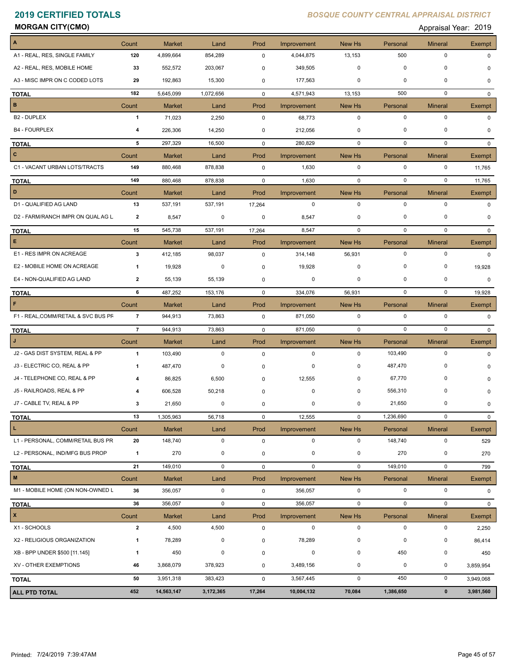**MORGAN CITY(CMO)** Appraisal Year: 2019

| $\boldsymbol{\mathsf{A}}$           | Count                   | <b>Market</b>            | Land        | Prod           | Improvement                | New Hs                | Personal            | <b>Mineral</b>              | Exempt             |
|-------------------------------------|-------------------------|--------------------------|-------------|----------------|----------------------------|-----------------------|---------------------|-----------------------------|--------------------|
| A1 - REAL, RES, SINGLE FAMILY       | 120                     | 4,899,664                | 854,289     | $\mathbf 0$    | 4,044,875                  | 13,153                | 500                 | $\pmb{0}$                   | 0                  |
| A2 - REAL, RES, MOBILE HOME         | 33                      | 552,572                  | 203,067     | 0              | 349,505                    | $\mathbf 0$           | $\mathbf 0$         | $\mathbf 0$                 | O                  |
| A3 - MISC IMPR ON C CODED LOTS      | 29                      | 192,863                  | 15,300      | 0              | 177,563                    | 0                     | 0                   | $\mathbf 0$                 |                    |
| <b>TOTAL</b>                        | 182                     | 5,645,099                | 1,072,656   | $\overline{0}$ | 4,571,943                  | 13,153                | 500                 | $\mathbf 0$                 | $\Omega$           |
| $\, {\bf B}$                        | Count                   | <b>Market</b>            | Land        | Prod           | Improvement                | New Hs                | Personal            | <b>Mineral</b>              | Exempt             |
| B <sub>2</sub> - DUPLEX             | $\mathbf{1}$            | 71,023                   | 2,250       | 0              | 68,773                     | $\mathbf 0$           | 0                   | $\pmb{0}$                   | $\Omega$           |
| <b>B4 - FOURPLEX</b>                | 4                       | 226,306                  | 14,250      | 0              | 212,056                    | 0                     | 0                   | $\pmb{0}$                   | $\Omega$           |
| <b>TOTAL</b>                        | 5                       | 297,329                  | 16,500      | $\mathbf 0$    | 280,829                    | $\mathbf 0$           | 0                   | $\pmb{0}$                   | 0                  |
| $\overline{c}$                      | Count                   | <b>Market</b>            | Land        | Prod           | Improvement                | New Hs                | Personal            | <b>Mineral</b>              | Exempt             |
| C1 - VACANT URBAN LOTS/TRACTS       | 149                     | 880,468                  | 878,838     | $\mathsf{O}$   | 1,630                      | $\mathbf 0$           | $\mathbf 0$         | $\pmb{0}$                   | 11,765             |
| <b>TOTAL</b>                        | 149                     | 880,468                  | 878,838     | $\overline{0}$ | 1,630                      | $\mathbf 0$           | $\mathbf 0$         | $\mathbf 0$                 | 11,765             |
| D                                   | Count                   | <b>Market</b>            | Land        | Prod           | Improvement                | New Hs                | Personal            | <b>Mineral</b>              | Exempt             |
| D1 - QUALIFIED AG LAND              | 13                      | 537,191                  | 537,191     | 17,264         | $\mathbf 0$                | $\mathsf 0$           | $\mathbf 0$         | $\pmb{0}$                   | $\Omega$           |
| D2 - FARM/RANCH IMPR ON QUAL AG L   | $\overline{2}$          | 8,547                    | 0           | 0              | 8,547                      | 0                     | 0                   | $\mathbf 0$                 |                    |
| <b>TOTAL</b>                        | 15                      | 545,738                  | 537,191     | 17,264         | 8,547                      | $\mathbf 0$           | $\mathbf 0$         | $\mathbf 0$                 | $\Omega$           |
| E.                                  | Count                   | <b>Market</b>            | Land        | Prod           | Improvement                | New Hs                | Personal            | <b>Mineral</b>              | Exempt             |
| E1 - RES IMPR ON ACREAGE            | $\mathbf{3}$            | 412,185                  | 98,037      | $\mathbf 0$    | 314,148                    | 56,931                | $\mathbf 0$         | $\pmb{0}$                   | $\Omega$           |
| E2 - MOBILE HOME ON ACREAGE         | 1                       | 19,928                   | 0           | 0              | 19,928                     | 0                     | 0                   | $\pmb{0}$                   | 19,928             |
| E4 - NON-QUALIFIED AG LAND          | $\overline{2}$          | 55,139                   | 55,139      | 0              | 0                          | 0                     | 0                   | $\pmb{0}$                   | 0                  |
| <b>TOTAL</b>                        | 6                       | 487,252                  | 153,176     | $\mathbf 0$    | 334,076                    | 56,931                | $\mathbf 0$         | $\mathbf 0$                 | 19,928             |
| F                                   | Count                   | <b>Market</b>            | Land        | Prod           | Improvement                | New Hs                | Personal            | <b>Mineral</b>              | Exempt             |
| F1 - REAL, COMM/RETAIL & SVC BUS PF | $\overline{7}$          | 944,913                  | 73,863      | $\mathsf 0$    | 871,050                    | $\mathbf 0$           | $\mathbf 0$         | $\pmb{0}$                   | $\Omega$           |
|                                     | $\overline{7}$          | 944,913                  | 73,863      |                | 871,050                    | $\mathbf 0$           | $\mathbf 0$         | $\mathbf 0$                 |                    |
| <b>TOTAL</b><br>$\mathbf{J}$        |                         |                          |             | $\mathbf 0$    |                            |                       |                     |                             | $\mathbf{0}$       |
| J2 - GAS DIST SYSTEM, REAL & PP     | Count<br>$\mathbf{1}$   | <b>Market</b><br>103,490 | Land<br>0   | Prod<br>0      | Improvement<br>$\mathbf 0$ | New Hs<br>$\mathbf 0$ | Personal<br>103,490 | <b>Mineral</b><br>$\pmb{0}$ | Exempt<br>$\Omega$ |
| J3 - ELECTRIC CO, REAL & PP         |                         |                          | 0           |                |                            | 0                     | 487,470             | 0                           |                    |
|                                     | 1                       | 487,470                  |             | 0              | 0                          |                       |                     |                             | O                  |
| J4 - TELEPHONE CO, REAL & PP        |                         | 86,825                   | 6,500       | 0              | 12,555                     | 0                     | 67,770              | 0                           | O                  |
| J5 - RAILROADS, REAL & PP           |                         | 606,528                  | 50,218      | $\mathbf 0$    | 0                          | 0                     | 556,310             | 0                           | <sup>0</sup>       |
| J7 - CABLE TV, REAL & PP            | 3                       | 21,650                   | 0           | $\mathbf 0$    | 0                          | 0                     | 21,650              | $\mathbf 0$                 | 0                  |
| <b>TOTAL</b>                        | 13                      | 1,305,963                | 56,718      | 0              | 12,555                     | $\mathbf 0$           | 1,236,690           | $\pmb{0}$                   | 0                  |
| $\mathbf L$                         | Count                   | <b>Market</b>            | Land        | Prod           | Improvement                | New Hs                | Personal            | <b>Mineral</b>              | Exempt             |
| L1 - PERSONAL, COMM/RETAIL BUS PR   | 20                      | 148,740                  | $\mathbf 0$ | $\mathsf{O}$   | $\mathbf 0$                | $\mathsf 0$           | 148,740             | $\pmb{0}$                   | 529                |
| L2 - PERSONAL, IND/MFG BUS PROP     | $\mathbf{1}$            | 270                      | 0           | 0              | 0                          | $\pmb{0}$             | 270                 | $\pmb{0}$                   | 270                |
| <b>TOTAL</b>                        | 21                      | 149,010                  | 0           | $\mathbf 0$    | $\mathbf 0$                | 0                     | 149,010             | $\pmb{0}$                   | 799                |
| ${\bf M}$                           | Count                   | <b>Market</b>            | Land        | Prod           | Improvement                | New Hs                | Personal            | <b>Mineral</b>              | Exempt             |
| M1 - MOBILE HOME (ON NON-OWNED L    | 36                      | 356,057                  | $\mathbf 0$ | $\mathsf{O}$   | 356,057                    | $\mathbf 0$           | $\mathbf 0$         | $\pmb{0}$                   | 0                  |
| <b>TOTAL</b>                        | 36                      | 356,057                  | 0           | 0              | 356,057                    | 0                     | $\mathbf 0$         | $\pmb{0}$                   | 0                  |
| $\pmb{\mathsf{x}}$                  | Count                   | <b>Market</b>            | Land        | Prod           | Improvement                | New Hs                | Personal            | <b>Mineral</b>              | Exempt             |
| X1 - SCHOOLS                        | $\overline{\mathbf{2}}$ | 4,500                    | 4,500       | $\mathsf 0$    | $\mathbf 0$                | 0                     | $\mathbf 0$         | $\pmb{0}$                   | 2,250              |
| X2 - RELIGIOUS ORGANIZATION         | $\mathbf{1}$            | 78,289                   | 0           | 0              | 78,289                     | 0                     | 0                   | 0                           | 86,414             |
| XB - BPP UNDER \$500 [11.145]       | $\mathbf{1}$            | 450                      | 0           | 0              | 0                          | $\pmb{0}$             | 450                 | $\pmb{0}$                   | 450                |
| XV - OTHER EXEMPTIONS               | 46                      | 3,868,079                | 378,923     | 0              | 3,489,156                  | $\pmb{0}$             | $\pmb{0}$           | $\pmb{0}$                   | 3,859,954          |
| <b>TOTAL</b>                        | 50                      | 3,951,318                | 383,423     | $\mathbf 0$    | 3,567,445                  | 0                     | 450                 | $\pmb{0}$                   | 3,949,068          |
| <b>ALL PTD TOTAL</b>                | 452                     | 14,563,147               | 3,172,365   | 17,264         | 10,004,132                 | 70,084                | 1,386,650           | $\pmb{0}$                   | 3,981,560          |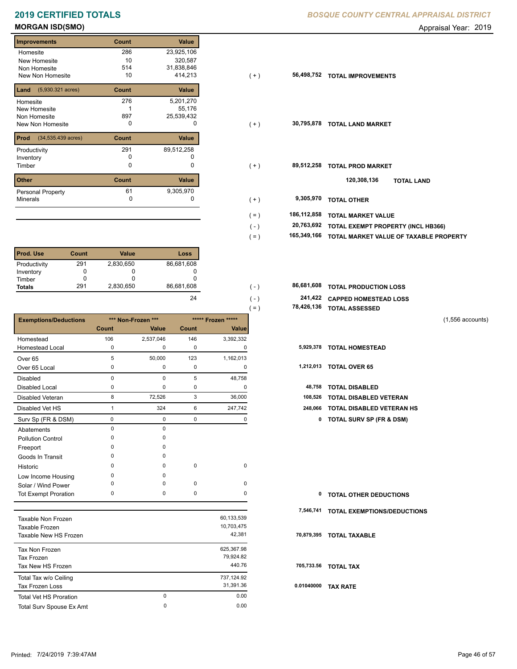| <b>Improvements</b>                  | Count | Value        |
|--------------------------------------|-------|--------------|
| Homesite                             | 286   | 23,925,106   |
| New Homesite                         | 10    | 320,587      |
| Non Homesite                         | 514   | 31,838,846   |
| New Non Homesite                     | 10    | 414,213      |
| $(5,930.321 \text{ acres})$<br>Land  | Count | <b>Value</b> |
| Homesite                             | 276   | 5,201,270    |
| <b>New Homesite</b>                  |       | 55,176       |
| Non Homesite                         | 897   | 25,539,432   |
| New Non Homesite                     | ŋ     | <sup>0</sup> |
| Prod<br>$(34,535.439 \text{ acres})$ | Count | Value        |
| Productivity                         | 291   | 89,512,258   |
| Inventory                            | O     |              |
| Timber                               | 0     | 0            |
| <b>Other</b>                         | Count | Value        |
| <b>Personal Property</b>             | 61    | 9,305,970    |
| <b>Minerals</b>                      | 0     | 0            |
|                                      |       |              |

| <b>Prod. Use</b> | Count | <b>Value</b> | Loss       |
|------------------|-------|--------------|------------|
| Productivity     | 291   | 2,830,650    | 86,681,608 |
| Inventory        |       |              |            |
| Timber           |       |              |            |
| <b>Totals</b>    | 291   | 2,830,650    | 86,681,608 |

|                               |              |                    |             |                    | $( = )$ |            | 78,426,136 TOTAL ASSESSED           |                    |
|-------------------------------|--------------|--------------------|-------------|--------------------|---------|------------|-------------------------------------|--------------------|
| <b>Exemptions/Deductions</b>  |              | *** Non-Frozen *** |             | ***** Frozen ***** |         |            |                                     | $(1,556$ accounts) |
|                               | <b>Count</b> | Value              | Count       | Value              |         |            |                                     |                    |
| Homestead                     | 106          | 2,537,046          | 146         | 3,392,332          |         |            |                                     |                    |
| <b>Homestead Local</b>        | 0            | 0                  | $\mathbf 0$ | 0                  |         |            | 5,929,378 TOTAL HOMESTEAD           |                    |
| Over <sub>65</sub>            | 5            | 50,000             | 123         | 1,162,013          |         |            |                                     |                    |
| Over 65 Local                 | 0            | 0                  | $\pmb{0}$   | 0                  |         |            | 1,212,013 TOTAL OVER 65             |                    |
| <b>Disabled</b>               | $\mathbf 0$  | 0                  | 5           | 48,758             |         |            |                                     |                    |
| <b>Disabled Local</b>         | 0            | 0                  | 0           | 0                  |         | 48,758     | <b>TOTAL DISABLED</b>               |                    |
| Disabled Veteran              | 8            | 72,526             | 3           | 36,000             |         | 108,526    | TOTAL DISABLED VETERAN              |                    |
| Disabled Vet HS               | $\mathbf{1}$ | 324                | 6           | 247,742            |         | 248,066    | <b>TOTAL DISABLED VETERAN HS</b>    |                    |
| Surv Sp (FR & DSM)            | 0            | 0                  | $\mathsf 0$ | 0                  |         | 0          | <b>TOTAL SURV SP (FR &amp; DSM)</b> |                    |
| Abatements                    | $\mathbf 0$  | $\mathbf 0$        |             |                    |         |            |                                     |                    |
| <b>Pollution Control</b>      | $\Omega$     | 0                  |             |                    |         |            |                                     |                    |
| Freeport                      | $\Omega$     | 0                  |             |                    |         |            |                                     |                    |
| Goods In Transit              | $\Omega$     | 0                  |             |                    |         |            |                                     |                    |
| Historic                      | $\Omega$     | 0                  | $\pmb{0}$   | $\pmb{0}$          |         |            |                                     |                    |
| Low Income Housing            | $\Omega$     | 0                  |             |                    |         |            |                                     |                    |
| Solar / Wind Power            | $\Omega$     | 0                  | 0           | 0                  |         |            |                                     |                    |
| <b>Tot Exempt Proration</b>   | 0            | 0                  | 0           | 0                  |         | 0          | <b>TOTAL OTHER DEDUCTIONS</b>       |                    |
|                               |              |                    |             |                    |         | 7,546,741  | <b>TOTAL EXEMPTIONS/DEDUCTIONS</b>  |                    |
| <b>Taxable Non Frozen</b>     |              |                    |             | 60,133,539         |         |            |                                     |                    |
| Taxable Frozen                |              |                    |             | 10,703,475         |         |            |                                     |                    |
| Taxable New HS Frozen         |              |                    |             | 42,381             |         | 70,879,395 | <b>TOTAL TAXABLE</b>                |                    |
| Tax Non Frozen                |              |                    |             | 625,367.98         |         |            |                                     |                    |
| <b>Tax Frozen</b>             |              |                    |             | 79,924.82          |         |            |                                     |                    |
| Tax New HS Frozen             |              |                    |             | 440.76             |         |            | 705,733.56 TOTAL TAX                |                    |
| Total Tax w/o Ceiling         |              |                    |             | 737,124.92         |         |            |                                     |                    |
| <b>Tax Frozen Loss</b>        |              |                    |             | 31,391.36          |         |            | 0.01040000 TAX RATE                 |                    |
| <b>Total Vet HS Proration</b> |              | 0                  |             | 0.00               |         |            |                                     |                    |

Total Surv Spouse Ex Amt 0.00

 $\pmb{0}$ 

**MORGAN ISD(SMO)** Appraisal Year: 2019

| Improvements                             | Count | <b>Value</b> |                        |                                        |
|------------------------------------------|-------|--------------|------------------------|----------------------------------------|
| Homesite                                 | 286   | 23,925,106   |                        |                                        |
| New Homesite                             | 10    | 320,587      |                        |                                        |
| Non Homesite                             | 514   | 31,838,846   |                        |                                        |
| New Non Homesite                         | 10    | 414,213      | 56,498,752<br>$(+)$    | <b>TOTAL IMPROVEMENTS</b>              |
| <b>Land</b> $(5,930.321 \text{ acres})$  | Count | Value        |                        |                                        |
| Homesite                                 | 276   | 5,201,270    |                        |                                        |
| New Homesite                             |       | 55,176       |                        |                                        |
| Non Homesite                             | 897   | 25,539,432   |                        |                                        |
| New Non Homesite                         | 0     | 0            | 30,795,878<br>$(+)$    | <b>TOTAL LAND MARKET</b>               |
|                                          |       |              |                        |                                        |
| <b>Prod</b> $(34,535.439 \text{ acres})$ | Count | Value        |                        |                                        |
| Productivity                             | 291   | 89,512,258   |                        |                                        |
| Inventory                                | 0     |              |                        |                                        |
| Timber                                   | 0     | 0            | 89,512,258<br>$(+)$    | <b>TOTAL PROD MARKET</b>               |
|                                          |       |              |                        |                                        |
| Other                                    | Count | Value        |                        | 120,308,136<br><b>TOTAL LAND</b>       |
| Personal Property                        | 61    | 9,305,970    |                        |                                        |
| Minerals                                 | 0     | 0            | 9,305,970<br>$(+)$     | <b>TOTAL OTHER</b>                     |
|                                          |       |              |                        |                                        |
|                                          |       |              | 186,112,858<br>$( = )$ | <b>TOTAL MARKET VALUE</b>              |
|                                          |       |              | 20,763,692<br>$(-)$    | TOTAL EXEMPT PROPERTY (INCL HB366)     |
|                                          |       |              | 165,349,166<br>$( = )$ | TOTAL MARKET VALUE OF TAXABLE PROPERTY |
|                                          |       |              |                        |                                        |

| 86,681,608 | $(-)$   | 86,681,608 TOTAL PRODUCTION LOSS |
|------------|---------|----------------------------------|
| 24         | $( - )$ | 241,422 CAPPED HOMESTEAD LOSS    |
|            | $(=\)$  | 78,426,136 TOTAL ASSESSED        |

| 1,212,013 | <b>TOTAL OVER 65</b> |  |  |
|-----------|----------------------|--|--|
|-----------|----------------------|--|--|

| 48,758 TOTAL DISABLED |  |
|-----------------------|--|

| <b>0 TOTAL OTHER DEDUCTIONS</b> |  |
|---------------------------------|--|
|---------------------------------|--|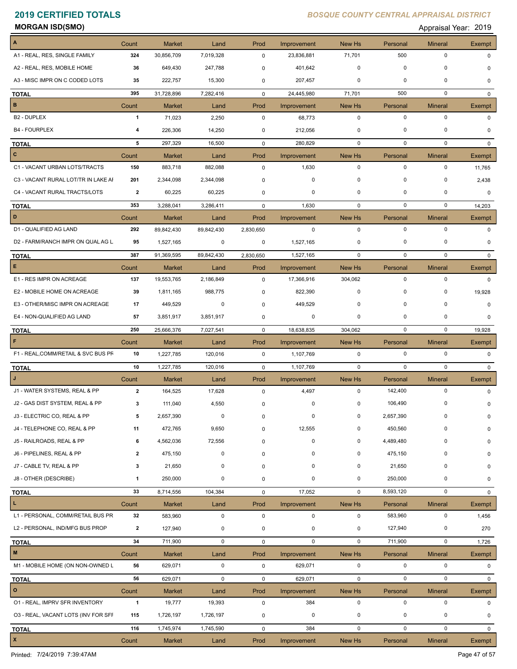**MORGAN ISD(SMO)** Appraisal Year: 2019

| $\overline{A}$                      | Count          | <b>Market</b>            | Land       | Prod                | Improvement                | New Hs                | Personal              | <b>Mineral</b>              | Exempt          |
|-------------------------------------|----------------|--------------------------|------------|---------------------|----------------------------|-----------------------|-----------------------|-----------------------------|-----------------|
| A1 - REAL, RES, SINGLE FAMILY       | 324            | 30,856,709               | 7,019,328  | 0                   | 23,836,881                 | 71,701                | 500                   | $\pmb{0}$                   | $\Omega$        |
| A2 - REAL, RES, MOBILE HOME         | 36             | 649,430                  | 247,788    | 0                   | 401,642                    | 0                     | 0                     | 0                           | 0               |
| A3 - MISC IMPR ON C CODED LOTS      | 35             | 222,757                  | 15,300     | 0                   | 207,457                    | 0                     | 0                     | $\pmb{0}$                   | 0               |
| <b>TOTAL</b>                        | 395            | 31,728,896               | 7,282,416  | $\mathbf 0$         | 24,445,980                 | 71,701                | 500                   | $\mathbf 0$                 | 0               |
| $\, {\bf B}$                        | Count          | <b>Market</b>            | Land       | Prod                | Improvement                | New Hs                | Personal              | <b>Mineral</b>              | Exempt          |
| B <sub>2</sub> - DUPLEX             | $\mathbf{1}$   | 71,023                   | 2,250      | $\mathbf 0$         | 68,773                     | $\mathbf 0$           | $\mathbf 0$           | $\pmb{0}$                   | 0               |
| <b>B4 - FOURPLEX</b>                | 4              | 226,306                  | 14,250     | 0                   | 212,056                    | 0                     | 0                     | 0                           | $\Omega$        |
| <b>TOTAL</b>                        | 5              | 297,329                  | 16,500     | $\mathbf 0$         | 280,829                    | 0                     | 0                     | $\mathbf 0$                 | $\mathbf{0}$    |
| $\mathbf{C}$                        | Count          | <b>Market</b>            | Land       | Prod                | Improvement                | New Hs                | Personal              | <b>Mineral</b>              | Exempt          |
| C1 - VACANT URBAN LOTS/TRACTS       | 150            | 883,718                  | 882,088    | $\mathbf 0$         | 1,630                      | 0                     | 0                     | 0                           | 11,765          |
| C3 - VACANT RURAL LOT/TR IN LAKE AI | 201            | 2,344,098                | 2,344,098  | 0                   | 0                          | 0                     | 0                     | 0                           | 2,438           |
| C4 - VACANT RURAL TRACTS/LOTS       | $\overline{2}$ | 60,225                   | 60,225     | 0                   | 0                          | 0                     | 0                     | 0                           | 0               |
| <b>TOTAL</b>                        | 353            | 3,288,041                | 3,286,411  | $\mathbf 0$         | 1,630                      | 0                     | 0                     | 0                           | 14,203          |
| D                                   | Count          | <b>Market</b>            | Land       | Prod                | Improvement                | New Hs                | Personal              | <b>Mineral</b>              | <b>Exempt</b>   |
| D1 - QUALIFIED AG LAND              | 292            | 89,842,430               | 89,842,430 | 2,830,650           | 0                          | $\mathbf 0$           | $\mathbf 0$           | $\pmb{0}$                   | 0               |
| D2 - FARM/RANCH IMPR ON QUAL AG L   | 95             | 1,527,165                | 0          | 0                   | 1,527,165                  | 0                     | 0                     | 0                           | $\Omega$        |
| <b>TOTAL</b>                        | 387            | 91,369,595               | 89,842,430 | 2,830,650           | 1,527,165                  | 0                     | 0                     | $\mathbf 0$                 | $\Omega$        |
| E.                                  | Count          | <b>Market</b>            | Land       | Prod                | Improvement                | New Hs                | Personal              | <b>Mineral</b>              | Exempt          |
| E1 - RES IMPR ON ACREAGE            | 137            | 19,553,765               | 2,186,849  | $\mathbf 0$         | 17,366,916                 | 304,062               | $\mathbf 0$           | $\pmb{0}$                   | $\Omega$        |
| E2 - MOBILE HOME ON ACREAGE         | 39             | 1,811,165                | 988,775    | $\mathbf 0$         | 822,390                    | 0                     | 0                     | 0                           | 19,928          |
| E3 - OTHER/MISC IMPR ON ACREAGE     | 17             | 449,529                  | 0          | 0                   | 449,529                    | 0                     | 0                     | $\mathbf 0$                 | 0               |
| E4 - NON-QUALIFIED AG LAND          | 57             | 3,851,917                | 3,851,917  | 0                   | 0                          | 0                     | 0                     | 0                           | 0               |
| <b>TOTAL</b>                        | 250            | 25,666,376               | 7,027,541  | $\mathbf 0$         | 18,638,835                 | 304,062               | $\mathbf 0$           | $\mathbf 0$                 | 19,928          |
| F                                   | Count          | <b>Market</b>            | Land       | Prod                | Improvement                | New Hs                | Personal              | <b>Mineral</b>              | <b>Exempt</b>   |
| F1 - REAL, COMM/RETAIL & SVC BUS PF | 10             | 1,227,785                | 120,016    | $\mathbf 0$         | 1,107,769                  | $\mathbf 0$           | $\mathbf 0$           | $\pmb{0}$                   | 0               |
| <b>TOTAL</b>                        | 10             | 1,227,785                | 120,016    | $\mathbf 0$         | 1,107,769                  | 0                     | 0                     | 0                           | 0               |
| $\mathbf{J}$                        | Count          | <b>Market</b>            | Land       | Prod                | Improvement                | New Hs                | Personal              | <b>Mineral</b>              | Exempt          |
| J1 - WATER SYSTEMS, REAL & PP       | $\overline{2}$ | 164,525                  | 17,628     | $\mathbf 0$         | 4,497                      | $\mathbf 0$           | 142,400               | $\mathbf 0$                 | 0               |
| J2 - GAS DIST SYSTEM, REAL & PP     | 3              | 111,040                  | 4,550      | 0                   | 0                          | 0                     | 106,490               | 0                           | 0               |
| J3 - ELECTRIC CO, REAL & PP         | 5              | 2,657,390                | 0          | 0                   | $\pmb{0}$                  | 0                     | 2,657,390             | $\mathbf 0$                 | 0               |
| J4 - TELEPHONE CO, REAL & PP        | 11             | 472,765                  | 9,650      | $\Omega$            | 12,555                     | 0                     | 450,560               | 0                           | 0               |
| J5 - RAILROADS, REAL & PP           | 6              | 4,562,036                | 72,556     | 0                   | $\mathbf 0$                | 0                     | 4,489,480             | 0                           | 0               |
| J6 - PIPELINES, REAL & PP           | $\mathbf{2}$   | 475,150                  | 0          | $\mathbf 0$         | 0                          | 0                     | 475,150               | 0                           | 0               |
| J7 - CABLE TV, REAL & PP            | 3              | 21,650                   | 0          | 0                   | 0                          | 0                     | 21,650                | 0                           | 0               |
| J8 - OTHER (DESCRIBE)               | 1              | 250,000                  | 0          | 0                   | 0                          | 0                     | 250,000               | 0                           | 0               |
|                                     | 33             | 8,714,556                | 104,384    | $\mathbf 0$         | 17,052                     | 0                     | 8,593,120             | $\pmb{0}$                   | 0               |
| <b>TOTAL</b><br>L                   |                |                          |            |                     |                            |                       | Personal              |                             |                 |
| L1 - PERSONAL, COMM/RETAIL BUS PR   | Count<br>32    | <b>Market</b><br>583,960 | Land<br>0  | Prod<br>$\mathsf 0$ | Improvement<br>$\mathbf 0$ | New Hs<br>$\mathbf 0$ | 583,960               | <b>Mineral</b><br>$\pmb{0}$ | Exempt<br>1,456 |
| L2 - PERSONAL, IND/MFG BUS PROP     | $\overline{2}$ | 127,940                  | 0          | 0                   | $\mathbf 0$                | 0                     | 127,940               | $\pmb{0}$                   | 270             |
|                                     |                |                          |            |                     |                            |                       |                       |                             |                 |
| <b>TOTAL</b><br>${\bf M}$           | 34             | 711,900                  | 0          | $\mathsf{O}$        | $\mathsf 0$                | $\mathbf 0$           | 711,900               | $\pmb{0}$                   | 1,726           |
| M1 - MOBILE HOME (ON NON-OWNED L    | Count<br>56    | <b>Market</b>            | Land       | Prod                | Improvement                | New Hs                | Personal<br>$\pmb{0}$ | <b>Mineral</b><br>$\pmb{0}$ | Exempt          |
|                                     |                | 629,071                  | $\pmb{0}$  | $\mathbf 0$         | 629,071                    | 0                     |                       |                             | 0               |
| <b>TOTAL</b>                        | 56             | 629,071                  | 0          | $\mathbf 0$         | 629,071                    | 0                     | 0                     | $\pmb{0}$                   | 0               |
| $\mathbf{o}$                        | Count          | <b>Market</b>            | Land       | Prod                | Improvement                | New Hs                | Personal              | <b>Mineral</b>              | Exempt          |
| 01 - REAL, IMPRV SFR INVENTORY      | $\mathbf{1}$   | 19,777                   | 19,393     | $\mathbf 0$         | 384                        | 0                     | $\pmb{0}$             | $\pmb{0}$                   | 0               |
| 03 - REAL, VACANT LOTS (INV FOR SFF | 115            | 1,726,197                | 1,726,197  | 0                   | 0                          | 0                     | 0                     | 0                           | 0               |
| <b>TOTAL</b>                        | 116            | 1,745,974                | 1,745,590  | $\mathbf 0$         | 384                        | 0                     | 0                     | $\pmb{0}$                   | 0               |
| $\mathbf{x}$                        | Count          | <b>Market</b>            | Land       | Prod                | Improvement                | New Hs                | Personal              | <b>Mineral</b>              | Exempt          |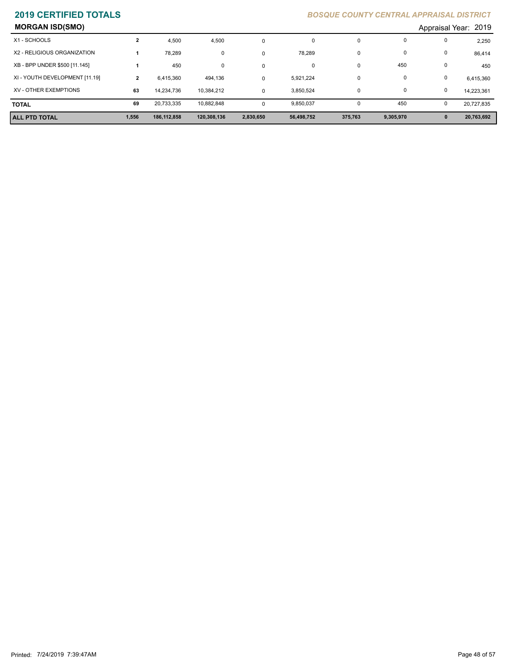| <b>MORGAN ISD(SMO)</b>         |              |             |             |           |            |          |              |              | Appraisal Year: 2019 |
|--------------------------------|--------------|-------------|-------------|-----------|------------|----------|--------------|--------------|----------------------|
| X1 - SCHOOLS                   | $\mathbf{2}$ | 4,500       | 4,500       | $\Omega$  | 0          | 0        | 0            | 0            | 2,250                |
| X2 - RELIGIOUS ORGANIZATION    |              | 78.289      | 0           | 0         | 78,289     | 0        | 0            | 0            | 86,414               |
| XB - BPP UNDER \$500 [11.145]  |              | 450         | 0           | 0         | 0          | $\Omega$ | 450          | $\mathbf 0$  | 450                  |
| XI - YOUTH DEVELOPMENT [11.19] | $\mathbf{2}$ | 6.415.360   | 494,136     | $\Omega$  | 5,921,224  | $\Omega$ | 0            | $\mathbf 0$  | 6,415,360            |
| XV - OTHER EXEMPTIONS          | 63           | 14.234.736  | 10,384,212  | $\Omega$  | 3,850,524  | $\Omega$ | $\mathbf{0}$ | 0            | 14.223.361           |
| <b>TOTAL</b>                   | 69           | 20.733.335  | 10.882.848  | $\Omega$  | 9,850,037  |          | 450          | 0            | 20.727.835           |
| <b>ALL PTD TOTAL</b>           | 1,556        | 186,112,858 | 120,308,136 | 2,830,650 | 56,498,752 | 375,763  | 9,305,970    | $\mathbf{0}$ | 20,763,692           |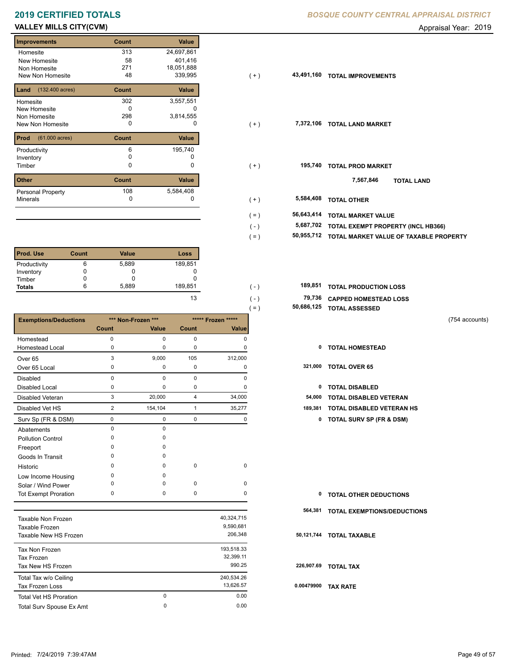## **VALLEY MILLS CITY(CVM) CONSUMER ADDITIONAL CONSUMING A CONSUMING A CONSUMING A CONSUMING A CONSUMING A CONSUMING A CONSUMING A CONSUMING A CONSUMING A CONSUMING A CONSUMING A CONSUMING A CONSUMING A CONSUMING A CONSUMIN**

п

| <b>Improvements</b>               | Count | <b>Value</b> |
|-----------------------------------|-------|--------------|
| Homesite                          | 313   | 24,697,861   |
| New Homesite                      | 58    | 401,416      |
| Non Homesite                      | 271   | 18,051,888   |
| New Non Homesite                  | 48    | 339,995      |
| $(132.400 \text{ acres})$<br>Land | Count | Value        |
| Homesite                          | 302   | 3,557,551    |
| New Homesite                      | O     |              |
| Non Homesite                      | 298   | 3,814,555    |
| <b>New Non Homesite</b>           | 0     | O            |
| Prod<br>$(61.000 \text{ acres})$  | Count | <b>Value</b> |
| Productivity                      | 6     | 195,740      |
| Inventory                         | o     |              |
| Timber                            | 0     | 0            |
| <b>Other</b>                      | Count | <b>Value</b> |
| <b>Personal Property</b>          | 108   | 5,584,408    |
| <b>Minerals</b>                   | 0     | 0            |

| l Prod. Use   | Count | <b>Value</b> | Loss    |
|---------------|-------|--------------|---------|
| Productivity  | 6     | 5,889        | 189,851 |
| Inventory     |       | U            |         |
| Timber        |       |              |         |
| <b>Totals</b> | 6     | 5,889        | 189,851 |

|                              |              |                    |                |                    | $( = )$    | 50,686,125 TOTAL ASSESSED           |                |
|------------------------------|--------------|--------------------|----------------|--------------------|------------|-------------------------------------|----------------|
| <b>Exemptions/Deductions</b> |              | *** Non-Frozen *** |                | ***** Frozen ***** |            |                                     | (754 accounts) |
|                              | <b>Count</b> | Value              | <b>Count</b>   | <b>Value</b>       |            |                                     |                |
| Homestead                    | $\pmb{0}$    | $\mathbf 0$        | $\mathbf 0$    | $\mathbf 0$        |            |                                     |                |
| <b>Homestead Local</b>       | 0            | $\Omega$           | 0              | 0                  | 0          | <b>TOTAL HOMESTEAD</b>              |                |
| Over <sub>65</sub>           | 3            | 9,000              | 105            | 312,000            |            |                                     |                |
| Over 65 Local                | 0            | 0                  | 0              | 0                  | 321,000    | <b>TOTAL OVER 65</b>                |                |
| <b>Disabled</b>              | 0            | $\mathbf 0$        | $\mathbf 0$    | 0                  |            |                                     |                |
| <b>Disabled Local</b>        | 0            | 0                  | 0              | 0                  | 0          | <b>TOTAL DISABLED</b>               |                |
| Disabled Veteran             | 3            | 20,000             | $\overline{4}$ | 34,000             | 54,000     | <b>TOTAL DISABLED VETERAN</b>       |                |
| Disabled Vet HS              | 2            | 154,104            | $\mathbf{1}$   | 35,277             | 189,381    | <b>TOTAL DISABLED VETERAN HS</b>    |                |
| Surv Sp (FR & DSM)           | $\pmb{0}$    | $\mathbf 0$        | $\mathbf 0$    | 0                  | 0          | <b>TOTAL SURV SP (FR &amp; DSM)</b> |                |
| Abatements                   | 0            | $\mathbf 0$        |                |                    |            |                                     |                |
| <b>Pollution Control</b>     | 0            | $\Omega$           |                |                    |            |                                     |                |
| Freeport                     | 0            | $\Omega$           |                |                    |            |                                     |                |
| Goods In Transit             | $\Omega$     | $\Omega$           |                |                    |            |                                     |                |
| Historic                     | 0            | 0                  | 0              | 0                  |            |                                     |                |
| Low Income Housing           | 0            | 0                  |                |                    |            |                                     |                |
| Solar / Wind Power           | $\Omega$     | $\Omega$           | $\mathbf 0$    | 0                  |            |                                     |                |
| <b>Tot Exempt Proration</b>  | 0            | $\mathbf 0$        | 0              | 0                  | 0          | <b>TOTAL OTHER DEDUCTIONS</b>       |                |
|                              |              |                    |                |                    | 564,381    | <b>TOTAL EXEMPTIONS/DEDUCTIONS</b>  |                |
| <b>Taxable Non Frozen</b>    |              |                    |                | 40,324,715         |            |                                     |                |
| Taxable Frozen               |              |                    |                | 9,590,681          |            |                                     |                |
| Taxable New HS Frozen        |              |                    |                | 206,348            | 50,121,744 | <b>TOTAL TAXABLE</b>                |                |
| Tax Non Frozen               |              |                    |                | 193,518.33         |            |                                     |                |
| <b>Tax Frozen</b>            |              |                    |                | 32,399.11          |            |                                     |                |
| Tax New HS Frozen            |              |                    |                | 990.25             | 226,907.69 | <b>TOTAL TAX</b>                    |                |
| Total Tax w/o Ceiling        |              |                    |                | 240,534.26         |            |                                     |                |
| <b>Tax Frozen Loss</b>       |              |                    |                | 13,626.57          |            | 0.00479900 TAX RATE                 |                |

Total Surv Spouse Ex Amt 0.00

 $\pmb{0}$ 

### **2019 CERTIFIED TOTALS** *BOSQUE COUNTY CENTRAL APPRAISAL DISTRICT*

| <b>Improvements</b>                   | Count | Value      |         |            |                                        |
|---------------------------------------|-------|------------|---------|------------|----------------------------------------|
| Homesite                              | 313   | 24,697,861 |         |            |                                        |
| New Homesite                          | 58    | 401,416    |         |            |                                        |
| Non Homesite                          | 271   | 18,051,888 |         |            |                                        |
| New Non Homesite                      | 48    | 339,995    | $(+)$   | 43,491,160 | <b>TOTAL IMPROVEMENTS</b>              |
| <b>Land</b> $(132.400 \text{ acres})$ | Count | Value      |         |            |                                        |
| Homesite                              | 302   | 3,557,551  |         |            |                                        |
| New Homesite                          | 0     | 0          |         |            |                                        |
| Non Homesite                          | 298   | 3,814,555  |         |            |                                        |
| New Non Homesite                      | 0     | 0          | $(+)$   |            | 7,372,106 TOTAL LAND MARKET            |
| <b>Prod</b> $(61.000 \text{ acres})$  | Count | Value      |         |            |                                        |
| Productivity                          | 6     | 195,740    |         |            |                                        |
| Inventory                             | 0     | 0          |         |            |                                        |
| Timber                                | 0     | 0          | $(+)$   | 195,740    | <b>TOTAL PROD MARKET</b>               |
| Other                                 | Count | Value      |         |            | 7,567,846<br><b>TOTAL LAND</b>         |
| Personal Property                     | 108   | 5,584,408  |         |            |                                        |
| Minerals                              | 0     |            | $(+)$   | 5,584,408  | <b>TOTAL OTHER</b>                     |
|                                       |       |            | $( = )$ | 56,643,414 | <b>TOTAL MARKET VALUE</b>              |
|                                       |       |            | $(-)$   | 5,687,702  | TOTAL EXEMPT PROPERTY (INCL HB366)     |
|                                       |       |            | (=)     | 50,955,712 | TOTAL MARKET VALUE OF TAXABLE PROPERTY |
|                                       |       |            |         |            |                                        |

| 189.851 | ' - 1 | <b>189,851 TOTAL PRODUCTION LOSS</b>    |
|---------|-------|-----------------------------------------|
| 13      | ( – ) | <sup>79,736</sup> CAPPED HOMESTEAD LOSS |
|         | $= 1$ | 50,686,125 TOTAL ASSESSED               |

0 0.00

- -
- 
- 2 154,104 1 35,277 **189,381 TOTAL DISABLED VETERAN HS**
	- Surv Sp (FR & DSM) 0 0 0 0 **0 TOTAL SURV SP (FR & DSM)**

| <b>0 TOTAL OTHER DEDUCTIONS</b> |  |
|---------------------------------|--|
|---------------------------------|--|

### **50,121,744 TOTAL TAXABLE**

Total Vet HS Proration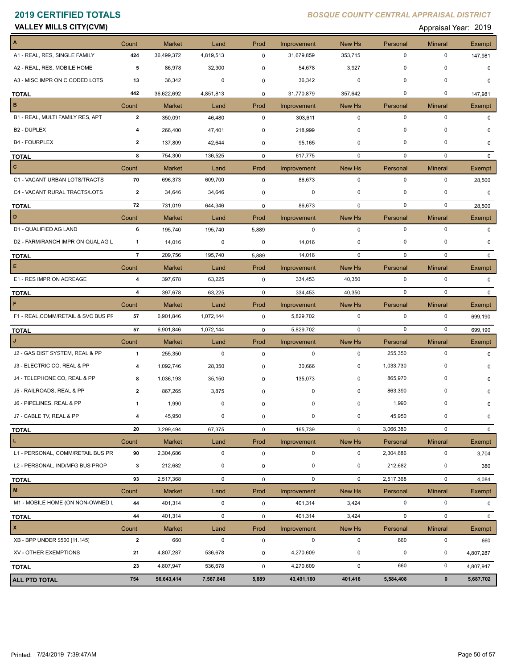|  |  | <b>VALLEY MILLS CITY(CVM)</b> |
|--|--|-------------------------------|
|--|--|-------------------------------|

Appraisal Year: 2019

| A<br>Count<br><b>Market</b><br>Prod<br>New Hs<br>Personal<br><b>Mineral</b><br>Land<br>Improvement<br>A1 - REAL, RES, SINGLE FAMILY<br>$\mathbf 0$<br>$\mathbf 0$<br>424<br>36,499,372<br>353,715<br>4,819,513<br>$\mathbf 0$<br>31,679,859<br>$\mathbf 0$<br>$\mathbf 0$<br>A2 - REAL, RES, MOBILE HOME<br>5<br>86,978<br>32,300<br>54,678<br>3,927<br>0<br>$\mathbf 0$<br>$\mathbf 0$<br>A3 - MISC IMPR ON C CODED LOTS<br>36,342<br>0<br>36,342<br>0<br>13<br>0<br>442<br>36,622,692<br>0<br>$\mathbf 0$<br>4,851,813<br>0<br>31,770,879<br>357,642<br><b>TOTAL</b><br>$\mathbf B$<br>Count<br><b>Market</b><br>Land<br>Prod<br>Improvement<br>New Hs<br><b>Mineral</b><br>Personal<br>$\mathbf 0$<br>$\mathbf 0$<br>$\mathbf 0$<br>B1 - REAL, MULTI FAMILY RES, APT<br>$\overline{2}$<br>350,091<br>46,480<br>303,611<br>0<br>0<br>0<br>B <sub>2</sub> - DUPLEX<br>266,400<br>47,401<br>218,999<br>0<br>0<br>4<br><b>B4 - FOURPLEX</b><br>137,809<br>95,165<br>0<br>0<br>0<br>2<br>42,644<br>0<br>754,300<br>$\mathbf 0$<br>0<br>0<br>8<br>136,525<br>0<br>617,775<br><b>TOTAL</b><br>$\mathbf{C}$<br>Count<br><b>Market</b><br>Land<br>Prod<br>Improvement<br>New Hs<br>Personal<br><b>Mineral</b><br>$\mathbf 0$<br>C1 - VACANT URBAN LOTS/TRACTS<br>70<br>696,373<br>609,700<br>$\mathbf 0$<br>0<br>0<br>86,673<br>C4 - VACANT RURAL TRACTS/LOTS<br>34,646<br>34,646<br>0<br>$\mathbf 0$<br>0<br>0<br>$\mathbf{2}$<br>0<br>$\mathbf 0$<br>72<br>731,019<br>644,346<br>86,673<br>$\mathbf 0$<br>0<br>0<br><b>TOTAL</b><br>D<br>Count<br><b>Market</b><br>Prod<br>New Hs<br><b>Mineral</b><br>Land<br>Improvement<br>Personal<br>$\mathbf 0$<br>$\mathbf 0$<br>D1 - QUALIFIED AG LAND<br>6<br>195,740<br>$\mathbf 0$<br>$\mathbf 0$<br>195,740<br>5,889<br>D2 - FARM/RANCH IMPR ON QUAL AG L<br>14,016<br>0<br>0<br>14,016<br>0<br>0<br>0<br>$\mathbf{1}$<br>$\overline{7}$<br>14,016<br>$\mathbf 0$<br>$\mathbf 0$<br>209,756<br>195,740<br>$\mathbf 0$<br>5,889<br><b>TOTAL</b><br>E<br>Count<br><b>Market</b><br>Prod<br>Improvement<br>New Hs<br><b>Mineral</b><br>Land<br>Personal<br>E1 - RES IMPR ON ACREAGE<br>$\mathbf 0$<br>$\mathbf 0$<br>4<br>397,678<br>63,225<br>0<br>334,453<br>40,350<br>334,453<br>$\mathbf 0$<br>$\mathbf 0$<br>$\overline{\mathbf{4}}$<br>397,678<br>63,225<br>40,350<br>$\mathbf 0$<br><b>TOTAL</b><br>$\mathsf F$<br><b>Market</b><br>Prod<br>New Hs<br><b>Mineral</b><br>Count<br>Land<br>Improvement<br>Personal<br>$\mathbf 0$<br>$\mathbf 0$<br>F1 - REAL, COMM/RETAIL & SVC BUS PF<br>57<br>6,901,846<br>1,072,144<br>0<br>5,829,702<br>0<br>57<br>$\mathbf 0$<br>$\mathbf 0$<br>1,072,144<br>5,829,702<br>$\mathbf{0}$<br>6,901,846<br>$\mathbf 0$<br><b>TOTAL</b><br>$\mathbf{J}$<br>Count<br>Prod<br>New Hs<br>Personal<br>Market<br>Land<br>Improvement<br><b>Mineral</b><br>$\mathbf 0$<br>J2 - GAS DIST SYSTEM, REAL & PP<br>$\mathbf{1}$<br>$\mathbf 0$<br>$\mathbf 0$<br>$\mathbf 0$<br>255,350<br>255,350<br>$\mathbf 0$<br>J3 - ELECTRIC CO, REAL & PP<br>0<br>1,092,746<br>28,350<br>0<br>30,666<br>0<br>1,033,730<br>4 | Exempt<br>147,981<br>$\Omega$<br>$\Omega$<br>147,981<br>Exempt<br>0<br>$\Omega$<br>0<br>$\mathbf{0}$<br><b>Exempt</b><br>28,500<br>$\mathbf 0$<br>28,500<br>Exempt<br>$\mathbf 0$<br>0<br>$\Omega$<br>Exempt<br>$\Omega$<br>$\mathbf{0}$<br>Exempt |
|-----------------------------------------------------------------------------------------------------------------------------------------------------------------------------------------------------------------------------------------------------------------------------------------------------------------------------------------------------------------------------------------------------------------------------------------------------------------------------------------------------------------------------------------------------------------------------------------------------------------------------------------------------------------------------------------------------------------------------------------------------------------------------------------------------------------------------------------------------------------------------------------------------------------------------------------------------------------------------------------------------------------------------------------------------------------------------------------------------------------------------------------------------------------------------------------------------------------------------------------------------------------------------------------------------------------------------------------------------------------------------------------------------------------------------------------------------------------------------------------------------------------------------------------------------------------------------------------------------------------------------------------------------------------------------------------------------------------------------------------------------------------------------------------------------------------------------------------------------------------------------------------------------------------------------------------------------------------------------------------------------------------------------------------------------------------------------------------------------------------------------------------------------------------------------------------------------------------------------------------------------------------------------------------------------------------------------------------------------------------------------------------------------------------------------------------------------------------------------------------------------------------------------------------------------------------------------------------------------------------------------------------------------------------------------------------------------------------------------------------------------------------------------------------------------------------------------------------------------------------------------------------------------------------------------------------------------------------------------------------------------------------------------------------------------------------------------------|----------------------------------------------------------------------------------------------------------------------------------------------------------------------------------------------------------------------------------------------------|
|                                                                                                                                                                                                                                                                                                                                                                                                                                                                                                                                                                                                                                                                                                                                                                                                                                                                                                                                                                                                                                                                                                                                                                                                                                                                                                                                                                                                                                                                                                                                                                                                                                                                                                                                                                                                                                                                                                                                                                                                                                                                                                                                                                                                                                                                                                                                                                                                                                                                                                                                                                                                                                                                                                                                                                                                                                                                                                                                                                                                                                                                                   |                                                                                                                                                                                                                                                    |
|                                                                                                                                                                                                                                                                                                                                                                                                                                                                                                                                                                                                                                                                                                                                                                                                                                                                                                                                                                                                                                                                                                                                                                                                                                                                                                                                                                                                                                                                                                                                                                                                                                                                                                                                                                                                                                                                                                                                                                                                                                                                                                                                                                                                                                                                                                                                                                                                                                                                                                                                                                                                                                                                                                                                                                                                                                                                                                                                                                                                                                                                                   |                                                                                                                                                                                                                                                    |
|                                                                                                                                                                                                                                                                                                                                                                                                                                                                                                                                                                                                                                                                                                                                                                                                                                                                                                                                                                                                                                                                                                                                                                                                                                                                                                                                                                                                                                                                                                                                                                                                                                                                                                                                                                                                                                                                                                                                                                                                                                                                                                                                                                                                                                                                                                                                                                                                                                                                                                                                                                                                                                                                                                                                                                                                                                                                                                                                                                                                                                                                                   |                                                                                                                                                                                                                                                    |
|                                                                                                                                                                                                                                                                                                                                                                                                                                                                                                                                                                                                                                                                                                                                                                                                                                                                                                                                                                                                                                                                                                                                                                                                                                                                                                                                                                                                                                                                                                                                                                                                                                                                                                                                                                                                                                                                                                                                                                                                                                                                                                                                                                                                                                                                                                                                                                                                                                                                                                                                                                                                                                                                                                                                                                                                                                                                                                                                                                                                                                                                                   |                                                                                                                                                                                                                                                    |
|                                                                                                                                                                                                                                                                                                                                                                                                                                                                                                                                                                                                                                                                                                                                                                                                                                                                                                                                                                                                                                                                                                                                                                                                                                                                                                                                                                                                                                                                                                                                                                                                                                                                                                                                                                                                                                                                                                                                                                                                                                                                                                                                                                                                                                                                                                                                                                                                                                                                                                                                                                                                                                                                                                                                                                                                                                                                                                                                                                                                                                                                                   |                                                                                                                                                                                                                                                    |
|                                                                                                                                                                                                                                                                                                                                                                                                                                                                                                                                                                                                                                                                                                                                                                                                                                                                                                                                                                                                                                                                                                                                                                                                                                                                                                                                                                                                                                                                                                                                                                                                                                                                                                                                                                                                                                                                                                                                                                                                                                                                                                                                                                                                                                                                                                                                                                                                                                                                                                                                                                                                                                                                                                                                                                                                                                                                                                                                                                                                                                                                                   |                                                                                                                                                                                                                                                    |
|                                                                                                                                                                                                                                                                                                                                                                                                                                                                                                                                                                                                                                                                                                                                                                                                                                                                                                                                                                                                                                                                                                                                                                                                                                                                                                                                                                                                                                                                                                                                                                                                                                                                                                                                                                                                                                                                                                                                                                                                                                                                                                                                                                                                                                                                                                                                                                                                                                                                                                                                                                                                                                                                                                                                                                                                                                                                                                                                                                                                                                                                                   |                                                                                                                                                                                                                                                    |
|                                                                                                                                                                                                                                                                                                                                                                                                                                                                                                                                                                                                                                                                                                                                                                                                                                                                                                                                                                                                                                                                                                                                                                                                                                                                                                                                                                                                                                                                                                                                                                                                                                                                                                                                                                                                                                                                                                                                                                                                                                                                                                                                                                                                                                                                                                                                                                                                                                                                                                                                                                                                                                                                                                                                                                                                                                                                                                                                                                                                                                                                                   |                                                                                                                                                                                                                                                    |
|                                                                                                                                                                                                                                                                                                                                                                                                                                                                                                                                                                                                                                                                                                                                                                                                                                                                                                                                                                                                                                                                                                                                                                                                                                                                                                                                                                                                                                                                                                                                                                                                                                                                                                                                                                                                                                                                                                                                                                                                                                                                                                                                                                                                                                                                                                                                                                                                                                                                                                                                                                                                                                                                                                                                                                                                                                                                                                                                                                                                                                                                                   |                                                                                                                                                                                                                                                    |
|                                                                                                                                                                                                                                                                                                                                                                                                                                                                                                                                                                                                                                                                                                                                                                                                                                                                                                                                                                                                                                                                                                                                                                                                                                                                                                                                                                                                                                                                                                                                                                                                                                                                                                                                                                                                                                                                                                                                                                                                                                                                                                                                                                                                                                                                                                                                                                                                                                                                                                                                                                                                                                                                                                                                                                                                                                                                                                                                                                                                                                                                                   |                                                                                                                                                                                                                                                    |
|                                                                                                                                                                                                                                                                                                                                                                                                                                                                                                                                                                                                                                                                                                                                                                                                                                                                                                                                                                                                                                                                                                                                                                                                                                                                                                                                                                                                                                                                                                                                                                                                                                                                                                                                                                                                                                                                                                                                                                                                                                                                                                                                                                                                                                                                                                                                                                                                                                                                                                                                                                                                                                                                                                                                                                                                                                                                                                                                                                                                                                                                                   |                                                                                                                                                                                                                                                    |
|                                                                                                                                                                                                                                                                                                                                                                                                                                                                                                                                                                                                                                                                                                                                                                                                                                                                                                                                                                                                                                                                                                                                                                                                                                                                                                                                                                                                                                                                                                                                                                                                                                                                                                                                                                                                                                                                                                                                                                                                                                                                                                                                                                                                                                                                                                                                                                                                                                                                                                                                                                                                                                                                                                                                                                                                                                                                                                                                                                                                                                                                                   |                                                                                                                                                                                                                                                    |
|                                                                                                                                                                                                                                                                                                                                                                                                                                                                                                                                                                                                                                                                                                                                                                                                                                                                                                                                                                                                                                                                                                                                                                                                                                                                                                                                                                                                                                                                                                                                                                                                                                                                                                                                                                                                                                                                                                                                                                                                                                                                                                                                                                                                                                                                                                                                                                                                                                                                                                                                                                                                                                                                                                                                                                                                                                                                                                                                                                                                                                                                                   |                                                                                                                                                                                                                                                    |
|                                                                                                                                                                                                                                                                                                                                                                                                                                                                                                                                                                                                                                                                                                                                                                                                                                                                                                                                                                                                                                                                                                                                                                                                                                                                                                                                                                                                                                                                                                                                                                                                                                                                                                                                                                                                                                                                                                                                                                                                                                                                                                                                                                                                                                                                                                                                                                                                                                                                                                                                                                                                                                                                                                                                                                                                                                                                                                                                                                                                                                                                                   |                                                                                                                                                                                                                                                    |
|                                                                                                                                                                                                                                                                                                                                                                                                                                                                                                                                                                                                                                                                                                                                                                                                                                                                                                                                                                                                                                                                                                                                                                                                                                                                                                                                                                                                                                                                                                                                                                                                                                                                                                                                                                                                                                                                                                                                                                                                                                                                                                                                                                                                                                                                                                                                                                                                                                                                                                                                                                                                                                                                                                                                                                                                                                                                                                                                                                                                                                                                                   |                                                                                                                                                                                                                                                    |
|                                                                                                                                                                                                                                                                                                                                                                                                                                                                                                                                                                                                                                                                                                                                                                                                                                                                                                                                                                                                                                                                                                                                                                                                                                                                                                                                                                                                                                                                                                                                                                                                                                                                                                                                                                                                                                                                                                                                                                                                                                                                                                                                                                                                                                                                                                                                                                                                                                                                                                                                                                                                                                                                                                                                                                                                                                                                                                                                                                                                                                                                                   |                                                                                                                                                                                                                                                    |
|                                                                                                                                                                                                                                                                                                                                                                                                                                                                                                                                                                                                                                                                                                                                                                                                                                                                                                                                                                                                                                                                                                                                                                                                                                                                                                                                                                                                                                                                                                                                                                                                                                                                                                                                                                                                                                                                                                                                                                                                                                                                                                                                                                                                                                                                                                                                                                                                                                                                                                                                                                                                                                                                                                                                                                                                                                                                                                                                                                                                                                                                                   |                                                                                                                                                                                                                                                    |
|                                                                                                                                                                                                                                                                                                                                                                                                                                                                                                                                                                                                                                                                                                                                                                                                                                                                                                                                                                                                                                                                                                                                                                                                                                                                                                                                                                                                                                                                                                                                                                                                                                                                                                                                                                                                                                                                                                                                                                                                                                                                                                                                                                                                                                                                                                                                                                                                                                                                                                                                                                                                                                                                                                                                                                                                                                                                                                                                                                                                                                                                                   |                                                                                                                                                                                                                                                    |
|                                                                                                                                                                                                                                                                                                                                                                                                                                                                                                                                                                                                                                                                                                                                                                                                                                                                                                                                                                                                                                                                                                                                                                                                                                                                                                                                                                                                                                                                                                                                                                                                                                                                                                                                                                                                                                                                                                                                                                                                                                                                                                                                                                                                                                                                                                                                                                                                                                                                                                                                                                                                                                                                                                                                                                                                                                                                                                                                                                                                                                                                                   |                                                                                                                                                                                                                                                    |
|                                                                                                                                                                                                                                                                                                                                                                                                                                                                                                                                                                                                                                                                                                                                                                                                                                                                                                                                                                                                                                                                                                                                                                                                                                                                                                                                                                                                                                                                                                                                                                                                                                                                                                                                                                                                                                                                                                                                                                                                                                                                                                                                                                                                                                                                                                                                                                                                                                                                                                                                                                                                                                                                                                                                                                                                                                                                                                                                                                                                                                                                                   |                                                                                                                                                                                                                                                    |
|                                                                                                                                                                                                                                                                                                                                                                                                                                                                                                                                                                                                                                                                                                                                                                                                                                                                                                                                                                                                                                                                                                                                                                                                                                                                                                                                                                                                                                                                                                                                                                                                                                                                                                                                                                                                                                                                                                                                                                                                                                                                                                                                                                                                                                                                                                                                                                                                                                                                                                                                                                                                                                                                                                                                                                                                                                                                                                                                                                                                                                                                                   |                                                                                                                                                                                                                                                    |
|                                                                                                                                                                                                                                                                                                                                                                                                                                                                                                                                                                                                                                                                                                                                                                                                                                                                                                                                                                                                                                                                                                                                                                                                                                                                                                                                                                                                                                                                                                                                                                                                                                                                                                                                                                                                                                                                                                                                                                                                                                                                                                                                                                                                                                                                                                                                                                                                                                                                                                                                                                                                                                                                                                                                                                                                                                                                                                                                                                                                                                                                                   |                                                                                                                                                                                                                                                    |
|                                                                                                                                                                                                                                                                                                                                                                                                                                                                                                                                                                                                                                                                                                                                                                                                                                                                                                                                                                                                                                                                                                                                                                                                                                                                                                                                                                                                                                                                                                                                                                                                                                                                                                                                                                                                                                                                                                                                                                                                                                                                                                                                                                                                                                                                                                                                                                                                                                                                                                                                                                                                                                                                                                                                                                                                                                                                                                                                                                                                                                                                                   | 699,190                                                                                                                                                                                                                                            |
|                                                                                                                                                                                                                                                                                                                                                                                                                                                                                                                                                                                                                                                                                                                                                                                                                                                                                                                                                                                                                                                                                                                                                                                                                                                                                                                                                                                                                                                                                                                                                                                                                                                                                                                                                                                                                                                                                                                                                                                                                                                                                                                                                                                                                                                                                                                                                                                                                                                                                                                                                                                                                                                                                                                                                                                                                                                                                                                                                                                                                                                                                   | 699,190                                                                                                                                                                                                                                            |
|                                                                                                                                                                                                                                                                                                                                                                                                                                                                                                                                                                                                                                                                                                                                                                                                                                                                                                                                                                                                                                                                                                                                                                                                                                                                                                                                                                                                                                                                                                                                                                                                                                                                                                                                                                                                                                                                                                                                                                                                                                                                                                                                                                                                                                                                                                                                                                                                                                                                                                                                                                                                                                                                                                                                                                                                                                                                                                                                                                                                                                                                                   | Exempt                                                                                                                                                                                                                                             |
|                                                                                                                                                                                                                                                                                                                                                                                                                                                                                                                                                                                                                                                                                                                                                                                                                                                                                                                                                                                                                                                                                                                                                                                                                                                                                                                                                                                                                                                                                                                                                                                                                                                                                                                                                                                                                                                                                                                                                                                                                                                                                                                                                                                                                                                                                                                                                                                                                                                                                                                                                                                                                                                                                                                                                                                                                                                                                                                                                                                                                                                                                   | $\Omega$                                                                                                                                                                                                                                           |
|                                                                                                                                                                                                                                                                                                                                                                                                                                                                                                                                                                                                                                                                                                                                                                                                                                                                                                                                                                                                                                                                                                                                                                                                                                                                                                                                                                                                                                                                                                                                                                                                                                                                                                                                                                                                                                                                                                                                                                                                                                                                                                                                                                                                                                                                                                                                                                                                                                                                                                                                                                                                                                                                                                                                                                                                                                                                                                                                                                                                                                                                                   |                                                                                                                                                                                                                                                    |
| J4 - TELEPHONE CO, REAL & PP<br>865,970<br>0<br>1,036,193<br>35,150<br>135,073<br>0<br>8<br>0                                                                                                                                                                                                                                                                                                                                                                                                                                                                                                                                                                                                                                                                                                                                                                                                                                                                                                                                                                                                                                                                                                                                                                                                                                                                                                                                                                                                                                                                                                                                                                                                                                                                                                                                                                                                                                                                                                                                                                                                                                                                                                                                                                                                                                                                                                                                                                                                                                                                                                                                                                                                                                                                                                                                                                                                                                                                                                                                                                                     | O                                                                                                                                                                                                                                                  |
| J5 - RAILROADS, REAL & PP<br>867,265<br>3,875<br>0<br>0<br>863,390<br>$\Omega$<br>$\overline{\mathbf{2}}$<br>0                                                                                                                                                                                                                                                                                                                                                                                                                                                                                                                                                                                                                                                                                                                                                                                                                                                                                                                                                                                                                                                                                                                                                                                                                                                                                                                                                                                                                                                                                                                                                                                                                                                                                                                                                                                                                                                                                                                                                                                                                                                                                                                                                                                                                                                                                                                                                                                                                                                                                                                                                                                                                                                                                                                                                                                                                                                                                                                                                                    | O                                                                                                                                                                                                                                                  |
| J6 - PIPELINES, REAL & PP<br>1,990<br>0<br>1,990<br>0<br>0<br>0<br>-1<br>0                                                                                                                                                                                                                                                                                                                                                                                                                                                                                                                                                                                                                                                                                                                                                                                                                                                                                                                                                                                                                                                                                                                                                                                                                                                                                                                                                                                                                                                                                                                                                                                                                                                                                                                                                                                                                                                                                                                                                                                                                                                                                                                                                                                                                                                                                                                                                                                                                                                                                                                                                                                                                                                                                                                                                                                                                                                                                                                                                                                                        | $\mathbf 0$                                                                                                                                                                                                                                        |
| $\pmb{0}$<br>J7 - CABLE TV, REAL & PP<br>$\pmb{0}$<br>0<br>$\pmb{0}$<br>$\mathbf 0$<br>45,950<br>4<br>45,950                                                                                                                                                                                                                                                                                                                                                                                                                                                                                                                                                                                                                                                                                                                                                                                                                                                                                                                                                                                                                                                                                                                                                                                                                                                                                                                                                                                                                                                                                                                                                                                                                                                                                                                                                                                                                                                                                                                                                                                                                                                                                                                                                                                                                                                                                                                                                                                                                                                                                                                                                                                                                                                                                                                                                                                                                                                                                                                                                                      | 0                                                                                                                                                                                                                                                  |
| 20<br>$\mathbf 0$<br>3,066,380<br>$\mathbf 0$<br>3,299,494<br>67,375<br>0<br>165,739<br><b>TOTAL</b>                                                                                                                                                                                                                                                                                                                                                                                                                                                                                                                                                                                                                                                                                                                                                                                                                                                                                                                                                                                                                                                                                                                                                                                                                                                                                                                                                                                                                                                                                                                                                                                                                                                                                                                                                                                                                                                                                                                                                                                                                                                                                                                                                                                                                                                                                                                                                                                                                                                                                                                                                                                                                                                                                                                                                                                                                                                                                                                                                                              | $\mathbf 0$                                                                                                                                                                                                                                        |
| $\mathbf{L}$<br>Count<br><b>Market</b><br>Land<br>Prod<br>Improvement<br>New Hs<br>Personal<br><b>Mineral</b>                                                                                                                                                                                                                                                                                                                                                                                                                                                                                                                                                                                                                                                                                                                                                                                                                                                                                                                                                                                                                                                                                                                                                                                                                                                                                                                                                                                                                                                                                                                                                                                                                                                                                                                                                                                                                                                                                                                                                                                                                                                                                                                                                                                                                                                                                                                                                                                                                                                                                                                                                                                                                                                                                                                                                                                                                                                                                                                                                                     | Exempt                                                                                                                                                                                                                                             |
| L1 - PERSONAL, COMM/RETAIL BUS PR<br>2,304,686<br>$\pmb{0}$<br>0<br>$\mathbf 0$<br>$\mathsf 0$<br>90<br>2,304,686<br>0                                                                                                                                                                                                                                                                                                                                                                                                                                                                                                                                                                                                                                                                                                                                                                                                                                                                                                                                                                                                                                                                                                                                                                                                                                                                                                                                                                                                                                                                                                                                                                                                                                                                                                                                                                                                                                                                                                                                                                                                                                                                                                                                                                                                                                                                                                                                                                                                                                                                                                                                                                                                                                                                                                                                                                                                                                                                                                                                                            | 3,704                                                                                                                                                                                                                                              |
| 212,682<br>L2 - PERSONAL, IND/MFG BUS PROP<br>$\pmb{0}$<br>0<br>3<br>212,682<br>0<br>0<br>0                                                                                                                                                                                                                                                                                                                                                                                                                                                                                                                                                                                                                                                                                                                                                                                                                                                                                                                                                                                                                                                                                                                                                                                                                                                                                                                                                                                                                                                                                                                                                                                                                                                                                                                                                                                                                                                                                                                                                                                                                                                                                                                                                                                                                                                                                                                                                                                                                                                                                                                                                                                                                                                                                                                                                                                                                                                                                                                                                                                       | 380                                                                                                                                                                                                                                                |
| 93<br>$\mathbf 0$<br>2,517,368<br>$\mathbf 0$<br>2,517,368<br>$\mathsf 0$<br>$\mathbf 0$<br>$\mathbf 0$<br><b>TOTAL</b>                                                                                                                                                                                                                                                                                                                                                                                                                                                                                                                                                                                                                                                                                                                                                                                                                                                                                                                                                                                                                                                                                                                                                                                                                                                                                                                                                                                                                                                                                                                                                                                                                                                                                                                                                                                                                                                                                                                                                                                                                                                                                                                                                                                                                                                                                                                                                                                                                                                                                                                                                                                                                                                                                                                                                                                                                                                                                                                                                           | 4,084                                                                                                                                                                                                                                              |
| $\mathbf M$<br>Personal<br>Count<br>Market<br>Land<br>Prod<br>Improvement<br>New Hs<br><b>Mineral</b>                                                                                                                                                                                                                                                                                                                                                                                                                                                                                                                                                                                                                                                                                                                                                                                                                                                                                                                                                                                                                                                                                                                                                                                                                                                                                                                                                                                                                                                                                                                                                                                                                                                                                                                                                                                                                                                                                                                                                                                                                                                                                                                                                                                                                                                                                                                                                                                                                                                                                                                                                                                                                                                                                                                                                                                                                                                                                                                                                                             | Exempt                                                                                                                                                                                                                                             |
| M1 - MOBILE HOME (ON NON-OWNED L<br>44<br>401,314<br>$\mathbf 0$<br>3,424<br>0<br>$\mathbf 0$<br>$\mathsf 0$<br>401,314                                                                                                                                                                                                                                                                                                                                                                                                                                                                                                                                                                                                                                                                                                                                                                                                                                                                                                                                                                                                                                                                                                                                                                                                                                                                                                                                                                                                                                                                                                                                                                                                                                                                                                                                                                                                                                                                                                                                                                                                                                                                                                                                                                                                                                                                                                                                                                                                                                                                                                                                                                                                                                                                                                                                                                                                                                                                                                                                                           | $\mathbf 0$                                                                                                                                                                                                                                        |
| $\pmb{0}$<br>44<br>$\pmb{0}$<br>$\mathbf 0$<br>401,314<br>0<br>401,314<br>3,424<br><b>TOTAL</b>                                                                                                                                                                                                                                                                                                                                                                                                                                                                                                                                                                                                                                                                                                                                                                                                                                                                                                                                                                                                                                                                                                                                                                                                                                                                                                                                                                                                                                                                                                                                                                                                                                                                                                                                                                                                                                                                                                                                                                                                                                                                                                                                                                                                                                                                                                                                                                                                                                                                                                                                                                                                                                                                                                                                                                                                                                                                                                                                                                                   | 0                                                                                                                                                                                                                                                  |
| $\mathbf{x}$<br>Count<br><b>Market</b><br>Prod<br>New Hs<br>Land<br>Improvement<br>Personal<br><b>Mineral</b>                                                                                                                                                                                                                                                                                                                                                                                                                                                                                                                                                                                                                                                                                                                                                                                                                                                                                                                                                                                                                                                                                                                                                                                                                                                                                                                                                                                                                                                                                                                                                                                                                                                                                                                                                                                                                                                                                                                                                                                                                                                                                                                                                                                                                                                                                                                                                                                                                                                                                                                                                                                                                                                                                                                                                                                                                                                                                                                                                                     | Exempt                                                                                                                                                                                                                                             |
| XB - BPP UNDER \$500 [11.145]<br>$\overline{2}$<br>660<br>$\mathbf 0$<br>660<br>$\pmb{0}$<br>$\mathbf 0$<br>$\mathbf 0$<br>0                                                                                                                                                                                                                                                                                                                                                                                                                                                                                                                                                                                                                                                                                                                                                                                                                                                                                                                                                                                                                                                                                                                                                                                                                                                                                                                                                                                                                                                                                                                                                                                                                                                                                                                                                                                                                                                                                                                                                                                                                                                                                                                                                                                                                                                                                                                                                                                                                                                                                                                                                                                                                                                                                                                                                                                                                                                                                                                                                      | 660                                                                                                                                                                                                                                                |
| XV - OTHER EXEMPTIONS<br>4,270,609<br>$\mathbf 0$<br>$\pmb{0}$<br>21<br>4,807,287<br>536,678<br>0<br>0                                                                                                                                                                                                                                                                                                                                                                                                                                                                                                                                                                                                                                                                                                                                                                                                                                                                                                                                                                                                                                                                                                                                                                                                                                                                                                                                                                                                                                                                                                                                                                                                                                                                                                                                                                                                                                                                                                                                                                                                                                                                                                                                                                                                                                                                                                                                                                                                                                                                                                                                                                                                                                                                                                                                                                                                                                                                                                                                                                            |                                                                                                                                                                                                                                                    |
|                                                                                                                                                                                                                                                                                                                                                                                                                                                                                                                                                                                                                                                                                                                                                                                                                                                                                                                                                                                                                                                                                                                                                                                                                                                                                                                                                                                                                                                                                                                                                                                                                                                                                                                                                                                                                                                                                                                                                                                                                                                                                                                                                                                                                                                                                                                                                                                                                                                                                                                                                                                                                                                                                                                                                                                                                                                                                                                                                                                                                                                                                   | 4,807,287                                                                                                                                                                                                                                          |
| $\mathbf 0$<br>660<br>$\mathsf 0$<br>23<br>4,807,947<br>536,678<br>0<br>4,270,609<br><b>TOTAL</b>                                                                                                                                                                                                                                                                                                                                                                                                                                                                                                                                                                                                                                                                                                                                                                                                                                                                                                                                                                                                                                                                                                                                                                                                                                                                                                                                                                                                                                                                                                                                                                                                                                                                                                                                                                                                                                                                                                                                                                                                                                                                                                                                                                                                                                                                                                                                                                                                                                                                                                                                                                                                                                                                                                                                                                                                                                                                                                                                                                                 | 4,807,947                                                                                                                                                                                                                                          |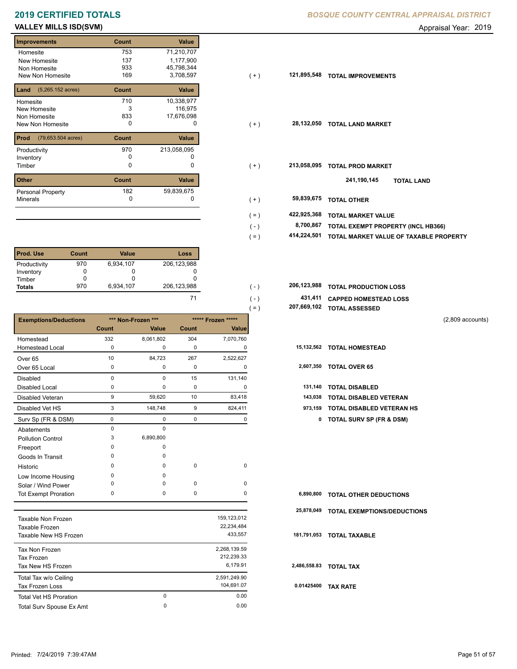## **VALLEY MILLS ISD(SVM) CONSUMER ADDITIONAL CONSUMING THE CONSUMING SET ASSESSED A POST APPRAISE A POINT ADDITIONAL COMPONER AND APPRAISE A POINT AND APPRAISE A POINT AND APPRAISE A POINT AND APPRAISE A POINT AND APPRAISE**

| <b>Improvements</b>                 | Count | <b>Value</b> |
|-------------------------------------|-------|--------------|
| Homesite                            | 753   | 71,210,707   |
| New Homesite                        | 137   | 1,177,900    |
| Non Homesite                        | 933   | 45,798,344   |
| New Non Homesite                    | 169   | 3,708,597    |
| $(5,265.152 \text{ acres})$<br>Land | Count | Value        |
| Homesite                            | 710   | 10,338,977   |
| New Homesite                        | 3     | 116,975      |
| Non Homesite                        | 833   | 17,676,098   |
| New Non Homesite                    | 0     | O            |
| (79,653.504 acres)<br>Prod          | Count | Value        |
| Productivity                        | 970   | 213,058,095  |
| Inventory                           | O     | O            |
| Timber                              | 0     | 0            |
| <b>Other</b>                        | Count | <b>Value</b> |
| <b>Personal Property</b>            | 182   | 59,839,675   |
| <b>Minerals</b>                     | 0     | 0            |

| <b>Prod. Use</b> | Count | <b>Value</b> | Loss        |
|------------------|-------|--------------|-------------|
| Productivity     | 970   | 6,934,107    | 206,123,988 |
| Inventory        |       |              |             |
| Timber           |       |              |             |
| <b>Totals</b>    | 970   | 6,934,107    | 206,123,988 |

|                               |             |                    |             |                    | $( = )$ |             | 207,669,102 TOTAL ASSESSED         |                    |
|-------------------------------|-------------|--------------------|-------------|--------------------|---------|-------------|------------------------------------|--------------------|
| <b>Exemptions/Deductions</b>  |             | *** Non-Frozen *** |             | ***** Frozen ***** |         |             |                                    | $(2,809$ accounts) |
|                               | Count       | <b>Value</b>       | Count       | Value              |         |             |                                    |                    |
| Homestead                     | 332         | 8,061,802          | 304         | 7,070,760          |         |             |                                    |                    |
| <b>Homestead Local</b>        | 0           | 0                  | 0           | 0                  |         |             | 15,132,562 TOTAL HOMESTEAD         |                    |
| Over <sub>65</sub>            | 10          | 84,723             | 267         | 2,522,627          |         |             |                                    |                    |
| Over 65 Local                 | 0           | 0                  | 0           | 0                  |         |             | 2,607,350 TOTAL OVER 65            |                    |
| <b>Disabled</b>               | $\mathbf 0$ | 0                  | 15          | 131,140            |         |             |                                    |                    |
| <b>Disabled Local</b>         | 0           | 0                  | $\pmb{0}$   | 0                  |         | 131,140     | <b>TOTAL DISABLED</b>              |                    |
| <b>Disabled Veteran</b>       | 9           | 59,620             | 10          | 83,418             |         | 143,038     | TOTAL DISABLED VETERAN             |                    |
| Disabled Vet HS               | 3           | 148,748            | 9           | 824,411            |         | 973,159     | TOTAL DISABLED VETERAN HS          |                    |
| Surv Sp (FR & DSM)            | 0           | 0                  | 0           | 0                  |         |             | 0 TOTAL SURV SP (FR & DSM)         |                    |
| Abatements                    | $\mathbf 0$ | $\Omega$           |             |                    |         |             |                                    |                    |
| <b>Pollution Control</b>      | 3           | 6,890,800          |             |                    |         |             |                                    |                    |
| Freeport                      | $\Omega$    | 0                  |             |                    |         |             |                                    |                    |
| Goods In Transit              | $\Omega$    | 0                  |             |                    |         |             |                                    |                    |
| Historic                      | $\Omega$    | 0                  | 0           | $\pmb{0}$          |         |             |                                    |                    |
| Low Income Housing            | $\Omega$    | 0                  |             |                    |         |             |                                    |                    |
| Solar / Wind Power            | $\Omega$    | 0                  | $\mathbf 0$ | 0                  |         |             |                                    |                    |
| <b>Tot Exempt Proration</b>   | 0           | 0                  | 0           | 0                  |         | 6,890,800   | <b>TOTAL OTHER DEDUCTIONS</b>      |                    |
|                               |             |                    |             |                    |         | 25,878,049  | <b>TOTAL EXEMPTIONS/DEDUCTIONS</b> |                    |
| Taxable Non Frozen            |             |                    |             | 159,123,012        |         |             |                                    |                    |
| Taxable Frozen                |             |                    |             | 22,234,484         |         |             |                                    |                    |
| Taxable New HS Frozen         |             |                    |             | 433,557            |         | 181,791,053 | <b>TOTAL TAXABLE</b>               |                    |
| Tax Non Frozen                |             |                    |             | 2,268,139.59       |         |             |                                    |                    |
| <b>Tax Frozen</b>             |             |                    |             | 212,239.33         |         |             |                                    |                    |
| Tax New HS Frozen             |             |                    |             | 6,179.91           |         |             | 2,486,558.83 TOTAL TAX             |                    |
| Total Tax w/o Ceiling         |             |                    |             | 2,591,249.90       |         |             |                                    |                    |
| Tax Frozen Loss               |             |                    |             | 104,691.07         |         | 0.01425400  | <b>TAX RATE</b>                    |                    |
| <b>Total Vet HS Proration</b> |             | $\mathbf 0$        |             | 0.00               |         |             |                                    |                    |

Total Surv Spouse Ex Amt 0.00

 $\pmb{0}$ 

| <b>Improvements</b>                      | Count        | Value       |                        |                                        |
|------------------------------------------|--------------|-------------|------------------------|----------------------------------------|
| Homesite                                 | 753          | 71,210,707  |                        |                                        |
| New Homesite                             | 137          | 1,177,900   |                        |                                        |
| Non Homesite                             | 933          | 45,798,344  |                        |                                        |
| New Non Homesite                         | 169          | 3,708,597   | 121,895,548<br>$(+)$   | <b>TOTAL IMPROVEMENTS</b>              |
| <b>Land</b> $(5,265.152 \text{ acres})$  | Count        | Value       |                        |                                        |
| Homesite                                 | 710          | 10,338,977  |                        |                                        |
| New Homesite                             | 3            | 116,975     |                        |                                        |
| Non Homesite                             | 833          | 17,676,098  |                        |                                        |
| New Non Homesite                         | 0            | $\Omega$    | 28,132,050<br>$(+)$    | <b>TOTAL LAND MARKET</b>               |
| <b>Prod</b> $(79,653.504 \text{ acres})$ | <b>Count</b> | Value       |                        |                                        |
| Productivity                             | 970          | 213,058,095 |                        |                                        |
| Inventory                                | 0            |             |                        |                                        |
| Timber                                   | 0            | 0           | 213,058,095<br>$(+)$   | <b>TOTAL PROD MARKET</b>               |
|                                          |              |             |                        |                                        |
| <b>Other</b>                             | Count        | Value       |                        | 241,190,145<br><b>TOTAL LAND</b>       |
| Personal Property                        | 182          | 59,839,675  |                        |                                        |
| Minerals                                 | 0            | 0           | 59,839,675<br>$(+)$    | <b>TOTAL OTHER</b>                     |
|                                          |              |             |                        |                                        |
|                                          |              |             | 422,925,368<br>$( = )$ | <b>TOTAL MARKET VALUE</b>              |
|                                          |              |             | 8,700,867<br>$(-)$     | TOTAL EXEMPT PROPERTY (INCL HB366)     |
|                                          |              |             | 414,224,501<br>$( = )$ | TOTAL MARKET VALUE OF TAXABLE PROPERTY |
|                                          |              |             |                        |                                        |

| 206.123.988 | $( - )$       | 206,123,988 TOTAL PRODUCTION LOSS |
|-------------|---------------|-----------------------------------|
|             | $( - )$       | 431,411 CAPPED HOMESTEAD LOSS     |
|             | $=$ $\lambda$ | 207,669,102 TOTAL ASSESSED        |

| $(2,809$ accounts) |  |  |  |
|--------------------|--|--|--|
|--------------------|--|--|--|

| 15,132,562 TOTAL HOMESTEAD |  |
|----------------------------|--|
|                            |  |

| 2,607,350 | <b>TOTAL OVER 65</b> |  |
|-----------|----------------------|--|
|-----------|----------------------|--|

| 131,140 TOTAL DISABLED |  |  |
|------------------------|--|--|

- 
- 3 148,748 9 824,411 **973,159 TOTAL DISABLED VETERAN HS**
	- Surv Sp (FR & DSM) 0 0 0 0 **0 TOTAL SURV SP (FR & DSM)**

| 6,890,800  | <b>TOTAL OTHER DEDUCTIONS</b>          |
|------------|----------------------------------------|
|            | 25,878,049 TOTAL EXEMPTIONS/DEDUCTIONS |
|            | 181,791,053 TOTAL TAXABLE              |
|            | 2,486,558.83 TOTAL TAX                 |
| 0.01425400 | TAX RATE                               |

Total Vet HS Proration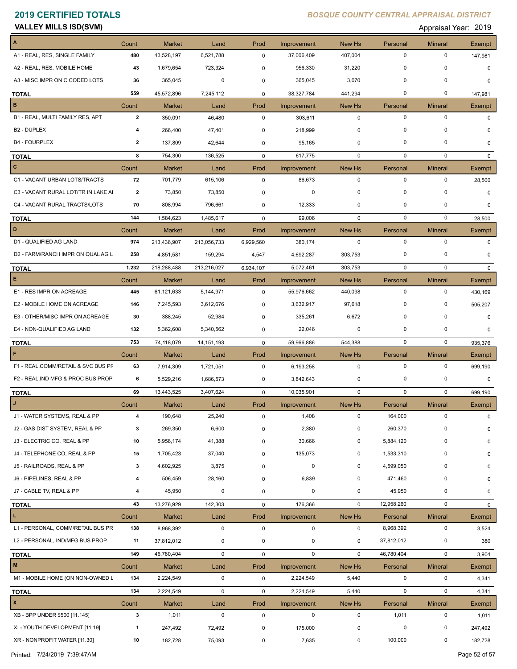**VALLEY MILLS ISD(SVM) CONSUMER ADDITIONAL CONSUMING THE CONSUMING SET A PROPORT APPRAISE APPRAISE A PROPORT 2019** 

| A1 - REAL, RES, SINGLE FAMILY<br>$\mathbf 0$<br>$\mathbf 0$<br>480<br>43,528,197<br>6,521,788<br>0<br>37,006,409<br>407,004<br>147,981<br>$\pmb{0}$<br>$\mathbf 0$<br>A2 - REAL, RES, MOBILE HOME<br>43<br>1,679,654<br>723,324<br>956,330<br>31,220<br>0<br>$\Omega$<br>A3 - MISC IMPR ON C CODED LOTS<br>0<br>0<br>365,045<br>0<br>365,045<br>3,070<br>36<br>0<br>0<br>$\mathbf 0$<br>$\mathbf 0$<br>559<br>7,245,112<br>38,327,784<br>45,572,896<br>$\mathbf 0$<br>441,294<br>147,981<br><b>TOTAL</b><br>$\mathbf B$<br>Count<br>Prod<br>New Hs<br><b>Mineral</b><br>Market<br>Land<br>Improvement<br>Personal<br>Exempt<br>B1 - REAL, MULTI FAMILY RES, APT<br>$\mathbf{2}$<br>$\mathbf 0$<br>$\mathbf 0$<br>$\mathbf 0$<br>350,091<br>46,480<br>303,611<br>0<br>$\Omega$<br>$\mathbf 0$<br>$\mathbf 0$<br>B <sub>2</sub> - DUPLEX<br>0<br>266,400<br>47,401<br>0<br>218,999<br>4<br>O<br>$\mathbf 0$<br><b>B4 - FOURPLEX</b><br>137,809<br>42,644<br>0<br>0<br>2<br>95,165<br>0<br>$\Omega$<br>$\mathbf 0$<br>0<br>8<br>754,300<br>136,525<br>0<br>617,775<br>0<br>$\Omega$<br>TOTAL<br>$\mathbf{C}$<br><b>Market</b><br>Count<br>Land<br>Prod<br>Improvement<br>New Hs<br>Personal<br><b>Mineral</b><br>Exempt<br>$\mathbf 0$<br>C1 - VACANT URBAN LOTS/TRACTS<br>72<br>$\mathbf 0$<br>0<br>701,779<br>615,106<br>0<br>86,673<br>28,500<br>0<br>0<br>0<br>0<br>C3 - VACANT RURAL LOT/TR IN LAKE AI<br>2<br>73,850<br>73,850<br>0<br>$\mathbf 0$<br>C4 - VACANT RURAL TRACTS/LOTS<br>0<br>0<br>70<br>808,994<br>796,661<br>12,333<br>0<br>0<br>0<br>$\mathbf 0$<br>144<br>1,584,623<br>1,485,617<br>99,006<br>0<br>0<br>$\mathbf 0$<br>28,500<br><b>TOTAL</b><br>D<br>Count<br>Prod<br>New Hs<br>Personal<br><b>Mineral</b><br><b>Market</b><br>Land<br>Improvement<br>Exempt<br>$\mathbf 0$<br>$\mathbf 0$<br>$\mathbf 0$<br>D1 - QUALIFIED AG LAND<br>974<br>213,436,907<br>213,056,733<br>6,929,560<br>380,174<br>0<br>D2 - FARM/RANCH IMPR ON QUAL AG L<br>0<br>0<br>258<br>4,851,581<br>159,294<br>4,692,287<br>303,753<br>4,547<br>$\Omega$<br>$\mathbf 0$<br>1,232<br>218,288,488<br>213,216,027<br>5,072,461<br>303,753<br>0<br>6,934,107<br><b>TOTAL</b><br>$\mathbf{0}$<br>E<br>Count<br>Market<br>Land<br>Prod<br>Improvement<br>New Hs<br>Personal<br><b>Mineral</b><br>Exempt<br>E1 - RES IMPR ON ACREAGE<br>$\mathbf 0$<br>445<br>61,121,633<br>5,144,971<br>0<br>55,976,662<br>440,098<br>0<br>430,169<br>E2 - MOBILE HOME ON ACREAGE<br>0<br>0<br>146<br>7,245,593<br>3,632,917<br>97,618<br>3,612,676<br>0<br>505,207<br>E3 - OTHER/MISC IMPR ON ACREAGE<br>$\mathbf 0$<br>$\mathbf 0$<br>388,245<br>52,984<br>6,672<br>30<br>0<br>335,261<br>$\mathbf 0$<br>0<br>0<br>E4 - NON-QUALIFIED AG LAND<br>132<br>5,362,608<br>5,340,562<br>22,046<br>0<br>0<br>0<br>753<br>59,966,886<br>544,388<br>$\mathbf 0$<br>74,118,079<br>14, 151, 193<br>$\mathbf 0$<br>$\mathbf 0$<br>935,376<br><b>TOTAL</b><br>F<br><b>Market</b><br>Prod<br>New Hs<br><b>Mineral</b><br>Count<br>Land<br>Improvement<br>Personal<br>Exempt<br>$\mathbf 0$<br>F1 - REAL, COMM/RETAIL & SVC BUS PF<br>$\mathbf 0$<br>0<br>63<br>7,914,309<br>1,721,051<br>0<br>6,193,258<br>699,190<br>F2 - REAL, IND MFG & PROC BUS PROP<br>0<br>0<br>6<br>5,529,216<br>1,686,573<br>3,842,643<br>0<br>0<br>0<br>69<br>13,443,525<br>3,407,624<br>10,035,901<br>$\mathbf 0$<br>$\mathbf 0$<br>$\mathbf 0$<br>0<br>699,190<br><b>TOTAL</b><br>J<br>Count<br><b>Market</b><br>Land<br>Prod<br>New Hs<br>Improvement<br>Personal<br><b>Mineral</b><br><b>Exempt</b><br>J1 - WATER SYSTEMS, REAL & PP<br>190,648<br>25,240<br>$\pmb{0}$<br>1,408<br>0<br>164,000<br>0<br>4<br>0<br>269,350<br>6,600<br>2,380<br>0<br>260,370<br>J2 - GAS DIST SYSTEM, REAL & PP<br>$\Omega$<br>3<br>$\mathbf 0$<br>0<br>J3 - ELECTRIC CO, REAL & PP<br>41,388<br>30,666<br>0<br>5,884,120<br>0<br>10<br>5,956,174<br>0<br>0<br>J4 - TELEPHONE CO, REAL & PP<br>37,040<br>135,073<br>0<br>1,533,310<br>0<br>15<br>1,705,423<br>0<br>0<br>J5 - RAILROADS, REAL & PP<br>4,599,050<br>0<br>3<br>4,602,925<br>3,875<br>0<br>0<br>0<br>0<br>J6 - PIPELINES, REAL & PP<br>506,459<br>28,160<br>6,839<br>0<br>471,460<br>0<br>4<br>0<br>0<br>45,950<br>0<br>J7 - CABLE TV, REAL & PP<br>4<br>45,950<br>0<br>0<br>0<br>0<br>0<br>$\mathbf 0$<br>$\pmb{0}$<br>43<br>13,276,929<br>142,303<br>176,366<br>12,958,260<br>0<br>$\mathbf 0$<br><b>TOTAL</b><br>$\mathbf L$<br>Count<br>Market<br>Land<br>Prod<br>Improvement<br>New Hs<br>Personal<br><b>Mineral</b><br>Exempt<br>$\pmb{0}$<br>$\pmb{0}$<br>$\mathbf 0$<br>$\pmb{0}$<br>L1 - PERSONAL, COMM/RETAIL BUS PR<br>138<br>8,968,392<br>$\pmb{0}$<br>8,968,392<br>3,524<br>L2 - PERSONAL, IND/MFG BUS PROP<br>0<br>11<br>37,812,012<br>0<br>0<br>0<br>0<br>37,812,012<br>380<br>149<br>46,780,404<br>$\mathbf 0$<br>$\mathbf 0$<br>$\mathbf 0$<br>46,780,404<br>$\mathbf 0$<br>0<br>3,904<br><b>TOTAL</b><br>$\mathbf M$<br>Count<br>Market<br>Land<br>Prod<br>Improvement<br>New Hs<br>Personal<br><b>Mineral</b><br>Exempt<br>M1 - MOBILE HOME (ON NON-OWNED L<br>$\pmb{0}$<br>0<br>134<br>2,224,549<br>$\pmb{0}$<br>2,224,549<br>5,440<br>0<br>4,341<br>134<br>$\mathbf 0$<br>$\mathbf 0$<br>0<br>2,224,549<br>0<br>2,224,549<br>5,440<br>4,341<br><b>TOTAL</b><br>$\mathbf{x}$<br>Count<br><b>Market</b><br>Land<br>Prod<br>Improvement<br>New Hs<br>Personal<br><b>Mineral</b><br>Exempt<br>XB - BPP UNDER \$500 [11.145]<br>$\pmb{0}$<br>3<br>1,011<br>$\pmb{0}$<br>$\mathbf 0$<br>$\mathbf 0$<br>1,011<br>0<br>1,011<br>XI - YOUTH DEVELOPMENT [11.19]<br>0<br>0<br>$\mathbf{1}$<br>247,492<br>72,492<br>175,000<br>0<br>0<br>247,492 | $\boldsymbol{\mathsf{A}}$ | Count | <b>Market</b> | Land | Prod | Improvement | New Hs | Personal | <b>Mineral</b> | Exempt |
|------------------------------------------------------------------------------------------------------------------------------------------------------------------------------------------------------------------------------------------------------------------------------------------------------------------------------------------------------------------------------------------------------------------------------------------------------------------------------------------------------------------------------------------------------------------------------------------------------------------------------------------------------------------------------------------------------------------------------------------------------------------------------------------------------------------------------------------------------------------------------------------------------------------------------------------------------------------------------------------------------------------------------------------------------------------------------------------------------------------------------------------------------------------------------------------------------------------------------------------------------------------------------------------------------------------------------------------------------------------------------------------------------------------------------------------------------------------------------------------------------------------------------------------------------------------------------------------------------------------------------------------------------------------------------------------------------------------------------------------------------------------------------------------------------------------------------------------------------------------------------------------------------------------------------------------------------------------------------------------------------------------------------------------------------------------------------------------------------------------------------------------------------------------------------------------------------------------------------------------------------------------------------------------------------------------------------------------------------------------------------------------------------------------------------------------------------------------------------------------------------------------------------------------------------------------------------------------------------------------------------------------------------------------------------------------------------------------------------------------------------------------------------------------------------------------------------------------------------------------------------------------------------------------------------------------------------------------------------------------------------------------------------------------------------------------------------------------------------------------------------------------------------------------------------------------------------------------------------------------------------------------------------------------------------------------------------------------------------------------------------------------------------------------------------------------------------------------------------------------------------------------------------------------------------------------------------------------------------------------------------------------------------------------------------------------------------------------------------------------------------------------------------------------------------------------------------------------------------------------------------------------------------------------------------------------------------------------------------------------------------------------------------------------------------------------------------------------------------------------------------------------------------------------------------------------------------------------------------------------------------------------------------------------------------------------------------------------------------------------------------------------------------------------------------------------------------------------------------------------------------------------------------------------------------------------------------------------------------------------------------------------------------------------------------------------------------------------------------------------------------------------------------------------------------------------------------------------------------------------------------------------------------------------------------------------------------------------------------------------------------------------------------------------------------------------------------------------------------------------------------------------------------------------------------------------------------------------------------------------------------------------------------------------------------------------------------------------------------------------------------------------------------------------------------------------------------------------------------------------------------------------------------------------------------------------------------------------------------------------------------------------------|---------------------------|-------|---------------|------|------|-------------|--------|----------|----------------|--------|
|                                                                                                                                                                                                                                                                                                                                                                                                                                                                                                                                                                                                                                                                                                                                                                                                                                                                                                                                                                                                                                                                                                                                                                                                                                                                                                                                                                                                                                                                                                                                                                                                                                                                                                                                                                                                                                                                                                                                                                                                                                                                                                                                                                                                                                                                                                                                                                                                                                                                                                                                                                                                                                                                                                                                                                                                                                                                                                                                                                                                                                                                                                                                                                                                                                                                                                                                                                                                                                                                                                                                                                                                                                                                                                                                                                                                                                                                                                                                                                                                                                                                                                                                                                                                                                                                                                                                                                                                                                                                                                                                                                                                                                                                                                                                                                                                                                                                                                                                                                                                                                                                                                                                                                                                                                                                                                                                                                                                                                                                                                                                                                                                                                                |                           |       |               |      |      |             |        |          |                |        |
|                                                                                                                                                                                                                                                                                                                                                                                                                                                                                                                                                                                                                                                                                                                                                                                                                                                                                                                                                                                                                                                                                                                                                                                                                                                                                                                                                                                                                                                                                                                                                                                                                                                                                                                                                                                                                                                                                                                                                                                                                                                                                                                                                                                                                                                                                                                                                                                                                                                                                                                                                                                                                                                                                                                                                                                                                                                                                                                                                                                                                                                                                                                                                                                                                                                                                                                                                                                                                                                                                                                                                                                                                                                                                                                                                                                                                                                                                                                                                                                                                                                                                                                                                                                                                                                                                                                                                                                                                                                                                                                                                                                                                                                                                                                                                                                                                                                                                                                                                                                                                                                                                                                                                                                                                                                                                                                                                                                                                                                                                                                                                                                                                                                |                           |       |               |      |      |             |        |          |                |        |
|                                                                                                                                                                                                                                                                                                                                                                                                                                                                                                                                                                                                                                                                                                                                                                                                                                                                                                                                                                                                                                                                                                                                                                                                                                                                                                                                                                                                                                                                                                                                                                                                                                                                                                                                                                                                                                                                                                                                                                                                                                                                                                                                                                                                                                                                                                                                                                                                                                                                                                                                                                                                                                                                                                                                                                                                                                                                                                                                                                                                                                                                                                                                                                                                                                                                                                                                                                                                                                                                                                                                                                                                                                                                                                                                                                                                                                                                                                                                                                                                                                                                                                                                                                                                                                                                                                                                                                                                                                                                                                                                                                                                                                                                                                                                                                                                                                                                                                                                                                                                                                                                                                                                                                                                                                                                                                                                                                                                                                                                                                                                                                                                                                                |                           |       |               |      |      |             |        |          |                |        |
|                                                                                                                                                                                                                                                                                                                                                                                                                                                                                                                                                                                                                                                                                                                                                                                                                                                                                                                                                                                                                                                                                                                                                                                                                                                                                                                                                                                                                                                                                                                                                                                                                                                                                                                                                                                                                                                                                                                                                                                                                                                                                                                                                                                                                                                                                                                                                                                                                                                                                                                                                                                                                                                                                                                                                                                                                                                                                                                                                                                                                                                                                                                                                                                                                                                                                                                                                                                                                                                                                                                                                                                                                                                                                                                                                                                                                                                                                                                                                                                                                                                                                                                                                                                                                                                                                                                                                                                                                                                                                                                                                                                                                                                                                                                                                                                                                                                                                                                                                                                                                                                                                                                                                                                                                                                                                                                                                                                                                                                                                                                                                                                                                                                |                           |       |               |      |      |             |        |          |                |        |
|                                                                                                                                                                                                                                                                                                                                                                                                                                                                                                                                                                                                                                                                                                                                                                                                                                                                                                                                                                                                                                                                                                                                                                                                                                                                                                                                                                                                                                                                                                                                                                                                                                                                                                                                                                                                                                                                                                                                                                                                                                                                                                                                                                                                                                                                                                                                                                                                                                                                                                                                                                                                                                                                                                                                                                                                                                                                                                                                                                                                                                                                                                                                                                                                                                                                                                                                                                                                                                                                                                                                                                                                                                                                                                                                                                                                                                                                                                                                                                                                                                                                                                                                                                                                                                                                                                                                                                                                                                                                                                                                                                                                                                                                                                                                                                                                                                                                                                                                                                                                                                                                                                                                                                                                                                                                                                                                                                                                                                                                                                                                                                                                                                                |                           |       |               |      |      |             |        |          |                |        |
|                                                                                                                                                                                                                                                                                                                                                                                                                                                                                                                                                                                                                                                                                                                                                                                                                                                                                                                                                                                                                                                                                                                                                                                                                                                                                                                                                                                                                                                                                                                                                                                                                                                                                                                                                                                                                                                                                                                                                                                                                                                                                                                                                                                                                                                                                                                                                                                                                                                                                                                                                                                                                                                                                                                                                                                                                                                                                                                                                                                                                                                                                                                                                                                                                                                                                                                                                                                                                                                                                                                                                                                                                                                                                                                                                                                                                                                                                                                                                                                                                                                                                                                                                                                                                                                                                                                                                                                                                                                                                                                                                                                                                                                                                                                                                                                                                                                                                                                                                                                                                                                                                                                                                                                                                                                                                                                                                                                                                                                                                                                                                                                                                                                |                           |       |               |      |      |             |        |          |                |        |
|                                                                                                                                                                                                                                                                                                                                                                                                                                                                                                                                                                                                                                                                                                                                                                                                                                                                                                                                                                                                                                                                                                                                                                                                                                                                                                                                                                                                                                                                                                                                                                                                                                                                                                                                                                                                                                                                                                                                                                                                                                                                                                                                                                                                                                                                                                                                                                                                                                                                                                                                                                                                                                                                                                                                                                                                                                                                                                                                                                                                                                                                                                                                                                                                                                                                                                                                                                                                                                                                                                                                                                                                                                                                                                                                                                                                                                                                                                                                                                                                                                                                                                                                                                                                                                                                                                                                                                                                                                                                                                                                                                                                                                                                                                                                                                                                                                                                                                                                                                                                                                                                                                                                                                                                                                                                                                                                                                                                                                                                                                                                                                                                                                                |                           |       |               |      |      |             |        |          |                |        |
|                                                                                                                                                                                                                                                                                                                                                                                                                                                                                                                                                                                                                                                                                                                                                                                                                                                                                                                                                                                                                                                                                                                                                                                                                                                                                                                                                                                                                                                                                                                                                                                                                                                                                                                                                                                                                                                                                                                                                                                                                                                                                                                                                                                                                                                                                                                                                                                                                                                                                                                                                                                                                                                                                                                                                                                                                                                                                                                                                                                                                                                                                                                                                                                                                                                                                                                                                                                                                                                                                                                                                                                                                                                                                                                                                                                                                                                                                                                                                                                                                                                                                                                                                                                                                                                                                                                                                                                                                                                                                                                                                                                                                                                                                                                                                                                                                                                                                                                                                                                                                                                                                                                                                                                                                                                                                                                                                                                                                                                                                                                                                                                                                                                |                           |       |               |      |      |             |        |          |                |        |
|                                                                                                                                                                                                                                                                                                                                                                                                                                                                                                                                                                                                                                                                                                                                                                                                                                                                                                                                                                                                                                                                                                                                                                                                                                                                                                                                                                                                                                                                                                                                                                                                                                                                                                                                                                                                                                                                                                                                                                                                                                                                                                                                                                                                                                                                                                                                                                                                                                                                                                                                                                                                                                                                                                                                                                                                                                                                                                                                                                                                                                                                                                                                                                                                                                                                                                                                                                                                                                                                                                                                                                                                                                                                                                                                                                                                                                                                                                                                                                                                                                                                                                                                                                                                                                                                                                                                                                                                                                                                                                                                                                                                                                                                                                                                                                                                                                                                                                                                                                                                                                                                                                                                                                                                                                                                                                                                                                                                                                                                                                                                                                                                                                                |                           |       |               |      |      |             |        |          |                |        |
|                                                                                                                                                                                                                                                                                                                                                                                                                                                                                                                                                                                                                                                                                                                                                                                                                                                                                                                                                                                                                                                                                                                                                                                                                                                                                                                                                                                                                                                                                                                                                                                                                                                                                                                                                                                                                                                                                                                                                                                                                                                                                                                                                                                                                                                                                                                                                                                                                                                                                                                                                                                                                                                                                                                                                                                                                                                                                                                                                                                                                                                                                                                                                                                                                                                                                                                                                                                                                                                                                                                                                                                                                                                                                                                                                                                                                                                                                                                                                                                                                                                                                                                                                                                                                                                                                                                                                                                                                                                                                                                                                                                                                                                                                                                                                                                                                                                                                                                                                                                                                                                                                                                                                                                                                                                                                                                                                                                                                                                                                                                                                                                                                                                |                           |       |               |      |      |             |        |          |                |        |
|                                                                                                                                                                                                                                                                                                                                                                                                                                                                                                                                                                                                                                                                                                                                                                                                                                                                                                                                                                                                                                                                                                                                                                                                                                                                                                                                                                                                                                                                                                                                                                                                                                                                                                                                                                                                                                                                                                                                                                                                                                                                                                                                                                                                                                                                                                                                                                                                                                                                                                                                                                                                                                                                                                                                                                                                                                                                                                                                                                                                                                                                                                                                                                                                                                                                                                                                                                                                                                                                                                                                                                                                                                                                                                                                                                                                                                                                                                                                                                                                                                                                                                                                                                                                                                                                                                                                                                                                                                                                                                                                                                                                                                                                                                                                                                                                                                                                                                                                                                                                                                                                                                                                                                                                                                                                                                                                                                                                                                                                                                                                                                                                                                                |                           |       |               |      |      |             |        |          |                |        |
|                                                                                                                                                                                                                                                                                                                                                                                                                                                                                                                                                                                                                                                                                                                                                                                                                                                                                                                                                                                                                                                                                                                                                                                                                                                                                                                                                                                                                                                                                                                                                                                                                                                                                                                                                                                                                                                                                                                                                                                                                                                                                                                                                                                                                                                                                                                                                                                                                                                                                                                                                                                                                                                                                                                                                                                                                                                                                                                                                                                                                                                                                                                                                                                                                                                                                                                                                                                                                                                                                                                                                                                                                                                                                                                                                                                                                                                                                                                                                                                                                                                                                                                                                                                                                                                                                                                                                                                                                                                                                                                                                                                                                                                                                                                                                                                                                                                                                                                                                                                                                                                                                                                                                                                                                                                                                                                                                                                                                                                                                                                                                                                                                                                |                           |       |               |      |      |             |        |          |                |        |
|                                                                                                                                                                                                                                                                                                                                                                                                                                                                                                                                                                                                                                                                                                                                                                                                                                                                                                                                                                                                                                                                                                                                                                                                                                                                                                                                                                                                                                                                                                                                                                                                                                                                                                                                                                                                                                                                                                                                                                                                                                                                                                                                                                                                                                                                                                                                                                                                                                                                                                                                                                                                                                                                                                                                                                                                                                                                                                                                                                                                                                                                                                                                                                                                                                                                                                                                                                                                                                                                                                                                                                                                                                                                                                                                                                                                                                                                                                                                                                                                                                                                                                                                                                                                                                                                                                                                                                                                                                                                                                                                                                                                                                                                                                                                                                                                                                                                                                                                                                                                                                                                                                                                                                                                                                                                                                                                                                                                                                                                                                                                                                                                                                                |                           |       |               |      |      |             |        |          |                |        |
|                                                                                                                                                                                                                                                                                                                                                                                                                                                                                                                                                                                                                                                                                                                                                                                                                                                                                                                                                                                                                                                                                                                                                                                                                                                                                                                                                                                                                                                                                                                                                                                                                                                                                                                                                                                                                                                                                                                                                                                                                                                                                                                                                                                                                                                                                                                                                                                                                                                                                                                                                                                                                                                                                                                                                                                                                                                                                                                                                                                                                                                                                                                                                                                                                                                                                                                                                                                                                                                                                                                                                                                                                                                                                                                                                                                                                                                                                                                                                                                                                                                                                                                                                                                                                                                                                                                                                                                                                                                                                                                                                                                                                                                                                                                                                                                                                                                                                                                                                                                                                                                                                                                                                                                                                                                                                                                                                                                                                                                                                                                                                                                                                                                |                           |       |               |      |      |             |        |          |                |        |
|                                                                                                                                                                                                                                                                                                                                                                                                                                                                                                                                                                                                                                                                                                                                                                                                                                                                                                                                                                                                                                                                                                                                                                                                                                                                                                                                                                                                                                                                                                                                                                                                                                                                                                                                                                                                                                                                                                                                                                                                                                                                                                                                                                                                                                                                                                                                                                                                                                                                                                                                                                                                                                                                                                                                                                                                                                                                                                                                                                                                                                                                                                                                                                                                                                                                                                                                                                                                                                                                                                                                                                                                                                                                                                                                                                                                                                                                                                                                                                                                                                                                                                                                                                                                                                                                                                                                                                                                                                                                                                                                                                                                                                                                                                                                                                                                                                                                                                                                                                                                                                                                                                                                                                                                                                                                                                                                                                                                                                                                                                                                                                                                                                                |                           |       |               |      |      |             |        |          |                |        |
|                                                                                                                                                                                                                                                                                                                                                                                                                                                                                                                                                                                                                                                                                                                                                                                                                                                                                                                                                                                                                                                                                                                                                                                                                                                                                                                                                                                                                                                                                                                                                                                                                                                                                                                                                                                                                                                                                                                                                                                                                                                                                                                                                                                                                                                                                                                                                                                                                                                                                                                                                                                                                                                                                                                                                                                                                                                                                                                                                                                                                                                                                                                                                                                                                                                                                                                                                                                                                                                                                                                                                                                                                                                                                                                                                                                                                                                                                                                                                                                                                                                                                                                                                                                                                                                                                                                                                                                                                                                                                                                                                                                                                                                                                                                                                                                                                                                                                                                                                                                                                                                                                                                                                                                                                                                                                                                                                                                                                                                                                                                                                                                                                                                |                           |       |               |      |      |             |        |          |                |        |
|                                                                                                                                                                                                                                                                                                                                                                                                                                                                                                                                                                                                                                                                                                                                                                                                                                                                                                                                                                                                                                                                                                                                                                                                                                                                                                                                                                                                                                                                                                                                                                                                                                                                                                                                                                                                                                                                                                                                                                                                                                                                                                                                                                                                                                                                                                                                                                                                                                                                                                                                                                                                                                                                                                                                                                                                                                                                                                                                                                                                                                                                                                                                                                                                                                                                                                                                                                                                                                                                                                                                                                                                                                                                                                                                                                                                                                                                                                                                                                                                                                                                                                                                                                                                                                                                                                                                                                                                                                                                                                                                                                                                                                                                                                                                                                                                                                                                                                                                                                                                                                                                                                                                                                                                                                                                                                                                                                                                                                                                                                                                                                                                                                                |                           |       |               |      |      |             |        |          |                |        |
|                                                                                                                                                                                                                                                                                                                                                                                                                                                                                                                                                                                                                                                                                                                                                                                                                                                                                                                                                                                                                                                                                                                                                                                                                                                                                                                                                                                                                                                                                                                                                                                                                                                                                                                                                                                                                                                                                                                                                                                                                                                                                                                                                                                                                                                                                                                                                                                                                                                                                                                                                                                                                                                                                                                                                                                                                                                                                                                                                                                                                                                                                                                                                                                                                                                                                                                                                                                                                                                                                                                                                                                                                                                                                                                                                                                                                                                                                                                                                                                                                                                                                                                                                                                                                                                                                                                                                                                                                                                                                                                                                                                                                                                                                                                                                                                                                                                                                                                                                                                                                                                                                                                                                                                                                                                                                                                                                                                                                                                                                                                                                                                                                                                |                           |       |               |      |      |             |        |          |                |        |
|                                                                                                                                                                                                                                                                                                                                                                                                                                                                                                                                                                                                                                                                                                                                                                                                                                                                                                                                                                                                                                                                                                                                                                                                                                                                                                                                                                                                                                                                                                                                                                                                                                                                                                                                                                                                                                                                                                                                                                                                                                                                                                                                                                                                                                                                                                                                                                                                                                                                                                                                                                                                                                                                                                                                                                                                                                                                                                                                                                                                                                                                                                                                                                                                                                                                                                                                                                                                                                                                                                                                                                                                                                                                                                                                                                                                                                                                                                                                                                                                                                                                                                                                                                                                                                                                                                                                                                                                                                                                                                                                                                                                                                                                                                                                                                                                                                                                                                                                                                                                                                                                                                                                                                                                                                                                                                                                                                                                                                                                                                                                                                                                                                                |                           |       |               |      |      |             |        |          |                |        |
|                                                                                                                                                                                                                                                                                                                                                                                                                                                                                                                                                                                                                                                                                                                                                                                                                                                                                                                                                                                                                                                                                                                                                                                                                                                                                                                                                                                                                                                                                                                                                                                                                                                                                                                                                                                                                                                                                                                                                                                                                                                                                                                                                                                                                                                                                                                                                                                                                                                                                                                                                                                                                                                                                                                                                                                                                                                                                                                                                                                                                                                                                                                                                                                                                                                                                                                                                                                                                                                                                                                                                                                                                                                                                                                                                                                                                                                                                                                                                                                                                                                                                                                                                                                                                                                                                                                                                                                                                                                                                                                                                                                                                                                                                                                                                                                                                                                                                                                                                                                                                                                                                                                                                                                                                                                                                                                                                                                                                                                                                                                                                                                                                                                |                           |       |               |      |      |             |        |          |                |        |
|                                                                                                                                                                                                                                                                                                                                                                                                                                                                                                                                                                                                                                                                                                                                                                                                                                                                                                                                                                                                                                                                                                                                                                                                                                                                                                                                                                                                                                                                                                                                                                                                                                                                                                                                                                                                                                                                                                                                                                                                                                                                                                                                                                                                                                                                                                                                                                                                                                                                                                                                                                                                                                                                                                                                                                                                                                                                                                                                                                                                                                                                                                                                                                                                                                                                                                                                                                                                                                                                                                                                                                                                                                                                                                                                                                                                                                                                                                                                                                                                                                                                                                                                                                                                                                                                                                                                                                                                                                                                                                                                                                                                                                                                                                                                                                                                                                                                                                                                                                                                                                                                                                                                                                                                                                                                                                                                                                                                                                                                                                                                                                                                                                                |                           |       |               |      |      |             |        |          |                |        |
|                                                                                                                                                                                                                                                                                                                                                                                                                                                                                                                                                                                                                                                                                                                                                                                                                                                                                                                                                                                                                                                                                                                                                                                                                                                                                                                                                                                                                                                                                                                                                                                                                                                                                                                                                                                                                                                                                                                                                                                                                                                                                                                                                                                                                                                                                                                                                                                                                                                                                                                                                                                                                                                                                                                                                                                                                                                                                                                                                                                                                                                                                                                                                                                                                                                                                                                                                                                                                                                                                                                                                                                                                                                                                                                                                                                                                                                                                                                                                                                                                                                                                                                                                                                                                                                                                                                                                                                                                                                                                                                                                                                                                                                                                                                                                                                                                                                                                                                                                                                                                                                                                                                                                                                                                                                                                                                                                                                                                                                                                                                                                                                                                                                |                           |       |               |      |      |             |        |          |                |        |
|                                                                                                                                                                                                                                                                                                                                                                                                                                                                                                                                                                                                                                                                                                                                                                                                                                                                                                                                                                                                                                                                                                                                                                                                                                                                                                                                                                                                                                                                                                                                                                                                                                                                                                                                                                                                                                                                                                                                                                                                                                                                                                                                                                                                                                                                                                                                                                                                                                                                                                                                                                                                                                                                                                                                                                                                                                                                                                                                                                                                                                                                                                                                                                                                                                                                                                                                                                                                                                                                                                                                                                                                                                                                                                                                                                                                                                                                                                                                                                                                                                                                                                                                                                                                                                                                                                                                                                                                                                                                                                                                                                                                                                                                                                                                                                                                                                                                                                                                                                                                                                                                                                                                                                                                                                                                                                                                                                                                                                                                                                                                                                                                                                                |                           |       |               |      |      |             |        |          |                |        |
|                                                                                                                                                                                                                                                                                                                                                                                                                                                                                                                                                                                                                                                                                                                                                                                                                                                                                                                                                                                                                                                                                                                                                                                                                                                                                                                                                                                                                                                                                                                                                                                                                                                                                                                                                                                                                                                                                                                                                                                                                                                                                                                                                                                                                                                                                                                                                                                                                                                                                                                                                                                                                                                                                                                                                                                                                                                                                                                                                                                                                                                                                                                                                                                                                                                                                                                                                                                                                                                                                                                                                                                                                                                                                                                                                                                                                                                                                                                                                                                                                                                                                                                                                                                                                                                                                                                                                                                                                                                                                                                                                                                                                                                                                                                                                                                                                                                                                                                                                                                                                                                                                                                                                                                                                                                                                                                                                                                                                                                                                                                                                                                                                                                |                           |       |               |      |      |             |        |          |                |        |
|                                                                                                                                                                                                                                                                                                                                                                                                                                                                                                                                                                                                                                                                                                                                                                                                                                                                                                                                                                                                                                                                                                                                                                                                                                                                                                                                                                                                                                                                                                                                                                                                                                                                                                                                                                                                                                                                                                                                                                                                                                                                                                                                                                                                                                                                                                                                                                                                                                                                                                                                                                                                                                                                                                                                                                                                                                                                                                                                                                                                                                                                                                                                                                                                                                                                                                                                                                                                                                                                                                                                                                                                                                                                                                                                                                                                                                                                                                                                                                                                                                                                                                                                                                                                                                                                                                                                                                                                                                                                                                                                                                                                                                                                                                                                                                                                                                                                                                                                                                                                                                                                                                                                                                                                                                                                                                                                                                                                                                                                                                                                                                                                                                                |                           |       |               |      |      |             |        |          |                |        |
|                                                                                                                                                                                                                                                                                                                                                                                                                                                                                                                                                                                                                                                                                                                                                                                                                                                                                                                                                                                                                                                                                                                                                                                                                                                                                                                                                                                                                                                                                                                                                                                                                                                                                                                                                                                                                                                                                                                                                                                                                                                                                                                                                                                                                                                                                                                                                                                                                                                                                                                                                                                                                                                                                                                                                                                                                                                                                                                                                                                                                                                                                                                                                                                                                                                                                                                                                                                                                                                                                                                                                                                                                                                                                                                                                                                                                                                                                                                                                                                                                                                                                                                                                                                                                                                                                                                                                                                                                                                                                                                                                                                                                                                                                                                                                                                                                                                                                                                                                                                                                                                                                                                                                                                                                                                                                                                                                                                                                                                                                                                                                                                                                                                |                           |       |               |      |      |             |        |          |                |        |
|                                                                                                                                                                                                                                                                                                                                                                                                                                                                                                                                                                                                                                                                                                                                                                                                                                                                                                                                                                                                                                                                                                                                                                                                                                                                                                                                                                                                                                                                                                                                                                                                                                                                                                                                                                                                                                                                                                                                                                                                                                                                                                                                                                                                                                                                                                                                                                                                                                                                                                                                                                                                                                                                                                                                                                                                                                                                                                                                                                                                                                                                                                                                                                                                                                                                                                                                                                                                                                                                                                                                                                                                                                                                                                                                                                                                                                                                                                                                                                                                                                                                                                                                                                                                                                                                                                                                                                                                                                                                                                                                                                                                                                                                                                                                                                                                                                                                                                                                                                                                                                                                                                                                                                                                                                                                                                                                                                                                                                                                                                                                                                                                                                                |                           |       |               |      |      |             |        |          |                |        |
|                                                                                                                                                                                                                                                                                                                                                                                                                                                                                                                                                                                                                                                                                                                                                                                                                                                                                                                                                                                                                                                                                                                                                                                                                                                                                                                                                                                                                                                                                                                                                                                                                                                                                                                                                                                                                                                                                                                                                                                                                                                                                                                                                                                                                                                                                                                                                                                                                                                                                                                                                                                                                                                                                                                                                                                                                                                                                                                                                                                                                                                                                                                                                                                                                                                                                                                                                                                                                                                                                                                                                                                                                                                                                                                                                                                                                                                                                                                                                                                                                                                                                                                                                                                                                                                                                                                                                                                                                                                                                                                                                                                                                                                                                                                                                                                                                                                                                                                                                                                                                                                                                                                                                                                                                                                                                                                                                                                                                                                                                                                                                                                                                                                |                           |       |               |      |      |             |        |          |                |        |
|                                                                                                                                                                                                                                                                                                                                                                                                                                                                                                                                                                                                                                                                                                                                                                                                                                                                                                                                                                                                                                                                                                                                                                                                                                                                                                                                                                                                                                                                                                                                                                                                                                                                                                                                                                                                                                                                                                                                                                                                                                                                                                                                                                                                                                                                                                                                                                                                                                                                                                                                                                                                                                                                                                                                                                                                                                                                                                                                                                                                                                                                                                                                                                                                                                                                                                                                                                                                                                                                                                                                                                                                                                                                                                                                                                                                                                                                                                                                                                                                                                                                                                                                                                                                                                                                                                                                                                                                                                                                                                                                                                                                                                                                                                                                                                                                                                                                                                                                                                                                                                                                                                                                                                                                                                                                                                                                                                                                                                                                                                                                                                                                                                                |                           |       |               |      |      |             |        |          |                |        |
|                                                                                                                                                                                                                                                                                                                                                                                                                                                                                                                                                                                                                                                                                                                                                                                                                                                                                                                                                                                                                                                                                                                                                                                                                                                                                                                                                                                                                                                                                                                                                                                                                                                                                                                                                                                                                                                                                                                                                                                                                                                                                                                                                                                                                                                                                                                                                                                                                                                                                                                                                                                                                                                                                                                                                                                                                                                                                                                                                                                                                                                                                                                                                                                                                                                                                                                                                                                                                                                                                                                                                                                                                                                                                                                                                                                                                                                                                                                                                                                                                                                                                                                                                                                                                                                                                                                                                                                                                                                                                                                                                                                                                                                                                                                                                                                                                                                                                                                                                                                                                                                                                                                                                                                                                                                                                                                                                                                                                                                                                                                                                                                                                                                |                           |       |               |      |      |             |        |          |                |        |
|                                                                                                                                                                                                                                                                                                                                                                                                                                                                                                                                                                                                                                                                                                                                                                                                                                                                                                                                                                                                                                                                                                                                                                                                                                                                                                                                                                                                                                                                                                                                                                                                                                                                                                                                                                                                                                                                                                                                                                                                                                                                                                                                                                                                                                                                                                                                                                                                                                                                                                                                                                                                                                                                                                                                                                                                                                                                                                                                                                                                                                                                                                                                                                                                                                                                                                                                                                                                                                                                                                                                                                                                                                                                                                                                                                                                                                                                                                                                                                                                                                                                                                                                                                                                                                                                                                                                                                                                                                                                                                                                                                                                                                                                                                                                                                                                                                                                                                                                                                                                                                                                                                                                                                                                                                                                                                                                                                                                                                                                                                                                                                                                                                                |                           |       |               |      |      |             |        |          |                |        |
|                                                                                                                                                                                                                                                                                                                                                                                                                                                                                                                                                                                                                                                                                                                                                                                                                                                                                                                                                                                                                                                                                                                                                                                                                                                                                                                                                                                                                                                                                                                                                                                                                                                                                                                                                                                                                                                                                                                                                                                                                                                                                                                                                                                                                                                                                                                                                                                                                                                                                                                                                                                                                                                                                                                                                                                                                                                                                                                                                                                                                                                                                                                                                                                                                                                                                                                                                                                                                                                                                                                                                                                                                                                                                                                                                                                                                                                                                                                                                                                                                                                                                                                                                                                                                                                                                                                                                                                                                                                                                                                                                                                                                                                                                                                                                                                                                                                                                                                                                                                                                                                                                                                                                                                                                                                                                                                                                                                                                                                                                                                                                                                                                                                |                           |       |               |      |      |             |        |          |                |        |
|                                                                                                                                                                                                                                                                                                                                                                                                                                                                                                                                                                                                                                                                                                                                                                                                                                                                                                                                                                                                                                                                                                                                                                                                                                                                                                                                                                                                                                                                                                                                                                                                                                                                                                                                                                                                                                                                                                                                                                                                                                                                                                                                                                                                                                                                                                                                                                                                                                                                                                                                                                                                                                                                                                                                                                                                                                                                                                                                                                                                                                                                                                                                                                                                                                                                                                                                                                                                                                                                                                                                                                                                                                                                                                                                                                                                                                                                                                                                                                                                                                                                                                                                                                                                                                                                                                                                                                                                                                                                                                                                                                                                                                                                                                                                                                                                                                                                                                                                                                                                                                                                                                                                                                                                                                                                                                                                                                                                                                                                                                                                                                                                                                                |                           |       |               |      |      |             |        |          |                |        |
|                                                                                                                                                                                                                                                                                                                                                                                                                                                                                                                                                                                                                                                                                                                                                                                                                                                                                                                                                                                                                                                                                                                                                                                                                                                                                                                                                                                                                                                                                                                                                                                                                                                                                                                                                                                                                                                                                                                                                                                                                                                                                                                                                                                                                                                                                                                                                                                                                                                                                                                                                                                                                                                                                                                                                                                                                                                                                                                                                                                                                                                                                                                                                                                                                                                                                                                                                                                                                                                                                                                                                                                                                                                                                                                                                                                                                                                                                                                                                                                                                                                                                                                                                                                                                                                                                                                                                                                                                                                                                                                                                                                                                                                                                                                                                                                                                                                                                                                                                                                                                                                                                                                                                                                                                                                                                                                                                                                                                                                                                                                                                                                                                                                |                           |       |               |      |      |             |        |          |                |        |
|                                                                                                                                                                                                                                                                                                                                                                                                                                                                                                                                                                                                                                                                                                                                                                                                                                                                                                                                                                                                                                                                                                                                                                                                                                                                                                                                                                                                                                                                                                                                                                                                                                                                                                                                                                                                                                                                                                                                                                                                                                                                                                                                                                                                                                                                                                                                                                                                                                                                                                                                                                                                                                                                                                                                                                                                                                                                                                                                                                                                                                                                                                                                                                                                                                                                                                                                                                                                                                                                                                                                                                                                                                                                                                                                                                                                                                                                                                                                                                                                                                                                                                                                                                                                                                                                                                                                                                                                                                                                                                                                                                                                                                                                                                                                                                                                                                                                                                                                                                                                                                                                                                                                                                                                                                                                                                                                                                                                                                                                                                                                                                                                                                                |                           |       |               |      |      |             |        |          |                |        |
|                                                                                                                                                                                                                                                                                                                                                                                                                                                                                                                                                                                                                                                                                                                                                                                                                                                                                                                                                                                                                                                                                                                                                                                                                                                                                                                                                                                                                                                                                                                                                                                                                                                                                                                                                                                                                                                                                                                                                                                                                                                                                                                                                                                                                                                                                                                                                                                                                                                                                                                                                                                                                                                                                                                                                                                                                                                                                                                                                                                                                                                                                                                                                                                                                                                                                                                                                                                                                                                                                                                                                                                                                                                                                                                                                                                                                                                                                                                                                                                                                                                                                                                                                                                                                                                                                                                                                                                                                                                                                                                                                                                                                                                                                                                                                                                                                                                                                                                                                                                                                                                                                                                                                                                                                                                                                                                                                                                                                                                                                                                                                                                                                                                |                           |       |               |      |      |             |        |          |                |        |
|                                                                                                                                                                                                                                                                                                                                                                                                                                                                                                                                                                                                                                                                                                                                                                                                                                                                                                                                                                                                                                                                                                                                                                                                                                                                                                                                                                                                                                                                                                                                                                                                                                                                                                                                                                                                                                                                                                                                                                                                                                                                                                                                                                                                                                                                                                                                                                                                                                                                                                                                                                                                                                                                                                                                                                                                                                                                                                                                                                                                                                                                                                                                                                                                                                                                                                                                                                                                                                                                                                                                                                                                                                                                                                                                                                                                                                                                                                                                                                                                                                                                                                                                                                                                                                                                                                                                                                                                                                                                                                                                                                                                                                                                                                                                                                                                                                                                                                                                                                                                                                                                                                                                                                                                                                                                                                                                                                                                                                                                                                                                                                                                                                                |                           |       |               |      |      |             |        |          |                |        |
|                                                                                                                                                                                                                                                                                                                                                                                                                                                                                                                                                                                                                                                                                                                                                                                                                                                                                                                                                                                                                                                                                                                                                                                                                                                                                                                                                                                                                                                                                                                                                                                                                                                                                                                                                                                                                                                                                                                                                                                                                                                                                                                                                                                                                                                                                                                                                                                                                                                                                                                                                                                                                                                                                                                                                                                                                                                                                                                                                                                                                                                                                                                                                                                                                                                                                                                                                                                                                                                                                                                                                                                                                                                                                                                                                                                                                                                                                                                                                                                                                                                                                                                                                                                                                                                                                                                                                                                                                                                                                                                                                                                                                                                                                                                                                                                                                                                                                                                                                                                                                                                                                                                                                                                                                                                                                                                                                                                                                                                                                                                                                                                                                                                |                           |       |               |      |      |             |        |          |                |        |
|                                                                                                                                                                                                                                                                                                                                                                                                                                                                                                                                                                                                                                                                                                                                                                                                                                                                                                                                                                                                                                                                                                                                                                                                                                                                                                                                                                                                                                                                                                                                                                                                                                                                                                                                                                                                                                                                                                                                                                                                                                                                                                                                                                                                                                                                                                                                                                                                                                                                                                                                                                                                                                                                                                                                                                                                                                                                                                                                                                                                                                                                                                                                                                                                                                                                                                                                                                                                                                                                                                                                                                                                                                                                                                                                                                                                                                                                                                                                                                                                                                                                                                                                                                                                                                                                                                                                                                                                                                                                                                                                                                                                                                                                                                                                                                                                                                                                                                                                                                                                                                                                                                                                                                                                                                                                                                                                                                                                                                                                                                                                                                                                                                                |                           |       |               |      |      |             |        |          |                |        |
|                                                                                                                                                                                                                                                                                                                                                                                                                                                                                                                                                                                                                                                                                                                                                                                                                                                                                                                                                                                                                                                                                                                                                                                                                                                                                                                                                                                                                                                                                                                                                                                                                                                                                                                                                                                                                                                                                                                                                                                                                                                                                                                                                                                                                                                                                                                                                                                                                                                                                                                                                                                                                                                                                                                                                                                                                                                                                                                                                                                                                                                                                                                                                                                                                                                                                                                                                                                                                                                                                                                                                                                                                                                                                                                                                                                                                                                                                                                                                                                                                                                                                                                                                                                                                                                                                                                                                                                                                                                                                                                                                                                                                                                                                                                                                                                                                                                                                                                                                                                                                                                                                                                                                                                                                                                                                                                                                                                                                                                                                                                                                                                                                                                |                           |       |               |      |      |             |        |          |                |        |
|                                                                                                                                                                                                                                                                                                                                                                                                                                                                                                                                                                                                                                                                                                                                                                                                                                                                                                                                                                                                                                                                                                                                                                                                                                                                                                                                                                                                                                                                                                                                                                                                                                                                                                                                                                                                                                                                                                                                                                                                                                                                                                                                                                                                                                                                                                                                                                                                                                                                                                                                                                                                                                                                                                                                                                                                                                                                                                                                                                                                                                                                                                                                                                                                                                                                                                                                                                                                                                                                                                                                                                                                                                                                                                                                                                                                                                                                                                                                                                                                                                                                                                                                                                                                                                                                                                                                                                                                                                                                                                                                                                                                                                                                                                                                                                                                                                                                                                                                                                                                                                                                                                                                                                                                                                                                                                                                                                                                                                                                                                                                                                                                                                                |                           |       |               |      |      |             |        |          |                |        |
|                                                                                                                                                                                                                                                                                                                                                                                                                                                                                                                                                                                                                                                                                                                                                                                                                                                                                                                                                                                                                                                                                                                                                                                                                                                                                                                                                                                                                                                                                                                                                                                                                                                                                                                                                                                                                                                                                                                                                                                                                                                                                                                                                                                                                                                                                                                                                                                                                                                                                                                                                                                                                                                                                                                                                                                                                                                                                                                                                                                                                                                                                                                                                                                                                                                                                                                                                                                                                                                                                                                                                                                                                                                                                                                                                                                                                                                                                                                                                                                                                                                                                                                                                                                                                                                                                                                                                                                                                                                                                                                                                                                                                                                                                                                                                                                                                                                                                                                                                                                                                                                                                                                                                                                                                                                                                                                                                                                                                                                                                                                                                                                                                                                |                           |       |               |      |      |             |        |          |                |        |
|                                                                                                                                                                                                                                                                                                                                                                                                                                                                                                                                                                                                                                                                                                                                                                                                                                                                                                                                                                                                                                                                                                                                                                                                                                                                                                                                                                                                                                                                                                                                                                                                                                                                                                                                                                                                                                                                                                                                                                                                                                                                                                                                                                                                                                                                                                                                                                                                                                                                                                                                                                                                                                                                                                                                                                                                                                                                                                                                                                                                                                                                                                                                                                                                                                                                                                                                                                                                                                                                                                                                                                                                                                                                                                                                                                                                                                                                                                                                                                                                                                                                                                                                                                                                                                                                                                                                                                                                                                                                                                                                                                                                                                                                                                                                                                                                                                                                                                                                                                                                                                                                                                                                                                                                                                                                                                                                                                                                                                                                                                                                                                                                                                                |                           |       |               |      |      |             |        |          |                |        |
|                                                                                                                                                                                                                                                                                                                                                                                                                                                                                                                                                                                                                                                                                                                                                                                                                                                                                                                                                                                                                                                                                                                                                                                                                                                                                                                                                                                                                                                                                                                                                                                                                                                                                                                                                                                                                                                                                                                                                                                                                                                                                                                                                                                                                                                                                                                                                                                                                                                                                                                                                                                                                                                                                                                                                                                                                                                                                                                                                                                                                                                                                                                                                                                                                                                                                                                                                                                                                                                                                                                                                                                                                                                                                                                                                                                                                                                                                                                                                                                                                                                                                                                                                                                                                                                                                                                                                                                                                                                                                                                                                                                                                                                                                                                                                                                                                                                                                                                                                                                                                                                                                                                                                                                                                                                                                                                                                                                                                                                                                                                                                                                                                                                |                           |       |               |      |      |             |        |          |                |        |
|                                                                                                                                                                                                                                                                                                                                                                                                                                                                                                                                                                                                                                                                                                                                                                                                                                                                                                                                                                                                                                                                                                                                                                                                                                                                                                                                                                                                                                                                                                                                                                                                                                                                                                                                                                                                                                                                                                                                                                                                                                                                                                                                                                                                                                                                                                                                                                                                                                                                                                                                                                                                                                                                                                                                                                                                                                                                                                                                                                                                                                                                                                                                                                                                                                                                                                                                                                                                                                                                                                                                                                                                                                                                                                                                                                                                                                                                                                                                                                                                                                                                                                                                                                                                                                                                                                                                                                                                                                                                                                                                                                                                                                                                                                                                                                                                                                                                                                                                                                                                                                                                                                                                                                                                                                                                                                                                                                                                                                                                                                                                                                                                                                                |                           |       |               |      |      |             |        |          |                |        |
|                                                                                                                                                                                                                                                                                                                                                                                                                                                                                                                                                                                                                                                                                                                                                                                                                                                                                                                                                                                                                                                                                                                                                                                                                                                                                                                                                                                                                                                                                                                                                                                                                                                                                                                                                                                                                                                                                                                                                                                                                                                                                                                                                                                                                                                                                                                                                                                                                                                                                                                                                                                                                                                                                                                                                                                                                                                                                                                                                                                                                                                                                                                                                                                                                                                                                                                                                                                                                                                                                                                                                                                                                                                                                                                                                                                                                                                                                                                                                                                                                                                                                                                                                                                                                                                                                                                                                                                                                                                                                                                                                                                                                                                                                                                                                                                                                                                                                                                                                                                                                                                                                                                                                                                                                                                                                                                                                                                                                                                                                                                                                                                                                                                |                           |       |               |      |      |             |        |          |                |        |
|                                                                                                                                                                                                                                                                                                                                                                                                                                                                                                                                                                                                                                                                                                                                                                                                                                                                                                                                                                                                                                                                                                                                                                                                                                                                                                                                                                                                                                                                                                                                                                                                                                                                                                                                                                                                                                                                                                                                                                                                                                                                                                                                                                                                                                                                                                                                                                                                                                                                                                                                                                                                                                                                                                                                                                                                                                                                                                                                                                                                                                                                                                                                                                                                                                                                                                                                                                                                                                                                                                                                                                                                                                                                                                                                                                                                                                                                                                                                                                                                                                                                                                                                                                                                                                                                                                                                                                                                                                                                                                                                                                                                                                                                                                                                                                                                                                                                                                                                                                                                                                                                                                                                                                                                                                                                                                                                                                                                                                                                                                                                                                                                                                                |                           |       |               |      |      |             |        |          |                |        |
| XR - NONPROFIT WATER [11.30]<br>10<br>182,728<br>75,093<br>7,635<br>$\mathbf 0$<br>100,000<br>0<br>182,728<br>0                                                                                                                                                                                                                                                                                                                                                                                                                                                                                                                                                                                                                                                                                                                                                                                                                                                                                                                                                                                                                                                                                                                                                                                                                                                                                                                                                                                                                                                                                                                                                                                                                                                                                                                                                                                                                                                                                                                                                                                                                                                                                                                                                                                                                                                                                                                                                                                                                                                                                                                                                                                                                                                                                                                                                                                                                                                                                                                                                                                                                                                                                                                                                                                                                                                                                                                                                                                                                                                                                                                                                                                                                                                                                                                                                                                                                                                                                                                                                                                                                                                                                                                                                                                                                                                                                                                                                                                                                                                                                                                                                                                                                                                                                                                                                                                                                                                                                                                                                                                                                                                                                                                                                                                                                                                                                                                                                                                                                                                                                                                                |                           |       |               |      |      |             |        |          |                |        |

Printed: 7/24/2019 7:39:47AM Page 52 of 57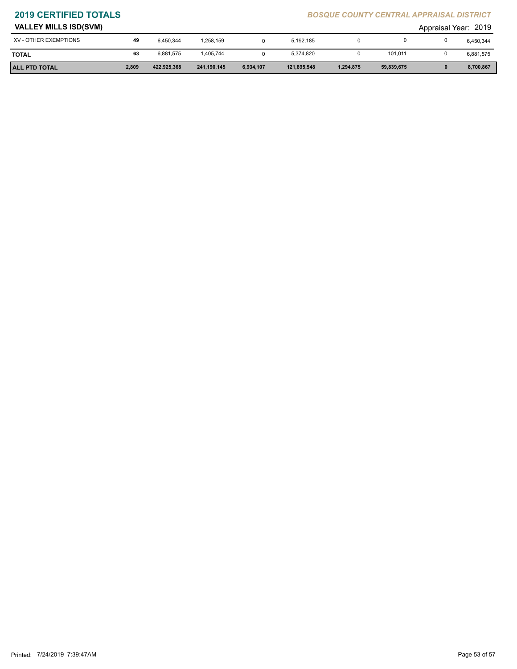| <b>ALL PTD TOTAL</b>         | 2,809 | 422,925,368 | 241,190,145 | 6.934.107 | 121,895,548 | 1,294,875 | 59,839,675 |                      | 8,700,867 |
|------------------------------|-------|-------------|-------------|-----------|-------------|-----------|------------|----------------------|-----------|
| <b>TOTAL</b>                 | 63    | 6,881,575   | 1,405,744   |           | 5,374,820   |           | 101,011    |                      | 6,881,575 |
| XV - OTHER EXEMPTIONS        | 49    | 6,450,344   | 1,258,159   |           | 5,192,185   |           |            |                      | 6,450,344 |
| <b>VALLEY MILLS ISD(SVM)</b> |       |             |             |           |             |           |            | Appraisal Year: 2019 |           |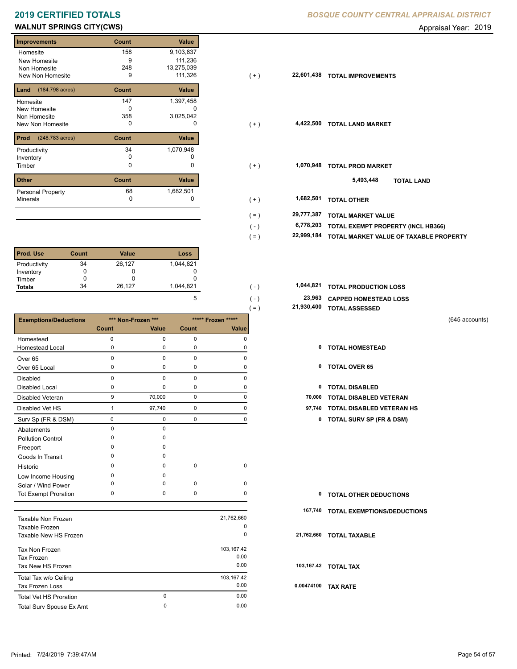# **WALNUT SPRINGS CITY(CWS) CONSERVERS CITY(CWS) Appraisal Year: 2019**

| <b>Improvements</b>      | Count | <b>Value</b> |
|--------------------------|-------|--------------|
| Homesite                 | 158   | 9,103,837    |
| New Homesite             | 9     | 111,236      |
| Non Homesite             | 248   | 13,275,039   |
| New Non Homesite         | 9     | 111,326      |
| (184.798 acres)<br>Land  | Count | Value        |
| Homesite                 | 147   | 1,397,458    |
| New Homesite             | n     |              |
| Non Homesite             | 358   | 3,025,042    |
| <b>New Non Homesite</b>  | O     |              |
| Prod<br>(248.783 acres)  | Count | <b>Value</b> |
| Productivity             | 34    | 1,070,948    |
| Inventory                | o     |              |
| Timber                   | 0     | 0            |
| <b>Other</b>             | Count | Value        |
| <b>Personal Property</b> | 68    | 1,682,501    |
| <b>Minerals</b>          | 0     | 0            |

| <b>Prod. Use</b> | <b>Count</b> | <b>Value</b> | Loss      |
|------------------|--------------|--------------|-----------|
| Productivity     | 34           | 26,127       | 1,044,821 |
| Inventory        |              |              |           |
| Timber           |              |              |           |
| <b>Totals</b>    | 34           | 26,127       | 1,044,821 |

|                               |              |                    |             |                    | 21,930,400<br>$( = )$ | <b>TOTAL ASSESSED</b>               |                |
|-------------------------------|--------------|--------------------|-------------|--------------------|-----------------------|-------------------------------------|----------------|
| <b>Exemptions/Deductions</b>  |              | *** Non-Frozen *** |             | ***** Frozen ***** |                       |                                     | (645 accounts) |
|                               | Count        | Value              | Count       | Value              |                       |                                     |                |
| Homestead                     | 0            | 0                  | 0           | $\mathbf 0$        |                       |                                     |                |
| <b>Homestead Local</b>        | 0            | $\mathbf 0$        | 0           | 0                  | 0                     | <b>TOTAL HOMESTEAD</b>              |                |
| Over <sub>65</sub>            | $\mathbf 0$  | $\mathbf 0$        | $\mathbf 0$ | $\mathbf 0$        |                       |                                     |                |
| Over 65 Local                 | 0            | 0                  | 0           | 0                  | 0                     | <b>TOTAL OVER 65</b>                |                |
| <b>Disabled</b>               | $\mathbf 0$  | $\pmb{0}$          | 0           | 0                  |                       |                                     |                |
| <b>Disabled Local</b>         | 0            | $\mathbf 0$        | 0           | 0                  | 0                     | <b>TOTAL DISABLED</b>               |                |
| <b>Disabled Veteran</b>       | 9            | 70,000             | 0           | 0                  | 70,000                | <b>TOTAL DISABLED VETERAN</b>       |                |
| Disabled Vet HS               | $\mathbf{1}$ | 97,740             | 0           | $\mathbf 0$        | 97,740                | TOTAL DISABLED VETERAN HS           |                |
| Surv Sp (FR & DSM)            | 0            | $\mathbf 0$        | 0           | $\mathbf 0$        | 0                     | <b>TOTAL SURV SP (FR &amp; DSM)</b> |                |
| Abatements                    | $\mathbf 0$  | $\mathbf 0$        |             |                    |                       |                                     |                |
| <b>Pollution Control</b>      | 0            | 0                  |             |                    |                       |                                     |                |
| Freeport                      | U            | $\Omega$           |             |                    |                       |                                     |                |
| Goods In Transit              | n            | $\Omega$           |             |                    |                       |                                     |                |
| Historic                      | 0            | 0                  | $\mathbf 0$ | $\mathbf 0$        |                       |                                     |                |
| Low Income Housing            | 0            | $\mathbf 0$        |             |                    |                       |                                     |                |
| Solar / Wind Power            | 0            | $\mathbf 0$        | 0           | 0                  |                       |                                     |                |
| <b>Tot Exempt Proration</b>   | 0            | 0                  | 0           | 0                  | $\mathbf 0$           | <b>TOTAL OTHER DEDUCTIONS</b>       |                |
|                               |              |                    |             |                    | 167,740               | TOTAL EXEMPTIONS/DEDUCTIONS         |                |
| Taxable Non Frozen            |              |                    |             | 21,762,660         |                       |                                     |                |
| Taxable Frozen                |              |                    |             | 0                  |                       |                                     |                |
| Taxable New HS Frozen         |              |                    |             | 0                  | 21,762,660            | <b>TOTAL TAXABLE</b>                |                |
| Tax Non Frozen                |              |                    |             | 103,167.42         |                       |                                     |                |
| <b>Tax Frozen</b>             |              |                    |             | 0.00               |                       |                                     |                |
| Tax New HS Frozen             |              |                    |             | 0.00               |                       | 103,167.42 TOTAL TAX                |                |
| Total Tax w/o Ceiling         |              |                    |             | 103,167.42         |                       |                                     |                |
| Tax Frozen Loss               |              |                    |             | 0.00               |                       | 0.00474100 TAX RATE                 |                |
| <b>Total Vet HS Proration</b> |              | 0                  |             | 0.00               |                       |                                     |                |
| Total Surv Spouse Ex Amt      |              | 0                  |             | 0.00               |                       |                                     |                |

**2019 CERTIFIED TOTALS** *BOSQUE COUNTY CENTRAL APPRAISAL DISTRICT*

| <b>Improvements</b>                   | Count    | Value      |                       |                                        |
|---------------------------------------|----------|------------|-----------------------|----------------------------------------|
| Homesite                              | 158      | 9,103,837  |                       |                                        |
| New Homesite                          | 9        | 111,236    |                       |                                        |
| Non Homesite                          | 248      | 13,275,039 |                       |                                        |
| New Non Homesite                      | 9        | 111,326    | 22,601,438<br>$(+)$   | <b>TOTAL IMPROVEMENTS</b>              |
| <b>Land</b> $(184.798 \text{ acres})$ | Count    | Value      |                       |                                        |
| Homesite                              | 147      | 1,397,458  |                       |                                        |
| New Homesite                          | $\Omega$ | $\Omega$   |                       |                                        |
| Non Homesite                          | 358      | 3,025,042  |                       |                                        |
| New Non Homesite                      | 0        | 0          | $(+)$                 | 4,422,500 TOTAL LAND MARKET            |
| <b>Prod</b> (248.783 acres)           | Count    | Value      |                       |                                        |
| Productivity                          | 34       | 1,070,948  |                       |                                        |
| Inventory                             | 0        |            |                       |                                        |
| Timber                                | 0        | 0          | 1,070,948<br>$(+)$    | <b>TOTAL PROD MARKET</b>               |
| Other                                 | Count    | Value      |                       | 5,493,448<br><b>TOTAL LAND</b>         |
| Personal Property                     | 68       | 1,682,501  |                       |                                        |
| Minerals                              | 0        | 0          | 1,682,501<br>$(+)$    | <b>TOTAL OTHER</b>                     |
|                                       |          |            | 29,777,387<br>$( = )$ | <b>TOTAL MARKET VALUE</b>              |
|                                       |          |            | 6,778,203<br>$(-)$    | TOTAL EXEMPT PROPERTY (INCL HB366)     |
|                                       |          |            | 22,999,184<br>$( = )$ | TOTAL MARKET VALUE OF TAXABLE PROPERTY |
|                                       |          |            |                       |                                        |

| 1.044.821 | ( – ) | 1,044,821 TOTAL PRODUCTION LOSS         |
|-----------|-------|-----------------------------------------|
|           | ( – ) | <sup>23,963</sup> CAPPED HOMESTEAD LOSS |

| 21,930,400 TOTAL ASSESSED |
|---------------------------|
|                           |

- 
- 
- 
- 1 97,740 0 0 **97,740 TOTAL DISABLED VETERAN HS**
	- Surv Sp (FR & DSM) 0 0 0 0 **0 TOTAL SURV SP (FR & DSM)**

| <b>0 TOTAL OTHER DEDUCTIONS</b> |  |
|---------------------------------|--|
|---------------------------------|--|

- **167,740 TOTAL EXEMPTIONS/DEDUCTIONS**
- **21,762,660 TOTAL TAXABLE**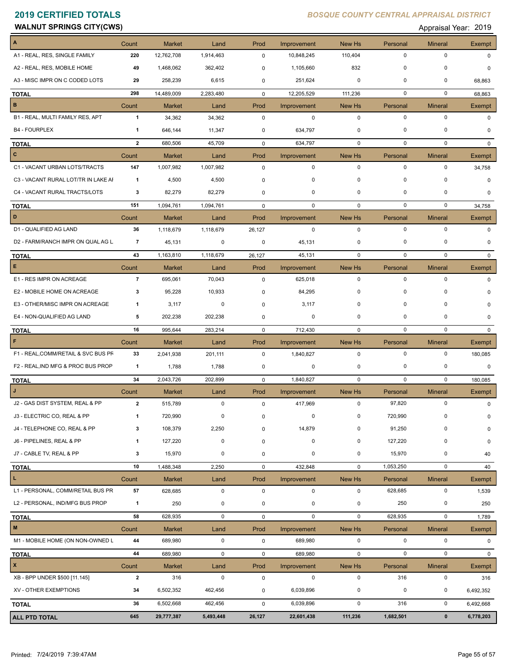| <b>WALNUT SPRINGS CITY(CWS)</b> | $\cdot$ 2019<br>Appraisal Year: |
|---------------------------------|---------------------------------|
|---------------------------------|---------------------------------|

| A                                   | Count          | <b>Market</b>     | Land                | Prod        | Improvement            | New Hs                | Personal                | <b>Mineral</b>                | <b>Exempt</b>         |
|-------------------------------------|----------------|-------------------|---------------------|-------------|------------------------|-----------------------|-------------------------|-------------------------------|-----------------------|
| A1 - REAL, RES, SINGLE FAMILY       | 220            | 12,762,708        | 1,914,463           | $\mathbf 0$ | 10,848,245             | 110,404               | 0                       | $\mathbf 0$                   | $\Omega$              |
| A2 - REAL, RES, MOBILE HOME         | 49             | 1,468,062         | 362,402             | $\mathbf 0$ | 1,105,660              | 832                   | $\mathbf 0$             | 0                             | 0                     |
| A3 - MISC IMPR ON C CODED LOTS      | 29             | 258,239           | 6,615               | $\mathbf 0$ | 251,624                | $\mathbf 0$           | $\mathbf 0$             | $\Omega$                      | 68,863                |
| <b>TOTAL</b>                        | 298            | 14,489,009        | 2,283,480           | $\mathbf 0$ | 12,205,529             | 111,236               | 0                       | $\mathbf 0$                   | 68,863                |
| $\mathbf B$                         | Count          | <b>Market</b>     | Land                | Prod        | Improvement            | New Hs                | Personal                | <b>Mineral</b>                | Exempt                |
| B1 - REAL, MULTI FAMILY RES, APT    | $\mathbf{1}$   | 34,362            | 34,362              | $\mathbf 0$ | $\mathbf 0$            | $\mathbf 0$           | $\mathbf 0$             | $\mathbf 0$                   | $\Omega$              |
| <b>B4 - FOURPLEX</b>                | $\mathbf{1}$   | 646,144           | 11,347              | $\mathbf 0$ | 634,797                | 0                     | $\Omega$                | $\Omega$                      | 0                     |
| <b>TOTAL</b>                        | $\overline{2}$ | 680,506           | 45,709              | $\mathbf 0$ | 634,797                | $\mathbf 0$           | $\mathbf 0$             | $\mathbf 0$                   | $\Omega$              |
| $\mathbf{C}$                        | Count          | <b>Market</b>     | Land                | Prod        | Improvement            | New Hs                | Personal                | Mineral                       | Exempt                |
| C1 - VACANT URBAN LOTS/TRACTS       | 147            | 1,007,982         | 1,007,982           | $\mathbf 0$ | $\mathbf 0$            | $\mathbf 0$           | $\mathbf 0$             | $\mathbf 0$                   | 34,758                |
| C3 - VACANT RURAL LOT/TR IN LAKE AI | $\overline{1}$ | 4,500             | 4,500               | $\mathbf 0$ | 0                      | $\mathbf 0$           | $\mathbf 0$             | $\mathbf 0$                   | $\Omega$              |
| C4 - VACANT RURAL TRACTS/LOTS       | 3              | 82,279            | 82,279              | $\mathbf 0$ | 0                      | $\mathbf 0$           | $\mathbf 0$             | 0                             | 0                     |
| <b>TOTAL</b>                        | 151            | 1,094,761         | 1,094,761           | $\mathbf 0$ | $\mathbf 0$            | $\mathbf 0$           | $\mathbf 0$             | $\mathbf 0$                   | 34,758                |
| D                                   | Count          | Market            | Land                | Prod        | Improvement            | New Hs                | Personal                | <b>Mineral</b>                | Exempt                |
| D1 - QUALIFIED AG LAND              | 36             | 1,118,679         | 1,118,679           | 26,127      | 0                      | $\mathbf 0$           | $\mathbf 0$             | $\mathbf 0$                   | $\Omega$              |
| D2 - FARM/RANCH IMPR ON QUAL AG L   | $\overline{7}$ | 45,131            | 0                   | 0           | 45,131                 | $\mathbf 0$           | $\mathbf 0$             | $\Omega$                      | $\Omega$              |
| <b>TOTAL</b>                        | 43             | 1,163,810         | 1,118,679           | 26,127      | 45,131                 | $\mathbf 0$           | $\mathbf 0$             | $\mathbf 0$                   | $\Omega$              |
| $\mathsf E$                         | Count          | <b>Market</b>     | Land                | Prod        | Improvement            | New Hs                | Personal                | <b>Mineral</b>                | Exempt                |
| E1 - RES IMPR ON ACREAGE            | $\overline{7}$ | 695,061           | 70,043              | $\mathbf 0$ | 625,018                | $\mathbf 0$           | $\mathbf 0$             | $\mathbf 0$                   | $\Omega$              |
| E2 - MOBILE HOME ON ACREAGE         | 3              | 95,228            | 10,933              | 0           | 84,295                 | $\mathbf 0$           | $\mathbf 0$             | $\Omega$                      | $\Omega$              |
| E3 - OTHER/MISC IMPR ON ACREAGE     | 1              | 3,117             | 0                   | 0           | 3,117                  | $\mathbf 0$           | $\mathbf 0$             | 0                             | $\Omega$              |
| E4 - NON-QUALIFIED AG LAND          | 5              | 202,238           | 202,238             | 0           | 0                      | 0                     | $\mathbf 0$             | 0                             | $\Omega$              |
| <b>TOTAL</b>                        | 16             | 995,644           | 283,214             | $\mathbf 0$ | 712,430                | 0                     | $\mathbf 0$             | $\mathbf 0$                   | $\mathbf{0}$          |
| $\mathsf F$                         | Count          | <b>Market</b>     | Land                | Prod        | Improvement            | New Hs                | Personal                | <b>Mineral</b>                | Exempt                |
| F1 - REAL, COMM/RETAIL & SVC BUS PF | 33             | 2,041,938         | 201,111             | $\mathbf 0$ | 1,840,827              | $\mathbf 0$           | $\mathbf 0$             | $\mathbf 0$                   | 180,085               |
| F2 - REAL, IND MFG & PROC BUS PROP  | $\mathbf{1}$   | 1,788             | 1,788               | 0           | 0                      | $\mathbf 0$           | 0                       | $\mathbf 0$                   | $\Omega$              |
| <b>TOTAL</b>                        | 34             | 2,043,726         | 202,899             | $\mathbf 0$ | 1,840,827              | $\mathbf 0$           | $\mathbf 0$             | 0                             | 180,085               |
|                                     | Count          | <b>Market</b>     | Land                | Prod        | Improvement            | New Hs                | Personal                | <b>Mineral</b>                | Exempt                |
| J2 - GAS DIST SYSTEM, REAL & PP     | $\overline{2}$ | 515,789           | $\mathbf 0$         | $\mathbf 0$ | 417,969                | $\mathbf 0$           | 97,820                  | $\mathbf 0$                   | $\mathbf 0$           |
| J3 - ELECTRIC CO, REAL & PP         | 1              | 720,990           | 0                   | 0           | 0                      | 0                     | 720,990                 | 0                             | 0                     |
| J4 - TELEPHONE CO, REAL & PP        | 3              | 108,379           | 2,250               | 0           | 14,879                 | 0                     | 91,250                  | $\Omega$                      | 0                     |
| J6 - PIPELINES, REAL & PP           | 1              | 127,220           | $\pmb{0}$           | 0           | $\pmb{0}$              | 0                     | 127,220                 | $\mathbf 0$                   | 0                     |
| J7 - CABLE TV, REAL & PP            | 3              | 15,970            | $\pmb{0}$           | 0           | $\pmb{0}$              | 0                     | 15,970                  | $\pmb{0}$                     | 40                    |
|                                     | 10             | 1,488,348         | 2,250               | $\mathbf 0$ | 432,848                | $\mathbf 0$           | 1,053,250               | $\mathbf 0$                   | 40                    |
| <b>TOTAL</b><br>L.                  | Count          | Market            | Land                | Prod        | Improvement            | New Hs                | Personal                | <b>Mineral</b>                | <b>Exempt</b>         |
| L1 - PERSONAL, COMM/RETAIL BUS PR   | 57             | 628,685           | $\mathbf 0$         | 0           | $\mathsf 0$            | $\mathbf 0$           | 628,685                 | $\pmb{0}$                     | 1,539                 |
| L2 - PERSONAL, IND/MFG BUS PROP     | $\mathbf{1}$   | 250               | 0                   | $\mathsf 0$ | 0                      | 0                     | 250                     | 0                             | 250                   |
|                                     |                |                   | $\mathbf 0$         |             | $\mathbf 0$            | $\mathbf 0$           | 628,935                 | $\mathbf 0$                   |                       |
| <b>TOTAL</b><br>$\mathsf{M}\xspace$ | 58             | 628,935           |                     | $\mathbf 0$ |                        |                       |                         |                               | 1,789                 |
| M1 - MOBILE HOME (ON NON-OWNED L    | Count<br>44    | Market<br>689,980 | Land<br>$\mathbf 0$ | Prod<br>0   | Improvement<br>689,980 | New Hs<br>$\mathbf 0$ | Personal<br>$\mathbf 0$ | <b>Mineral</b><br>$\mathbf 0$ | Exempt<br>$\mathbf 0$ |
|                                     |                |                   |                     |             |                        |                       |                         |                               |                       |
| <b>TOTAL</b>                        | 44             | 689,980           | $\mathbf 0$         | $\mathsf 0$ | 689,980                | $\mathbf 0$           | $\mathbf 0$             | $\mathbf 0$                   | $\Omega$              |
| $\mathbf{x}$                        | Count          | <b>Market</b>     | Land                | Prod        | Improvement            | New Hs                | Personal                | <b>Mineral</b>                | Exempt                |
| XB - BPP UNDER \$500 [11.145]       | $\overline{2}$ | 316               | $\mathbf 0$         | $\mathsf 0$ | $\mathbf 0$            | $\mathbf 0$           | 316                     | $\mathbf 0$                   | 316                   |
| XV - OTHER EXEMPTIONS               | 34             | 6,502,352         | 462,456             | 0           | 6,039,896              | $\pmb{0}$             | $\pmb{0}$               | 0                             | 6,492,352             |
| <b>TOTAL</b>                        | 36             | 6,502,668         | 462,456             | $\mathbf 0$ | 6,039,896              | $\mathbf 0$           | 316                     | $\mathsf 0$                   | 6,492,668             |
| <b>ALL PTD TOTAL</b>                | 645            | 29,777,387        | 5,493,448           | 26,127      | 22,601,438             | 111,236               | 1,682,501               | $\pmb{0}$                     | 6,778,203             |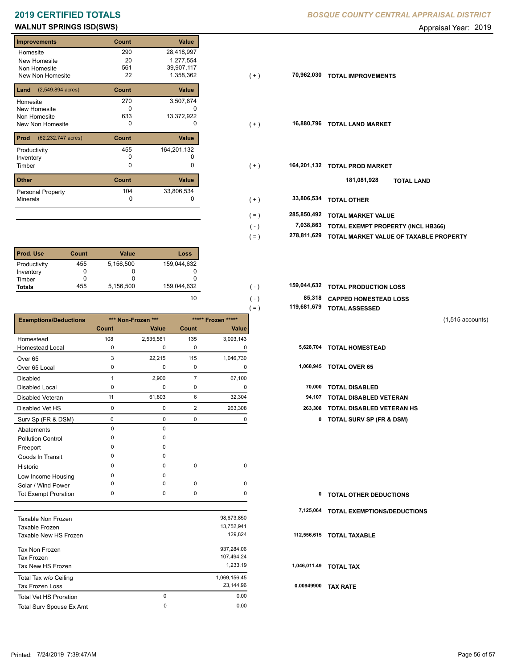# **WALNUT SPRINGS ISD(SWS)** Appraisal Year: 2019

| <b>Improvements</b>                 | Count | <b>Value</b> |
|-------------------------------------|-------|--------------|
| Homesite                            | 290   | 28,418,997   |
| New Homesite                        | 20    | 1,277,554    |
| Non Homesite                        | 561   | 39,907,117   |
| New Non Homesite                    | 22    | 1,358,362    |
| $(2,549.894 \text{ acres})$<br>Land | Count | Value        |
| Homesite                            | 270   | 3,507,874    |
| New Homesite                        | n     |              |
| Non Homesite                        | 633   | 13,372,922   |
| <b>New Non Homesite</b>             | O     | $\mathbf{0}$ |
| Prod<br>(62,232.747 acres)          | Count | Value        |
| Productivity                        | 455   | 164,201,132  |
| Inventory                           | O     |              |
| Timber                              | 0     | 0            |
| <b>Other</b>                        | Count | Value        |
| <b>Personal Property</b>            | 104   | 33,806,534   |
| <b>Minerals</b>                     | 0     | 0            |

| l Prod. Use   | Count | <b>Value</b> | Loss        |
|---------------|-------|--------------|-------------|
| Productivity  | 455   | 5,156,500    | 159,044,632 |
| Inventory     |       | O            |             |
| Timber        |       |              |             |
| <b>Totals</b> | 455   | 5,156,500    | 159,044,632 |

|                              |              |                    |                |                    | $( = )$ | 119,681,679 | <b>TOTAL ASSESSED</b>               |                    |
|------------------------------|--------------|--------------------|----------------|--------------------|---------|-------------|-------------------------------------|--------------------|
| <b>Exemptions/Deductions</b> |              | *** Non-Frozen *** |                | ***** Frozen ***** |         |             |                                     | $(1,515$ accounts) |
|                              | Count        | Value              | <b>Count</b>   | Value              |         |             |                                     |                    |
| Homestead                    | 108          | 2,535,561          | 135            | 3,093,143          |         |             |                                     |                    |
| <b>Homestead Local</b>       | 0            | 0                  | 0              | 0                  |         |             | 5,628,704 TOTAL HOMESTEAD           |                    |
| Over <sub>65</sub>           | 3            | 22,215             | 115            | 1,046,730          |         |             |                                     |                    |
| Over 65 Local                | 0            | 0                  | $\pmb{0}$      | 0                  |         |             | 1,068,945 TOTAL OVER 65             |                    |
| <b>Disabled</b>              | $\mathbf{1}$ | 2,900              | $\overline{7}$ | 67,100             |         |             |                                     |                    |
| <b>Disabled Local</b>        | 0            | 0                  | 0              | 0                  |         | 70,000      | <b>TOTAL DISABLED</b>               |                    |
| <b>Disabled Veteran</b>      | 11           | 61,803             | 6              | 32,304             |         | 94,107      | <b>TOTAL DISABLED VETERAN</b>       |                    |
| Disabled Vet HS              | $\mathbf 0$  | 0                  | $\overline{2}$ | 263,308            |         | 263,308     | <b>TOTAL DISABLED VETERAN HS</b>    |                    |
| Surv Sp (FR & DSM)           | $\mathbf 0$  | 0                  | $\mathbf 0$    | 0                  |         | 0           | <b>TOTAL SURV SP (FR &amp; DSM)</b> |                    |
| Abatements                   | $\mathbf 0$  | 0                  |                |                    |         |             |                                     |                    |
| <b>Pollution Control</b>     | $\Omega$     | 0                  |                |                    |         |             |                                     |                    |
| Freeport                     | $\Omega$     | 0                  |                |                    |         |             |                                     |                    |
| Goods In Transit             | $\Omega$     | 0                  |                |                    |         |             |                                     |                    |
| Historic                     | <sup>0</sup> | 0                  | $\mathbf 0$    | $\pmb{0}$          |         |             |                                     |                    |
| Low Income Housing           | 0            | 0                  |                |                    |         |             |                                     |                    |
| Solar / Wind Power           | <sup>0</sup> | 0                  | 0              | 0                  |         |             |                                     |                    |
| <b>Tot Exempt Proration</b>  | 0            | 0                  | $\pmb{0}$      | 0                  |         | 0           | <b>TOTAL OTHER DEDUCTIONS</b>       |                    |
|                              |              |                    |                |                    |         | 7,125,064   | <b>TOTAL EXEMPTIONS/DEDUCTIONS</b>  |                    |
| <b>Taxable Non Frozen</b>    |              |                    |                | 98,673,850         |         |             |                                     |                    |
| Taxable Frozen               |              |                    |                | 13,752,941         |         |             |                                     |                    |
| Taxable New HS Frozen        |              |                    |                | 129,824            |         |             | 112,556,615 TOTAL TAXABLE           |                    |
| Tax Non Frozen               |              |                    |                | 937,284.06         |         |             |                                     |                    |
| <b>Tax Frozen</b>            |              |                    |                | 107,494.24         |         |             |                                     |                    |
| Tax New HS Frozen            |              |                    |                | 1,233.19           |         |             | 1,046,011.49 TOTAL TAX              |                    |
| Total Tax w/o Ceiling        |              |                    |                | 1,069,156.45       |         |             |                                     |                    |
| <b>Tax Frozen Loss</b>       |              |                    |                | 23,144.96          |         |             | 0.00949900 TAX RATE                 |                    |

Total Surv Spouse Ex Amt 0.00

 0 0.00 0

| <b>Improvements</b>                     | Count | Value       |                        |                                        |
|-----------------------------------------|-------|-------------|------------------------|----------------------------------------|
| Homesite                                | 290   | 28,418,997  |                        |                                        |
| New Homesite                            | 20    | 1,277,554   |                        |                                        |
| Non Homesite                            | 561   | 39,907,117  |                        |                                        |
| New Non Homesite                        | 22    | 1,358,362   | 70,962,030<br>$(+)$    | <b>TOTAL IMPROVEMENTS</b>              |
| <b>Land</b> $(2,549.894 \text{ acres})$ | Count | Value       |                        |                                        |
| Homesite                                | 270   | 3,507,874   |                        |                                        |
| New Homesite                            | 0     | 0           |                        |                                        |
| Non Homesite                            | 633   | 13,372,922  |                        |                                        |
| New Non Homesite                        | 0     | 0           | 16,880,796<br>$(+)$    | <b>TOTAL LAND MARKET</b>               |
| <b>Prod</b> (62,232.747 acres)          | Count | Value       |                        |                                        |
| Productivity                            | 455   | 164,201,132 |                        |                                        |
| Inventory                               | 0     | 0           |                        |                                        |
| Timber                                  | 0     | 0           | 164,201,132<br>$(+)$   | <b>TOTAL PROD MARKET</b>               |
| <b>Other</b>                            | Count | Value       |                        | 181,081,928<br><b>TOTAL LAND</b>       |
|                                         | 104   | 33,806,534  |                        |                                        |
| Personal Property<br>Minerals           | 0     |             | 33,806,534             |                                        |
|                                         |       |             | $(+)$                  | <b>TOTAL OTHER</b>                     |
|                                         |       |             | 285,850,492<br>$( = )$ | <b>TOTAL MARKET VALUE</b>              |
|                                         |       |             | 7,038,863<br>$(-)$     | TOTAL EXEMPT PROPERTY (INCL HB366)     |
|                                         |       |             | 278,811,629<br>$( = )$ | TOTAL MARKET VALUE OF TAXABLE PROPERTY |
|                                         |       |             |                        |                                        |

| 159.044.632 | ( –           | 159,044,632 TOTAL PRODUCTION LOSS |
|-------------|---------------|-----------------------------------|
| 10          | $( - )$       | 85,318 CAPPED HOMESTEAD LOSS      |
|             | $=$ $\lambda$ | 119,681,679 TOTAL ASSESSED        |

| $(1,515$ accounts) |
|--------------------|
|                    |

|  | 5,628,704 TOTAL HOMESTEAD |  |
|--|---------------------------|--|
|--|---------------------------|--|

| 1,068,945 | <b>TOTAL OVER 65</b> |  |
|-----------|----------------------|--|
|           |                      |  |

|  | 70,000 TOTAL DISABLED |  |
|--|-----------------------|--|

- 
- 0 0 2 263,308 **263,308 TOTAL DISABLED VETERAN HS**
	- Surv Sp (FR & DSM) 0 0 0 0 **0 TOTAL SURV SP (FR & DSM)**

| <b>0 TOTAL OTHER DEDUCTIONS</b> |  |
|---------------------------------|--|
|---------------------------------|--|

### **112,556,615 TOTAL TAXABLE**

 **0.00949900 TAX RATE**

Tax Frozen Loss

Total Vet HS Proration